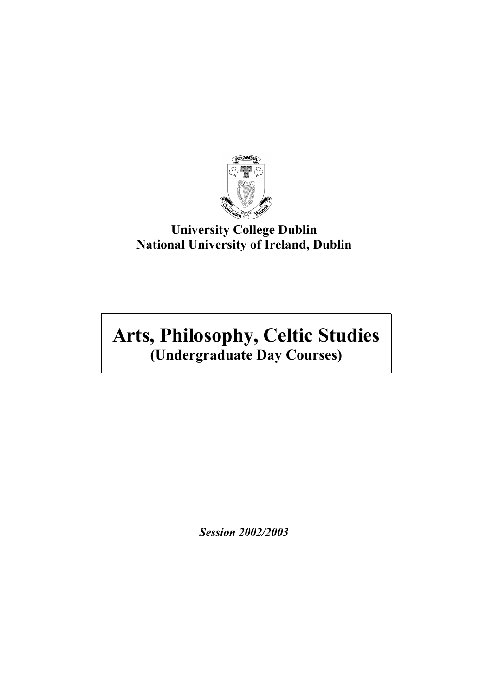

# **University College Dublin National University of Ireland, Dublin**

# **Arts, Philosophy, Celtic Studies (Undergraduate Day Courses)**

*Session 2002/2003*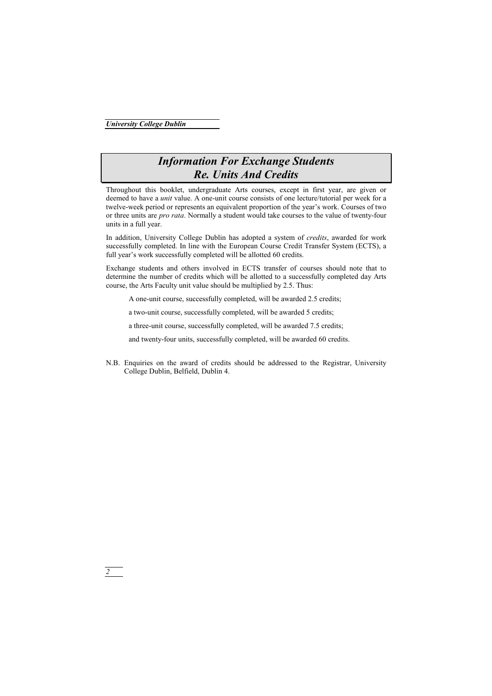## *Information For Exchange Students Re. Units And Credits*

Throughout this booklet, undergraduate Arts courses, except in first year, are given or deemed to have a *unit* value. A one-unit course consists of one lecture/tutorial per week for a twelve-week period or represents an equivalent proportion of the year's work. Courses of two or three units are *pro rata*. Normally a student would take courses to the value of twenty-four units in a full year.

In addition, University College Dublin has adopted a system of *credits*, awarded for work successfully completed. In line with the European Course Credit Transfer System (ECTS), a full year's work successfully completed will be allotted 60 credits.

Exchange students and others involved in ECTS transfer of courses should note that to determine the number of credits which will be allotted to a successfully completed day Arts course, the Arts Faculty unit value should be multiplied by 2.5. Thus:

A one-unit course, successfully completed, will be awarded 2.5 credits;

a two-unit course, successfully completed, will be awarded 5 credits;

a three-unit course, successfully completed, will be awarded 7.5 credits;

and twenty-four units, successfully completed, will be awarded 60 credits.

N.B. Enquiries on the award of credits should be addressed to the Registrar, University College Dublin, Belfield, Dublin 4.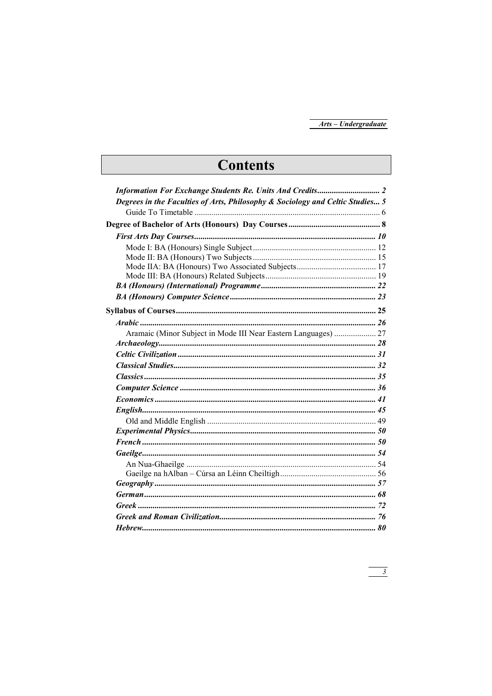# **Contents**

| Degrees in the Faculties of Arts, Philosophy & Sociology and Celtic Studies 5 |  |
|-------------------------------------------------------------------------------|--|
|                                                                               |  |
|                                                                               |  |
|                                                                               |  |
|                                                                               |  |
|                                                                               |  |
|                                                                               |  |
|                                                                               |  |
|                                                                               |  |
|                                                                               |  |
|                                                                               |  |
|                                                                               |  |
| Aramaic (Minor Subject in Mode III Near Eastern Languages)  27                |  |
|                                                                               |  |
|                                                                               |  |
|                                                                               |  |
|                                                                               |  |
|                                                                               |  |
|                                                                               |  |
|                                                                               |  |
|                                                                               |  |
|                                                                               |  |
|                                                                               |  |
|                                                                               |  |
|                                                                               |  |
|                                                                               |  |
|                                                                               |  |
|                                                                               |  |
|                                                                               |  |
|                                                                               |  |
|                                                                               |  |
|                                                                               |  |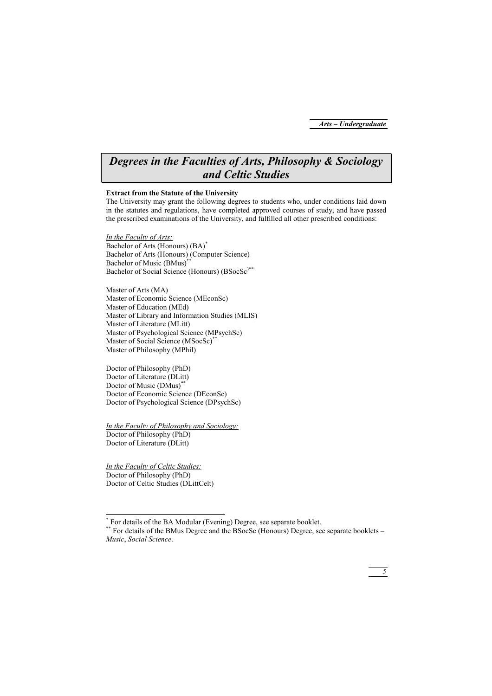## *Degrees in the Faculties of Arts, Philosophy & Sociology and Celtic Studies*

#### **Extract from the Statute of the University**

The University may grant the following degrees to students who, under conditions laid down in the statutes and regulations, have completed approved courses of study, and have passed the prescribed examinations of the University, and fulfilled all other prescribed conditions:

*In the Faculty of Arts:* Bachelor of Arts (Honours) (BA)\* Bachelor of Arts (Honours) (Computer Science) Bachelor of Music (BMus)\*\* Bachelor of Social Science (Honours) (BSocSc<sup>)\*\*</sup>

Master of Arts (MA) Master of Economic Science (MEconSc) Master of Education (MEd) Master of Library and Information Studies (MLIS) Master of Literature (MLitt) Master of Psychological Science (MPsychSc) Master of Social Science (MSocSc)\*\* Master of Philosophy (MPhil)

Doctor of Philosophy (PhD) Doctor of Literature (DLitt) Doctor of Music (DMus)\*\* Doctor of Economic Science (DEconSc) Doctor of Psychological Science (DPsychSc)

*In the Faculty of Philosophy and Sociology:* Doctor of Philosophy (PhD) Doctor of Literature (DLitt)

*In the Faculty of Celtic Studies:* Doctor of Philosophy (PhD) Doctor of Celtic Studies (DLittCelt)

l

<sup>\*</sup> For details of the BA Modular (Evening) Degree, see separate booklet.

<sup>\*\*</sup> For details of the BMus Degree and the BSocSc (Honours) Degree, see separate booklets – *Music*, *Social Science*.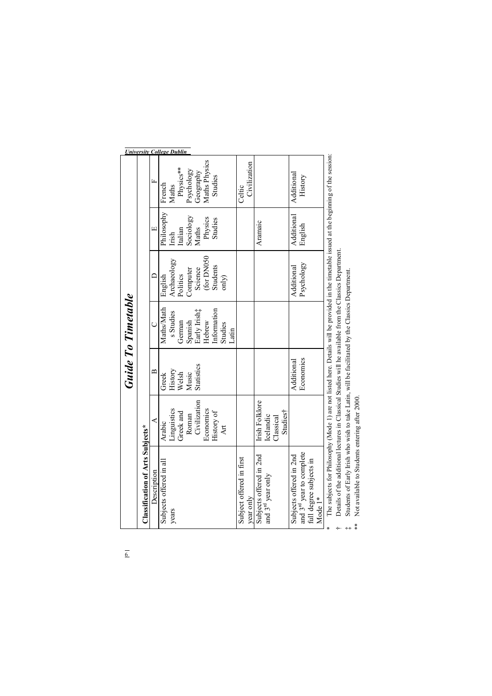|                    | <b>University</b>                       |              | College                 |                  |           |            |              |                       |             |            |       |                          |              |                         |                               |                       |                         |                                      |                         |         |                                                                                                                                             |
|--------------------|-----------------------------------------|--------------|-------------------------|------------------|-----------|------------|--------------|-----------------------|-------------|------------|-------|--------------------------|--------------|-------------------------|-------------------------------|-----------------------|-------------------------|--------------------------------------|-------------------------|---------|---------------------------------------------------------------------------------------------------------------------------------------------|
|                    |                                         | ĹĽ,          | French                  | Maths            | Physics** | Psychology | Geography    | Maths Physics         | Studies     |            |       | Celtic                   | Civilization |                         |                               |                       | Additional              | History                              |                         |         |                                                                                                                                             |
|                    |                                         | $\Box$       | Philosophy              | Irish            | Italian   | Sociology  | Maths        | Physics<br>Studies    |             |            |       |                          |              | Aramaic                 |                               |                       | Additional              | English                              |                         |         |                                                                                                                                             |
|                    |                                         |              | English                 | Archaeology      | Politics  | Computer   |              | Science<br>(for DN050 | Students    | only)      |       |                          |              |                         |                               |                       | Additional              | Psychology                           |                         |         |                                                                                                                                             |
| Guide To Timetable |                                         | $\mathbf{C}$ | Maths/Math              | <b>s</b> Studies | German    | Spanish    | Early Irish‡ | Hebrew                | Information | Studies    | Latin |                          |              |                         |                               |                       |                         |                                      |                         |         |                                                                                                                                             |
|                    |                                         | $\mathbf{a}$ | Greek                   | History          | Welsh     | Music      | Statistics   |                       |             |            |       |                          |              |                         |                               |                       | Additional              | Economics                            |                         |         |                                                                                                                                             |
|                    |                                         | ⋖            | Arabic                  | Linguistics      | Greek and | Roman      | Civilization | Economics             | History of  | <b>Art</b> |       |                          |              | Irish Folklore          | Icelandic                     | Studies†<br>Classical |                         |                                      |                         |         |                                                                                                                                             |
|                    | <b>Classification of Arts Subjects*</b> | Description  | Subjects offered in all | years            |           |            |              |                       |             |            |       | Subject offered in first | year only    | Subjects offered in 2nd | and 3 <sup>rd</sup> year only |                       | Subjects offered in 2nd | and 3 <sup>rd</sup> year to complete | full degree subjects in | Mode 1* | The subjects for Philosophy (Mode 1) are not listed here. Details will be provided in the timetable issued at the beginning of the session: |

Details of the additional lectures in Classical Studies will he available from the Classics Department. † Details of the additional lectures in Classical Studies will he available from the Classics Department.  $+ +$ \*

‡ Students of Early Irish who wish to take Latin, will be facilitated by the Classics Department. Students of Early Irish who wish to take Latin, will be facilitated by the Classics Department.

\*\* Not available to Students entering after 2000. Not available to Students entering after 2000.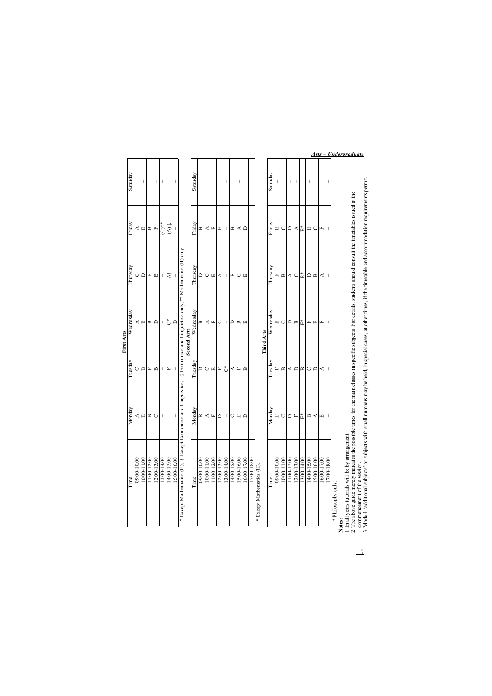|           |             |             |                |               |                    |                          |             |                                                                                                                           |           |              |              |                |                                       |                          |              |              |              |                     |                           |           |              |                  |              |              |                            |              |             |              |                                                                                                                                                                                                                                                                                                                                                                                  | <b>Arts - Undergraduate</b>  |                                                                                                                                                                                                                        |
|-----------|-------------|-------------|----------------|---------------|--------------------|--------------------------|-------------|---------------------------------------------------------------------------------------------------------------------------|-----------|--------------|--------------|----------------|---------------------------------------|--------------------------|--------------|--------------|--------------|---------------------|---------------------------|-----------|--------------|------------------|--------------|--------------|----------------------------|--------------|-------------|--------------|----------------------------------------------------------------------------------------------------------------------------------------------------------------------------------------------------------------------------------------------------------------------------------------------------------------------------------------------------------------------------------|------------------------------|------------------------------------------------------------------------------------------------------------------------------------------------------------------------------------------------------------------------|
| Saturday  |             |             | $\bar{\rm I}$  | $\bar{\rm I}$ | $\mathfrak l$      | $\overline{\phantom{a}}$ | f,          |                                                                                                                           | Saturday  |              | $\mathbf{I}$ | $\mathsf I$    | $\begin{array}{c} \hline \end{array}$ | $\mathsf I$              | $\mathbf{I}$ | $\mathbf{I}$ | $\mathsf I$  | $\mathbf{I}$        |                           | Saturday  | I.           |                  |              | $\mathbb{I}$ | $\mathfrak l$              | $\mathbf{I}$ | $\mathsf I$ | $\mathsf I$  | $\mathbf{I}$                                                                                                                                                                                                                                                                                                                                                                     |                              |                                                                                                                                                                                                                        |
| Friday    |             | ⊲∣⊞∣ ∆      |                | $\mu$         | $\widetilde{C}$ ** | $\ddot{a}$               |             |                                                                                                                           | Friday    | B            | $\prec$      | $\mathbf{L}$   | $\Box$                                | $\mathsf I$              | $\mathbf{m}$ | ≺            | $\mathbf{a}$ | $\mathsf I$         |                           | Friday    |              | $\overline{u}$ O | $\mathbf{a}$ | ≺            | $\stackrel{*}{\mathbb{H}}$ | ⊡∣∪          |             | $\mathbb{L}$ |                                                                                                                                                                                                                                                                                                                                                                                  |                              |                                                                                                                                                                                                                        |
| Thursday  |             | $\Box$      |                | $\Box$        | $\mathsf I$        | $\star$                  |             |                                                                                                                           | Thursday  | $\mathbf{a}$ | $\cup$       | $\Box$         | ⋖                                     | $\mathord{\text{\rm I}}$ | LL.          | $\cup$       | $\Box$       | $\mathsf I$         |                           | Thursday  |              | $\mathbf{u}$     | ≺            | $\circ$      | $\stackrel{*}{\mathbb{H}}$ | $\Box$       |             | ≺            | I                                                                                                                                                                                                                                                                                                                                                                                |                              |                                                                                                                                                                                                                        |
| Wednesday |             | ⊲∣⊞∣ഥ       |                | $\Box$        | $\mathsf I$        | $\overset{*}{\circ}$     | ≏           | Second Arts                                                                                                               | Wednesday | m            | $\prec$      | $\mathbf{L}$   | Õ                                     | $\ $                     | $\Box$       | $\mathbf{u}$ | Щ            | $\mathbb{I}$        | Third Arts                | Wednesday | Щ            | Õ                | $\mathbf{a}$ | $\mathbf m$  | $\stackrel{*}{\mathbb{H}}$ | $\mathbf{L}$ | Е           | LY.          | I                                                                                                                                                                                                                                                                                                                                                                                |                              |                                                                                                                                                                                                                        |
| Tuesday   |             | $\Box$      |                | $\mathbf{m}$  | $\mathbb{I}$       | $\mathbb{L}$             |             |                                                                                                                           | Tuesday   | $\mathsf{D}$ | Ò            | $\Xi$          | $\mathbf{L}$                          | $\zeta$                  | ∢            | $\mathbb{L}$ | $\mathbf{m}$ | $\mathsf I$         |                           | Tuesday   | E            | $\mathbf{m}$     | ∢            | $\square$    | $\mathbf m$                | $\cup$       | $\Box$      | ≺            | $\begin{array}{c} \rule{0pt}{2.5ex} \rule{0pt}{2.5ex} \rule{0pt}{2.5ex} \rule{0pt}{2.5ex} \rule{0pt}{2.5ex} \rule{0pt}{2.5ex} \rule{0pt}{2.5ex} \rule{0pt}{2.5ex} \rule{0pt}{2.5ex} \rule{0pt}{2.5ex} \rule{0pt}{2.5ex} \rule{0pt}{2.5ex} \rule{0pt}{2.5ex} \rule{0pt}{2.5ex} \rule{0pt}{2.5ex} \rule{0pt}{2.5ex} \rule{0pt}{2.5ex} \rule{0pt}{2.5ex} \rule{0pt}{2.5ex} \rule{0$ |                              |                                                                                                                                                                                                                        |
| Monday    |             | ⊲∣⊞ ∣≏      |                | $\circ$       | $\mathbb{I}$       | $\overline{\phantom{a}}$ |             |                                                                                                                           | Monday    | B            | ≺            | Щ              | $\mathbf{a}$                          | $\mathord{\text{\rm I}}$ | $\cup$       | $\Xi$        | $\Box$       | $\mathsf I$         |                           | Monday    | $\mathbb{L}$ | O                | $\Box$       | $\mathbf{L}$ | $\stackrel{*}{\mathbb{H}}$ | $\mathbf{m}$ |             | ≺ ⊡          | $\begin{array}{c} \rule{0pt}{2.5ex} \rule{0pt}{2.5ex} \rule{0pt}{2.5ex} \rule{0pt}{2.5ex} \rule{0pt}{2.5ex} \rule{0pt}{2.5ex} \rule{0pt}{2.5ex} \rule{0pt}{2.5ex} \rule{0pt}{2.5ex} \rule{0pt}{2.5ex} \rule{0pt}{2.5ex} \rule{0pt}{2.5ex} \rule{0pt}{2.5ex} \rule{0pt}{2.5ex} \rule{0pt}{2.5ex} \rule{0pt}{2.5ex} \rule{0pt}{2.5ex} \rule{0pt}{2.5ex} \rule{0pt}{2.5ex} \rule{0$ |                              |                                                                                                                                                                                                                        |
| l'ime     | 09.00-10.00 | 10.00-11.00 | $1.00 - 12.00$ | 12.00-13.00   | 13.00-14.00        | 14.00-15.00              | 15.00-16.00 | * Except Mathematics (H); † Except Economics and Linguistics;  ‡ Economics and Linguistics only; ** Mathematics (H) only, | Time      | 09.00-10.00  | 10.00-11.00  | $1.00 - 12.00$ | $(2.00 - 13.00)$                      | 3.00-14.00               | 4.00-15.00   | 15.00-16.00  | 16.00-17.00  | $\sqrt{7.00-18.00}$ | * Except Mathematics (H); | Time      | 09.00-10.00  | 10.00-11.00      | 11.00-12.00  | 12.00-13.00  | 13.00-14.00                | 14.00-15.00  | 15.00-16.00 | 16.00-17.00  | 17.00-18.00                                                                                                                                                                                                                                                                                                                                                                      | * Philosophy only.<br>Notes: | 2 The above guide merely indicates the possible times for the main classes in specific subjects. For details, students should consult the timetables issued at the<br>1 In all years tutorials will be by arrangement. |

 $\overline{7}$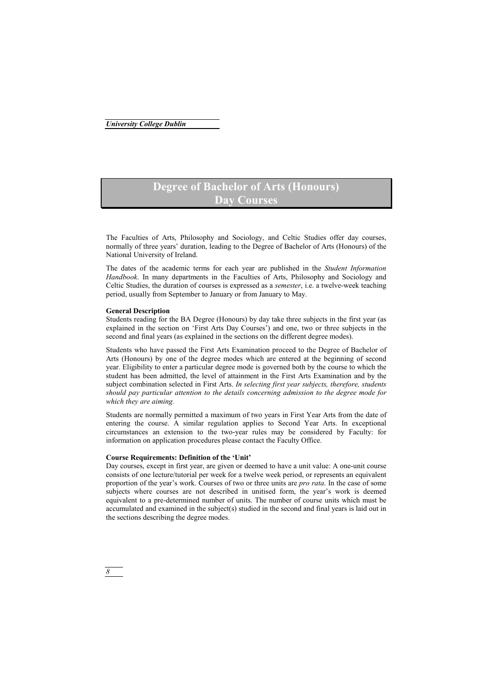## **Degree of Bachelor of Arts (Honours) Day Courses**

The Faculties of Arts, Philosophy and Sociology, and Celtic Studies offer day courses, normally of three years' duration, leading to the Degree of Bachelor of Arts (Honours) of the National University of Ireland.

The dates of the academic terms for each year are published in the *Student Information Handbook*. In many departments in the Faculties of Arts, Philosophy and Sociology and Celtic Studies, the duration of courses is expressed as a *semester*, i.e. a twelve-week teaching period, usually from September to January or from January to May.

#### **General Description**

Students reading for the BA Degree (Honours) by day take three subjects in the first year (as explained in the section on 'First Arts Day Courses') and one, two or three subjects in the second and final years (as explained in the sections on the different degree modes).

Students who have passed the First Arts Examination proceed to the Degree of Bachelor of Arts (Honours) by one of the degree modes which are entered at the beginning of second year. Eligibility to enter a particular degree mode is governed both by the course to which the student has been admitted, the level of attainment in the First Arts Examination and by the subject combination selected in First Arts. *In selecting first year subjects, therefore, students should pay particular attention to the details concerning admission to the degree mode for which they are aiming.* 

Students are normally permitted a maximum of two years in First Year Arts from the date of entering the course. A similar regulation applies to Second Year Arts. In exceptional circumstances an extension to the two-year rules may be considered by Faculty: for information on application procedures please contact the Faculty Office.

#### **Course Requirements: Definition of the 'Unit'**

Day courses, except in first year, are given or deemed to have a unit value: A one-unit course consists of one lecture/tutorial per week for a twelve week period, or represents an equivalent proportion of the year's work. Courses of two or three units are *pro rata*. In the case of some subjects where courses are not described in unitised form, the year's work is deemed equivalent to a pre-determined number of units. The number of course units which must be accumulated and examined in the subject(s) studied in the second and final years is laid out in the sections describing the degree modes.

*8*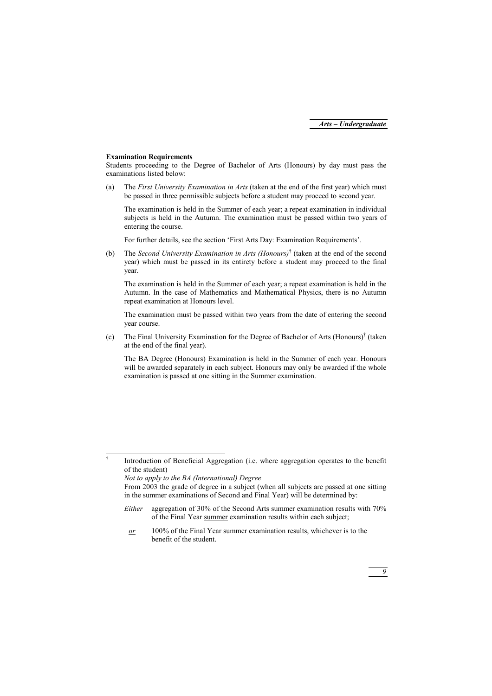#### **Examination Requirements**

Students proceeding to the Degree of Bachelor of Arts (Honours) by day must pass the examinations listed below:

(a) The *First University Examination in Arts* (taken at the end of the first year) which must be passed in three permissible subjects before a student may proceed to second year.

 The examination is held in the Summer of each year; a repeat examination in individual subjects is held in the Autumn. The examination must be passed within two years of entering the course.

For further details, see the section 'First Arts Day: Examination Requirements'.

(b) The *Second University Examination in Arts (Honours)*† (taken at the end of the second year) which must be passed in its entirety before a student may proceed to the final year.

 The examination is held in the Summer of each year; a repeat examination is held in the Autumn. In the case of Mathematics and Mathematical Physics, there is no Autumn repeat examination at Honours level.

 The examination must be passed within two years from the date of entering the second year course.

(c) The Final University Examination for the Degree of Bachelor of Arts (Honours)† (taken at the end of the final year).

 The BA Degree (Honours) Examination is held in the Summer of each year. Honours will be awarded separately in each subject. Honours may only be awarded if the whole examination is passed at one sitting in the Summer examination.

 *Not to apply to the BA (International) Degree* 

†

Introduction of Beneficial Aggregation (i.e. where aggregation operates to the benefit of the student)

From 2003 the grade of degree in a subject (when all subjects are passed at one sitting in the summer examinations of Second and Final Year) will be determined by:

*Either* aggregation of 30% of the Second Arts summer examination results with 70% of the Final Year summer examination results within each subject;

*or* 100% of the Final Year summer examination results, whichever is to the benefit of the student.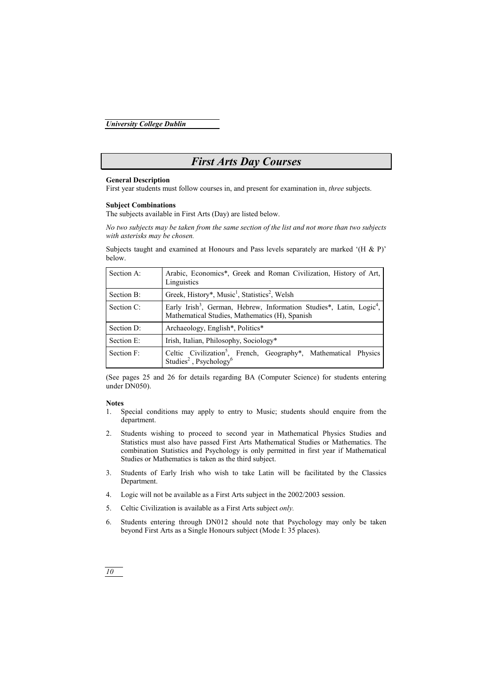## *First Arts Day Courses*

#### **General Description**

First year students must follow courses in, and present for examination in, *three* subjects.

#### **Subject Combinations**

The subjects available in First Arts (Day) are listed below.

*No two subjects may be taken from the same section of the list and not more than two subjects with asterisks may be chosen.* 

Subjects taught and examined at Honours and Pass levels separately are marked  $(H \& P)'$ below.

| Section A: | Arabic, Economics*, Greek and Roman Civilization, History of Art,<br>Linguistics                                                               |
|------------|------------------------------------------------------------------------------------------------------------------------------------------------|
| Section B: | Greek, History*, Music <sup>1</sup> , Statistics <sup>2</sup> , Welsh                                                                          |
| Section C: | Early Irish <sup>3</sup> , German, Hebrew, Information Studies*, Latin, Logic <sup>4</sup> ,<br>Mathematical Studies, Mathematics (H), Spanish |
| Section D: | Archaeology, English*, Politics*                                                                                                               |
| Section E: | Irish, Italian, Philosophy, Sociology*                                                                                                         |
| Section F: | Celtic Civilization <sup>5</sup> , French, Geography*, Mathematical Physics<br>Studies <sup>2</sup> , Psychology <sup>6</sup>                  |

(See pages 25 and 26 for details regarding BA (Computer Science) for students entering under DN050).

#### **Notes**

- 1. Special conditions may apply to entry to Music; students should enquire from the department.
- 2. Students wishing to proceed to second year in Mathematical Physics Studies and Statistics must also have passed First Arts Mathematical Studies or Mathematics. The combination Statistics and Psychology is only permitted in first year if Mathematical Studies or Mathematics is taken as the third subject.
- 3. Students of Early Irish who wish to take Latin will be facilitated by the Classics Department.
- 4. Logic will not be available as a First Arts subject in the 2002/2003 session.
- 5. Celtic Civilization is available as a First Arts subject *only.*
- 6. Students entering through DN012 should note that Psychology may only be taken beyond First Arts as a Single Honours subject (Mode I: 35 places).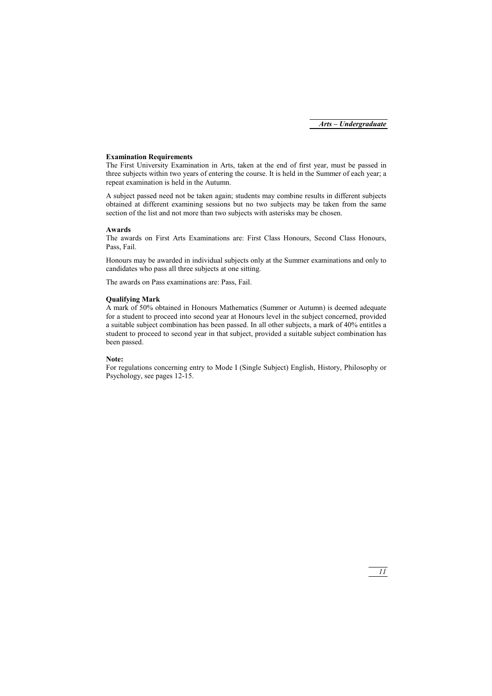#### **Examination Requirements**

The First University Examination in Arts, taken at the end of first year, must be passed in three subjects within two years of entering the course. It is held in the Summer of each year; a repeat examination is held in the Autumn.

A subject passed need not be taken again; students may combine results in different subjects obtained at different examining sessions but no two subjects may be taken from the same section of the list and not more than two subjects with asterisks may be chosen.

#### **Awards**

The awards on First Arts Examinations are: First Class Honours, Second Class Honours, Pass, Fail.

Honours may be awarded in individual subjects only at the Summer examinations and only to candidates who pass all three subjects at one sitting.

The awards on Pass examinations are: Pass, Fail.

#### **Qualifying Mark**

A mark of 50% obtained in Honours Mathematics (Summer or Autumn) is deemed adequate for a student to proceed into second year at Honours level in the subject concerned, provided a suitable subject combination has been passed. In all other subjects, a mark of 40% entitles a student to proceed to second year in that subject, provided a suitable subject combination has been passed.

#### **Note:**

For regulations concerning entry to Mode I (Single Subject) English, History, Philosophy or Psychology, see pages 12-15.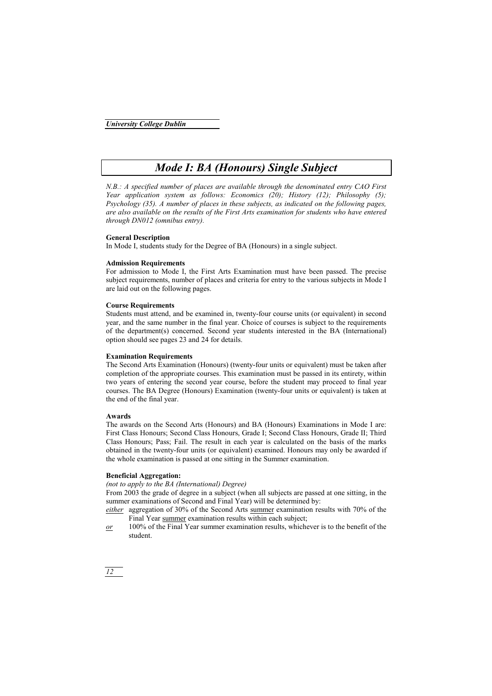## *Mode I: BA (Honours) Single Subject*

*N.B.: A specified number of places are available through the denominated entry CAO First Year application system as follows: Economics (20); History (12); Philosophy (5); Psychology (35). A number of places in these subjects, as indicated on the following pages, are also available on the results of the First Arts examination for students who have entered through DN012 (omnibus entry).* 

#### **General Description**

In Mode I, students study for the Degree of BA (Honours) in a single subject.

#### **Admission Requirements**

For admission to Mode I, the First Arts Examination must have been passed. The precise subject requirements, number of places and criteria for entry to the various subjects in Mode I are laid out on the following pages.

#### **Course Requirements**

Students must attend, and be examined in, twenty-four course units (or equivalent) in second year, and the same number in the final year. Choice of courses is subject to the requirements of the department(s) concerned. Second year students interested in the BA (International) option should see pages 23 and 24 for details.

#### **Examination Requirements**

The Second Arts Examination (Honours) (twenty-four units or equivalent) must be taken after completion of the appropriate courses. This examination must be passed in its entirety, within two years of entering the second year course, before the student may proceed to final year courses. The BA Degree (Honours) Examination (twenty-four units or equivalent) is taken at the end of the final year.

#### **Awards**

The awards on the Second Arts (Honours) and BA (Honours) Examinations in Mode I are: First Class Honours; Second Class Honours, Grade I; Second Class Honours, Grade II; Third Class Honours; Pass; Fail. The result in each year is calculated on the basis of the marks obtained in the twenty-four units (or equivalent) examined. Honours may only be awarded if the whole examination is passed at one sitting in the Summer examination.

#### **Beneficial Aggregation:**

#### *(not to apply to the BA (International) Degree)*

From 2003 the grade of degree in a subject (when all subjects are passed at one sitting, in the summer examinations of Second and Final Year) will be determined by:

- *either* aggregation of 30% of the Second Arts summer examination results with 70% of the Final Year summer examination results within each subject;
- *or* 100% of the Final Year summer examination results, whichever is to the benefit of the student.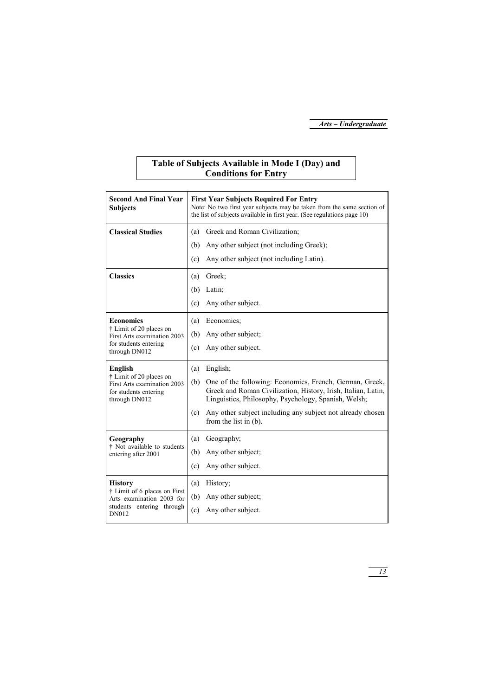## **Table of Subjects Available in Mode I (Day) and Conditions for Entry**

| <b>Second And Final Year</b><br><b>Subjects</b>                                                  | <b>First Year Subjects Required For Entry</b><br>Note: No two first year subjects may be taken from the same section of<br>the list of subjects available in first year. (See regulations page 10) |  |  |  |  |  |  |  |  |  |
|--------------------------------------------------------------------------------------------------|----------------------------------------------------------------------------------------------------------------------------------------------------------------------------------------------------|--|--|--|--|--|--|--|--|--|
| <b>Classical Studies</b>                                                                         | Greek and Roman Civilization;<br>(a)                                                                                                                                                               |  |  |  |  |  |  |  |  |  |
|                                                                                                  | (b)<br>Any other subject (not including Greek);                                                                                                                                                    |  |  |  |  |  |  |  |  |  |
|                                                                                                  | Any other subject (not including Latin).<br>(c)                                                                                                                                                    |  |  |  |  |  |  |  |  |  |
| <b>Classics</b>                                                                                  | Greek:<br>(a)                                                                                                                                                                                      |  |  |  |  |  |  |  |  |  |
|                                                                                                  | (b)<br>Latin;                                                                                                                                                                                      |  |  |  |  |  |  |  |  |  |
|                                                                                                  | (c)<br>Any other subject.                                                                                                                                                                          |  |  |  |  |  |  |  |  |  |
| <b>Economics</b>                                                                                 | Economics:<br>(a)                                                                                                                                                                                  |  |  |  |  |  |  |  |  |  |
| † Limit of 20 places on<br>First Arts examination 2003                                           | (b)<br>Any other subject;                                                                                                                                                                          |  |  |  |  |  |  |  |  |  |
| for students entering<br>through DN012                                                           | Any other subject.<br>(c)                                                                                                                                                                          |  |  |  |  |  |  |  |  |  |
| English                                                                                          | English;<br>(a)                                                                                                                                                                                    |  |  |  |  |  |  |  |  |  |
| † Limit of 20 places on<br>First Arts examination 2003<br>for students entering<br>through DN012 | One of the following: Economics, French, German, Greek,<br>(b)<br>Greek and Roman Civilization, History, Irish, Italian, Latin,<br>Linguistics, Philosophy, Psychology, Spanish, Welsh;            |  |  |  |  |  |  |  |  |  |
|                                                                                                  | Any other subject including any subject not already chosen<br>(c)<br>from the list in $(b)$ .                                                                                                      |  |  |  |  |  |  |  |  |  |
| Geography                                                                                        | Geography;<br>(a)                                                                                                                                                                                  |  |  |  |  |  |  |  |  |  |
| † Not available to students<br>entering after 2001                                               | (b)<br>Any other subject;                                                                                                                                                                          |  |  |  |  |  |  |  |  |  |
|                                                                                                  | Any other subject.<br>(c)                                                                                                                                                                          |  |  |  |  |  |  |  |  |  |
| <b>History</b>                                                                                   | (a)<br>History;                                                                                                                                                                                    |  |  |  |  |  |  |  |  |  |
| † Limit of 6 places on First<br>Arts examination 2003 for                                        | (b)<br>Any other subject;                                                                                                                                                                          |  |  |  |  |  |  |  |  |  |
| students entering through<br><b>DN012</b>                                                        | Any other subject.<br>(c)                                                                                                                                                                          |  |  |  |  |  |  |  |  |  |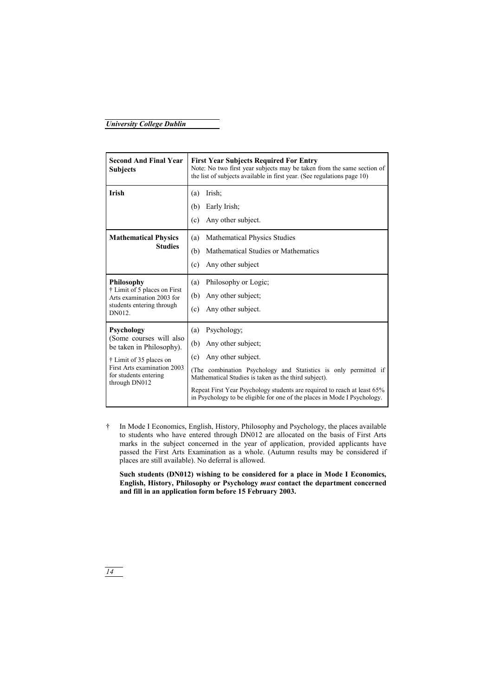| <b>Second And Final Year</b><br><b>Subjects</b>                       | <b>First Year Subjects Required For Entry</b><br>Note: No two first year subjects may be taken from the same section of<br>the list of subjects available in first year. (See regulations page 10) |
|-----------------------------------------------------------------------|----------------------------------------------------------------------------------------------------------------------------------------------------------------------------------------------------|
| <b>Irish</b>                                                          | Irish;<br>(a)<br>Early Irish;<br>(b)                                                                                                                                                               |
|                                                                       | Any other subject.<br>(c)                                                                                                                                                                          |
| <b>Mathematical Physics</b>                                           | <b>Mathematical Physics Studies</b><br>(a)                                                                                                                                                         |
| <b>Studies</b>                                                        | Mathematical Studies or Mathematics<br>(b)                                                                                                                                                         |
|                                                                       | (c)<br>Any other subject                                                                                                                                                                           |
| <b>Philosophy</b>                                                     | Philosophy or Logic;<br>(a)                                                                                                                                                                        |
| † Limit of 5 places on First<br>Arts examination 2003 for             | Any other subject;<br>(b)                                                                                                                                                                          |
| students entering through<br>DN012.                                   | Any other subject.<br>(c)                                                                                                                                                                          |
| Psychology                                                            | Psychology;<br>(a)                                                                                                                                                                                 |
| (Some courses will also<br>be taken in Philosophy).                   | Any other subject;<br>(b)                                                                                                                                                                          |
| † Limit of 35 places on                                               | Any other subject.<br>(c)                                                                                                                                                                          |
| First Arts examination 2003<br>for students entering<br>through DN012 | (The combination Psychology and Statistics is only permitted if<br>Mathematical Studies is taken as the third subject).                                                                            |
|                                                                       | Repeat First Year Psychology students are required to reach at least 65%<br>in Psychology to be eligible for one of the places in Mode I Psychology.                                               |

† In Mode I Economics, English, History, Philosophy and Psychology, the places available to students who have entered through DN012 are allocated on the basis of First Arts marks in the subject concerned in the year of application, provided applicants have passed the First Arts Examination as a whole. (Autumn results may be considered if places are still available). No deferral is allowed.

 **Such students (DN012) wishing to be considered for a place in Mode I Economics, English, History, Philosophy or Psychology** *must* **contact the department concerned and fill in an application form before 15 February 2003.**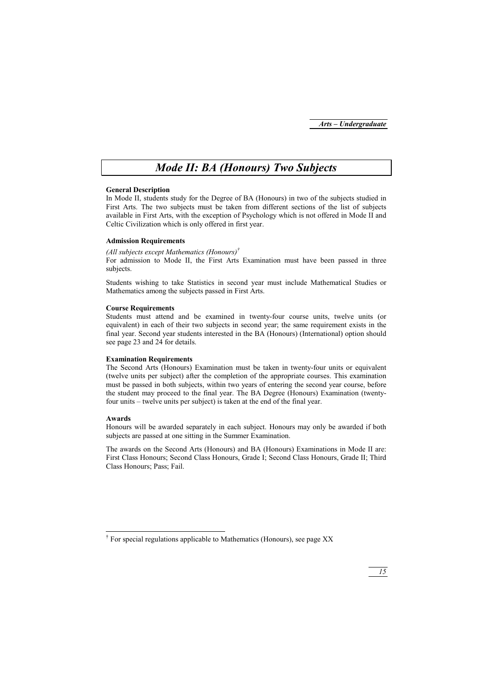## *Mode II: BA (Honours) Two Subjects*

#### **General Description**

In Mode II, students study for the Degree of BA (Honours) in two of the subjects studied in First Arts. The two subjects must be taken from different sections of the list of subjects available in First Arts, with the exception of Psychology which is not offered in Mode II and Celtic Civilization which is only offered in first year.

#### **Admission Requirements**

#### *(All subjects except Mathematics (Honours)†*

For admission to Mode II, the First Arts Examination must have been passed in three subjects.

Students wishing to take Statistics in second year must include Mathematical Studies or Mathematics among the subjects passed in First Arts.

#### **Course Requirements**

Students must attend and be examined in twenty-four course units, twelve units (or equivalent) in each of their two subjects in second year; the same requirement exists in the final year. Second year students interested in the BA (Honours) (International) option should see page 23 and 24 for details.

#### **Examination Requirements**

The Second Arts (Honours) Examination must be taken in twenty-four units or equivalent (twelve units per subject) after the completion of the appropriate courses. This examination must be passed in both subjects, within two years of entering the second year course, before the student may proceed to the final year. The BA Degree (Honours) Examination (twentyfour units – twelve units per subject) is taken at the end of the final year.

#### **Awards**

Honours will be awarded separately in each subject. Honours may only be awarded if both subjects are passed at one sitting in the Summer Examination.

The awards on the Second Arts (Honours) and BA (Honours) Examinations in Mode II are: First Class Honours; Second Class Honours, Grade I; Second Class Honours, Grade II; Third Class Honours; Pass; Fail.

 † For special regulations applicable to Mathematics (Honours), see page XX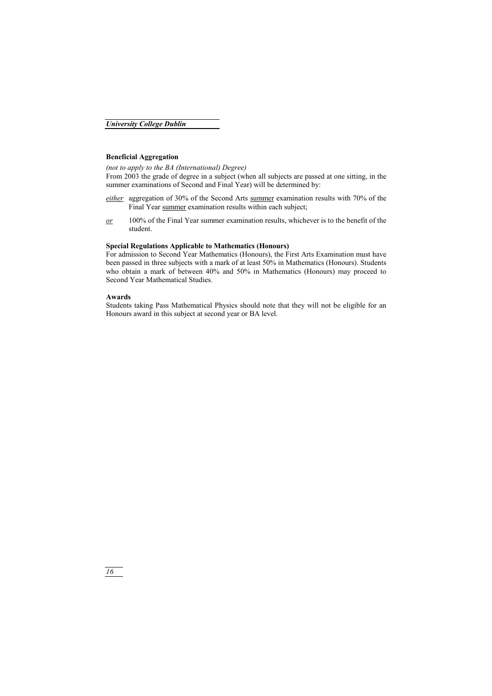#### **Beneficial Aggregation**

#### *(not to apply to the BA (International) Degree)*

From 2003 the grade of degree in a subject (when all subjects are passed at one sitting, in the summer examinations of Second and Final Year) will be determined by:

- *either* aggregation of 30% of the Second Arts summer examination results with 70% of the Final Year summer examination results within each subject;
- *or* 100% of the Final Year summer examination results, whichever is to the benefit of the student.

#### **Special Regulations Applicable to Mathematics (Honours)**

For admission to Second Year Mathematics (Honours), the First Arts Examination must have been passed in three subjects with a mark of at least 50% in Mathematics (Honours). Students who obtain a mark of between 40% and 50% in Mathematics (Honours) may proceed to Second Year Mathematical Studies.

#### **Awards**

Students taking Pass Mathematical Physics should note that they will not be eligible for an Honours award in this subject at second year or BA level.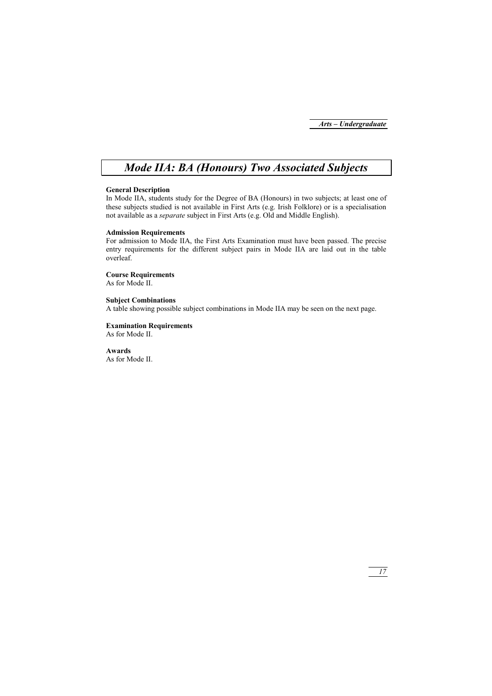## *Mode IIA: BA (Honours) Two Associated Subjects*

#### **General Description**

In Mode IIA, students study for the Degree of BA (Honours) in two subjects; at least one of these subjects studied is not available in First Arts (e.g. Irish Folklore) or is a specialisation not available as a *separate* subject in First Arts (e.g. Old and Middle English).

#### **Admission Requirements**

For admission to Mode IIA, the First Arts Examination must have been passed. The precise entry requirements for the different subject pairs in Mode IIA are laid out in the table overleaf.

#### **Course Requirements**

As for Mode II.

#### **Subject Combinations**

A table showing possible subject combinations in Mode IIA may be seen on the next page.

#### **Examination Requirements**

As for Mode II.

#### **Awards**

As for Mode II.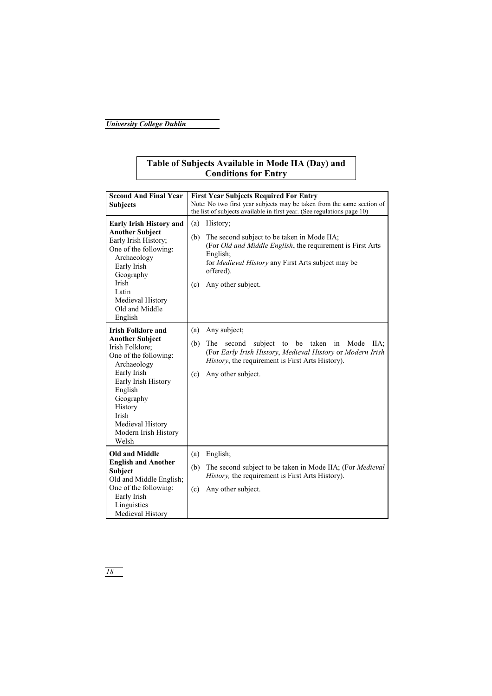## **Table of Subjects Available in Mode IIA (Day) and Conditions for Entry**

| <b>Second And Final Year</b><br><b>Subjects</b>                                                                                                                                                                                                       | <b>First Year Subjects Required For Entry</b><br>Note: No two first year subjects may be taken from the same section of<br>the list of subjects available in first year. (See regulations page 10)                                                     |  |  |  |  |  |  |  |
|-------------------------------------------------------------------------------------------------------------------------------------------------------------------------------------------------------------------------------------------------------|--------------------------------------------------------------------------------------------------------------------------------------------------------------------------------------------------------------------------------------------------------|--|--|--|--|--|--|--|
| <b>Early Irish History and</b><br><b>Another Subject</b><br>Early Irish History;<br>One of the following:<br>Archaeology<br>Early Irish<br>Geography<br><b>Irish</b><br>Latin<br>Medieval History<br>Old and Middle<br>English                        | (a)<br>History;<br>(b)<br>The second subject to be taken in Mode IIA;<br>(For Old and Middle English, the requirement is First Arts<br>English;<br>for <i>Medieval History</i> any First Arts subject may be<br>offered).<br>Any other subject.<br>(c) |  |  |  |  |  |  |  |
| <b>Irish Folklore and</b><br><b>Another Subject</b><br>Irish Folklore;<br>One of the following:<br>Archaeology<br>Early Irish<br>Early Irish History<br>English<br>Geography<br>History<br>Irish<br>Medieval History<br>Modern Irish History<br>Welsh | (a)<br>Any subject;<br>(b)<br>The<br>subject<br>to be taken in<br>Mode<br>second<br>IIA:<br>(For Early Irish History, Medieval History or Modern Irish<br><i>History</i> , the requirement is First Arts History).<br>Any other subject.<br>(c)        |  |  |  |  |  |  |  |
| <b>Old and Middle</b><br><b>English and Another</b><br><b>Subject</b><br>Old and Middle English;<br>One of the following:<br>Early Irish<br>Linguistics<br>Medieval History                                                                           | English;<br>(a)<br>(b)<br>The second subject to be taken in Mode IIA; (For <i>Medieval</i> )<br>History, the requirement is First Arts History).<br>(c)<br>Any other subject.                                                                          |  |  |  |  |  |  |  |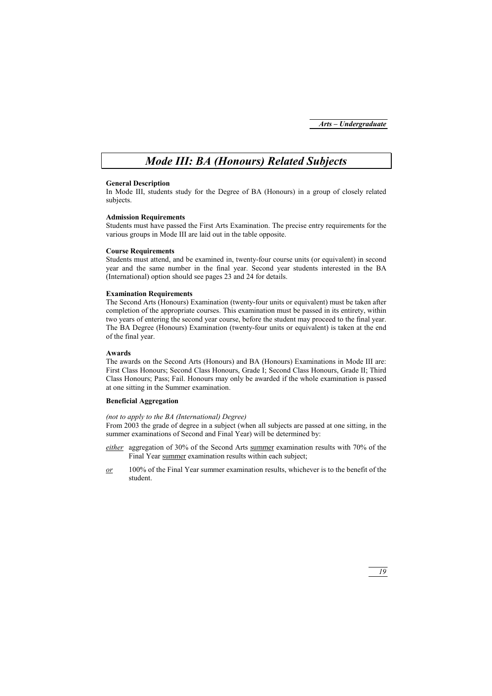## *Mode III: BA (Honours) Related Subjects*

#### **General Description**

In Mode III, students study for the Degree of BA (Honours) in a group of closely related subjects.

#### **Admission Requirements**

Students must have passed the First Arts Examination. The precise entry requirements for the various groups in Mode III are laid out in the table opposite.

#### **Course Requirements**

Students must attend, and be examined in, twenty-four course units (or equivalent) in second year and the same number in the final year. Second year students interested in the BA (International) option should see pages 23 and 24 for details.

#### **Examination Requirements**

The Second Arts (Honours) Examination (twenty-four units or equivalent) must be taken after completion of the appropriate courses. This examination must be passed in its entirety, within two years of entering the second year course, before the student may proceed to the final year. The BA Degree (Honours) Examination (twenty-four units or equivalent) is taken at the end of the final year.

#### **Awards**

The awards on the Second Arts (Honours) and BA (Honours) Examinations in Mode III are: First Class Honours; Second Class Honours, Grade I; Second Class Honours, Grade II; Third Class Honours; Pass; Fail. Honours may only be awarded if the whole examination is passed at one sitting in the Summer examination.

#### **Beneficial Aggregation**

#### *(not to apply to the BA (International) Degree)*

From 2003 the grade of degree in a subject (when all subjects are passed at one sitting, in the summer examinations of Second and Final Year) will be determined by:

- *either* aggregation of 30% of the Second Arts summer examination results with 70% of the Final Year summer examination results within each subject;
- *or* 100% of the Final Year summer examination results, whichever is to the benefit of the student.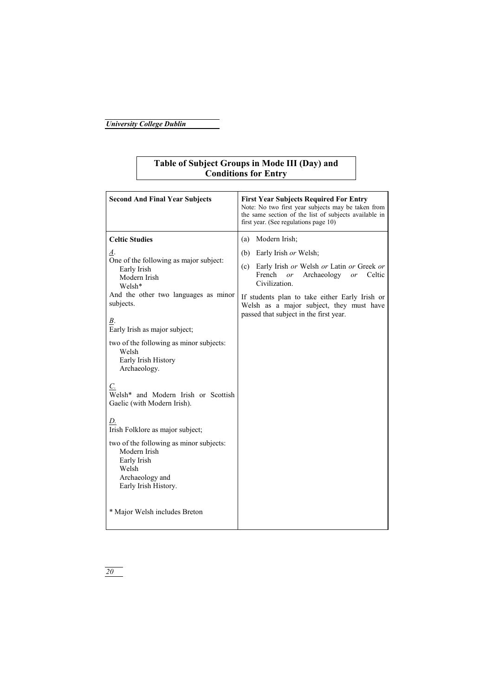## **Table of Subject Groups in Mode III (Day) and Conditions for Entry**

| <b>Second And Final Year Subjects</b>                                                                                      | <b>First Year Subjects Required For Entry</b><br>Note: No two first year subjects may be taken from<br>the same section of the list of subjects available in<br>first year. (See regulations page 10) |
|----------------------------------------------------------------------------------------------------------------------------|-------------------------------------------------------------------------------------------------------------------------------------------------------------------------------------------------------|
| <b>Celtic Studies</b>                                                                                                      | Modern Irish;<br>(a)                                                                                                                                                                                  |
| А.                                                                                                                         | Early Irish or Welsh;<br>(b)                                                                                                                                                                          |
| One of the following as major subject:<br>Early Irish<br>Modern Irish<br>Welsh*                                            | Early Irish or Welsh or Latin or Greek or<br>(c)<br>French<br>Archaeology<br>Celtic<br>or<br>or<br>Civilization.                                                                                      |
| And the other two languages as minor<br>subjects.                                                                          | If students plan to take either Early Irish or<br>Welsh as a major subject, they must have<br>passed that subject in the first year.                                                                  |
| В.<br>Early Irish as major subject;                                                                                        |                                                                                                                                                                                                       |
| two of the following as minor subjects:<br>Welsh<br>Early Irish History<br>Archaeology.                                    |                                                                                                                                                                                                       |
| $C$ .<br>Welsh* and Modern Irish or Scottish<br>Gaelic (with Modern Irish).                                                |                                                                                                                                                                                                       |
| <u>D.</u><br>Irish Folklore as major subject;                                                                              |                                                                                                                                                                                                       |
| two of the following as minor subjects:<br>Modern Irish<br>Early Irish<br>Welsh<br>Archaeology and<br>Early Irish History. |                                                                                                                                                                                                       |
| * Major Welsh includes Breton                                                                                              |                                                                                                                                                                                                       |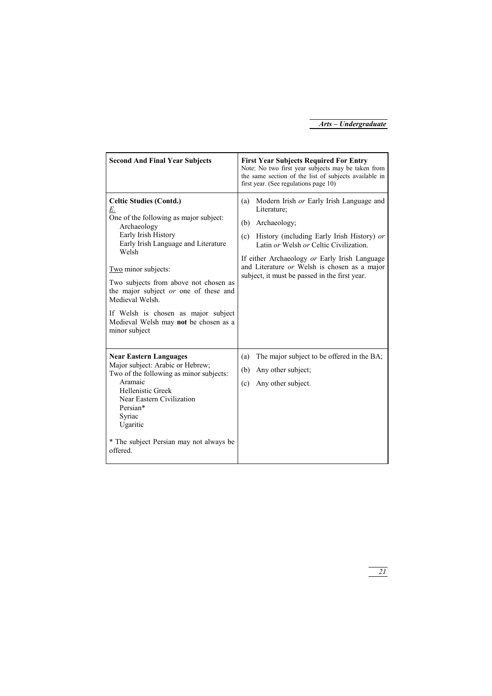| <b>Second And Final Year Subjects</b>                                                                                                                                                                                                                                                                                                                                                             | <b>First Year Subjects Required For Entry</b><br>Note: No two first year subjects may be taken from<br>the same section of the list of subjects available in<br>first year. (See regulations page 10)                                                                                                                                  |
|---------------------------------------------------------------------------------------------------------------------------------------------------------------------------------------------------------------------------------------------------------------------------------------------------------------------------------------------------------------------------------------------------|----------------------------------------------------------------------------------------------------------------------------------------------------------------------------------------------------------------------------------------------------------------------------------------------------------------------------------------|
| <b>Celtic Studies (Contd.)</b><br>Е.<br>One of the following as major subject:<br>Archaeology<br>Early Irish History<br>Early Irish Language and Literature<br>Welsh<br>Two minor subjects:<br>Two subjects from above not chosen as<br>the major subject or one of these and<br>Medieval Welsh.<br>If Welsh is chosen as major subject<br>Medieval Welsh may not be chosen as a<br>minor subject | Modern Irish or Early Irish Language and<br>(a)<br>Literature;<br>Archaeology;<br>(b)<br>History (including Early Irish History) or<br>(c)<br>Latin or Welsh or Celtic Civilization.<br>If either Archaeology or Early Irish Language<br>and Literature or Welsh is chosen as a major<br>subject, it must be passed in the first year. |
| <b>Near Eastern Languages</b><br>Major subject: Arabic or Hebrew;<br>Two of the following as minor subjects:<br>Aramaic<br>Hellenistic Greek<br>Near Eastern Civilization<br>Persian*<br>Syriac<br>Ugaritic<br>* The subject Persian may not always be<br>offered.                                                                                                                                | The major subject to be offered in the BA;<br>(a)<br>Any other subject;<br>(b)<br>Any other subject.<br>(c)                                                                                                                                                                                                                            |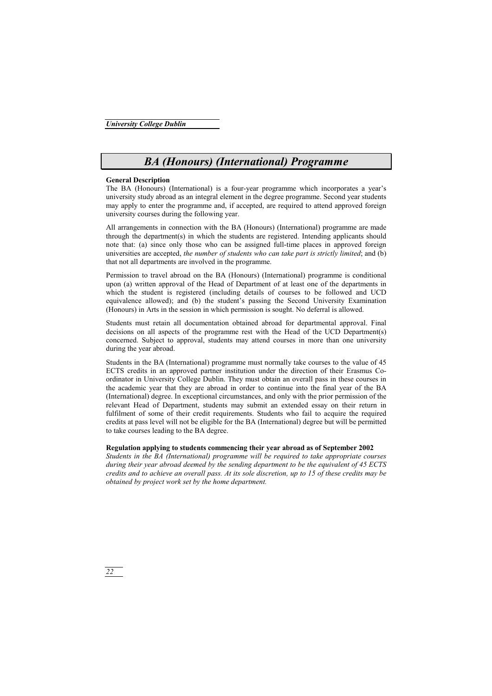## *BA (Honours) (International) Programme*

#### **General Description**

The BA (Honours) (International) is a four-year programme which incorporates a year's university study abroad as an integral element in the degree programme. Second year students may apply to enter the programme and, if accepted, are required to attend approved foreign university courses during the following year.

All arrangements in connection with the BA (Honours) (International) programme are made through the department(s) in which the students are registered. Intending applicants should note that: (a) since only those who can be assigned full-time places in approved foreign universities are accepted, *the number of students who can take part is strictly limited*; and (b) that not all departments are involved in the programme.

Permission to travel abroad on the BA (Honours) (International) programme is conditional upon (a) written approval of the Head of Department of at least one of the departments in which the student is registered (including details of courses to be followed and UCD equivalence allowed); and (b) the student's passing the Second University Examination (Honours) in Arts in the session in which permission is sought. No deferral is allowed.

Students must retain all documentation obtained abroad for departmental approval. Final decisions on all aspects of the programme rest with the Head of the UCD Department(s) concerned. Subject to approval, students may attend courses in more than one university during the year abroad.

Students in the BA (International) programme must normally take courses to the value of 45 ECTS credits in an approved partner institution under the direction of their Erasmus Coordinator in University College Dublin. They must obtain an overall pass in these courses in the academic year that they are abroad in order to continue into the final year of the BA (International) degree. In exceptional circumstances, and only with the prior permission of the relevant Head of Department, students may submit an extended essay on their return in fulfilment of some of their credit requirements. Students who fail to acquire the required credits at pass level will not be eligible for the BA (International) degree but will be permitted to take courses leading to the BA degree.

#### **Regulation applying to students commencing their year abroad as of September 2002**

*Students in the BA (International) programme will be required to take appropriate courses during their year abroad deemed by the sending department to be the equivalent of 45 ECTS credits and to achieve an overall pass. At its sole discretion, up to 15 of these credits may be obtained by project work set by the home department.*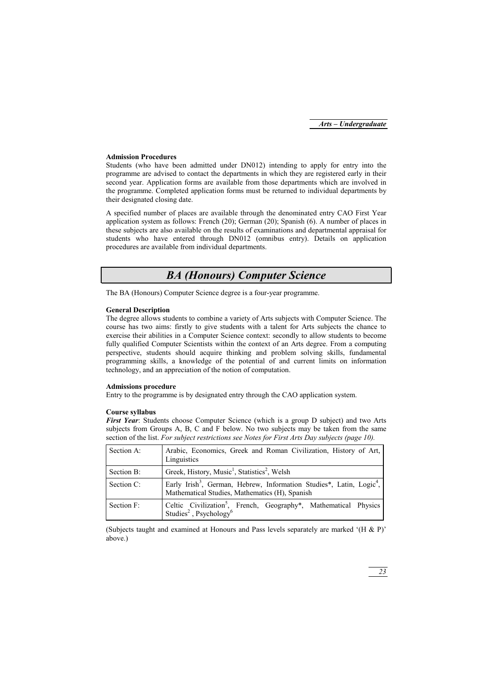#### **Admission Procedures**

Students (who have been admitted under DN012) intending to apply for entry into the programme are advised to contact the departments in which they are registered early in their second year. Application forms are available from those departments which are involved in the programme. Completed application forms must be returned to individual departments by their designated closing date.

A specified number of places are available through the denominated entry CAO First Year application system as follows: French (20); German (20); Spanish (6). A number of places in these subjects are also available on the results of examinations and departmental appraisal for students who have entered through DN012 (omnibus entry). Details on application procedures are available from individual departments.

## *BA (Honours) Computer Science*

The BA (Honours) Computer Science degree is a four-year programme.

#### **General Description**

The degree allows students to combine a variety of Arts subjects with Computer Science. The course has two aims: firstly to give students with a talent for Arts subjects the chance to exercise their abilities in a Computer Science context: secondly to allow students to become fully qualified Computer Scientists within the context of an Arts degree. From a computing perspective, students should acquire thinking and problem solving skills, fundamental programming skills, a knowledge of the potential of and current limits on information technology, and an appreciation of the notion of computation.

#### **Admissions procedure**

Entry to the programme is by designated entry through the CAO application system.

#### **Course syllabus**

*First Year*: Students choose Computer Science (which is a group D subject) and two Arts subjects from Groups A, B, C and F below. No two subjects may be taken from the same section of the list. *For subject restrictions see Notes for First Arts Day subjects (page 10).* 

| Section A: | Arabic, Economics, Greek and Roman Civilization, History of Art,<br>Linguistics                                                                |
|------------|------------------------------------------------------------------------------------------------------------------------------------------------|
| Section B: | Greek, History, Music <sup>1</sup> , Statistics <sup>2</sup> , Welsh                                                                           |
| Section C: | Early Irish <sup>3</sup> , German, Hebrew, Information Studies*, Latin, Logic <sup>4</sup> ,<br>Mathematical Studies, Mathematics (H), Spanish |
| Section F: | Celtic Civilization <sup>5</sup> , French, Geography <sup>*</sup> , Mathematical Physics<br>Studies <sup>2</sup> , Psychology <sup>6</sup>     |

(Subjects taught and examined at Honours and Pass levels separately are marked '(H & P)' above.)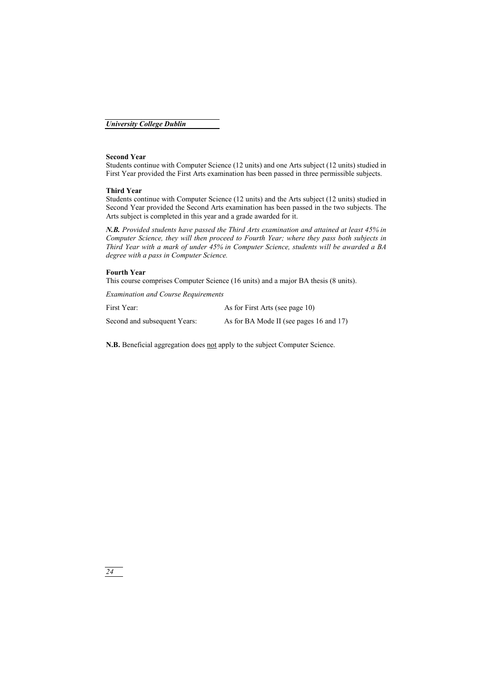#### **Second Year**

Students continue with Computer Science (12 units) and one Arts subject (12 units) studied in First Year provided the First Arts examination has been passed in three permissible subjects.

#### **Third Year**

Students continue with Computer Science (12 units) and the Arts subject (12 units) studied in Second Year provided the Second Arts examination has been passed in the two subjects. The Arts subject is completed in this year and a grade awarded for it.

*N.B. Provided students have passed the Third Arts examination and attained at least 45% in Computer Science, they will then proceed to Fourth Year; where they pass both subjects in Third Year with a mark of under 45% in Computer Science, students will be awarded a BA degree with a pass in Computer Science.* 

#### **Fourth Year**

This course comprises Computer Science (16 units) and a major BA thesis (8 units).

*Examination and Course Requirements* 

| First Year:                  | As for First Arts (see page 10)         |
|------------------------------|-----------------------------------------|
| Second and subsequent Years: | As for BA Mode II (see pages 16 and 17) |

**N.B.** Beneficial aggregation does not apply to the subject Computer Science.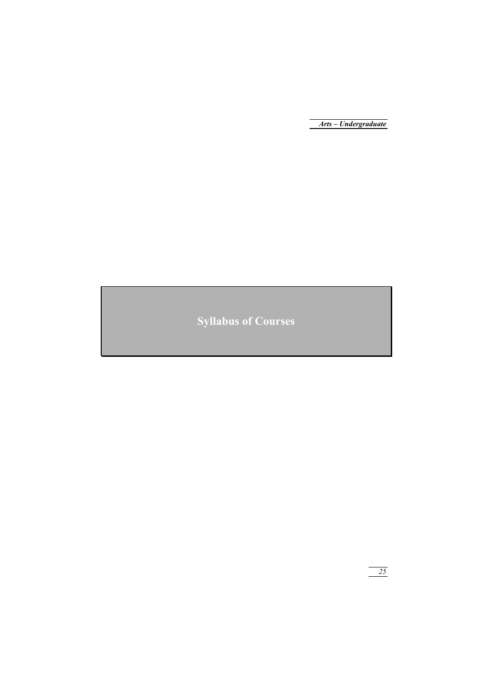# **Syllabus of Courses**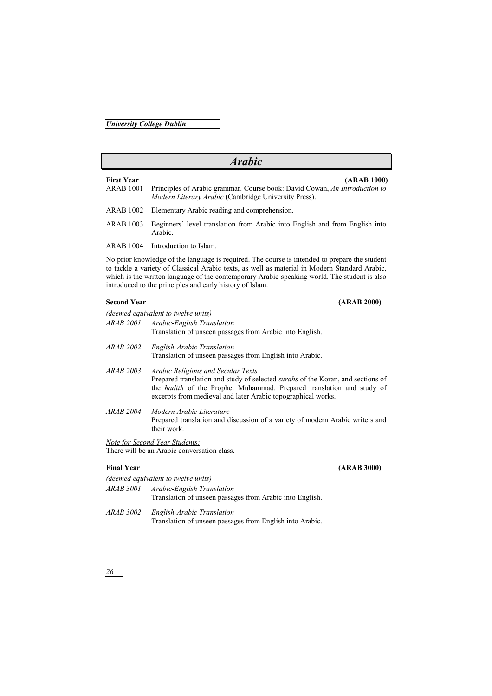## *Arabic*

**First Year (ARAB 1000)** 

- ARAB 1001 Principles of Arabic grammar. Course book: David Cowan, *An Introduction to Modern Literary Arabic* (Cambridge University Press).
- ARAB 1002 Elementary Arabic reading and comprehension.
- ARAB 1003 Beginners' level translation from Arabic into English and from English into Arabic.

ARAB 1004 Introduction to Islam.

No prior knowledge of the language is required. The course is intended to prepare the student to tackle a variety of Classical Arabic texts, as well as material in Modern Standard Arabic, which is the written language of the contemporary Arabic-speaking world. The student is also introduced to the principles and early history of Islam.

#### **Second Year (ARAB 2000)**

| <i>ARAB 2001</i> | <i>(deemed equivalent to twelve units)</i><br>Arabic-English Translation<br>Translation of unseen passages from Arabic into English.                                                                                                                                  |
|------------------|-----------------------------------------------------------------------------------------------------------------------------------------------------------------------------------------------------------------------------------------------------------------------|
| <i>ARAB 2002</i> | English-Arabic Translation<br>Translation of unseen passages from English into Arabic.                                                                                                                                                                                |
| <b>ARAB 2003</b> | Arabic Religious and Secular Texts<br>Prepared translation and study of selected <i>surahs</i> of the Koran, and sections of<br>the hadith of the Prophet Muhammad. Prepared translation and study of<br>excerpts from medieval and later Arabic topographical works. |
| <i>ARAB</i> 2004 | Modern Arabic Literature<br>Prepared translation and discussion of a variety of modern Arabic writers and<br>their work.                                                                                                                                              |

*Note for Second Year Students:* There will be an Arabic conversation class.

#### **Final Year (ARAB 3000)**

|           | (deemed equivalent to twelve units)                                                    |
|-----------|----------------------------------------------------------------------------------------|
| ARAB 3001 | Arabic-English Translation<br>Translation of unseen passages from Arabic into English. |
| ARAB 3002 | English-Arabic Translation<br>Translation of unseen passages from English into Arabic. |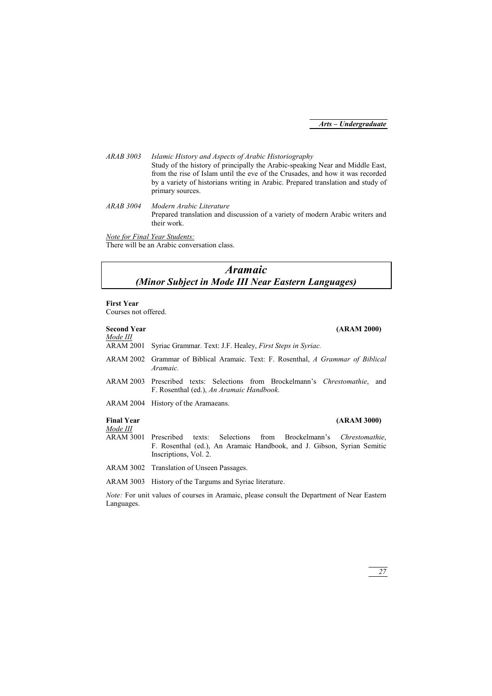- *ARAB 3003 Islamic History and Aspects of Arabic Historiography*  Study of the history of principally the Arabic-speaking Near and Middle East, from the rise of Islam until the eve of the Crusades, and how it was recorded by a variety of historians writing in Arabic. Prepared translation and study of primary sources.
- *ARAB 3004 Modern Arabic Literature*  Prepared translation and discussion of a variety of modern Arabic writers and their work.

*Note for Final Year Students:* There will be an Arabic conversation class.

## *Aramaic*

*(Minor Subject in Mode III Near Eastern Languages)* 

#### **First Year**

Courses not offered.

#### **Second Year (ARAM 2000)**

## *Mode III* ARAM 2001 Syriac Grammar. Text: J.F. Healey, *First Steps in Syriac.* ARAM 2002 Grammar of Biblical Aramaic. Text: F. Rosenthal, *A Grammar of Biblical Aramaic.* ARAM 2003 Prescribed texts: Selections from Brockelmann's *Chrestomathie*, and F. Rosenthal (ed.), *An Aramaic Handbook*. ARAM 2004 History of the Aramaeans. **Final Year (ARAM 3000)**  *Mode III* ARAM 3001 Prescribed texts: Selections from Brockelmann's *Chrestomathie*, F. Rosenthal (ed.), An Aramaic Handbook, and J. Gibson, Syrian Semitic Inscriptions, Vol. 2. ARAM 3002 Translation of Unseen Passages. ARAM 3003 History of the Targums and Syriac literature.

*Note:* For unit values of courses in Aramaic, please consult the Department of Near Eastern Languages.

### *27*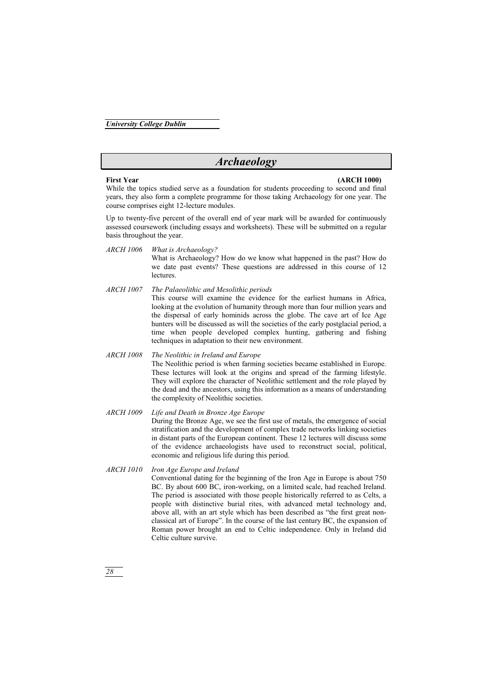## *Archaeology*

#### **First Year (ARCH 1000)**

While the topics studied serve as a foundation for students proceeding to second and final years, they also form a complete programme for those taking Archaeology for one year. The course comprises eight 12-lecture modules.

Up to twenty-five percent of the overall end of year mark will be awarded for continuously assessed coursework (including essays and worksheets). These will be submitted on a regular basis throughout the year.

### *ARCH 1006 What is Archaeology?*  What is Archaeology? How do we know what happened in the past? How do we date past events? These questions are addressed in this course of 12 lectures.

*ARCH 1007 The Palaeolithic and Mesolithic periods*  This course will examine the evidence for the earliest humans in Africa, looking at the evolution of humanity through more than four million years and the dispersal of early hominids across the globe. The cave art of Ice Age hunters will be discussed as will the societies of the early postglacial period, a time when people developed complex hunting, gathering and fishing techniques in adaptation to their new environment.

*ARCH 1008 The Neolithic in Ireland and Europe*  The Neolithic period is when farming societies became established in Europe. These lectures will look at the origins and spread of the farming lifestyle. They will explore the character of Neolithic settlement and the role played by the dead and the ancestors, using this information as a means of understanding the complexity of Neolithic societies.

*ARCH 1009 Life and Death in Bronze Age Europe*  During the Bronze Age, we see the first use of metals, the emergence of social stratification and the development of complex trade networks linking societies in distant parts of the European continent. These 12 lectures will discuss some of the evidence archaeologists have used to reconstruct social, political, economic and religious life during this period.

#### *ARCH 1010 Iron Age Europe and Ireland*  Conventional dating for the beginning of the Iron Age in Europe is about 750 BC. By about 600 BC, iron-working, on a limited scale, had reached Ireland. The period is associated with those people historically referred to as Celts, a people with distinctive burial rites, with advanced metal technology and, above all, with an art style which has been described as "the first great nonclassical art of Europe". In the course of the last century BC, the expansion of Roman power brought an end to Celtic independence. Only in Ireland did Celtic culture survive.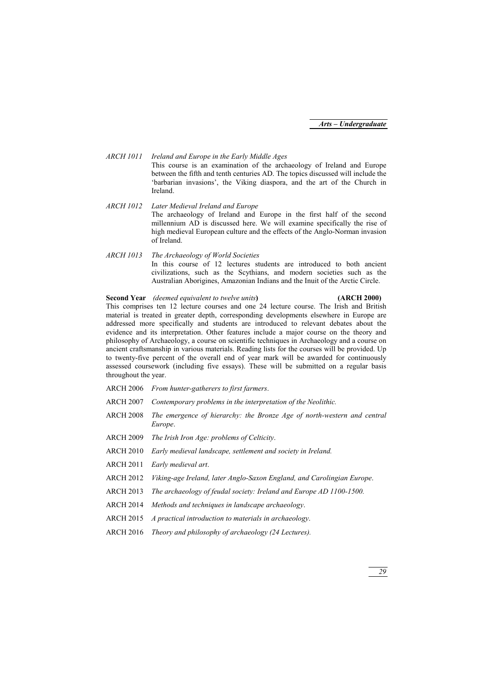*ARCH 1011 Ireland and Europe in the Early Middle Ages*  This course is an examination of the archaeology of Ireland and Europe between the fifth and tenth centuries AD. The topics discussed will include the 'barbarian invasions', the Viking diaspora, and the art of the Church in Ireland.

*ARCH 1012 Later Medieval Ireland and Europe*  The archaeology of Ireland and Europe in the first half of the second millennium AD is discussed here. We will examine specifically the rise of high medieval European culture and the effects of the Anglo-Norman invasion of Ireland.

*ARCH 1013 The Archaeology of World Societies*  In this course of 12 lectures students are introduced to both ancient civilizations, such as the Scythians, and modern societies such as the Australian Aborigines, Amazonian Indians and the Inuit of the Arctic Circle.

**Second Year** *(deemed equivalent to twelve units***) (ARCH 2000)** 

This comprises ten 12 lecture courses and one 24 lecture course. The Irish and British material is treated in greater depth, corresponding developments elsewhere in Europe are addressed more specifically and students are introduced to relevant debates about the evidence and its interpretation. Other features include a major course on the theory and philosophy of Archaeology, a course on scientific techniques in Archaeology and a course on ancient craftsmanship in various materials. Reading lists for the courses will be provided. Up to twenty-five percent of the overall end of year mark will be awarded for continuously assessed coursework (including five essays). These will be submitted on a regular basis throughout the year.

- ARCH 2006 *From hunter-gatherers to first farmers*.
- ARCH 2007 *Contemporary problems in the interpretation of the Neolithic.*
- ARCH 2008 *The emergence of hierarchy: the Bronze Age of north-western and central Europe*.
- ARCH 2009 *The Irish Iron Age: problems of Celticity*.
- ARCH 2010 *Early medieval landscape, settlement and society in Ireland.*
- ARCH 2011 *Early medieval art*.
- ARCH 2012 *Viking-age Ireland, later Anglo-Saxon England, and Carolingian Europe*.
- ARCH 2013 *The archaeology of feudal society: Ireland and Europe AD 1100-1500.*
- ARCH 2014 *Methods and techniques in landscape archaeology*.
- ARCH 2015 *A practical introduction to materials in archaeology*.
- ARCH 2016 *Theory and philosophy of archaeology (24 Lectures).*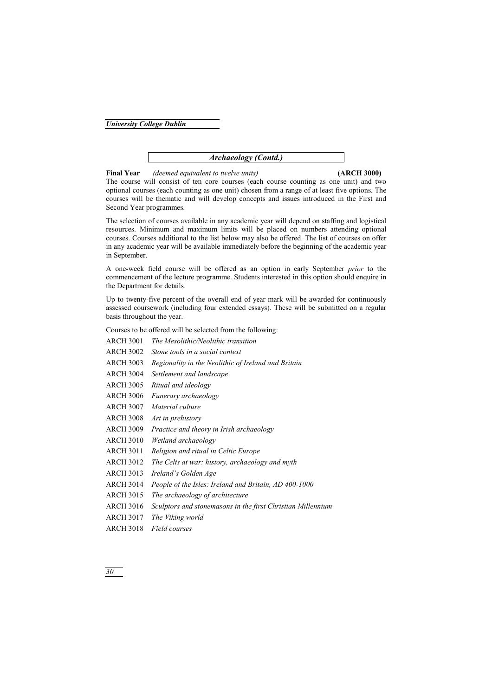### *Archaeology (Contd.)*

**Final Year** *(deemed equivalent to twelve units)* **(ARCH 3000)** 

The course will consist of ten core courses (each course counting as one unit) and two optional courses (each counting as one unit) chosen from a range of at least five options. The courses will be thematic and will develop concepts and issues introduced in the First and Second Year programmes.

The selection of courses available in any academic year will depend on staffing and logistical resources. Minimum and maximum limits will be placed on numbers attending optional courses. Courses additional to the list below may also be offered. The list of courses on offer in any academic year will be available immediately before the beginning of the academic year in September.

A one-week field course will be offered as an option in early September *prior* to the commencement of the lecture programme. Students interested in this option should enquire in the Department for details.

Up to twenty-five percent of the overall end of year mark will be awarded for continuously assessed coursework (including four extended essays). These will be submitted on a regular basis throughout the year.

Courses to be offered will be selected from the following:

ARCH 3001 *The Mesolithic/Neolithic transition* ARCH 3002 *Stone tools in a social context* ARCH 3003 *Regionality in the Neolithic of Ireland and Britain* ARCH 3004 *Settlement and landscape* ARCH 3005 *Ritual and ideology* ARCH 3006 *Funerary archaeology* ARCH 3007 *Material culture* ARCH 3008 *Art in prehistory* ARCH 3009 *Practice and theory in Irish archaeology* ARCH 3010 *Wetland archaeology* ARCH 3011 *Religion and ritual in Celtic Europe* ARCH 3012 *The Celts at war: history, archaeology and myth* ARCH 3013 *Ireland's Golden Age* ARCH 3014 *People of the Isles: Ireland and Britain, AD 400-1000* ARCH 3015 *The archaeology of architecture* ARCH 3016 *Sculptors and stonemasons in the first Christian Millennium* ARCH 3017 *The Viking world* ARCH 3018 *Field courses*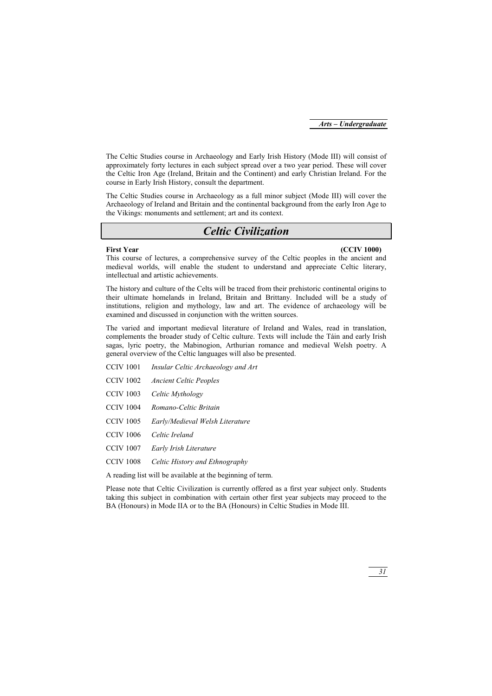The Celtic Studies course in Archaeology and Early Irish History (Mode III) will consist of approximately forty lectures in each subject spread over a two year period. These will cover the Celtic Iron Age (Ireland, Britain and the Continent) and early Christian Ireland. For the course in Early Irish History, consult the department.

The Celtic Studies course in Archaeology as a full minor subject (Mode III) will cover the Archaeology of Ireland and Britain and the continental background from the early Iron Age to the Vikings: monuments and settlement; art and its context.

## *Celtic Civilization*

#### **First Year (CCIV 1000)**

This course of lectures, a comprehensive survey of the Celtic peoples in the ancient and medieval worlds, will enable the student to understand and appreciate Celtic literary, intellectual and artistic achievements.

The history and culture of the Celts will be traced from their prehistoric continental origins to their ultimate homelands in Ireland, Britain and Brittany. Included will be a study of institutions, religion and mythology, law and art. The evidence of archaeology will be examined and discussed in conjunction with the written sources.

The varied and important medieval literature of Ireland and Wales, read in translation, complements the broader study of Celtic culture. Texts will include the Táin and early Irish sagas, lyric poetry, the Mabinogion, Arthurian romance and medieval Welsh poetry. A general overview of the Celtic languages will also be presented.

| <b>CCIV 1001</b> | Insular Celtic Archaeology and Art |
|------------------|------------------------------------|
| <b>CCIV 1002</b> | <b>Ancient Celtic Peoples</b>      |
| <b>CCIV 1003</b> | Celtic Mythology                   |
| <b>CCIV 1004</b> | Romano-Celtic Britain              |
| <b>CCIV 1005</b> | Early/Medieval Welsh Literature    |
| <b>CCIV 1006</b> | Celtic Ireland                     |
| <b>CCIV 1007</b> | Early Irish Literature             |
| <b>CCIV 1008</b> | Celtic History and Ethnography     |

A reading list will be available at the beginning of term.

Please note that Celtic Civilization is currently offered as a first year subject only. Students taking this subject in combination with certain other first year subjects may proceed to the BA (Honours) in Mode IIA or to the BA (Honours) in Celtic Studies in Mode III.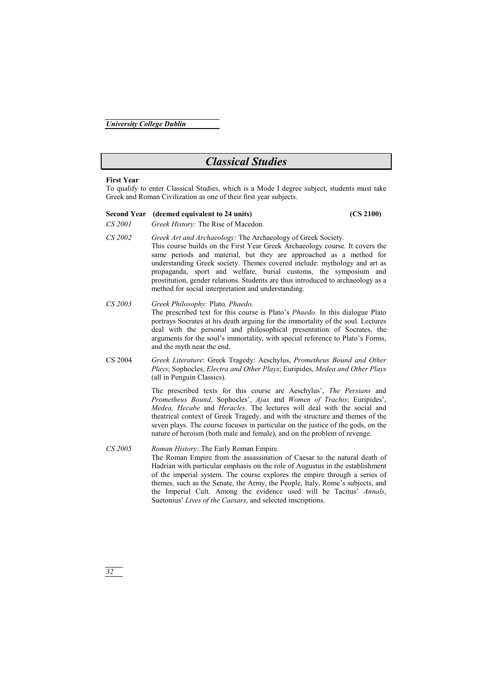## *Classical Studies*

#### **First Year**

To qualify to enter Classical Studies, which is a Mode I degree subject, students must take Greek and Roman Civilization as one of their first year subjects.

#### **Second Year (deemed equivalent to 24 units) (CS 2100)**

- *CS 2001 Greek History:* The Rise of Macedon*.*
- *CS 2002 Greek Art and Archaeology:* The Archaeology of Greek Society. This course builds on the First Year Greek Archaeology course. It covers the same periods and material, but they are approached as a method for understanding Greek society. Themes covered include: mythology and art as propaganda, sport and welfare, burial customs, the symposium and prostitution, gender relations. Students are thus introduced to archaeology as a method for social interpretation and understanding.
- *CS 2003 Greek Philosophy:* Plato*, Phaedo.*  The prescribed text for this course is Plato's *Phaedo*. In this dialogue Plato portrays Socrates at his death arguing for the immortality of the soul. Lectures deal with the personal and philosophical presentation of Socrates, the arguments for the soul's immortality, with special reference to Plato's Forms, and the myth near the end.
- CS 2004 *Greek Literature*: Greek Tragedy: Aeschylus, *Prometheus Bound and Other Plays*; Sophocles, *Electra and Other Plays*; Euripides, *Medea and Other Plays* (all in Penguin Classics).

 The prescribed texts for this course are Aeschylus', *The Persians* and *Prometheus Bound*, Sophocles', *Ajax* and *Women of Trachis*; Euripides', *Medea, Hecabe* and *Heracles*. The lectures will deal with the social and theatrical context of Greek Tragedy, and with the structure and themes of the seven plays. The course focuses in particular on the justice of the gods, on the nature of heroism (both male and female), and on the problem of revenge.

*CS 2005 Roman History*: The Early Roman Empire*.*  The Roman Empire from the assassination of Caesar to the natural death of Hadrian with particular emphasis on the role of Augustus in the establishment of the imperial system. The course explores the empire through a series of themes, such as the Senate, the Army, the People, Italy, Rome's subjects, and the Imperial Cult. Among the evidence used will be Tacitus' *Annals*, Suetonius' *Lives of the Caesars*, and selected inscriptions.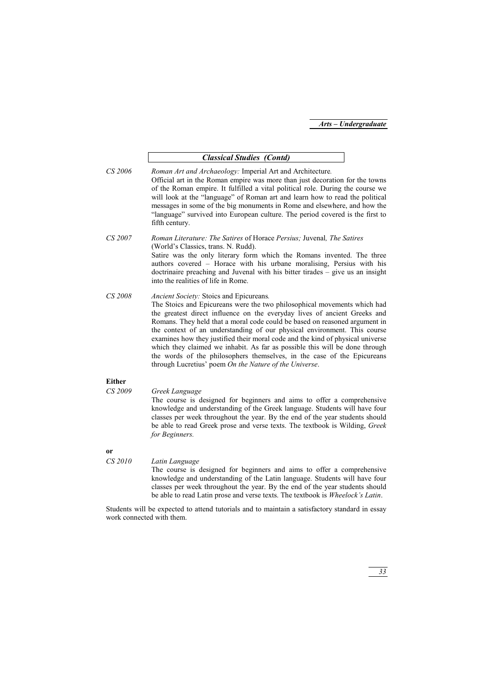#### *Classical Studies (Contd)*

*CS 2006 Roman Art and Archaeology:* Imperial Art and Architecture*.*  Official art in the Roman empire was more than just decoration for the towns of the Roman empire. It fulfilled a vital political role. During the course we will look at the "language" of Roman art and learn how to read the political messages in some of the big monuments in Rome and elsewhere, and how the "language" survived into European culture. The period covered is the first to fifth century.

## *CS 2007 Roman Literature: The Satires* of Horace *Persius;* Juvenal*, The Satires*  (World's Classics, trans. N. Rudd). Satire was the only literary form which the Romans invented. The three

authors covered – Horace with his urbane moralising, Persius with his doctrinaire preaching and Juvenal with his bitter tirades – give us an insight into the realities of life in Rome.

*CS 2008 Ancient Society:* Stoics and Epicureans*.*  The Stoics and Epicureans were the two philosophical movements which had the greatest direct influence on the everyday lives of ancient Greeks and Romans. They held that a moral code could be based on reasoned argument in the context of an understanding of our physical environment. This course examines how they justified their moral code and the kind of physical universe which they claimed we inhabit. As far as possible this will be done through the words of the philosophers themselves, in the case of the Epicureans through Lucretius' poem *On the Nature of the Universe*.

#### **Either**

*CS 2009 Greek Language* 

 The course is designed for beginners and aims to offer a comprehensive knowledge and understanding of the Greek language. Students will have four classes per week throughout the year. By the end of the year students should be able to read Greek prose and verse texts. The textbook is Wilding, *Greek for Beginners.* 

**or** 

*CS 2010 Latin Language* 

 The course is designed for beginners and aims to offer a comprehensive knowledge and understanding of the Latin language. Students will have four classes per week throughout the year. By the end of the year students should be able to read Latin prose and verse texts. The textbook is *Wheelock's Latin*.

Students will be expected to attend tutorials and to maintain a satisfactory standard in essay work connected with them.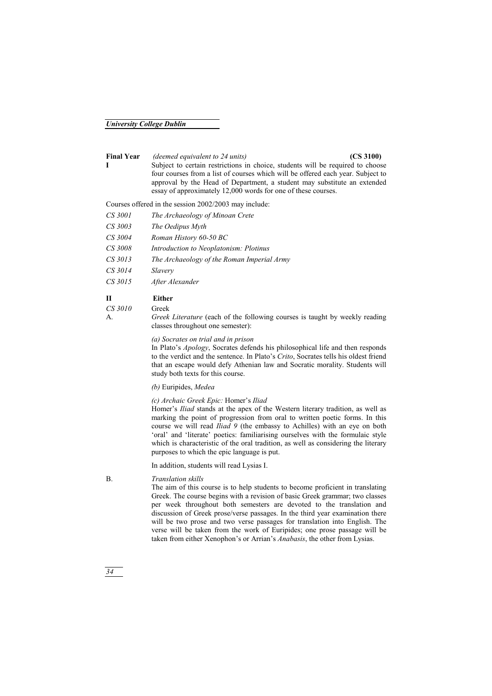**Final Year** *(deemed equivalent to 24 units)* (CS 3100)<br> **I** Subject to certain restrictions in choice, students will be required to choos Subject to certain restrictions in choice, students will be required to choose four courses from a list of courses which will be offered each year. Subject to approval by the Head of Department, a student may substitute an extended essay of approximately 12,000 words for one of these courses.

Courses offered in the session 2002/2003 may include:

- *CS 3001 The Archaeology of Minoan Crete*
- *CS 3003 The Oedipus Myth*
- *CS 3004 Roman History 60-50 BC*
- *CS 3008 Introduction to Neoplatonism: Plotinus*
- *CS 3013 The Archaeology of the Roman Imperial Army*
- *CS 3014 Slavery*
- *CS 3015 After Alexander*

### **II Either**

*CS 3010* Greek

A. *Greek Literature* (each of the following courses is taught by weekly reading classes throughout one semester):

### *(a) Socrates on trial and in prison*

 In Plato's *Apology*, Socrates defends his philosophical life and then responds to the verdict and the sentence. In Plato's *Crito*, Socrates tells his oldest friend that an escape would defy Athenian law and Socratic morality. Students will study both texts for this course.

*(b)* Euripides, *Medea*

### *(c) Archaic Greek Epic:* Homer's *Iliad*

 Homer's *Iliad* stands at the apex of the Western literary tradition, as well as marking the point of progression from oral to written poetic forms. In this course we will read *Iliad 9* (the embassy to Achilles) with an eye on both 'oral' and 'literate' poetics: familiarising ourselves with the formulaic style which is characteristic of the oral tradition, as well as considering the literary purposes to which the epic language is put.

In addition, students will read Lysias I.

### B. *Translation skills*

 The aim of this course is to help students to become proficient in translating Greek. The course begins with a revision of basic Greek grammar; two classes per week throughout both semesters are devoted to the translation and discussion of Greek prose/verse passages. In the third year examination there will be two prose and two verse passages for translation into English. The verse will be taken from the work of Euripides; one prose passage will be taken from either Xenophon's or Arrian's *Anabasis*, the other from Lysias.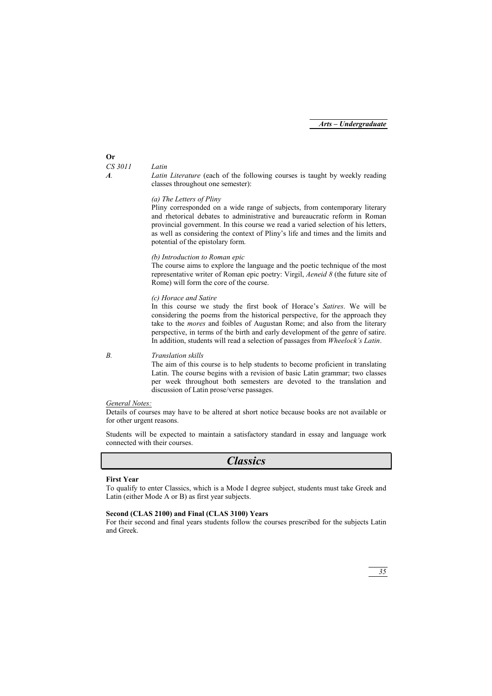## **Or**

*CS 3011 Latin* 

*A. Latin Literature* (each of the following courses is taught by weekly reading classes throughout one semester):

### *(a) The Letters of Pliny*

 Pliny corresponded on a wide range of subjects, from contemporary literary and rhetorical debates to administrative and bureaucratic reform in Roman provincial government. In this course we read a varied selection of his letters, as well as considering the context of Pliny's life and times and the limits and potential of the epistolary form.

#### *(b) Introduction to Roman epic*

 The course aims to explore the language and the poetic technique of the most representative writer of Roman epic poetry: Virgil, *Aeneid 8* (the future site of Rome) will form the core of the course.

#### *(c) Horace and Satire*

 In this course we study the first book of Horace's *Satires*. We will be considering the poems from the historical perspective, for the approach they take to the *mores* and foibles of Augustan Rome; and also from the literary perspective, in terms of the birth and early development of the genre of satire. In addition, students will read a selection of passages from *Wheelock's Latin*.

### *B. Translation skills*

 The aim of this course is to help students to become proficient in translating Latin. The course begins with a revision of basic Latin grammar; two classes per week throughout both semesters are devoted to the translation and discussion of Latin prose/verse passages.

#### *General Notes:*

Details of courses may have to be altered at short notice because books are not available or for other urgent reasons.

Students will be expected to maintain a satisfactory standard in essay and language work connected with their courses.

## *Classics*

#### **First Year**

To qualify to enter Classics, which is a Mode I degree subject, students must take Greek and Latin (either Mode A or B) as first year subjects.

### **Second (CLAS 2100) and Final (CLAS 3100) Years**

For their second and final years students follow the courses prescribed for the subjects Latin and Greek.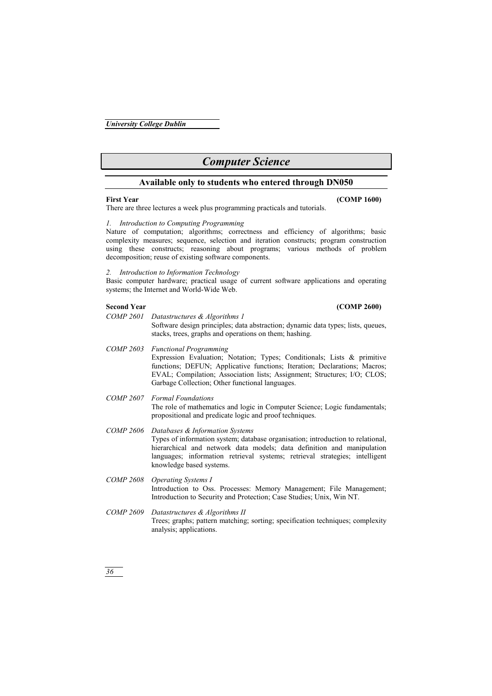## *Computer Science*

## **Available only to students who entered through DN050**

#### **First Year (COMP 1600)**

There are three lectures a week plus programming practicals and tutorials.

*1. Introduction to Computing Programming* 

Nature of computation; algorithms; correctness and efficiency of algorithms; basic complexity measures; sequence, selection and iteration constructs; program construction using these constructs; reasoning about programs; various methods of problem decomposition; reuse of existing software components.

*2. Introduction to Information Technology* 

Basic computer hardware; practical usage of current software applications and operating systems; the Internet and World-Wide Web.

### **Second Year (COMP 2600)**

- *COMP 2601 Datastructures & Algorithms 1*  Software design principles; data abstraction; dynamic data types; lists, queues, stacks, trees, graphs and operations on them; hashing.
- *COMP 2603 Functional Programming*  Expression Evaluation; Notation; Types; Conditionals; Lists & primitive functions: DEFUN: Applicative functions: Iteration: Declarations: Macros: EVAL; Compilation; Association lists; Assignment; Structures; I/O; CLOS; Garbage Collection; Other functional languages.
- *COMP 2607 Formal Foundations*  The role of mathematics and logic in Computer Science; Logic fundamentals; propositional and predicate logic and proof techniques.

#### *COMP 2606 Databases & Information Systems*  Types of information system; database organisation; introduction to relational, hierarchical and network data models; data definition and manipulation languages; information retrieval systems; retrieval strategies; intelligent knowledge based systems.

- *COMP 2608 Operating Systems I*  Introduction to Oss. Processes: Memory Management; File Management; Introduction to Security and Protection; Case Studies; Unix, Win NT.
- *COMP 2609 Datastructures & Algorithms II*  Trees; graphs; pattern matching; sorting; specification techniques; complexity analysis; applications.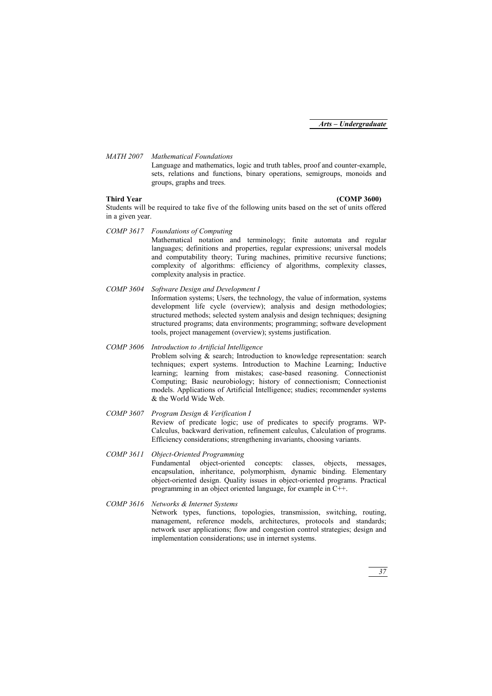*MATH 2007 Mathematical Foundations* 

 Language and mathematics, logic and truth tables, proof and counter-example, sets, relations and functions, binary operations, semigroups, monoids and groups, graphs and trees.

**Third Year (COMP 3600)** 

Students will be required to take five of the following units based on the set of units offered in a given year.

*COMP 3617 Foundations of Computing*  Mathematical notation and terminology; finite automata and regular languages; definitions and properties, regular expressions; universal models and computability theory; Turing machines, primitive recursive functions; complexity of algorithms: efficiency of algorithms, complexity classes, complexity analysis in practice.

*COMP 3604 Software Design and Development I*  Information systems; Users, the technology, the value of information, systems development life cycle (overview); analysis and design methodologies; structured methods; selected system analysis and design techniques; designing structured programs; data environments; programming; software development tools, project management (overview); systems justification.

*COMP 3606 Introduction to Artificial Intelligence*  Problem solving & search; Introduction to knowledge representation: search techniques; expert systems. Introduction to Machine Learning; Inductive learning; learning from mistakes; case-based reasoning. Connectionist Computing; Basic neurobiology; history of connectionism; Connectionist models. Applications of Artificial Intelligence; studies; recommender systems & the World Wide Web.

#### *COMP 3607 Program Design & Verification I*  Review of predicate logic; use of predicates to specify programs. WP-Calculus, backward derivation, refinement calculus, Calculation of programs. Efficiency considerations; strengthening invariants, choosing variants.

*COMP 3611 Object-Oriented Programming*  Fundamental object-oriented concepts: classes, objects, messages, encapsulation, inheritance, polymorphism, dynamic binding. Elementary object-oriented design. Quality issues in object-oriented programs. Practical programming in an object oriented language, for example in C++.

*COMP 3616 Networks & Internet Systems* 

 Network types, functions, topologies, transmission, switching, routing, management, reference models, architectures, protocols and standards; network user applications; flow and congestion control strategies; design and implementation considerations; use in internet systems.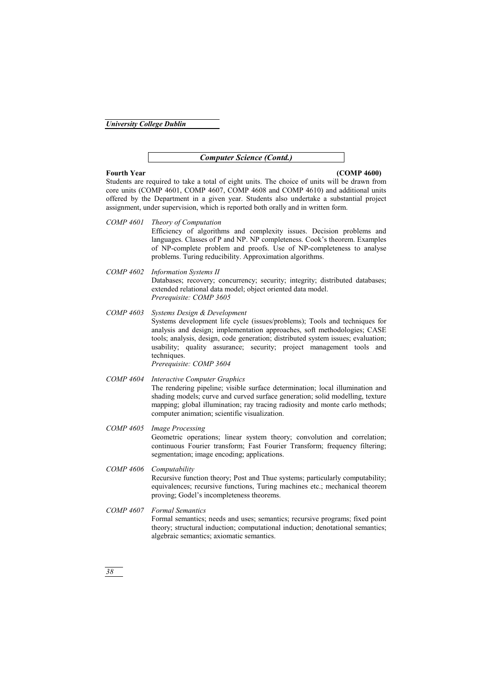#### *Computer Science (Contd.)*

#### **Fourth Year (COMP 4600)**

Students are required to take a total of eight units. The choice of units will be drawn from core units (COMP 4601, COMP 4607, COMP 4608 and COMP 4610) and additional units offered by the Department in a given year. Students also undertake a substantial project assignment, under supervision, which is reported both orally and in written form.

- *COMP 4601 Theory of Computation*  Efficiency of algorithms and complexity issues. Decision problems and languages. Classes of P and NP. NP completeness. Cook's theorem. Examples of NP-complete problem and proofs. Use of NP-completeness to analyse problems. Turing reducibility. Approximation algorithms.
- *COMP 4602 Information Systems II*  Databases; recovery; concurrency; security; integrity; distributed databases; extended relational data model; object oriented data model.  *Prerequisite: COMP 3605*
- *COMP 4603 Systems Design & Development*  Systems development life cycle (issues/problems); Tools and techniques for analysis and design; implementation approaches, soft methodologies; CASE tools; analysis, design, code generation; distributed system issues; evaluation; usability; quality assurance; security; project management tools and techniques.

 *Prerequisite: COMP 3604* 

- *COMP 4604 Interactive Computer Graphics*  The rendering pipeline; visible surface determination; local illumination and shading models; curve and curved surface generation; solid modelling, texture mapping; global illumination; ray tracing radiosity and monte carlo methods; computer animation; scientific visualization.
- *COMP 4605 Image Processing*  Geometric operations; linear system theory; convolution and correlation; continuous Fourier transform; Fast Fourier Transform; frequency filtering; segmentation; image encoding; applications.
- *COMP 4606 Computability*  Recursive function theory; Post and Thue systems; particularly computability; equivalences; recursive functions, Turing machines etc.; mechanical theorem proving; Godel's incompleteness theorems.
- *COMP 4607 Formal Semantics*  Formal semantics; needs and uses; semantics; recursive programs; fixed point theory; structural induction; computational induction; denotational semantics; algebraic semantics; axiomatic semantics.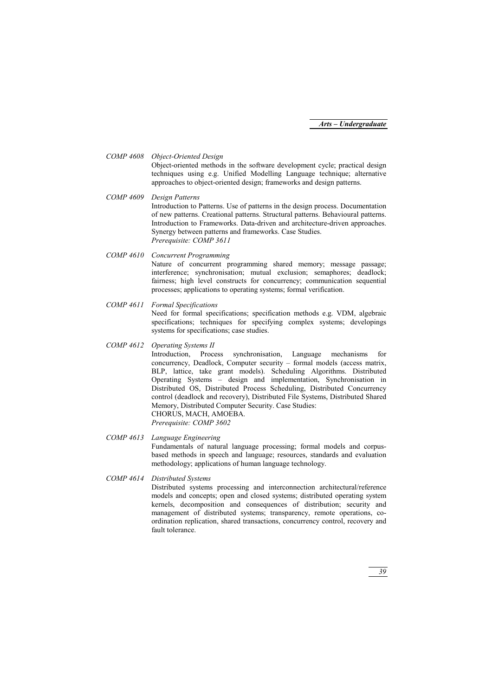*COMP 4608 Object-Oriented Design*  Object-oriented methods in the software development cycle; practical design techniques using e.g. Unified Modelling Language technique; alternative approaches to object-oriented design; frameworks and design patterns.

*COMP 4609 Design Patterns*  Introduction to Patterns. Use of patterns in the design process. Documentation of new patterns. Creational patterns. Structural patterns. Behavioural patterns. Introduction to Frameworks. Data-driven and architecture-driven approaches. Synergy between patterns and frameworks. Case Studies.  *Prerequisite: COMP 3611* 

- *COMP 4610 Concurrent Programming*  Nature of concurrent programming shared memory; message passage; interference; synchronisation; mutual exclusion; semaphores; deadlock; fairness; high level constructs for concurrency; communication sequential processes; applications to operating systems; formal verification.
- *COMP 4611 Formal Specifications*  Need for formal specifications; specification methods e.g. VDM, algebraic specifications; techniques for specifying complex systems; developings systems for specifications; case studies.
- *COMP 4612 Operating Systems II*  Introduction, Process synchronisation, Language mechanisms for concurrency, Deadlock, Computer security – formal models (access matrix, BLP, lattice, take grant models). Scheduling Algorithms. Distributed Operating Systems – design and implementation, Synchronisation in Distributed OS, Distributed Process Scheduling, Distributed Concurrency control (deadlock and recovery), Distributed File Systems, Distributed Shared Memory, Distributed Computer Security. Case Studies: CHORUS, MACH, AMOEBA.  *Prerequisite: COMP 3602*
- *COMP 4613 Language Engineering*  Fundamentals of natural language processing; formal models and corpusbased methods in speech and language; resources, standards and evaluation methodology; applications of human language technology.

*COMP 4614 Distributed Systems*  Distributed systems processing and interconnection architectural/reference models and concepts; open and closed systems; distributed operating system kernels, decomposition and consequences of distribution; security and management of distributed systems; transparency, remote operations, coordination replication, shared transactions, concurrency control, recovery and fault tolerance.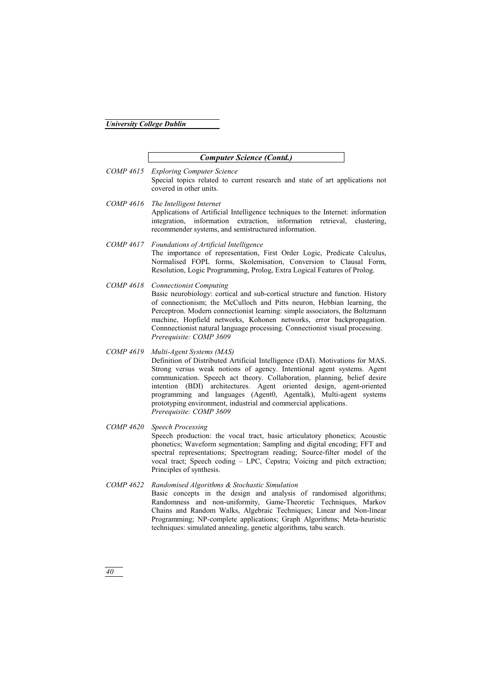#### *Computer Science (Contd.)*

- *COMP 4615 Exploring Computer Science*  Special topics related to current research and state of art applications not covered in other units.
- *COMP 4616 The Intelligent Internet*  Applications of Artificial Intelligence techniques to the Internet: information integration, information extraction, information retrieval, clustering, recommender systems, and semistructured information.
- *COMP 4617 Foundations of Artificial Intelligence*  The importance of representation, First Order Logic, Predicate Calculus, Normalised FOPL forms, Skolemisation, Conversion to Clausal Form, Resolution, Logic Programming, Prolog, Extra Logical Features of Prolog.
- *COMP 4618 Connectionist Computing*  Basic neurobiology: cortical and sub-cortical structure and function. History of connectionism; the McCulloch and Pitts neuron, Hebbian learning, the Perceptron. Modern connectionist learning: simple associators, the Boltzmann machine, Hopfield networks, Kohonen networks, error backpropagation. Connnectionist natural language processing. Connectionist visual processing.  *Prerequisite: COMP 3609*
- *COMP 4619 Multi-Agent Systems (MAS)*  Definition of Distributed Artificial Intelligence (DAI). Motivations for MAS. Strong versus weak notions of agency. Intentional agent systems. Agent communication. Speech act theory. Collaboration, planning, belief desire intention (BDI) architectures. Agent oriented design, agent-oriented programming and languages (Agent0, Agentalk), Multi-agent systems prototyping environment, industrial and commercial applications.  *Prerequisite: COMP 3609*
- *COMP 4620 Speech Processing*  Speech production: the vocal tract, basic articulatory phonetics; Acoustic phonetics; Waveform segmentation; Sampling and digital encoding; FFT and spectral representations; Spectrogram reading; Source-filter model of the vocal tract; Speech coding – LPC, Cepstra; Voicing and pitch extraction; Principles of synthesis.
- *COMP 4622 Randomised Algorithms & Stochastic Simulation*  Basic concepts in the design and analysis of randomised algorithms; Randomness and non-uniformity, Game-Theoretic Techniques, Markov Chains and Random Walks, Algebraic Techniques; Linear and Non-linear Programming; NP-complete applications; Graph Algorithms; Meta-heuristic techniques: simulated annealing, genetic algorithms, tabu search.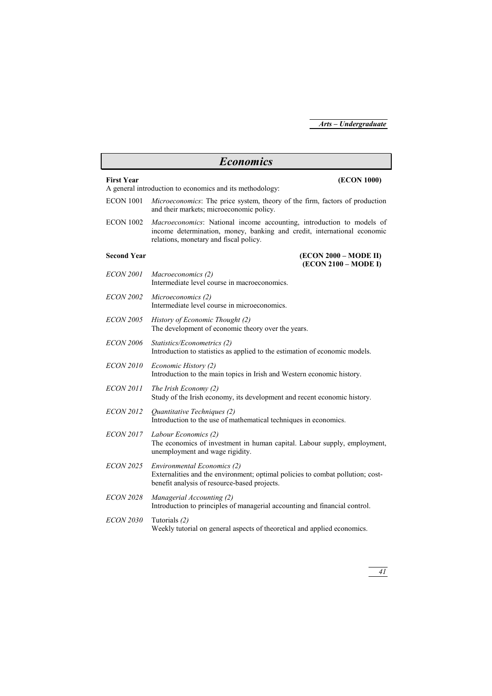# *Economics*

#### **First Year (ECON 1000)**

A general introduction to economics and its methodology:

- ECON 1001 *Microeconomics*: The price system, theory of the firm, factors of production and their markets; microeconomic policy.
- ECON 1002 *Macroeconomics*: National income accounting, introduction to models of income determination, money, banking and credit, international economic relations, monetary and fiscal policy.

#### **Second Year (ECON 2000 – MODE II) (ECON 2100 – MODE I)**

- *ECON 2001 Macroeconomics (2)*  Intermediate level course in macroeconomics.
- *ECON 2002 Microeconomics (2)*  Intermediate level course in microeconomics.
- *ECON 2005 History of Economic Thought (2)*  The development of economic theory over the years.
- *ECON 2006 Statistics/Econometrics (2)*  Introduction to statistics as applied to the estimation of economic models.
- *ECON 2010 Economic History (2)*  Introduction to the main topics in Irish and Western economic history.
- *ECON 2011 The Irish Economy (2)*  Study of the Irish economy, its development and recent economic history.
- *ECON 2012 Quantitative Techniques (2)*  Introduction to the use of mathematical techniques in economics.
- *ECON 2017 Labour Economics (2)*  The economics of investment in human capital. Labour supply, employment, unemployment and wage rigidity.
- *ECON 2025 Environmental Economics (2)*  Externalities and the environment; optimal policies to combat pollution; costbenefit analysis of resource-based projects.
- *ECON 2028 Managerial Accounting (2)*  Introduction to principles of managerial accounting and financial control.
- *ECON 2030* Tutorials *(2)*  Weekly tutorial on general aspects of theoretical and applied economics.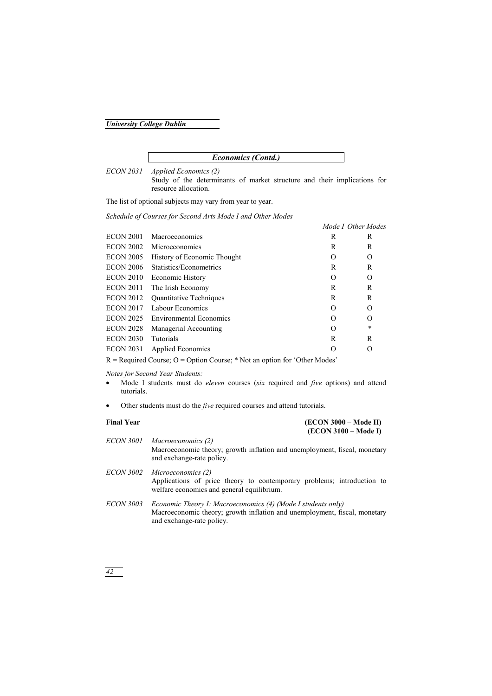### *Economics (Contd.)*

*ECON 2031 Applied Economics (2)*  Study of the determinants of market structure and their implications for resource allocation.

The list of optional subjects may vary from year to year.

*Schedule of Courses for Second Arts Mode I and Other Modes* 

|                                |   | Mode I Other Modes |
|--------------------------------|---|--------------------|
| Macroeconomics                 | R | R                  |
| <b>Microeconomics</b>          | R | R                  |
| History of Economic Thought    | O | O                  |
| Statistics/Econometrics        | R | R                  |
| Economic History               | O | O                  |
| The Irish Economy              | R | R                  |
| <b>Ouantitative Techniques</b> | R | R                  |
| Labour Economics               | O | O                  |
| <b>Environmental Economics</b> | O | O                  |
| Managerial Accounting          | O | $\ast$             |
| <b>Tutorials</b>               | R | R                  |
| Applied Economics              |   | O                  |
|                                |   |                    |

 $R =$  Required Course; O = Option Course;  $*$  Not an option for 'Other Modes'

### *Notes for Second Year Students:*

- Mode I students must do *eleven* courses (*six* required and *five* options) and attend tutorials.
- Other students must do the *five* required courses and attend tutorials.

| <b>Final Year</b> | (ECON 3000 – Mode II)<br>(ECON 3100 – Mode I)                                                                                                                          |
|-------------------|------------------------------------------------------------------------------------------------------------------------------------------------------------------------|
| <i>ECON 3001</i>  | Macroeconomics (2)<br>Macroeconomic theory; growth inflation and unemployment, fiscal, monetary<br>and exchange-rate policy.                                           |
|                   | ECON 3002 Microeconomics (2)<br>Applications of price theory to contemporary problems; introduction to<br>welfare economics and general equilibrium.                   |
| <b>ECON 3003</b>  | Economic Theory I: Macroeconomics (4) (Mode I students only)<br>Macroeconomic theory; growth inflation and unemployment, fiscal, monetary<br>and exchange-rate policy. |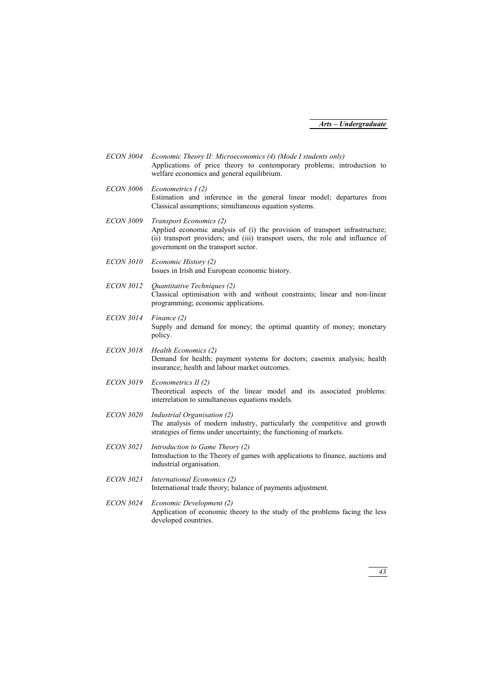*ECON 3004 Economic Theory II: Microeconomics (4) (Mode I students only)*  Applications of price theory to contemporary problems; introduction to welfare economics and general equilibrium.

*ECON 3006 Econometrics I (2)*  Estimation and inference in the general linear model; departures from Classical assumptions; simultaneous equation systems.

*ECON 3009 Transport Economics (2)*  Applied economic analysis of (i) the provision of transport infrastructure; (ii) transport providers; and (iii) transport users, the role and influence of government on the transport sector.

*ECON 3010 Economic History (2)*  Issues in Irish and European economic history.

*ECON 3012 Quantitative Techniques (2)*  Classical optimisation with and without constraints; linear and non-linear programming; economic applications.

*ECON 3014 Finance (2)*  Supply and demand for money; the optimal quantity of money; monetary policy.

*ECON 3018 Health Economics (2)*  Demand for health; payment systems for doctors; casemix analysis; health insurance; health and labour market outcomes.

- *ECON 3019 Econometrics II (2)*  Theoretical aspects of the linear model and its associated problems: interrelation to simultaneous equations models.
- *ECON 3020 Industrial Organisation (2)*  The analysis of modern industry, particularly the competitive and growth strategies of firms under uncertainty; the functioning of markets.

*ECON 3021 Introduction to Game Theory (2)*  Introduction to the Theory of games with applications to finance, auctions and industrial organisation.

- *ECON 3023 International Economics (2)*  International trade theory; balance of payments adjustment.
- *ECON 3024 Economic Development (2)*  Application of economic theory to the study of the problems facing the less developed countries.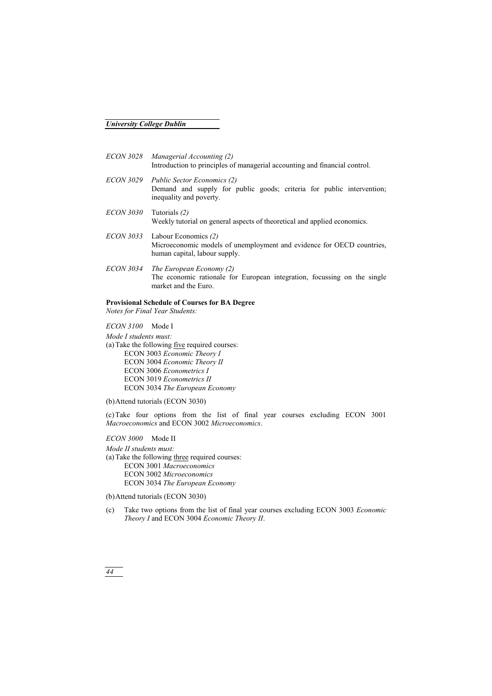#### *University College Dublin*

- *ECON 3028 Managerial Accounting (2)*  Introduction to principles of managerial accounting and financial control.
- *ECON 3029 Public Sector Economics (2)*  Demand and supply for public goods; criteria for public intervention; inequality and poverty.
- *ECON 3030* Tutorials *(2)*  Weekly tutorial on general aspects of theoretical and applied economics.
- *ECON 3033* Labour Economics *(2)*  Microeconomic models of unemployment and evidence for OECD countries, human capital, labour supply.
- *ECON 3034 The European Economy (2)*  The economic rationale for European integration, focussing on the single market and the Euro.

#### **Provisional Schedule of Courses for BA Degree**

*Notes for Final Year Students:* 

*ECON 3100* Mode I

*Mode I students must:*  (a) Take the following five required courses: ECON 3003 *Economic Theory I* ECON 3004 *Economic Theory II*  ECON 3006 *Econometrics I*  ECON 3019 *Econometrics II* ECON 3034 *The European Economy* 

(b) Attend tutorials (ECON 3030)

(c) Take four options from the list of final year courses excluding ECON 3001 *Macroeconomics* and ECON 3002 *Microeconomics*.

*ECON 3000* Mode II

*Mode II students must:* 

(a) Take the following three required courses: ECON 3001 *Macroeconomics* ECON 3002 *Microeconomics* ECON 3034 *The European Economy* 

- (b) Attend tutorials (ECON 3030)
- (c) Take two options from the list of final year courses excluding ECON 3003 *Economic Theory I* and ECON 3004 *Economic Theory II*.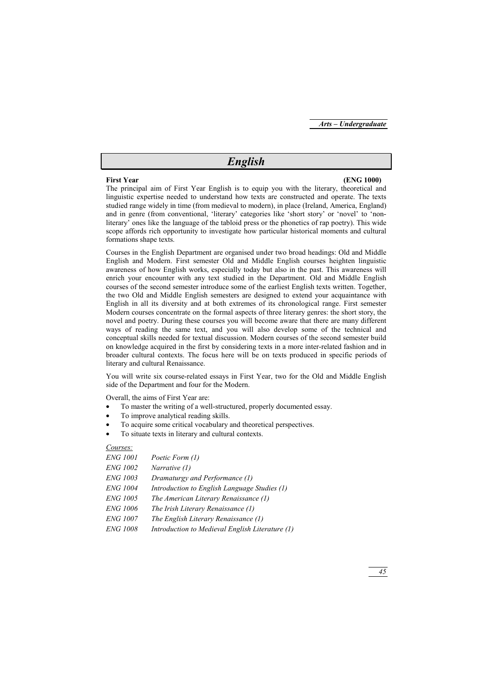# *English*

#### **First Year (ENG 1000)**

The principal aim of First Year English is to equip you with the literary, theoretical and linguistic expertise needed to understand how texts are constructed and operate. The texts studied range widely in time (from medieval to modern), in place (Ireland, America, England) and in genre (from conventional, 'literary' categories like 'short story' or 'novel' to 'nonliterary' ones like the language of the tabloid press or the phonetics of rap poetry). This wide scope affords rich opportunity to investigate how particular historical moments and cultural formations shape texts.

Courses in the English Department are organised under two broad headings: Old and Middle English and Modern. First semester Old and Middle English courses heighten linguistic awareness of how English works, especially today but also in the past. This awareness will enrich your encounter with any text studied in the Department. Old and Middle English courses of the second semester introduce some of the earliest English texts written. Together, the two Old and Middle English semesters are designed to extend your acquaintance with English in all its diversity and at both extremes of its chronological range. First semester Modern courses concentrate on the formal aspects of three literary genres: the short story, the novel and poetry. During these courses you will become aware that there are many different ways of reading the same text, and you will also develop some of the technical and conceptual skills needed for textual discussion. Modern courses of the second semester build on knowledge acquired in the first by considering texts in a more inter-related fashion and in broader cultural contexts. The focus here will be on texts produced in specific periods of literary and cultural Renaissance.

You will write six course-related essays in First Year, two for the Old and Middle English side of the Department and four for the Modern.

Overall, the aims of First Year are:

- To master the writing of a well-structured, properly documented essay.
- To improve analytical reading skills.
- To acquire some critical vocabulary and theoretical perspectives.
- To situate texts in literary and cultural contexts.

#### *Courses:*

| <i>ENG 1001</i> | Poetic Form (1)                                 |
|-----------------|-------------------------------------------------|
| <b>ENG 1002</b> | Narrative (1)                                   |
| <b>ENG 1003</b> | Dramaturgy and Performance (1)                  |
| <b>ENG 1004</b> | Introduction to English Language Studies (1)    |
| <b>ENG 1005</b> | The American Literary Renaissance (1)           |
| <i>ENG 1006</i> | The Irish Literary Renaissance (1)              |
| <i>ENG 1007</i> | The English Literary Renaissance (1)            |
| <b>ENG 1008</b> | Introduction to Medieval English Literature (1) |
|                 |                                                 |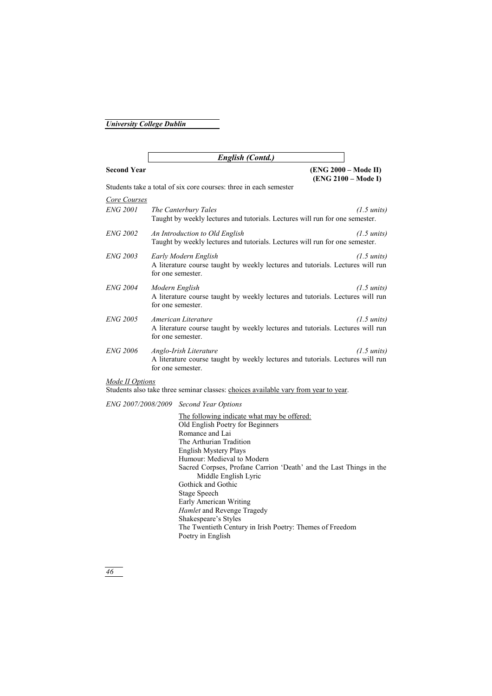### *English (Contd.)*

#### **Second Year** (ENG 2000 – Mode II)  **(ENG 2100 – Mode I)**

Students take a total of six core courses: three in each semester

| Core Courses    |                                                                                                                                                        |  |
|-----------------|--------------------------------------------------------------------------------------------------------------------------------------------------------|--|
| <i>ENG 2001</i> | The Canterbury Tales<br>$(1.5 \text{ units})$<br>Taught by weekly lectures and tutorials. Lectures will run for one semester.                          |  |
| <b>ENG 2002</b> | An Introduction to Old English<br>$(1.5 \text{ units})$<br>Taught by weekly lectures and tutorials. Lectures will run for one semester.                |  |
| <b>ENG 2003</b> | Early Modern English<br>$(1.5 \text{ units})$<br>A literature course taught by weekly lectures and tutorials. Lectures will run<br>for one semester.   |  |
| <b>ENG 2004</b> | Modern English<br>$(1.5 \text{ units})$<br>A literature course taught by weekly lectures and tutorials. Lectures will run<br>for one semester.         |  |
| <b>ENG 2005</b> | American Literature<br>$(1.5 \text{ units})$<br>A literature course taught by weekly lectures and tutorials. Lectures will run<br>for one semester.    |  |
| <b>ENG 2006</b> | Anglo-Irish Literature<br>$(1.5 \text{ units})$<br>A literature course taught by weekly lectures and tutorials. Lectures will run<br>for one semester. |  |

*Mode II Options*

Students also take three seminar classes: choices available vary from year to year.

*ENG 2007/2008/2009 Second Year Options* 

The following indicate what may be offered: Old English Poetry for Beginners Romance and Lai The Arthurian Tradition English Mystery Plays Humour: Medieval to Modern Sacred Corpses, Profane Carrion 'Death' and the Last Things in the Middle English Lyric Gothick and Gothic Stage Speech Early American Writing *Hamlet* and Revenge Tragedy Shakespeare's Styles The Twentieth Century in Irish Poetry: Themes of Freedom Poetry in English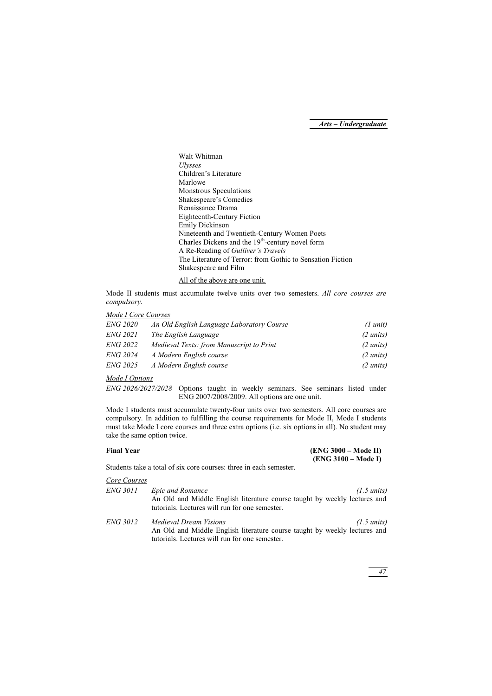Walt Whitman *Ulysses*  Children's Literature Marlowe Monstrous Speculations Shakespeare's Comedies Renaissance Drama Eighteenth-Century Fiction Emily Dickinson Nineteenth and Twentieth-Century Women Poets Charles Dickens and the 19<sup>th</sup>-century novel form A Re-Reading of *Gulliver's Travels* The Literature of Terror: from Gothic to Sensation Fiction Shakespeare and Film

### All of the above are one unit.

Mode II students must accumulate twelve units over two semesters. *All core courses are compulsory.* 

*Mode I Core Courses*

| <i>ENG 2020</i> | An Old English Language Laboratory Course | $(1 \text{ unit})$  |
|-----------------|-------------------------------------------|---------------------|
| <i>ENG 2021</i> | The English Language                      | $(2 \text{ units})$ |
| <i>ENG 2022</i> | Medieval Texts: from Manuscript to Print  | $(2 \text{ units})$ |
| <i>ENG 2024</i> | A Modern English course                   | $(2 \text{ units})$ |
| <i>ENG 2025</i> | A Modern English course                   | $(2 \text{ units})$ |

*Mode I Options*

*ENG 2026/2027/2028* Options taught in weekly seminars. See seminars listed under ENG 2007/2008/2009. All options are one unit.

Mode I students must accumulate twenty-four units over two semesters. All core courses are compulsory. In addition to fulfilling the course requirements for Mode II, Mode I students must take Mode I core courses and three extra options (i.e. six options in all). No student may take the same option twice.

| <b>Final Year</b> | $(ENG 3000 - Mode II)$ |
|-------------------|------------------------|
|                   | $(ENG 3100 - Mode I)$  |

Students take a total of six core courses: three in each semester.

| Core Courses    |                                                                                                                                                                                |  |
|-----------------|--------------------------------------------------------------------------------------------------------------------------------------------------------------------------------|--|
| <i>ENG 3011</i> | Epic and Romance<br>$(1.5 \text{ units})$<br>An Old and Middle English literature course taught by weekly lectures and<br>tutorials. Lectures will run for one semester.       |  |
| <i>ENG 3012</i> | Medieval Dream Visions<br>$(1.5 \text{ units})$<br>An Old and Middle English literature course taught by weekly lectures and<br>tutorials. Lectures will run for one semester. |  |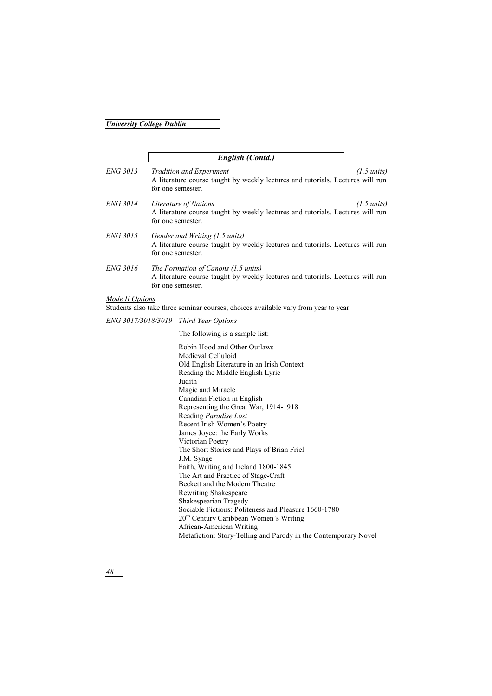### *English (Contd.)*

- *ENG 3013 Tradition and Experiment (1.5 units)*  A literature course taught by weekly lectures and tutorials. Lectures will run for one semester.
- *ENG 3014 Literature of Nations (1.5 units)*  A literature course taught by weekly lectures and tutorials. Lectures will run for one semester.
- *ENG 3015 Gender and Writing (1.5 units)*  A literature course taught by weekly lectures and tutorials. Lectures will run for one semester.

*ENG 3016 The Formation of Canons (1.5 units)*  A literature course taught by weekly lectures and tutorials. Lectures will run for one semester.

*Mode II Options*

Students also take three seminar courses; choices available vary from year to year

*ENG 3017/3018/3019 Third Year Options* 

The following is a sample list:

Robin Hood and Other Outlaws Medieval Celluloid Old English Literature in an Irish Context Reading the Middle English Lyric Judith Magic and Miracle Canadian Fiction in English Representing the Great War, 1914-1918 Reading *Paradise Lost* Recent Irish Women's Poetry James Joyce: the Early Works Victorian Poetry The Short Stories and Plays of Brian Friel J.M. Synge Faith, Writing and Ireland 1800-1845 The Art and Practice of Stage-Craft Beckett and the Modern Theatre Rewriting Shakespeare Shakespearian Tragedy Sociable Fictions: Politeness and Pleasure 1660-1780  $20<sup>th</sup>$  Century Caribbean Women's Writing African-American Writing Metafiction: Story-Telling and Parody in the Contemporary Novel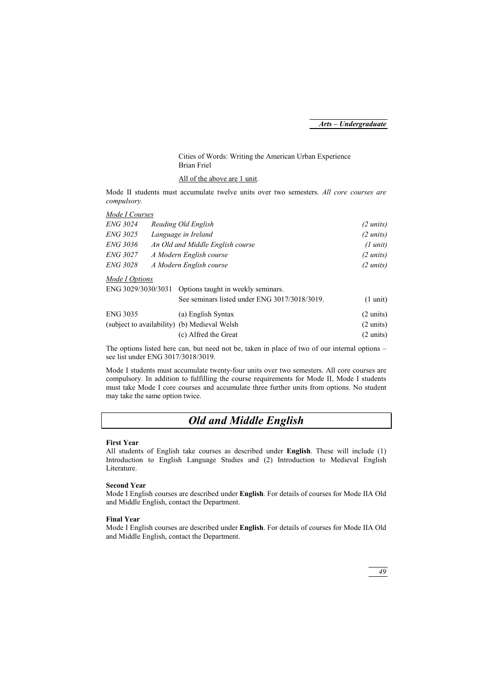Cities of Words: Writing the American Urban Experience Brian Friel

#### All of the above are 1 unit.

Mode II students must accumulate twelve units over two semesters. *All core courses are compulsory.* 

*Mode I Courses*

| <b>ENG 3024</b>    | Reading Old English                           | $(2 \text{ units})$ |
|--------------------|-----------------------------------------------|---------------------|
| <b>ENG 3025</b>    | Language in Ireland                           | $(2 \text{ units})$ |
| <i>ENG</i> 3036    | An Old and Middle English course              | $(1 \text{ unit})$  |
| <i>ENG 3027</i>    | A Modern English course                       | $(2 \text{ units})$ |
| <b>ENG 3028</b>    | A Modern English course                       | $(2 \text{ units})$ |
| Mode I Options     |                                               |                     |
| ENG 3029/3030/3031 | Options taught in weekly seminars.            |                     |
|                    | See seminars listed under ENG 3017/3018/3019. | $(1 \text{ unit})$  |
| <b>ENG 3035</b>    | (a) English Syntax                            | $(2 \text{ units})$ |
|                    | (subject to availability) (b) Medieval Welsh  | $(2 \text{ units})$ |
|                    | (c) Alfred the Great                          | $(2 \text{ units})$ |
|                    |                                               |                     |

The options listed here can, but need not be, taken in place of two of our internal options – see list under ENG 3017/3018/3019.

Mode I students must accumulate twenty-four units over two semesters. All core courses are compulsory. In addition to fulfilling the course requirements for Mode II, Mode I students must take Mode I core courses and accumulate three further units from options. No student may take the same option twice.

# *Old and Middle English*

#### **First Year**

All students of English take courses as described under **English**. These will include (1) Introduction to English Language Studies and (2) Introduction to Medieval English Literature.

#### **Second Year**

Mode I English courses are described under **English**. For details of courses for Mode IIA Old and Middle English, contact the Department.

#### **Final Year**

Mode I English courses are described under **English**. For details of courses for Mode IIA Old and Middle English, contact the Department.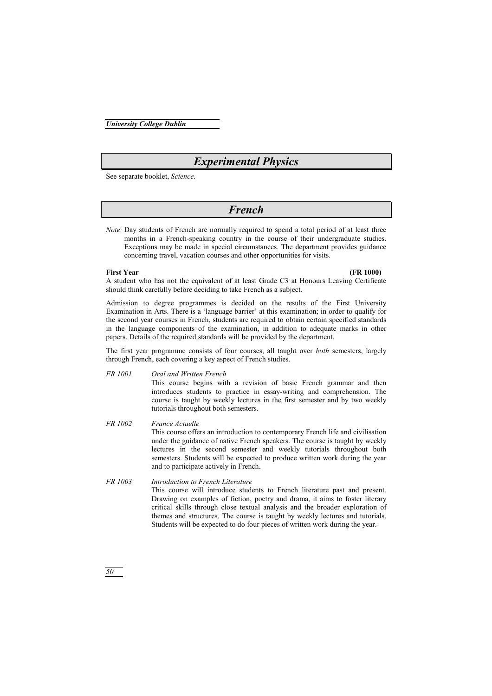# *Experimental Physics*

See separate booklet, *Science*.

# *French*

*Note:* Day students of French are normally required to spend a total period of at least three months in a French-speaking country in the course of their undergraduate studies. Exceptions may be made in special circumstances. The department provides guidance concerning travel, vacation courses and other opportunities for visits.

#### **First Year (FR 1000)**

A student who has not the equivalent of at least Grade C3 at Honours Leaving Certificate should think carefully before deciding to take French as a subject.

Admission to degree programmes is decided on the results of the First University Examination in Arts. There is a 'language barrier' at this examination; in order to qualify for the second year courses in French, students are required to obtain certain specified standards in the language components of the examination, in addition to adequate marks in other papers. Details of the required standards will be provided by the department.

The first year programme consists of four courses, all taught over *both* semesters, largely through French, each covering a key aspect of French studies.

- *FR 1001 Oral and Written French*  This course begins with a revision of basic French grammar and then introduces students to practice in essay-writing and comprehension. The course is taught by weekly lectures in the first semester and by two weekly tutorials throughout both semesters.
- *FR 1002 France Actuelle*  This course offers an introduction to contemporary French life and civilisation under the guidance of native French speakers. The course is taught by weekly lectures in the second semester and weekly tutorials throughout both semesters. Students will be expected to produce written work during the year and to participate actively in French.

*FR 1003 Introduction to French Literature*  This course will introduce students to French literature past and present. Drawing on examples of fiction, poetry and drama, it aims to foster literary critical skills through close textual analysis and the broader exploration of themes and structures. The course is taught by weekly lectures and tutorials. Students will be expected to do four pieces of written work during the year.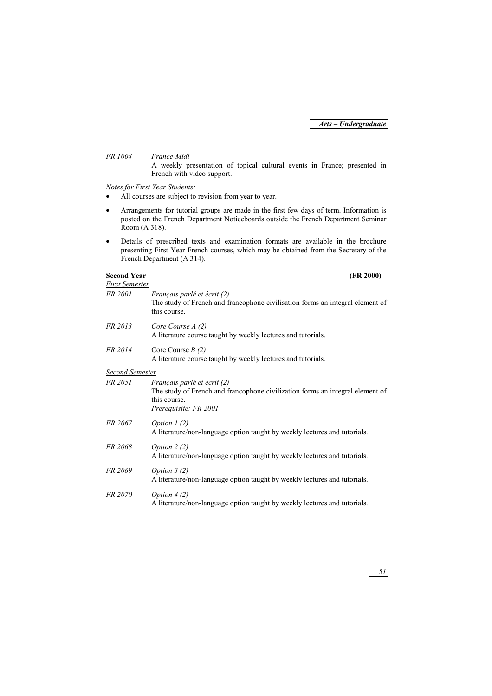*FR 1004 France-Midi*  A weekly presentation of topical cultural events in France; presented in French with video support.

#### *Notes for First Year Students:*

*FR 2001 Français parlé et écrit (2)* 

- All courses are subject to revision from year to year.
- Arrangements for tutorial groups are made in the first few days of term. Information is posted on the French Department Noticeboards outside the French Department Seminar Room (A 318).
- Details of prescribed texts and examination formats are available in the brochure presenting First Year French courses, which may be obtained from the Secretary of the French Department (A 314).

#### **Second Year** (FR 2000)

*First Semester*

|                 | The study of French and francophone civilisation forms an integral element of<br>this course.                                                         |
|-----------------|-------------------------------------------------------------------------------------------------------------------------------------------------------|
| FR 2013         | Core Course A (2)<br>A literature course taught by weekly lectures and tutorials.                                                                     |
| FR 2014         | Core Course $B(2)$<br>A literature course taught by weekly lectures and tutorials.                                                                    |
| Second Semester |                                                                                                                                                       |
| FR 2051         | Français parlé et écrit (2)<br>The study of French and francophone civilization forms an integral element of<br>this course.<br>Prerequisite: FR 2001 |
| FR 2067         | Option $1(2)$<br>A literature/non-language option taught by weekly lectures and tutorials.                                                            |
| FR 2068         | Option $2(2)$<br>A literature/non-language option taught by weekly lectures and tutorials.                                                            |
|                 |                                                                                                                                                       |

- *FR 2069 Option 3 (2)*  A literature/non-language option taught by weekly lectures and tutorials.
- *FR 2070 Option 4 (2)*  A literature/non-language option taught by weekly lectures and tutorials.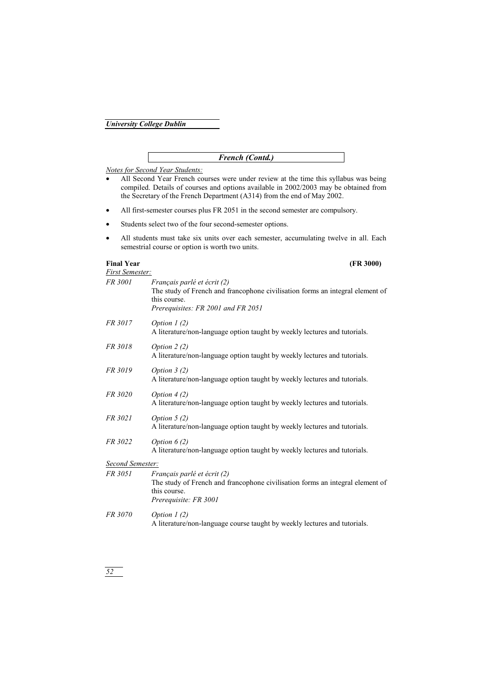### *French (Contd.)*

*Notes for Second Year Students:*

- All Second Year French courses were under review at the time this syllabus was being compiled. Details of courses and options available in 2002/2003 may be obtained from the Secretary of the French Department (A314) from the end of May 2002.
- All first-semester courses plus FR 2051 in the second semester are compulsory.
- Students select two of the four second-semester options.
- All students must take six units over each semester, accumulating twelve in all. Each semestrial course or option is worth two units.

### **Final Year (FR 3000)**

*First Semester:*

| FR 3001          | Français parlé et écrit (2)<br>The study of French and francophone civilisation forms an integral element of<br>this course.<br>Prerequisites: FR 2001 and FR 2051 |
|------------------|--------------------------------------------------------------------------------------------------------------------------------------------------------------------|
| FR 3017          | Option $1(2)$<br>A literature/non-language option taught by weekly lectures and tutorials.                                                                         |
| FR 3018          | Option $2(2)$<br>A literature/non-language option taught by weekly lectures and tutorials.                                                                         |
| FR 3019          | Option $3(2)$<br>A literature/non-language option taught by weekly lectures and tutorials.                                                                         |
| FR 3020          | Option $4(2)$<br>A literature/non-language option taught by weekly lectures and tutorials.                                                                         |
| FR 3021          | Option $5(2)$<br>A literature/non-language option taught by weekly lectures and tutorials.                                                                         |
| FR 3022          | Option $6(2)$<br>A literature/non-language option taught by weekly lectures and tutorials.                                                                         |
| Second Semester: |                                                                                                                                                                    |
| FR 3051          | Français parlé et écrit (2)<br>The study of French and francophone civilisation forms an integral element of<br>this course.<br>Prerequisite: FR 3001              |
| FR 3070          | Option $1(2)$<br>A literature/non-language course taught by weekly lectures and tutorials.                                                                         |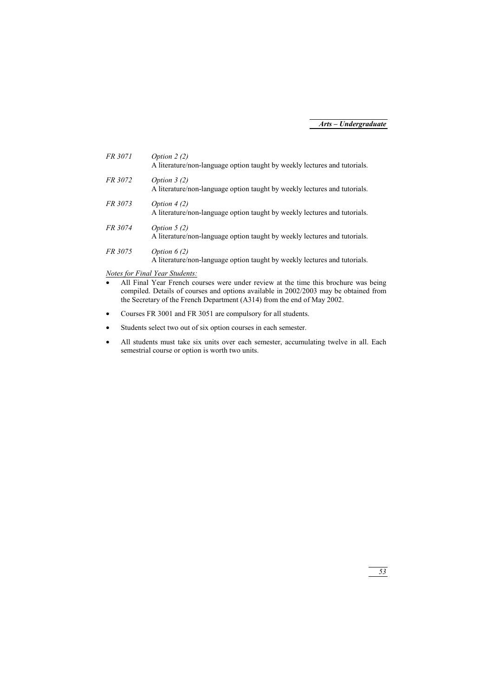#### *Arts – Undergraduate*

| FR 3071 | Option $2(2)$<br>A literature/non-language option taught by weekly lectures and tutorials. |
|---------|--------------------------------------------------------------------------------------------|
| FR 3072 | Option $3(2)$<br>A literature/non-language option taught by weekly lectures and tutorials. |
| FR 3073 | Option $4(2)$<br>A literature/non-language option taught by weekly lectures and tutorials. |
| FR 3074 | Option $5(2)$<br>A literature/non-language option taught by weekly lectures and tutorials. |
| FR 3075 | Option $6(2)$<br>A literature/non-language option taught by weekly lectures and tutorials. |

#### *Notes for Final Year Students:*

- All Final Year French courses were under review at the time this brochure was being compiled. Details of courses and options available in 2002/2003 may be obtained from the Secretary of the French Department (A314) from the end of May 2002.
- Courses FR 3001 and FR 3051 are compulsory for all students.
- Students select two out of six option courses in each semester.
- All students must take six units over each semester, accumulating twelve in all. Each semestrial course or option is worth two units.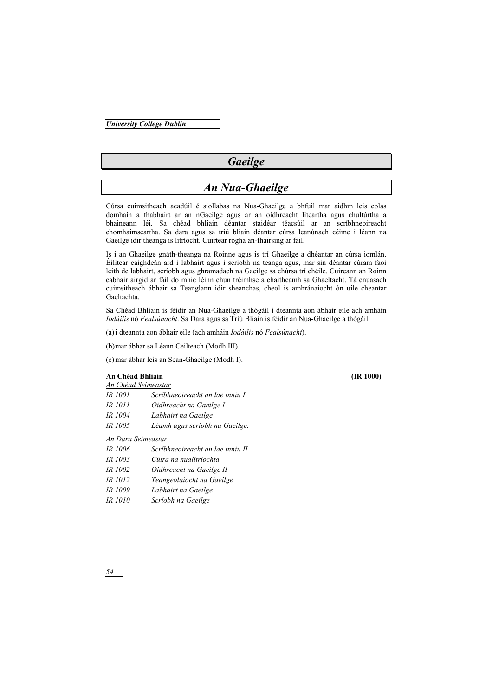*University College Dublin*

# *Gaeilge*

# *An Nua-Ghaeilge*

Cúrsa cuimsitheach acadúil é siollabas na Nua-Ghaeilge a bhfuil mar aidhm leis eolas domhain a thabhairt ar an nGaeilge agus ar an oidhreacht liteartha agus chultúrtha a bhaineann léi. Sa chéad bhliain déantar staidéar téacsúil ar an scríbhneoireacht chomhaimseartha. Sa dara agus sa tríú bliain déantar cúrsa leanúnach céime i léann na Gaeilge idir theanga is litríocht. Cuirtear rogha an-fhairsing ar fáil.

Is í an Ghaeilge gnáth-theanga na Roinne agus is trí Ghaeilge a dhéantar an cúrsa iomlán. Éilítear caighdeán ard i labhairt agus i scríobh na teanga agus, mar sin déantar cúram faoi leith de labhairt, scríobh agus ghramadach na Gaeilge sa chúrsa trí chéile. Cuireann an Roinn cabhair airgid ar fáil do mhic léinn chun tréimhse a chaitheamh sa Ghaeltacht. Tá cnuasach cuimsitheach ábhair sa Teanglann idir sheanchas, cheol is amhránaíocht ón uile cheantar Gaeltachta.

Sa Chéad Bhliain is féidir an Nua-Ghaeilge a thógáil i dteannta aon ábhair eile ach amháin *Iodáilis* nó *Fealsúnacht*. Sa Dara agus sa Tríú Bliain is féidir an Nua-Ghaeilge a thógáil

(a) i dteannta aon ábhair eile (ach amháin *Iodáilis* nó *Fealsúnacht*).

(b) mar ábhar sa Léann Ceilteach (Modh III).

(c) mar ábhar leis an Sean-Ghaeilge (Modh I).

### **An Chéad Bhliain (IR 1000)**

*An Chéad Seimeastar*

| <i>IR</i> 1001 | Scríbhneoireacht an lae inniu I |
|----------------|---------------------------------|
| <i>IR</i> 1011 | Oidhreacht na Gaeilge I         |
| <i>IR</i> 1004 | Labhairt na Gaeilge             |
| <i>IR 1005</i> | Léamh agus scríobh na Gaeilge.  |

*An Dara Seimeastar*

- *IR 1006 Scríbhneoireacht an lae inniu II*
- *IR 1003 Cúlra na nualitríochta*
- *IR 1002 Oidhreacht na Gaeilge II*
- *IR 1012 Teangeolaíocht na Gaeilge*
- *IR 1009 Labhairt na Gaeilge*
- *IR 1010 Scríobh na Gaeilge*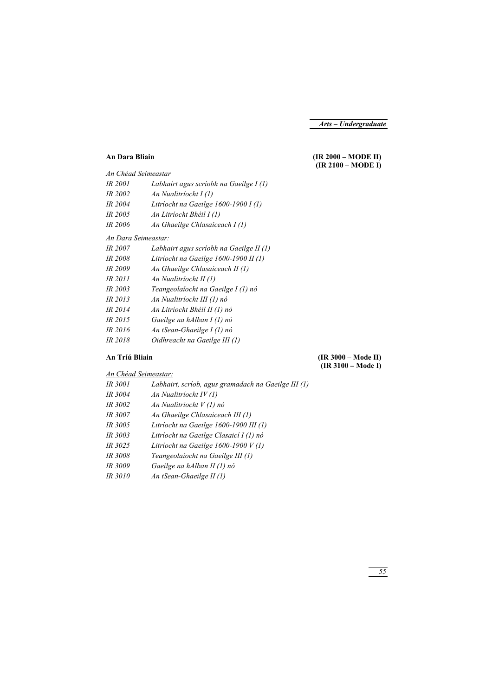#### *An Chéad Seimeastar*

- *IR 2001 Labhairt agus scríobh na Gaeilge I (1)*
- *IR 2002 An Nualitríocht I (1)*
- *IR 2004 Litríocht na Gaeilge 1600-1900 I (1)*
- *IR 2005 An Litríocht Bhéil I (1)*
- *IR 2006 An Ghaeilge Chlasaiceach I (1)*

### *An Dara Seimeastar:*

| <i>IR 2007</i> | Labhairt agus scríobh na Gaeilge II (1) |
|----------------|-----------------------------------------|
| IR 2008        | Litríocht na Gaeilge 1600-1900 II (1)   |
| IR 2009        | An Ghaeilge Chlasaiceach II (1)         |
| IR 2011        | An Nualitríocht II (1)                  |
| <i>IR 2003</i> | Teangeolaíocht na Gaeilge I (1) nó      |
| IR 2013        | An Nualitríocht III (1) nó              |
| IR 2014        | An Litríocht Bhéil II (1) nó            |
| IR 2015        | Gaeilge na hAlban I (1) nó              |
| IR 2016        | An tSean-Ghaeilge I (1) nó              |
| IR 2018        | Oidhreacht na Gaeilge III (1)           |
|                |                                         |

| An Chéad Seimeastar: |                                                     |
|----------------------|-----------------------------------------------------|
| IR 3001              | Labhairt, scríob, agus gramadach na Gaeilge III (1) |
| IR 3004              | An Nualitríocht IV (1)                              |
| IR 3002              | An Nualitríocht V (1) nó                            |
| IR 3007              | An Ghaeilge Chlasaiceach III (1)                    |
| <i>IR 3005</i>       | Litríocht na Gaeilge 1600-1900 III (1)              |
| IR 3003              | Litríocht na Gaeilge Clasaicí I (1) nó              |
| IR 3025              | Litríocht na Gaeilge $1600-1900 V(1)$               |
| IR 3008              | Teangeolaíocht na Gaeilge III (1)                   |
| IR 3009              | Gaeilge na hAlban II (1) nó                         |
| <i>IR 3010</i>       | An tSean-Ghaeilge II $(1)$                          |

#### **An Dara Bliain (IR 2000 – MODE II) (IR 2100 – MODE I)**

#### **An Tríú Bliain (IR 3000 – Mode II) (IR 3100 – Mode I)**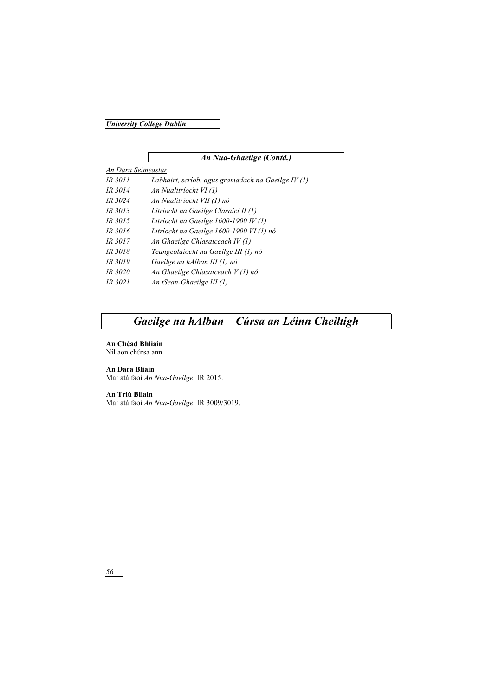#### *University College Dublin*

#### *An Nua-Ghaeilge (Contd.)*

*An Dara Seimeastar*

- *IR 3011 Labhairt, scríob, agus gramadach na Gaeilge IV (1)*
- *IR 3014 An Nualitríocht VI (1)*
- *IR 3024 An Nualitríocht VII (1) nó*
- *IR 3013 Litríocht na Gaeilge Clasaicí II (1)*
- *IR 3015 Litríocht na Gaeilge 1600-1900 IV (1)*
- *IR 3016 Litríocht na Gaeilge 1600-1900 VI (1) nó*
- *IR 3017 An Ghaeilge Chlasaiceach IV (1)*
- *IR 3018 Teangeolaíocht na Gaeilge III (1) nó*
- *IR 3019 Gaeilge na hAlban III (1) nó*
- *IR 3020 An Ghaeilge Chlasaiceach V (1) nó*
- *IR 3021 An tSean-Ghaeilge III (1)*

# *Gaeilge na hAlban – Cúrsa an Léinn Cheiltigh*

#### **An Chéad Bhliain**

Níl aon chúrsa ann.

#### **An Dara Bliain**

Mar atá faoi *An Nua-Gaeilge*: IR 2015.

#### **An Triú Bliain**

Mar atá faoi *An Nua-Gaeilge*: IR 3009/3019.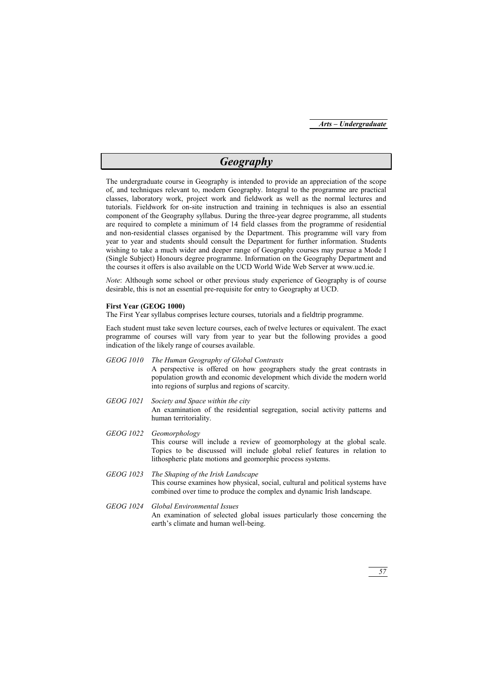# *Geography*

The undergraduate course in Geography is intended to provide an appreciation of the scope of, and techniques relevant to, modern Geography. Integral to the programme are practical classes, laboratory work, project work and fieldwork as well as the normal lectures and tutorials. Fieldwork for on-site instruction and training in techniques is also an essential component of the Geography syllabus. During the three-year degree programme, all students are required to complete a minimum of 14 field classes from the programme of residential and non-residential classes organised by the Department. This programme will vary from year to year and students should consult the Department for further information. Students wishing to take a much wider and deeper range of Geography courses may pursue a Mode I (Single Subject) Honours degree programme. Information on the Geography Department and the courses it offers is also available on the UCD World Wide Web Server at www.ucd.ie.

*Note*: Although some school or other previous study experience of Geography is of course desirable, this is not an essential pre-requisite for entry to Geography at UCD.

#### **First Year (GEOG 1000)**

The First Year syllabus comprises lecture courses, tutorials and a fieldtrip programme.

Each student must take seven lecture courses, each of twelve lectures or equivalent. The exact programme of courses will vary from year to year but the following provides a good indication of the likely range of courses available.

- *GEOG 1010 The Human Geography of Global Contrasts*  A perspective is offered on how geographers study the great contrasts in population growth and economic development which divide the modern world into regions of surplus and regions of scarcity.
- *GEOG 1021 Society and Space within the city*  An examination of the residential segregation, social activity patterns and human territoriality.
- *GEOG 1022 Geomorphology*  This course will include a review of geomorphology at the global scale. Topics to be discussed will include global relief features in relation to lithospheric plate motions and geomorphic process systems.
- *GEOG 1023 The Shaping of the Irish Landscape*  This course examines how physical, social, cultural and political systems have combined over time to produce the complex and dynamic Irish landscape.

*GEOG 1024 Global Environmental Issues*  An examination of selected global issues particularly those concerning the earth's climate and human well-being.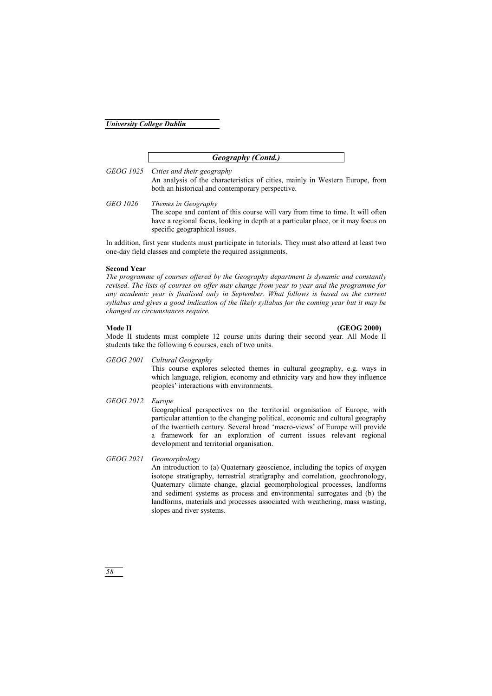### *Geography (Contd.)*

- *GEOG 1025 Cities and their geography*  An analysis of the characteristics of cities, mainly in Western Europe, from both an historical and contemporary perspective.
- *GEO 1026 Themes in Geography*  The scope and content of this course will vary from time to time. It will often have a regional focus, looking in depth at a particular place, or it may focus on specific geographical issues.

In addition, first year students must participate in tutorials. They must also attend at least two one-day field classes and complete the required assignments.

#### **Second Year**

*The programme of courses offered by the Geography department is dynamic and constantly revised. The lists of courses on offer may change from year to year and the programme for any academic year is finalised only in September. What follows is based on the current syllabus and gives a good indication of the likely syllabus for the coming year but it may be changed as circumstances require.* 

#### **Mode II (GEOG 2000)**

Mode II students must complete 12 course units during their second year. All Mode II students take the following 6 courses, each of two units.

*GEOG 2001 Cultural Geography* 

 This course explores selected themes in cultural geography, e.g. ways in which language, religion, economy and ethnicity vary and how they influence peoples' interactions with environments.

*GEOG 2012 Europe* 

 Geographical perspectives on the territorial organisation of Europe, with particular attention to the changing political, economic and cultural geography of the twentieth century. Several broad 'macro-views' of Europe will provide a framework for an exploration of current issues relevant regional development and territorial organisation.

#### *GEOG 2021 Geomorphology*

 An introduction to (a) Quaternary geoscience, including the topics of oxygen isotope stratigraphy, terrestrial stratigraphy and correlation, geochronology, Quaternary climate change, glacial geomorphological processes, landforms and sediment systems as process and environmental surrogates and (b) the landforms, materials and processes associated with weathering, mass wasting, slopes and river systems.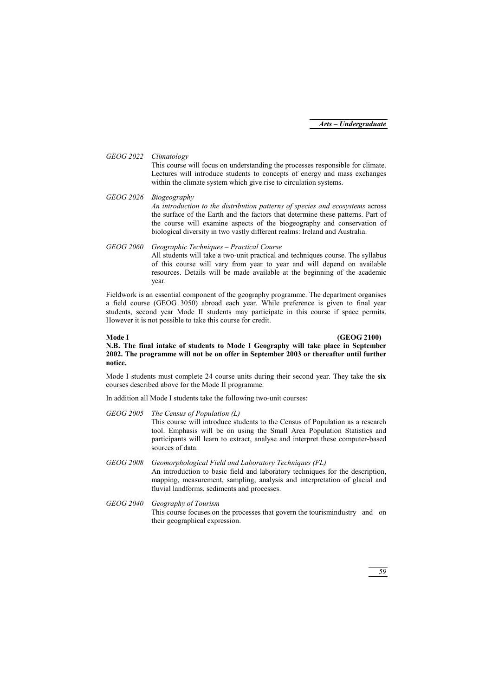#### *GEOG 2022 Climatology*

 This course will focus on understanding the processes responsible for climate. Lectures will introduce students to concepts of energy and mass exchanges within the climate system which give rise to circulation systems.

*GEOG 2026 Biogeography* 

 *An introduction to the distribution patterns of species and ecosystems* across the surface of the Earth and the factors that determine these patterns. Part of the course will examine aspects of the biogeography and conservation of biological diversity in two vastly different realms: Ireland and Australia.

*GEOG 2060 Geographic Techniques – Practical Course*  All students will take a two-unit practical and techniques course. The syllabus of this course will vary from year to year and will depend on available resources. Details will be made available at the beginning of the academic year.

Fieldwork is an essential component of the geography programme. The department organises a field course (GEOG 3050) abroad each year. While preference is given to final year students, second year Mode II students may participate in this course if space permits. However it is not possible to take this course for credit.

#### **Mode I (GEOG 2100)**

#### **N.B. The final intake of students to Mode I Geography will take place in September 2002. The programme will not be on offer in September 2003 or thereafter until further notice.**

Mode I students must complete 24 course units during their second year. They take the **six**  courses described above for the Mode II programme.

In addition all Mode I students take the following two-unit courses:

- *GEOG 2005 The Census of Population (L)*  This course will introduce students to the Census of Population as a research tool. Emphasis will be on using the Small Area Population Statistics and participants will learn to extract, analyse and interpret these computer-based sources of data.
- *GEOG 2008 Geomorphological Field and Laboratory Techniques (FL)*  An introduction to basic field and laboratory techniques for the description, mapping, measurement, sampling, analysis and interpretation of glacial and fluvial landforms, sediments and processes.
- *GEOG 2040 Geography of Tourism*  This course focuses on the processes that govern the tourismindustry and on their geographical expression.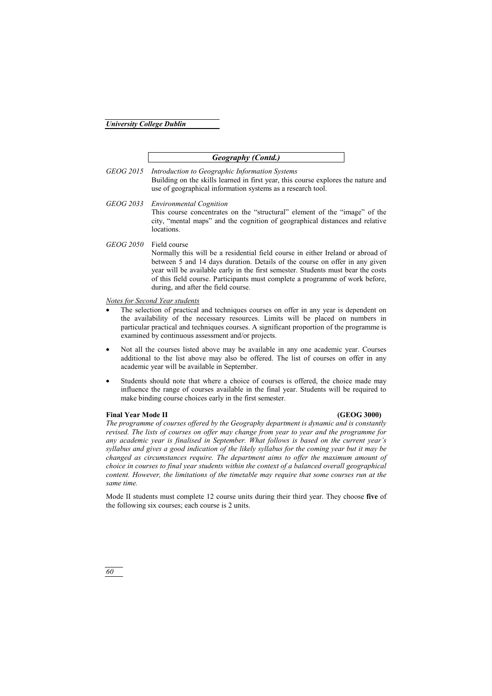### *Geography (Contd.)*

*GEOG 2015 Introduction to Geographic Information Systems*  Building on the skills learned in first year, this course explores the nature and use of geographical information systems as a research tool.

*GEOG 2033 Environmental Cognition*  This course concentrates on the "structural" element of the "image" of the city, "mental maps" and the cognition of geographical distances and relative locations.

*GEOG 2050* Field course Normally this will be a residential field course in either Ireland or abroad of between 5 and 14 days duration. Details of the course on offer in any given year will be available early in the first semester. Students must bear the costs of this field course. Participants must complete a programme of work before, during, and after the field course.

#### *Notes for Second Year students*

- The selection of practical and techniques courses on offer in any year is dependent on the availability of the necessary resources. Limits will be placed on numbers in particular practical and techniques courses. A significant proportion of the programme is examined by continuous assessment and/or projects.
- Not all the courses listed above may be available in any one academic year. Courses additional to the list above may also be offered. The list of courses on offer in any academic year will be available in September.
- Students should note that where a choice of courses is offered, the choice made may influence the range of courses available in the final year. Students will be required to make binding course choices early in the first semester.

#### **Final Year Mode II (GEOG 3000)**

*The programme of courses offered by the Geography department is dynamic and is constantly revised. The lists of courses on offer may change from year to year and the programme for any academic year is finalised in September. What follows is based on the current year's syllabus and gives a good indication of the likely syllabus for the coming year but it may be changed as circumstances require. The department aims to offer the maximum amount of choice in courses to final year students within the context of a balanced overall geographical content. However, the limitations of the timetable may require that some courses run at the same time.* 

Mode II students must complete 12 course units during their third year. They choose **five** of the following six courses; each course is 2 units.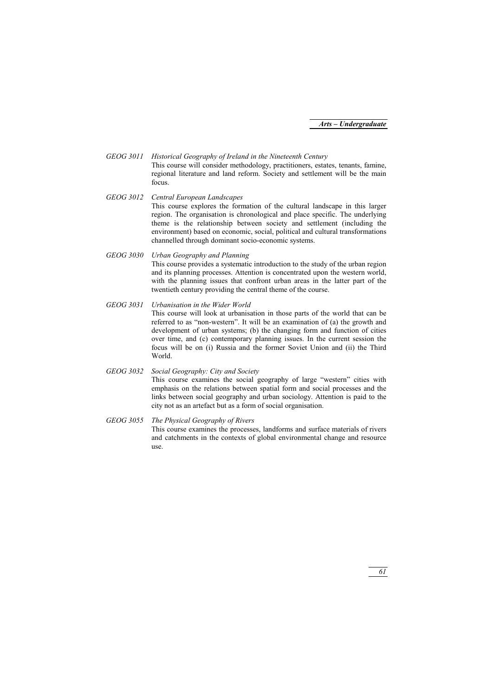- *GEOG 3011 Historical Geography of Ireland in the Nineteenth Century*  This course will consider methodology, practitioners, estates, tenants, famine, regional literature and land reform. Society and settlement will be the main focus.
- *GEOG 3012 Central European Landscapes*  This course explores the formation of the cultural landscape in this larger region. The organisation is chronological and place specific. The underlying theme is the relationship between society and settlement (including the environment) based on economic, social, political and cultural transformations channelled through dominant socio-economic systems.
- *GEOG 3030 Urban Geography and Planning*  This course provides a systematic introduction to the study of the urban region and its planning processes. Attention is concentrated upon the western world, with the planning issues that confront urban areas in the latter part of the twentieth century providing the central theme of the course.
- *GEOG 3031 Urbanisation in the Wider World*  This course will look at urbanisation in those parts of the world that can be referred to as "non-western". It will be an examination of (a) the growth and development of urban systems; (b) the changing form and function of cities over time, and (c) contemporary planning issues. In the current session the focus will be on (i) Russia and the former Soviet Union and (ii) the Third World.

*GEOG 3032 Social Geography: City and Society*  This course examines the social geography of large "western" cities with emphasis on the relations between spatial form and social processes and the links between social geography and urban sociology. Attention is paid to the city not as an artefact but as a form of social organisation.

*GEOG 3055 The Physical Geography of Rivers*  This course examines the processes, landforms and surface materials of rivers and catchments in the contexts of global environmental change and resource use.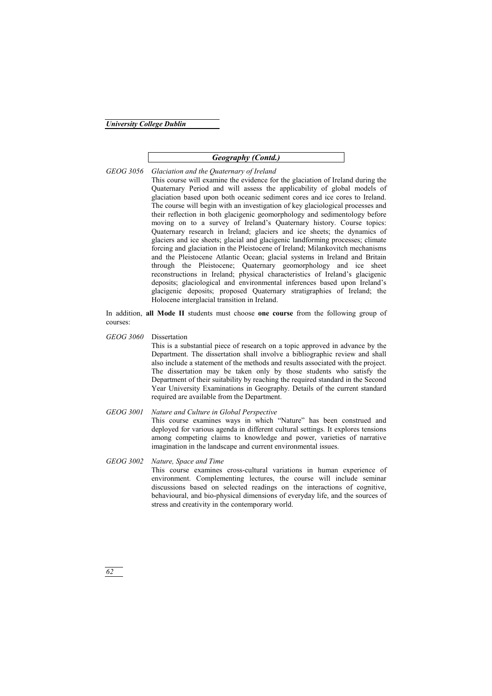#### *Geography (Contd.)*

*GEOG 3056 Glaciation and the Quaternary of Ireland* 

 This course will examine the evidence for the glaciation of Ireland during the Quaternary Period and will assess the applicability of global models of glaciation based upon both oceanic sediment cores and ice cores to Ireland. The course will begin with an investigation of key glaciological processes and their reflection in both glacigenic geomorphology and sedimentology before moving on to a survey of Ireland's Quaternary history. Course topics: Quaternary research in Ireland; glaciers and ice sheets; the dynamics of glaciers and ice sheets; glacial and glacigenic landforming processes; climate forcing and glaciation in the Pleistocene of Ireland; Milankovitch mechanisms and the Pleistocene Atlantic Ocean; glacial systems in Ireland and Britain through the Pleistocene; Quaternary geomorphology and ice sheet reconstructions in Ireland; physical characteristics of Ireland's glacigenic deposits; glaciological and environmental inferences based upon Ireland's glacigenic deposits; proposed Quaternary stratigraphies of Ireland; the Holocene interglacial transition in Ireland.

In addition, **all Mode II** students must choose **one course** from the following group of courses:

*GEOG 3060* Dissertation

 This is a substantial piece of research on a topic approved in advance by the Department. The dissertation shall involve a bibliographic review and shall also include a statement of the methods and results associated with the project. The dissertation may be taken only by those students who satisfy the Department of their suitability by reaching the required standard in the Second Year University Examinations in Geography. Details of the current standard required are available from the Department.

*GEOG 3001 Nature and Culture in Global Perspective* 

 This course examines ways in which "Nature" has been construed and deployed for various agenda in different cultural settings. It explores tensions among competing claims to knowledge and power, varieties of narrative imagination in the landscape and current environmental issues.

*GEOG 3002 Nature, Space and Time*  This course examines cross-cultural variations in human experience of

environment. Complementing lectures, the course will include seminar discussions based on selected readings on the interactions of cognitive, behavioural, and bio-physical dimensions of everyday life, and the sources of stress and creativity in the contemporary world.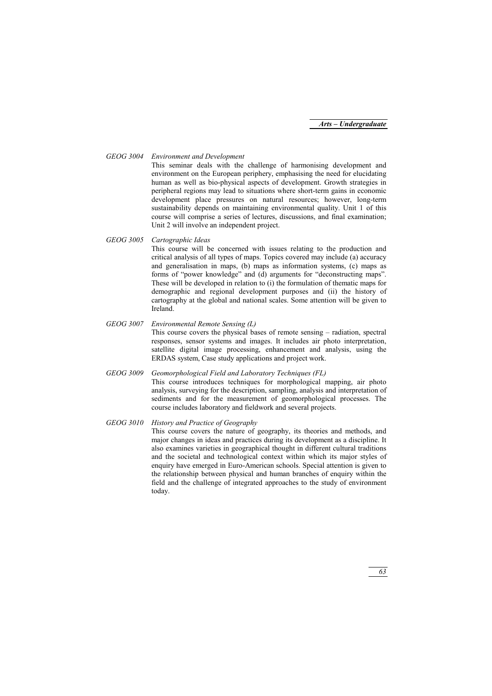#### *GEOG 3004 Environment and Development*

 This seminar deals with the challenge of harmonising development and environment on the European periphery, emphasising the need for elucidating human as well as bio-physical aspects of development. Growth strategies in peripheral regions may lead to situations where short-term gains in economic development place pressures on natural resources; however, long-term sustainability depends on maintaining environmental quality. Unit 1 of this course will comprise a series of lectures, discussions, and final examination; Unit 2 will involve an independent project.

#### *GEOG 3005 Cartographic Ideas*

 This course will be concerned with issues relating to the production and critical analysis of all types of maps. Topics covered may include (a) accuracy and generalisation in maps, (b) maps as information systems, (c) maps as forms of "power knowledge" and (d) arguments for "deconstructing maps". These will be developed in relation to (i) the formulation of thematic maps for demographic and regional development purposes and (ii) the history of cartography at the global and national scales. Some attention will be given to Ireland.

#### *GEOG 3007 Environmental Remote Sensing (L)*

 This course covers the physical bases of remote sensing – radiation, spectral responses, sensor systems and images. It includes air photo interpretation, satellite digital image processing, enhancement and analysis, using the ERDAS system, Case study applications and project work.

#### *GEOG 3009 Geomorphological Field and Laboratory Techniques (FL)*

 This course introduces techniques for morphological mapping, air photo analysis, surveying for the description, sampling, analysis and interpretation of sediments and for the measurement of geomorphological processes. The course includes laboratory and fieldwork and several projects.

#### *GEOG 3010 History and Practice of Geography*

 This course covers the nature of geography, its theories and methods, and major changes in ideas and practices during its development as a discipline. It also examines varieties in geographical thought in different cultural traditions and the societal and technological context within which its major styles of enquiry have emerged in Euro-American schools. Special attention is given to the relationship between physical and human branches of enquiry within the field and the challenge of integrated approaches to the study of environment today.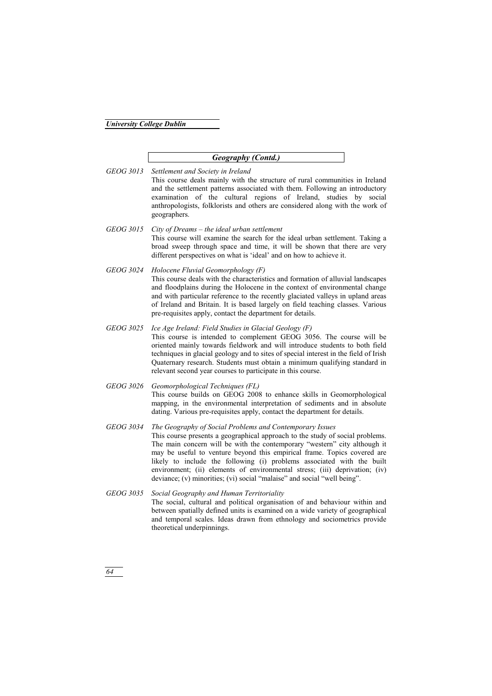### *Geography (Contd.)*

*GEOG 3013 Settlement and Society in Ireland*  This course deals mainly with the structure of rural communities in Ireland and the settlement patterns associated with them. Following an introductory examination of the cultural regions of Ireland, studies by social anthropologists, folklorists and others are considered along with the work of geographers.

*GEOG 3015 City of Dreams – the ideal urban settlement*  This course will examine the search for the ideal urban settlement. Taking a broad sweep through space and time, it will be shown that there are very different perspectives on what is 'ideal' and on how to achieve it.

*GEOG 3024 Holocene Fluvial Geomorphology (F)*  This course deals with the characteristics and formation of alluvial landscapes and floodplains during the Holocene in the context of environmental change and with particular reference to the recently glaciated valleys in upland areas of Ireland and Britain. It is based largely on field teaching classes. Various pre-requisites apply, contact the department for details.

*GEOG 3025 Ice Age Ireland: Field Studies in Glacial Geology (F)*  This course is intended to complement GEOG 3056. The course will be oriented mainly towards fieldwork and will introduce students to both field techniques in glacial geology and to sites of special interest in the field of Irish Quaternary research. Students must obtain a minimum qualifying standard in relevant second year courses to participate in this course.

#### *GEOG 3026 Geomorphological Techniques (FL)*  This course builds on GEOG 2008 to enhance skills in Geomorphological mapping, in the environmental interpretation of sediments and in absolute dating. Various pre-requisites apply, contact the department for details.

*GEOG 3034 The Geography of Social Problems and Contemporary Issues*  This course presents a geographical approach to the study of social problems. The main concern will be with the contemporary "western" city although it may be useful to venture beyond this empirical frame. Topics covered are likely to include the following (i) problems associated with the built environment; (ii) elements of environmental stress; (iii) deprivation; (iv) deviance; (v) minorities; (vi) social "malaise" and social "well being".

### *GEOG 3035 Social Geography and Human Territoriality*

 The social, cultural and political organisation of and behaviour within and between spatially defined units is examined on a wide variety of geographical and temporal scales. Ideas drawn from ethnology and sociometrics provide theoretical underpinnings.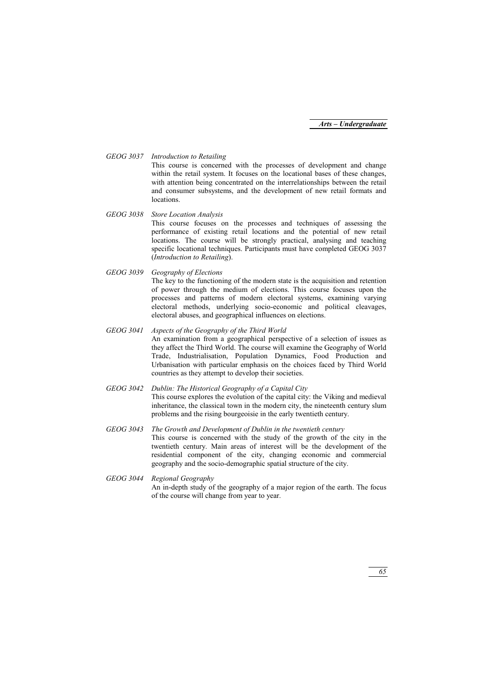*GEOG 3037 Introduction to Retailing* 

 This course is concerned with the processes of development and change within the retail system. It focuses on the locational bases of these changes, with attention being concentrated on the interrelationships between the retail and consumer subsystems, and the development of new retail formats and locations.

- *GEOG 3038 Store Location Analysis*  This course focuses on the processes and techniques of assessing the performance of existing retail locations and the potential of new retail locations. The course will be strongly practical, analysing and teaching specific locational techniques. Participants must have completed GEOG 3037 (*Introduction to Retailing*).
- *GEOG 3039 Geography of Elections*  The key to the functioning of the modern state is the acquisition and retention of power through the medium of elections. This course focuses upon the processes and patterns of modern electoral systems, examining varying electoral methods, underlying socio-economic and political cleavages, electoral abuses, and geographical influences on elections.
- *GEOG 3041 Aspects of the Geography of the Third World*  An examination from a geographical perspective of a selection of issues as they affect the Third World. The course will examine the Geography of World Trade, Industrialisation, Population Dynamics, Food Production and Urbanisation with particular emphasis on the choices faced by Third World countries as they attempt to develop their societies.
- *GEOG 3042 Dublin: The Historical Geography of a Capital City*  This course explores the evolution of the capital city: the Viking and medieval inheritance, the classical town in the modern city, the nineteenth century slum problems and the rising bourgeoisie in the early twentieth century.
- *GEOG 3043 The Growth and Development of Dublin in the twentieth century*  This course is concerned with the study of the growth of the city in the twentieth century. Main areas of interest will be the development of the residential component of the city, changing economic and commercial geography and the socio-demographic spatial structure of the city.

#### *GEOG 3044 Regional Geography*  An in-depth study of the geography of a major region of the earth. The focus of the course will change from year to year.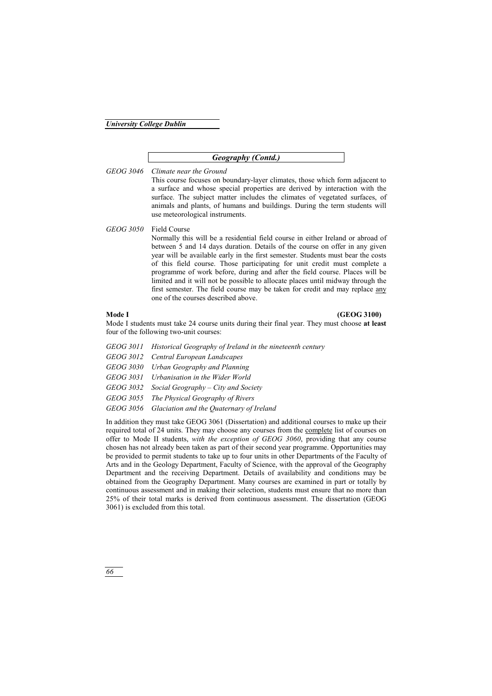### *Geography (Contd.)*

*GEOG 3046 Climate near the Ground*  This course focuses on boundary-layer climates, those which form adjacent to a surface and whose special properties are derived by interaction with the surface. The subject matter includes the climates of vegetated surfaces, of animals and plants, of humans and buildings. During the term students will use meteorological instruments.

*GEOG 3050* Field Course

 Normally this will be a residential field course in either Ireland or abroad of between 5 and 14 days duration. Details of the course on offer in any given year will be available early in the first semester. Students must bear the costs of this field course. Those participating for unit credit must complete a programme of work before, during and after the field course. Places will be limited and it will not be possible to allocate places until midway through the first semester. The field course may be taken for credit and may replace any one of the courses described above.

**Mode I (GEOG 3100)** 

Mode I students must take 24 course units during their final year. They must choose **at least** four of the following two-unit courses:

| GEOG 3011 Historical Geography of Ireland in the nineteenth century |
|---------------------------------------------------------------------|
| GEOG 3012 Central European Landscapes                               |
| GEOG 3030 Urban Geography and Planning                              |
| GEOG 3031 Urbanisation in the Wider World                           |
| GEOG 3032 Social Geography – City and Society                       |
| GEOG 3055 The Physical Geography of Rivers                          |
| GEOG 3056 Glaciation and the Quaternary of Ireland                  |

In addition they must take GEOG 3061 (Dissertation) and additional courses to make up their required total of 24 units. They may choose any courses from the complete list of courses on offer to Mode II students, *with the exception of GEOG 3060*, providing that any course chosen has not already been taken as part of their second year programme. Opportunities may be provided to permit students to take up to four units in other Departments of the Faculty of Arts and in the Geology Department, Faculty of Science, with the approval of the Geography Department and the receiving Department. Details of availability and conditions may be obtained from the Geography Department. Many courses are examined in part or totally by continuous assessment and in making their selection, students must ensure that no more than 25% of their total marks is derived from continuous assessment. The dissertation (GEOG 3061) is excluded from this total.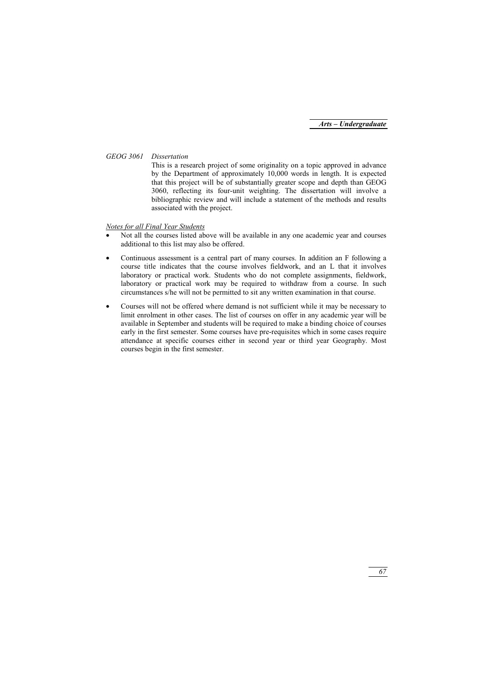#### *GEOG 3061 Dissertation*

 This is a research project of some originality on a topic approved in advance by the Department of approximately 10,000 words in length. It is expected that this project will be of substantially greater scope and depth than GEOG 3060, reflecting its four-unit weighting. The dissertation will involve a bibliographic review and will include a statement of the methods and results associated with the project.

#### *Notes for all Final Year Students*

- Not all the courses listed above will be available in any one academic year and courses additional to this list may also be offered.
- Continuous assessment is a central part of many courses. In addition an F following a course title indicates that the course involves fieldwork, and an L that it involves laboratory or practical work. Students who do not complete assignments, fieldwork, laboratory or practical work may be required to withdraw from a course. In such circumstances s/he will not be permitted to sit any written examination in that course.
- Courses will not be offered where demand is not sufficient while it may be necessary to limit enrolment in other cases. The list of courses on offer in any academic year will be available in September and students will be required to make a binding choice of courses early in the first semester. Some courses have pre-requisites which in some cases require attendance at specific courses either in second year or third year Geography. Most courses begin in the first semester.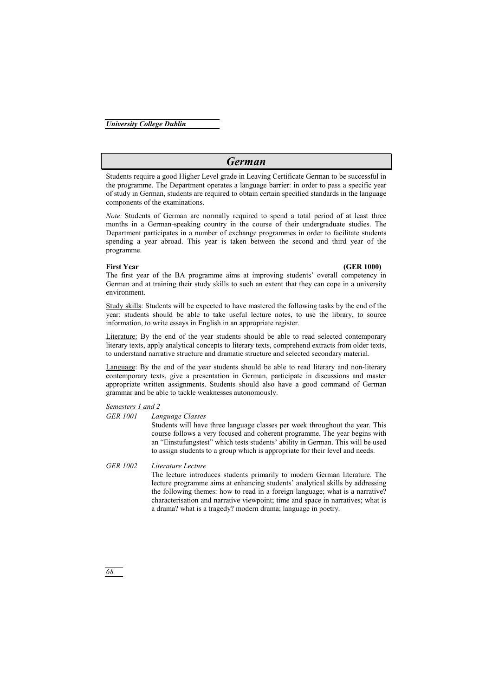## *German*

Students require a good Higher Level grade in Leaving Certificate German to be successful in the programme. The Department operates a language barrier: in order to pass a specific year of study in German, students are required to obtain certain specified standards in the language components of the examinations.

*Note:* Students of German are normally required to spend a total period of at least three months in a German-speaking country in the course of their undergraduate studies. The Department participates in a number of exchange programmes in order to facilitate students spending a year abroad. This year is taken between the second and third year of the programme.

#### **First Year (GER 1000)**

The first year of the BA programme aims at improving students' overall competency in German and at training their study skills to such an extent that they can cope in a university environment.

Study skills: Students will be expected to have mastered the following tasks by the end of the year: students should be able to take useful lecture notes, to use the library, to source information, to write essays in English in an appropriate register.

Literature: By the end of the year students should be able to read selected contemporary literary texts, apply analytical concepts to literary texts, comprehend extracts from older texts, to understand narrative structure and dramatic structure and selected secondary material.

Language: By the end of the year students should be able to read literary and non-literary contemporary texts, give a presentation in German, participate in discussions and master appropriate written assignments. Students should also have a good command of German grammar and be able to tackle weaknesses autonomously.

### *Semesters 1 and 2*

### *GER 1001 Language Classes*

 Students will have three language classes per week throughout the year. This course follows a very focused and coherent programme. The year begins with an "Einstufungstest" which tests students' ability in German. This will be used to assign students to a group which is appropriate for their level and needs.

*GER 1002 Literature Lecture* 

 The lecture introduces students primarily to modern German literature. The lecture programme aims at enhancing students' analytical skills by addressing the following themes: how to read in a foreign language; what is a narrative? characterisation and narrative viewpoint; time and space in narratives; what is a drama? what is a tragedy? modern drama; language in poetry.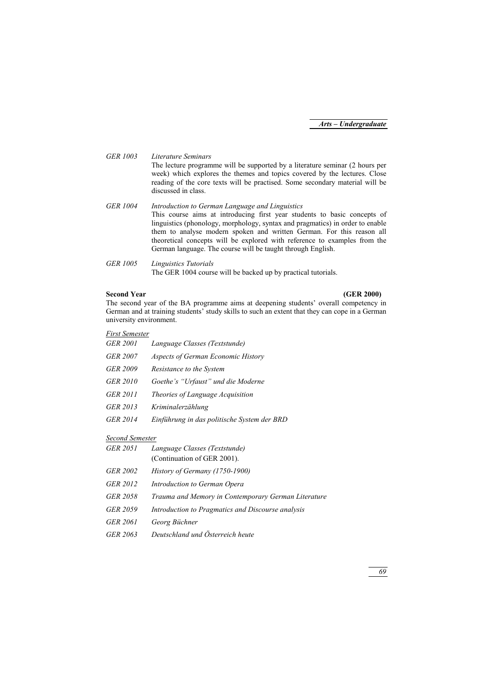### *GER 1003 Literature Seminars*  The lecture programme will be supported by a literature seminar (2 hours per week) which explores the themes and topics covered by the lectures. Close reading of the core texts will be practised. Some secondary material will be discussed in class.

*GER 1004 Introduction to German Language and Linguistics*  This course aims at introducing first year students to basic concepts of linguistics (phonology, morphology, syntax and pragmatics) in order to enable them to analyse modern spoken and written German. For this reason all theoretical concepts will be explored with reference to examples from the German language. The course will be taught through English.

*GER 1005 Linguistics Tutorials*  The GER 1004 course will be backed up by practical tutorials.

#### **Second Year (GER 2000)**

The second year of the BA programme aims at deepening students' overall competency in German and at training students' study skills to such an extent that they can cope in a German university environment.

#### *First Semester*

| <b>GER 2001</b> | Language Classes (Textstunde)               |
|-----------------|---------------------------------------------|
| <b>GER 2007</b> | Aspects of German Economic History          |
| <b>GER 2009</b> | <i>Resistance to the System</i>             |
| <b>GER 2010</b> | Goethe's "Urfaust" und die Moderne          |
| <b>GER 2011</b> | Theories of Language Acquisition            |
| GER 2013        | Kriminalerzählung                           |
| <b>GER 2014</b> | Einführung in das politische System der BRD |

#### *Second Semester*

| <i>GER 2051</i> | Language Classes (Textstunde)<br>(Continuation of GER 2001). |
|-----------------|--------------------------------------------------------------|
| <i>GER 2002</i> | History of Germany (1750-1900)                               |
| <i>GER 2012</i> | Introduction to German Opera                                 |
| <i>GER 2058</i> | Trauma and Memory in Contemporary German Literature          |
| <b>GER 2059</b> | Introduction to Pragmatics and Discourse analysis            |
| <i>GER 2061</i> | Georg Büchner                                                |
| <i>GER 2063</i> | Deutschland und Österreich heute                             |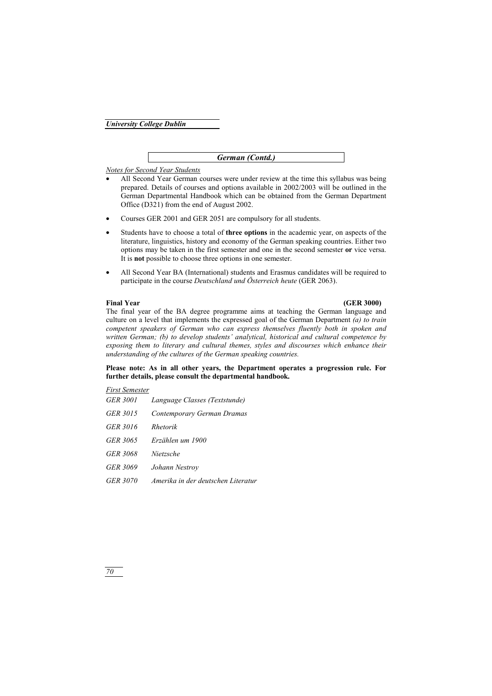### *German (Contd.)*

### *Notes for Second Year Students*

- All Second Year German courses were under review at the time this syllabus was being prepared. Details of courses and options available in 2002/2003 will be outlined in the German Departmental Handbook which can be obtained from the German Department Office (D321) from the end of August 2002.
- Courses GER 2001 and GER 2051 are compulsory for all students.
- Students have to choose a total of **three options** in the academic year, on aspects of the literature, linguistics, history and economy of the German speaking countries. Either two options may be taken in the first semester and one in the second semester **or** vice versa. It is **not** possible to choose three options in one semester.
- All Second Year BA (International) students and Erasmus candidates will be required to participate in the course *Deutschland und Österreich heute* (GER 2063).

#### **Final Year (GER 3000)**

The final year of the BA degree programme aims at teaching the German language and culture on a level that implements the expressed goal of the German Department *(a) to train competent speakers of German who can express themselves fluently both in spoken and written German; (b) to develop students' analytical, historical and cultural competence by exposing them to literary and cultural themes, styles and discourses which enhance their understanding of the cultures of the German speaking countries.*

#### **Please note: As in all other years, the Department operates a progression rule. For further details, please consult the departmental handbook.**

#### *First Semester*

| GER 3001        | Language Classes (Textstunde)      |
|-----------------|------------------------------------|
| GER 3015        | Contemporary German Dramas         |
| <b>GER 3016</b> | Rhetorik                           |
| GER 3065        | Erzählen um 1900                   |
| <b>GER 3068</b> | <i>Nietzsche</i>                   |
| <b>GER 3069</b> | Johann Nestrov                     |
| <b>GER 3070</b> | Amerika in der deutschen Literatur |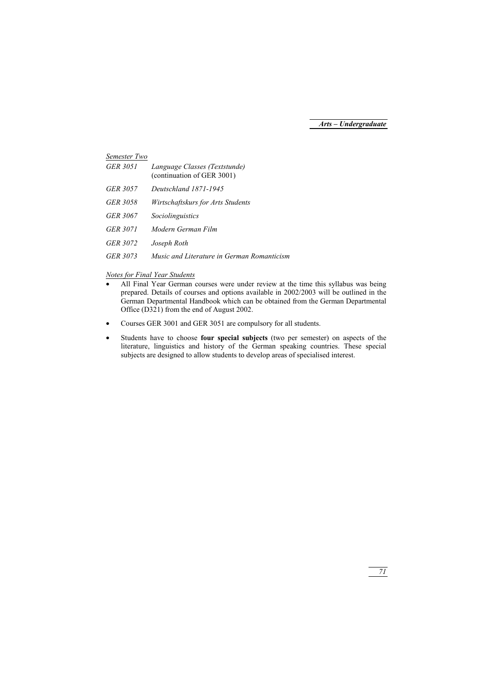#### *Semester Two*

| GER 3051 | Language Classes (Textstunde)<br>(continuation of GER 3001) |
|----------|-------------------------------------------------------------|
| GER 3057 | Deutschland 1871-1945                                       |

- *GER 3058 Wirtschaftskurs for Arts Students*
- *GER 3067 Sociolinguistics*
- *GER 3071 Modern German Film*

*GER 3072 Joseph Roth* 

*GER 3073 Music and Literature in German Romanticism* 

#### *Notes for Final Year Students*

- All Final Year German courses were under review at the time this syllabus was being prepared. Details of courses and options available in 2002/2003 will be outlined in the German Departmental Handbook which can be obtained from the German Departmental Office (D321) from the end of August 2002.
- Courses GER 3001 and GER 3051 are compulsory for all students.
- Students have to choose **four special subjects** (two per semester) on aspects of the literature, linguistics and history of the German speaking countries. These special subjects are designed to allow students to develop areas of specialised interest.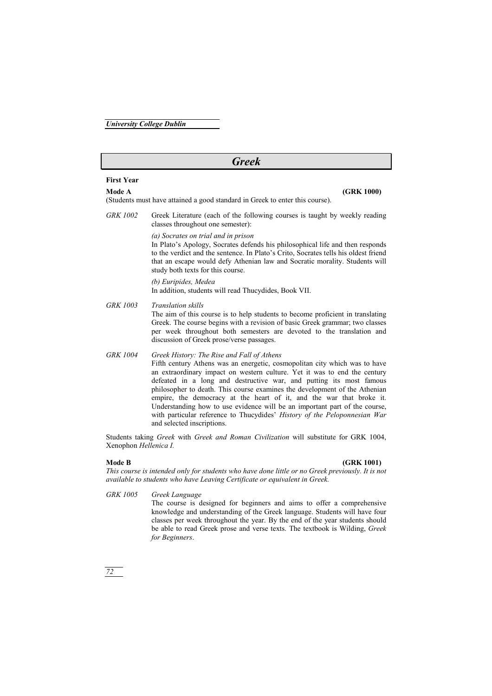# *Greek*

#### **First Year**

### **Mode A (GRK 1000)**

(Students must have attained a good standard in Greek to enter this course).

*GRK 1002* Greek Literature (each of the following courses is taught by weekly reading classes throughout one semester):

### *(a) Socrates on trial and in prison*

 In Plato's Apology, Socrates defends his philosophical life and then responds to the verdict and the sentence. In Plato's Crito, Socrates tells his oldest friend that an escape would defy Athenian law and Socratic morality. Students will study both texts for this course.

 *(b) Euripides, Medea*  In addition, students will read Thucydides, Book VII.

- *GRK 1003 Translation skills*  The aim of this course is to help students to become proficient in translating Greek. The course begins with a revision of basic Greek grammar; two classes per week throughout both semesters are devoted to the translation and discussion of Greek prose/verse passages.
- *GRK 1004 Greek History: The Rise and Fall of Athens*  Fifth century Athens was an energetic, cosmopolitan city which was to have an extraordinary impact on western culture. Yet it was to end the century defeated in a long and destructive war, and putting its most famous philosopher to death. This course examines the development of the Athenian empire, the democracy at the heart of it, and the war that broke it. Understanding how to use evidence will be an important part of the course, with particular reference to Thucydides' *History of the Peloponnesian War* and selected inscriptions.

Students taking *Greek* with *Greek and Roman Civilization* will substitute for GRK 1004, Xenophon *Hellenica I.* 

### **Mode B (GRK 1001)**

*This course is intended only for students who have done little or no Greek previously. It is not available to students who have Leaving Certificate or equivalent in Greek.* 

*GRK 1005 Greek Language* 

 The course is designed for beginners and aims to offer a comprehensive knowledge and understanding of the Greek language. Students will have four classes per week throughout the year. By the end of the year students should be able to read Greek prose and verse texts. The textbook is Wilding, *Greek for Beginners*.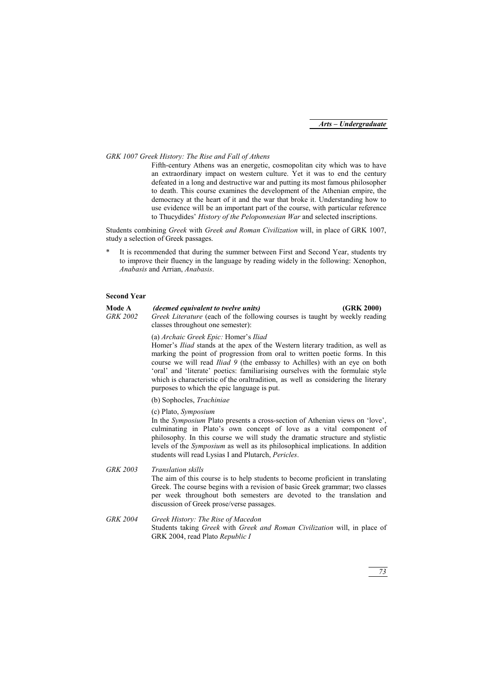# *GRK 1007 Greek History: The Rise and Fall of Athens*

 Fifth-century Athens was an energetic, cosmopolitan city which was to have an extraordinary impact on western culture. Yet it was to end the century defeated in a long and destructive war and putting its most famous philosopher to death. This course examines the development of the Athenian empire, the democracy at the heart of it and the war that broke it. Understanding how to use evidence will be an important part of the course, with particular reference to Thucydides' *History of the Peloponnesian War* and selected inscriptions.

Students combining *Greek* with *Greek and Roman Civilization* will, in place of GRK 1007, study a selection of Greek passages.

\* It is recommended that during the summer between First and Second Year, students try to improve their fluency in the language by reading widely in the following: Xenophon, *Anabasis* and Arrian, *Anabasis*.

## **Second Year**

## **Mode A** *(deemed equivalent to twelve units)* **(GRK 2000)**

*GRK 2002 Greek Literature* (each of the following courses is taught by weekly reading classes throughout one semester):

## (a) *Archaic Greek Epic:* Homer's *Iliad*

 Homer's *Iliad* stands at the apex of the Western literary tradition, as well as marking the point of progression from oral to written poetic forms. In this course we will read *Iliad 9* (the embassy to Achilles) with an eye on both 'oral' and 'literate' poetics: familiarising ourselves with the formulaic style which is characteristic of the oraltradition, as well as considering the literary purposes to which the epic language is put.

(b) Sophocles, *Trachiniae*

## (c) Plato, *Symposium*

 In the *Symposium* Plato presents a cross-section of Athenian views on 'love', culminating in Plato's own concept of love as a vital component of philosophy. In this course we will study the dramatic structure and stylistic levels of the *Symposium* as well as its philosophical implications. In addition students will read Lysias I and Plutarch, *Pericles*.

*GRK 2003 Translation skills*  The aim of this course is to help students to become proficient in translating Greek. The course begins with a revision of basic Greek grammar; two classes per week throughout both semesters are devoted to the translation and discussion of Greek prose/verse passages.

# *GRK 2004 Greek History: The Rise of Macedon*  Students taking *Greek* with *Greek and Roman Civilization* will, in place of GRK 2004, read Plato *Republic I*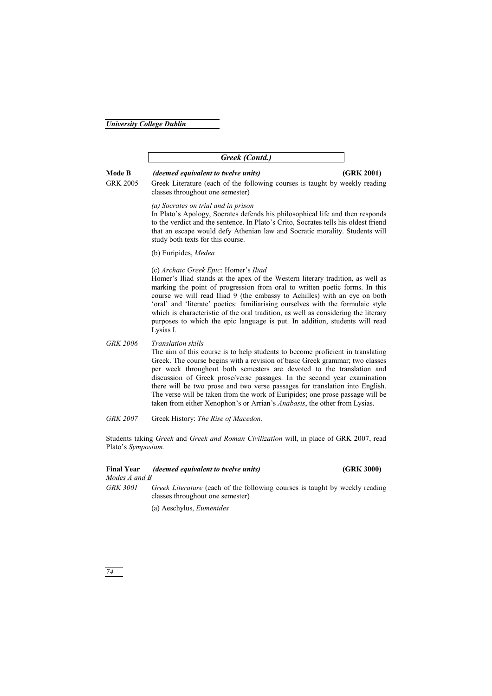# *Greek (Contd.)*

## **Mode B** *(deemed equivalent to twelve units)* **(GRK 2001)**

GRK 2005 Greek Literature (each of the following courses is taught by weekly reading classes throughout one semester)

## *(a) Socrates on trial and in prison*

 In Plato's Apology, Socrates defends his philosophical life and then responds to the verdict and the sentence. In Plato's Crito, Socrates tells his oldest friend that an escape would defy Athenian law and Socratic morality. Students will study both texts for this course.

(b) Euripides, *Medea*

# (c) *Archaic Greek Epic*: Homer's *Iliad*

 Homer's Iliad stands at the apex of the Western literary tradition, as well as marking the point of progression from oral to written poetic forms. In this course we will read Iliad 9 (the embassy to Achilles) with an eye on both 'oral' and 'literate' poetics: familiarising ourselves with the formulaic style which is characteristic of the oral tradition, as well as considering the literary purposes to which the epic language is put. In addition, students will read Lysias I.

# *GRK 2006 Translation skills*

 The aim of this course is to help students to become proficient in translating Greek. The course begins with a revision of basic Greek grammar; two classes per week throughout both semesters are devoted to the translation and discussion of Greek prose/verse passages. In the second year examination there will be two prose and two verse passages for translation into English. The verse will be taken from the work of Euripides; one prose passage will be taken from either Xenophon's or Arrian's *Anabasis*, the other from Lysias.

*GRK 2007* Greek History: *The Rise of Macedon.* 

Students taking *Greek* and *Greek and Roman Civilization* will, in place of GRK 2007, read Plato's *Symposium.* 

# **Final Year** *(deemed equivalent to twelve units)* **(GRK 3000)**  *Modes A and B GRK 3001 Greek Literature* (each of the following courses is taught by weekly reading classes throughout one semester)

(a) Aeschylus, *Eumenides*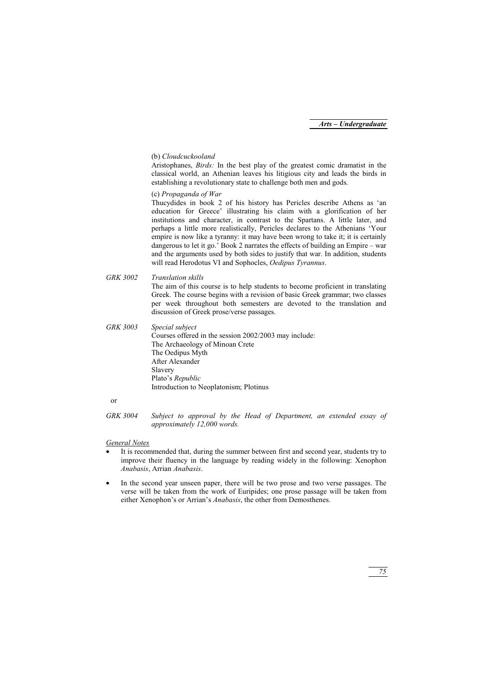# (b) *Cloudcuckooland*

 Aristophanes, *Birds:* In the best play of the greatest comic dramatist in the classical world, an Athenian leaves his litigious city and leads the birds in establishing a revolutionary state to challenge both men and gods.

## (c) *Propaganda of War*

 Thucydides in book 2 of his history has Pericles describe Athens as 'an education for Greece' illustrating his claim with a glorification of her institutions and character, in contrast to the Spartans. A little later, and perhaps a little more realistically, Pericles declares to the Athenians 'Your empire is now like a tyranny: it may have been wrong to take it; it is certainly dangerous to let it go.' Book 2 narrates the effects of building an Empire – war and the arguments used by both sides to justify that war. In addition, students will read Herodotus VI and Sophocles, *Oedipus Tyrannus*.

*GRK 3002 Translation skills* 

 The aim of this course is to help students to become proficient in translating Greek. The course begins with a revision of basic Greek grammar; two classes per week throughout both semesters are devoted to the translation and discussion of Greek prose/verse passages.

*GRK 3003 Special subject*  Courses offered in the session 2002/2003 may include: The Archaeology of Minoan Crete The Oedipus Myth After Alexander Slavery Plato's *Republic* Introduction to Neoplatonism; Plotinus

or

*GRK 3004 Subject to approval by the Head of Department, an extended essay of approximately 12,000 words.* 

# *General Notes*

- It is recommended that, during the summer between first and second year, students try to improve their fluency in the language by reading widely in the following: Xenophon *Anabasis*, Arrian *Anabasis*.
- In the second year unseen paper, there will be two prose and two verse passages. The verse will be taken from the work of Euripides; one prose passage will be taken from either Xenophon's or Arrian's *Anabasis*, the other from Demosthenes.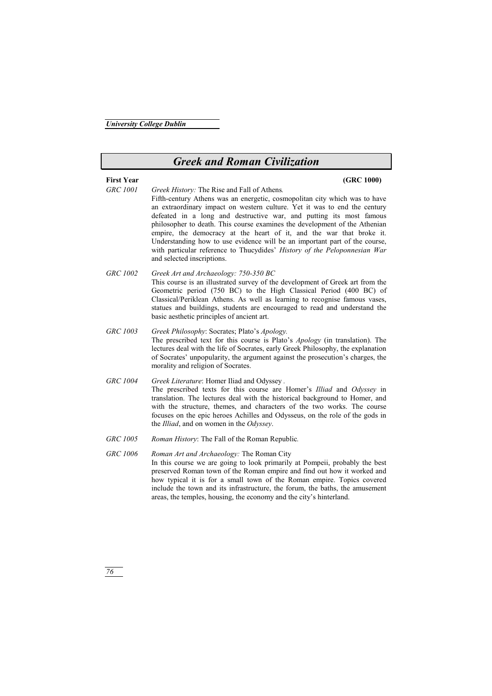# *Greek and Roman Civilization*

### **First Year (GRC 1000)**

*GRC 1001 Greek History:* The Rise and Fall of Athens*.* 

 Fifth-century Athens was an energetic, cosmopolitan city which was to have an extraordinary impact on western culture. Yet it was to end the century defeated in a long and destructive war, and putting its most famous philosopher to death. This course examines the development of the Athenian empire, the democracy at the heart of it, and the war that broke it. Understanding how to use evidence will be an important part of the course, with particular reference to Thucydides' *History of the Peloponnesian War* and selected inscriptions.

*GRC 1002 Greek Art and Archaeology: 750-350 BC*  This course is an illustrated survey of the development of Greek art from the Geometric period (750 BC) to the High Classical Period (400 BC) of Classical/Periklean Athens. As well as learning to recognise famous vases, statues and buildings, students are encouraged to read and understand the basic aesthetic principles of ancient art.

- *GRC 1003 Greek Philosophy*: Socrates; Plato's *Apology.*  The prescribed text for this course is Plato's *Apology* (in translation). The lectures deal with the life of Socrates, early Greek Philosophy, the explanation of Socrates' unpopularity, the argument against the prosecution's charges, the morality and religion of Socrates.
- *GRC 1004 Greek Literature*: Homer Iliad and Odyssey *.*  The prescribed texts for this course are Homer's *Illiad* and *Odyssey* in translation. The lectures deal with the historical background to Homer, and with the structure, themes, and characters of the two works. The course focuses on the epic heroes Achilles and Odysseus, on the role of the gods in the *Illiad*, and on women in the *Odyssey*.
- *GRC 1005 Roman History*: The Fall of the Roman Republic*.*

*GRC 1006 Roman Art and Archaeology:* The Roman City In this course we are going to look primarily at Pompeii, probably the best preserved Roman town of the Roman empire and find out how it worked and how typical it is for a small town of the Roman empire. Topics covered include the town and its infrastructure, the forum, the baths, the amusement areas, the temples, housing, the economy and the city's hinterland.

*76*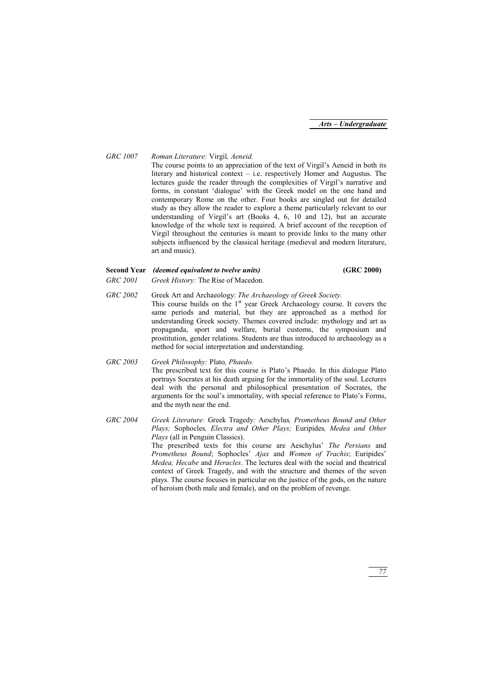*GRC 1007 Roman Literature:* Virgil*, Aeneid.* 

 The course points to an appreciation of the text of Virgil's Aeneid in both its literary and historical context – i.e. respectively Homer and Augustus. The lectures guide the reader through the complexities of Virgil's narrative and forms, in constant 'dialogue' with the Greek model on the one hand and contemporary Rome on the other. Four books are singled out for detailed study as they allow the reader to explore a theme particularly relevant to our understanding of Virgil's art (Books 4, 6, 10 and 12), but an accurate knowledge of the whole text is required. A brief account of the reception of Virgil throughout the centuries is meant to provide links to the many other subjects influenced by the classical heritage (medieval and modern literature, art and music).

# **Second Year** *(deemed equivalent to twelve units)* **(GRC 2000)**

- *GRC 2001 Greek History:* The Rise of Macedon*.*
- *GRC 2002* Greek Art and Archaeology: *The Archaeology of Greek Society.*  This course builds on the  $1<sup>st</sup>$  year Greek Archaeology course. It covers the same periods and material, but they are approached as a method for understanding Greek society. Themes covered include: mythology and art as propaganda, sport and welfare, burial customs, the symposium and prostitution, gender relations. Students are thus introduced to archaeology as a method for social interpretation and understanding.

*GRC 2003 Greek Philosophy:* Plato*, Phaedo.*  The prescribed text for this course is Plato's Phaedo. In this dialogue Plato portrays Socrates at his death arguing for the immortality of the soul. Lectures deal with the personal and philosophical presentation of Socrates, the arguments for the soul's immortality, with special reference to Plato's Forms, and the myth near the end.

*GRC 2004 Greek Literature:* Greek Tragedy*:* Aeschylus*, Prometheus Bound and Other Plays;* Sophocles*, Electra and Other Plays;* Euripides*, Medea and Other Plays* (all in Penguin Classics). The prescribed texts for this course are Aeschylus' *The Persians* and *Prometheus Bound*; Sophocles' *Ajax* and *Women of Trachis*; Euripides' *Medea, Hecabe* and *Heracles*. The lectures deal with the social and theatrical context of Greek Tragedy, and with the structure and themes of the seven plays. The course focuses in particular on the justice of the gods, on the nature of heroism (both male and female), and on the problem of revenge.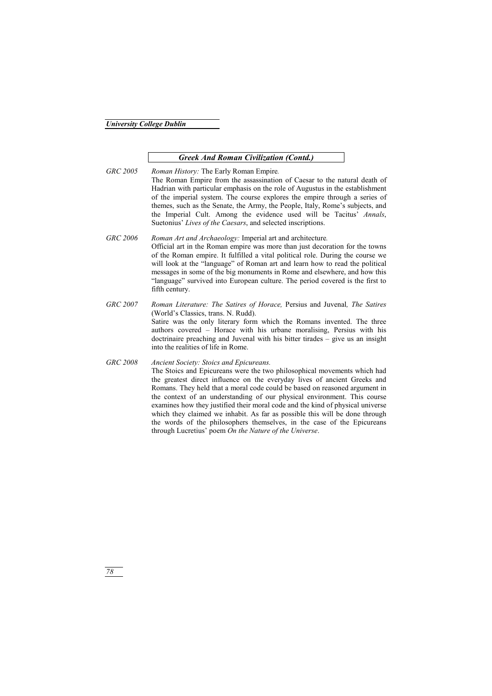# *Greek And Roman Civilization (Contd.)*

*GRC 2005 Roman History:* The Early Roman Empire*.*  The Roman Empire from the assassination of Caesar to the natural death of Hadrian with particular emphasis on the role of Augustus in the establishment of the imperial system. The course explores the empire through a series of themes, such as the Senate, the Army, the People, Italy, Rome's subjects, and the Imperial Cult. Among the evidence used will be Tacitus' *Annals*, Suetonius' *Lives of the Caesars*, and selected inscriptions.

*GRC 2006 Roman Art and Archaeology:* Imperial art and architecture*.*  Official art in the Roman empire was more than just decoration for the towns of the Roman empire. It fulfilled a vital political role. During the course we will look at the "language" of Roman art and learn how to read the political messages in some of the big monuments in Rome and elsewhere, and how this "language" survived into European culture. The period covered is the first to fifth century.

*GRC 2007 Roman Literature: The Satires of Horace,* Persius and Juvenal*, The Satires*  (World's Classics, trans. N. Rudd). Satire was the only literary form which the Romans invented. The three authors covered – Horace with his urbane moralising, Persius with his doctrinaire preaching and Juvenal with his bitter tirades – give us an insight into the realities of life in Rome.

*GRC 2008 Ancient Society: Stoics and Epicureans.*  The Stoics and Epicureans were the two philosophical movements which had the greatest direct influence on the everyday lives of ancient Greeks and Romans. They held that a moral code could be based on reasoned argument in the context of an understanding of our physical environment. This course examines how they justified their moral code and the kind of physical universe which they claimed we inhabit. As far as possible this will be done through the words of the philosophers themselves, in the case of the Epicureans through Lucretius' poem *On the Nature of the Universe*.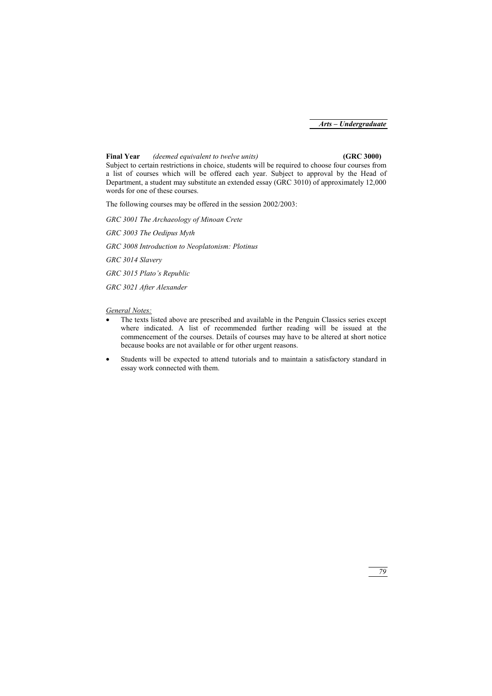# **Final Year** *(deemed equivalent to twelve units)* **(GRC 3000)**

# Subject to certain restrictions in choice, students will be required to choose four courses from a list of courses which will be offered each year. Subject to approval by the Head of Department, a student may substitute an extended essay (GRC 3010) of approximately 12,000 words for one of these courses.

The following courses may be offered in the session 2002/2003:

*GRC 3001 The Archaeology of Minoan Crete GRC 3003 The Oedipus Myth GRC 3008 Introduction to Neoplatonism: Plotinus GRC 3014 Slavery GRC 3015 Plato's Republic GRC 3021 After Alexander* 

# *General Notes:*

- The texts listed above are prescribed and available in the Penguin Classics series except where indicated. A list of recommended further reading will be issued at the commencement of the courses. Details of courses may have to be altered at short notice because books are not available or for other urgent reasons.
- Students will be expected to attend tutorials and to maintain a satisfactory standard in essay work connected with them.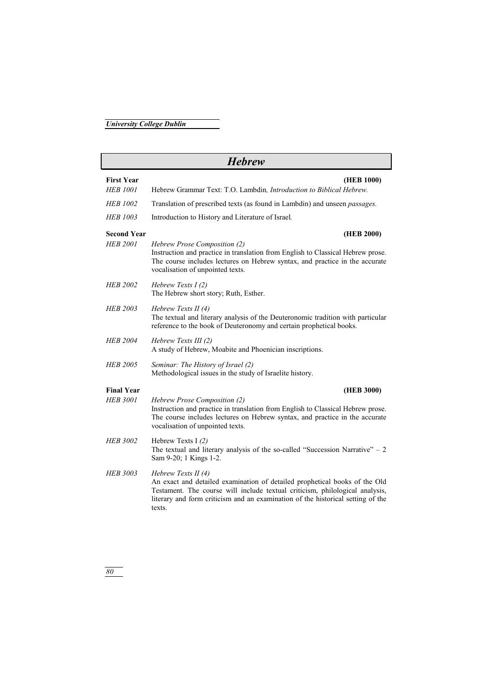# *Hebrew*

| <b>First Year</b>                     | (HEB 1000)                                                                                                                                                                                                                                                                     |
|---------------------------------------|--------------------------------------------------------------------------------------------------------------------------------------------------------------------------------------------------------------------------------------------------------------------------------|
| <b>HEB</b> 1001                       | Hebrew Grammar Text: T.O. Lambdin, <i>Introduction to Biblical Hebrew</i> .                                                                                                                                                                                                    |
| <b>HEB</b> 1002                       | Translation of prescribed texts (as found in Lambdin) and unseen <i>passages</i> .                                                                                                                                                                                             |
| <b>HEB</b> 1003                       | Introduction to History and Literature of Israel.                                                                                                                                                                                                                              |
| <b>Second Year</b><br><b>HEB 2001</b> | (HEB 2000)<br>Hebrew Prose Composition (2)<br>Instruction and practice in translation from English to Classical Hebrew prose.<br>The course includes lectures on Hebrew syntax, and practice in the accurate                                                                   |
|                                       | vocalisation of unpointed texts.                                                                                                                                                                                                                                               |
| <b>HEB 2002</b>                       | Hebrew Texts $I(2)$<br>The Hebrew short story; Ruth, Esther.                                                                                                                                                                                                                   |
| <b>HEB 2003</b>                       | Hebrew Texts II (4)<br>The textual and literary analysis of the Deuteronomic tradition with particular<br>reference to the book of Deuteronomy and certain prophetical books.                                                                                                  |
| <b>HEB 2004</b>                       | Hebrew Texts III (2)<br>A study of Hebrew, Moabite and Phoenician inscriptions.                                                                                                                                                                                                |
| <b>HEB 2005</b>                       | Seminar: The History of Israel (2)<br>Methodological issues in the study of Israelite history.                                                                                                                                                                                 |
| <b>Final Year</b>                     | (HEB 3000)                                                                                                                                                                                                                                                                     |
| <b>HEB 3001</b>                       | Hebrew Prose Composition (2)<br>Instruction and practice in translation from English to Classical Hebrew prose.<br>The course includes lectures on Hebrew syntax, and practice in the accurate<br>vocalisation of unpointed texts.                                             |
| <b>HEB 3002</b>                       | Hebrew Texts I $(2)$<br>The textual and literary analysis of the so-called "Succession Narrative" $-2$<br>Sam 9-20; 1 Kings 1-2.                                                                                                                                               |
| <b>HEB 3003</b>                       | Hebrew Texts II (4)<br>An exact and detailed examination of detailed prophetical books of the Old<br>Testament. The course will include textual criticism, philological analysis,<br>literary and form criticism and an examination of the historical setting of the<br>texts. |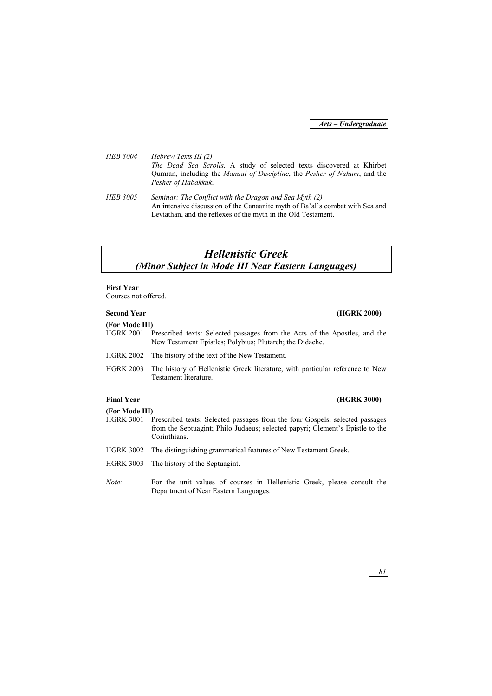# *HEB 3004 Hebrew Texts III (2) The Dead Sea Scrolls*. A study of selected texts discovered at Khirbet Qumran, including the *Manual of Discipline*, the *Pesher of Nahum*, and the *Pesher of Habakkuk*.

*HEB 3005 Seminar: The Conflict with the Dragon and Sea Myth (2)*  An intensive discussion of the Canaanite myth of Ba'al's combat with Sea and Leviathan, and the reflexes of the myth in the Old Testament.

# *Hellenistic Greek (Minor Subject in Mode III Near Eastern Languages)*

## **First Year**

Courses not offered.

### **Second Year (HGRK 2000)**

**(For Mode III)** 

- HGRK 2001 Prescribed texts: Selected passages from the Acts of the Apostles, and the New Testament Epistles; Polybius; Plutarch; the Didache.
- HGRK 2002 The history of the text of the New Testament.
- HGRK 2003 The history of Hellenistic Greek literature, with particular reference to New Testament literature.

## **Final Year (HGRK 3000)**

## **(For Mode III)**

- HGRK 3001 Prescribed texts: Selected passages from the four Gospels; selected passages from the Septuagint; Philo Judaeus; selected papyri; Clement's Epistle to the Corinthians.
- HGRK 3002 The distinguishing grammatical features of New Testament Greek.
- HGRK 3003 The history of the Septuagint.
- *Note:* For the unit values of courses in Hellenistic Greek, please consult the Department of Near Eastern Languages.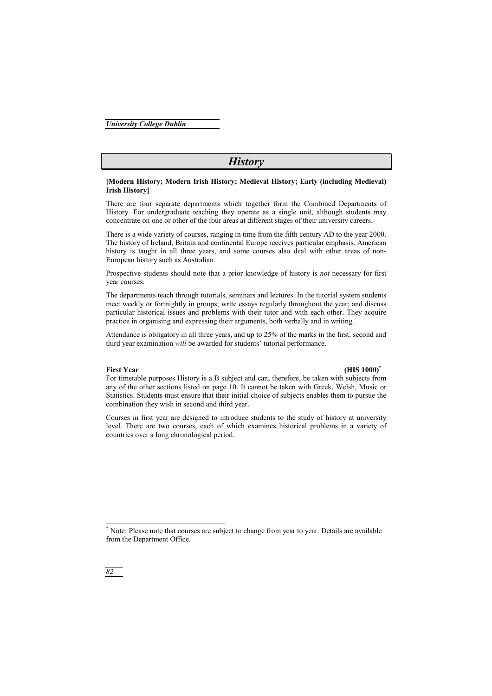*University College Dublin*

# *History*

# **[Modern History; Modern Irish History; Medieval History; Early (including Medieval) Irish History]**

There are four separate departments which together form the Combined Departments of History. For undergraduate teaching they operate as a single unit, although students may concentrate on one or other of the four areas at different stages of their university careers.

There is a wide variety of courses, ranging in time from the fifth century AD to the year 2000. The history of Ireland, Britain and continental Europe receives particular emphasis. American history is taught in all three years, and some courses also deal with other areas of non-European history such as Australian.

Prospective students should note that a prior knowledge of history is *not* necessary for first year courses.

The departments teach through tutorials, seminars and lectures. In the tutorial system students meet weekly or fortnightly in groups; write essays regularly throughout the year; and discuss particular historical issues and problems with their tutor and with each other. They acquire practice in organising and expressing their arguments, both verbally and in writing.

Attendance is obligatory in all three years, and up to 25% of the marks in the first, second and third year examination *will* be awarded for students' tutorial performance.

# **First Year (HIS 1000)\***

For timetable purposes History is a B subject and can, therefore, be taken with subjects from any of the other sections listed on page 10. It cannot be taken with Greek, Welsh, Music or Statistics. Students must ensure that their initial choice of subjects enables them to pursue the combination they wish in second and third year.

Courses in first year are designed to introduce students to the study of history at university level. There are two courses, each of which examines historical problems in a variety of countries over a long chronological period.

 $\overline{a}$ 

<sup>\*</sup> Note: Please note that courses are subject to change from year to year. Details are available from the Department Office.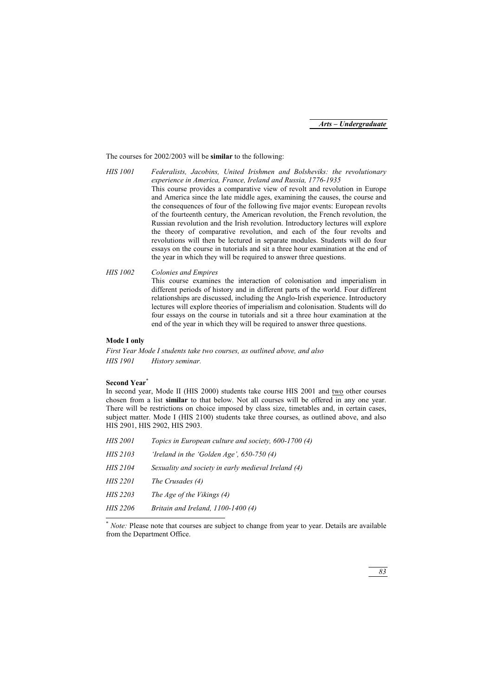The courses for 2002/2003 will be **similar** to the following:

- *HIS 1001 Federalists, Jacobins, United Irishmen and Bolsheviks: the revolutionary experience in America, France, Ireland and Russia, 1776-1935*  This course provides a comparative view of revolt and revolution in Europe and America since the late middle ages, examining the causes, the course and the consequences of four of the following five major events: European revolts of the fourteenth century, the American revolution, the French revolution, the Russian revolution and the Irish revolution. Introductory lectures will explore the theory of comparative revolution, and each of the four revolts and revolutions will then be lectured in separate modules. Students will do four essays on the course in tutorials and sit a three hour examination at the end of the year in which they will be required to answer three questions.
- *HIS 1002 Colonies and Empires*  This course examines the interaction of colonisation and imperialism in different periods of history and in different parts of the world. Four different relationships are discussed, including the Anglo-Irish experience. Introductory lectures will explore theories of imperialism and colonisation. Students will do four essays on the course in tutorials and sit a three hour examination at the end of the year in which they will be required to answer three questions.

## **Mode I only**

*First Year Mode I students take two courses, as outlined above, and also HIS 1901 History seminar.* 

# **Second Year\***

 $\overline{a}$ 

In second year, Mode II (HIS 2000) students take course HIS 2001 and two other courses chosen from a list **similar** to that below. Not all courses will be offered in any one year. There will be restrictions on choice imposed by class size, timetables and, in certain cases, subject matter. Mode I (HIS 2100) students take three courses, as outlined above, and also HIS 2901, HIS 2902, HIS 2903.

| <i>HIS 2001</i> | Topics in European culture and society, 600-1700 (4) |
|-----------------|------------------------------------------------------|
| <i>HIS 2103</i> | 'Ireland in the 'Golden Age', $650-750$ (4)          |
| <i>HIS 2104</i> | Sexuality and society in early medieval Ireland (4)  |
| <i>HIS 2201</i> | The Crusades (4)                                     |
| <i>HIS 2203</i> | The Age of the Vikings (4)                           |
| <i>HIS 2206</i> | Britain and Ireland, $1100-1400(4)$                  |

*Note:* Please note that courses are subject to change from year to year. Details are available from the Department Office.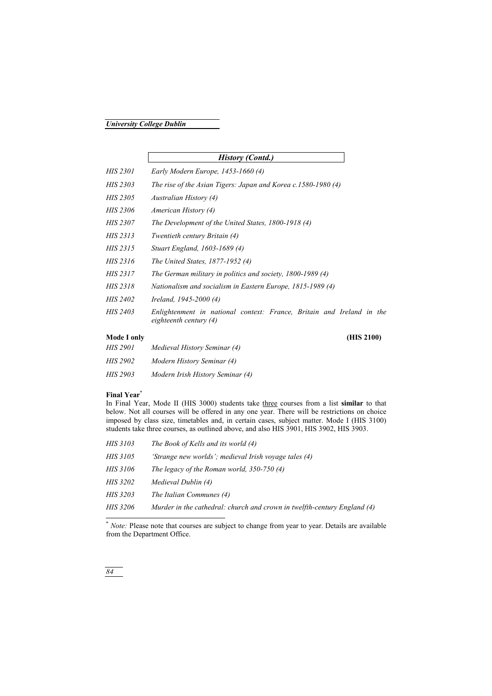# *History (Contd.)*

- *HIS 2301 Early Modern Europe, 1453-1660 (4)*
- *HIS 2303 The rise of the Asian Tigers: Japan and Korea c.1580-1980 (4)*
- *HIS 2305 Australian History (4)*
- *HIS 2306 American History (4)*
- *HIS 2307 The Development of the United States, 1800-1918 (4)*
- *HIS 2313 Twentieth century Britain (4)*
- *HIS 2315 Stuart England, 1603-1689 (4)*
- *HIS 2316 The United States, 1877-1952 (4)*
- *HIS 2317 The German military in politics and society, 1800-1989 (4)*
- *HIS 2318 Nationalism and socialism in Eastern Europe, 1815-1989 (4)*
- *HIS 2402 Ireland, 1945-2000 (4)*
- *HIS 2403 Enlightenment in national context: France, Britain and Ireland in the eighteenth century (4)*

# **Mode I only (HIS 2100)**

| HIS 2901        | Medieval History Seminar (4)     |
|-----------------|----------------------------------|
| <i>HIS 2902</i> | Modern History Seminar (4)       |
| HIS 2903        | Modern Irish History Seminar (4) |

# **Final Year\***

In Final Year, Mode II (HIS 3000) students take three courses from a list **similar** to that below. Not all courses will be offered in any one year. There will be restrictions on choice imposed by class size, timetables and, in certain cases, subject matter. Mode I (HIS 3100) students take three courses, as outlined above, and also HIS 3901, HIS 3902, HIS 3903.

| HIS 3103        | The Book of Kells and its world (4)                                      |
|-----------------|--------------------------------------------------------------------------|
| HIS 3105        | 'Strange new worlds'; medieval Irish voyage tales (4)                    |
| <i>HIS 3106</i> | The legacy of the Roman world, $350-750(4)$                              |
| <i>HIS 3202</i> | Medieval Dublin (4)                                                      |
| <i>HIS 3203</i> | The Italian Communes (4)                                                 |
| <i>HIS 3206</i> | Murder in the cathedral: church and crown in twelfth-century England (4) |

*Note:* Please note that courses are subject to change from year to year. Details are available from the Department Office.

 $\overline{a}$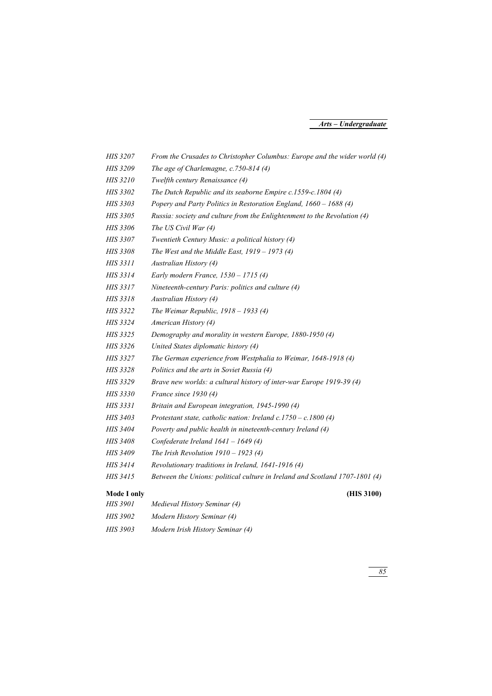- *HIS 3207 From the Crusades to Christopher Columbus: Europe and the wider world (4)*
- *HIS 3209 The age of Charlemagne, c.750-814 (4)*
- *HIS 3210 Twelfth century Renaissance (4)*
- *HIS 3302 The Dutch Republic and its seaborne Empire c.1559-c.1804 (4)*
- *HIS 3303 Popery and Party Politics in Restoration England, 1660 1688 (4)*
- *HIS 3305 Russia: society and culture from the Enlightenment to the Revolution (4)*
- *HIS 3306 The US Civil War (4)*
- *HIS 3307 Twentieth Century Music: a political history (4)*
- *HIS 3308 The West and the Middle East, 1919 1973 (4)*
- *HIS 3311 Australian History (4)*
- *HIS 3314 Early modern France, 1530 1715 (4)*
- *HIS 3317 Nineteenth-century Paris: politics and culture (4)*
- *HIS 3318 Australian History (4)*
- *HIS 3322 The Weimar Republic, 1918 1933 (4)*
- *HIS 3324 American History (4)*
- *HIS 3325 Demography and morality in western Europe, 1880-1950 (4)*
- *HIS 3326 United States diplomatic history (4)*
- *HIS 3327 The German experience from Westphalia to Weimar, 1648-1918 (4)*
- *HIS 3328 Politics and the arts in Soviet Russia (4)*
- *HIS 3329 Brave new worlds: a cultural history of inter-war Europe 1919-39 (4)*
- *HIS 3330 France since 1930 (4)*
- *HIS 3331 Britain and European integration, 1945-1990 (4)*
- *HIS 3403 Protestant state, catholic nation: Ireland c.1750 c.1800 (4)*
- *HIS 3404 Poverty and public health in nineteenth-century Ireland (4)*
- *HIS 3408 Confederate Ireland 1641 1649 (4)*
- *HIS 3409 The Irish Revolution 1910 1923 (4)*
- *HIS 3414 Revolutionary traditions in Ireland, 1641-1916 (4)*
- *HIS 3415 Between the Unions: political culture in Ireland and Scotland 1707-1801 (4)*

# **Mode I only (HIS 3100)**

- *HIS 3901 Medieval History Seminar (4)*
- *HIS 3902 Modern History Seminar (4)*
- *HIS 3903 Modern Irish History Seminar (4)*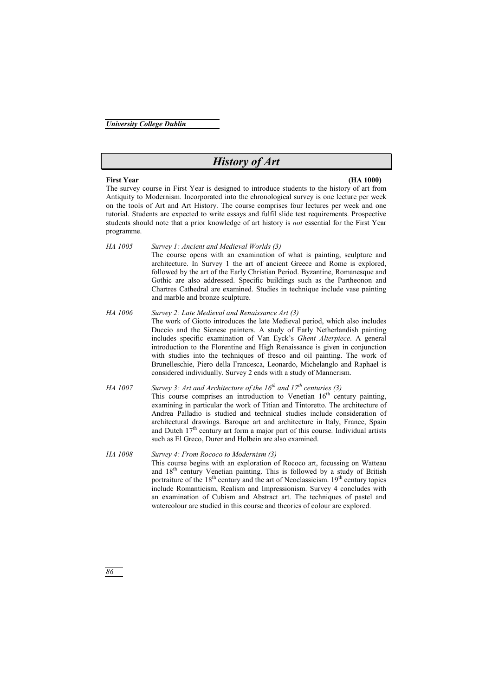# *History of Art*

### **First Year (HA 1000)**

The survey course in First Year is designed to introduce students to the history of art from Antiquity to Modernism. Incorporated into the chronological survey is one lecture per week on the tools of Art and Art History. The course comprises four lectures per week and one tutorial. Students are expected to write essays and fulfil slide test requirements. Prospective students should note that a prior knowledge of art history is *not* essential for the First Year programme.

- *HA 1005 Survey 1: Ancient and Medieval Worlds (3)*  The course opens with an examination of what is painting, sculpture and architecture. In Survey 1 the art of ancient Greece and Rome is explored, followed by the art of the Early Christian Period. Byzantine, Romanesque and Gothic are also addressed. Specific buildings such as the Partheonon and Chartres Cathedral are examined. Studies in technique include vase painting and marble and bronze sculpture.
- *HA 1006 Survey 2: Late Medieval and Renaissance Art (3)*  The work of Giotto introduces the late Medieval period, which also includes Duccio and the Sienese painters. A study of Early Netherlandish painting includes specific examination of Van Eyck's *Ghent Alterpiece*. A general introduction to the Florentine and High Renaissance is given in conjunction with studies into the techniques of fresco and oil painting. The work of Brunelleschie, Piero della Francesca, Leonardo, Michelanglo and Raphael is considered individually. Survey 2 ends with a study of Mannerism.

*HA 1007 Survey 3: Art and Architecture of the 16th and 17th centuries (3)*  This course comprises an introduction to Venetian  $16<sup>th</sup>$  century painting, examining in particular the work of Titian and Tintoretto. The architecture of Andrea Palladio is studied and technical studies include consideration of architectural drawings. Baroque art and architecture in Italy, France, Spain and Dutch  $17<sup>th</sup>$  century art form a major part of this course. Individual artists such as El Greco, Durer and Holbein are also examined.

*HA 1008 Survey 4: From Rococo to Modernism (3)*  This course begins with an exploration of Rococo art, focussing on Watteau and  $18<sup>th</sup>$  century Venetian painting. This is followed by a study of British portraiture of the  $18<sup>th</sup>$  century and the art of Neoclassicism.  $19<sup>th</sup>$  century topics include Romanticism, Realism and Impressionism. Survey 4 concludes with an examination of Cubism and Abstract art. The techniques of pastel and watercolour are studied in this course and theories of colour are explored.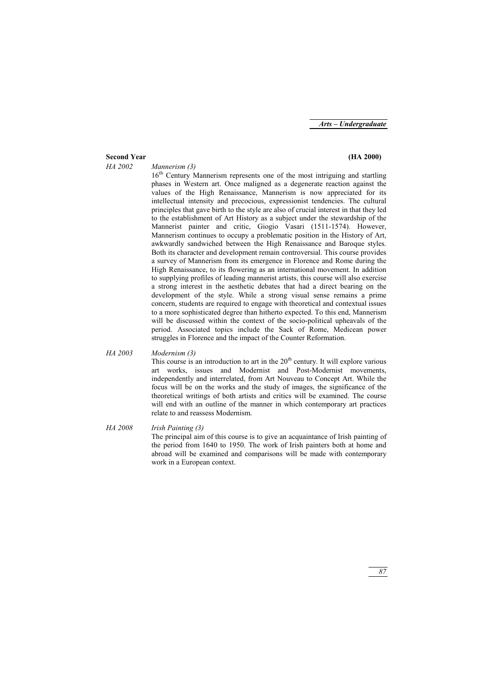## **Second Year (HA 2000)**

*HA 2002 Mannerism (3)* 

16<sup>th</sup> Century Mannerism represents one of the most intriguing and startling phases in Western art. Once maligned as a degenerate reaction against the values of the High Renaissance, Mannerism is now appreciated for its intellectual intensity and precocious, expressionist tendencies. The cultural principles that gave birth to the style are also of crucial interest in that they led to the establishment of Art History as a subject under the stewardship of the Mannerist painter and critic, Giogio Vasari (1511-1574). However, Mannerism continues to occupy a problematic position in the History of Art, awkwardly sandwiched between the High Renaissance and Baroque styles. Both its character and development remain controversial. This course provides a survey of Mannerism from its emergence in Florence and Rome during the High Renaissance, to its flowering as an international movement. In addition to supplying profiles of leading mannerist artists, this course will also exercise a strong interest in the aesthetic debates that had a direct bearing on the development of the style. While a strong visual sense remains a prime concern, students are required to engage with theoretical and contextual issues to a more sophisticated degree than hitherto expected. To this end, Mannerism will be discussed within the context of the socio-political upheavals of the period. Associated topics include the Sack of Rome, Medicean power struggles in Florence and the impact of the Counter Reformation.

## *HA 2003 Modernism (3)*

This course is an introduction to art in the  $20<sup>th</sup>$  century. It will explore various art works, issues and Modernist and Post-Modernist movements, independently and interrelated, from Art Nouveau to Concept Art. While the focus will be on the works and the study of images, the significance of the theoretical writings of both artists and critics will be examined. The course will end with an outline of the manner in which contemporary art practices relate to and reassess Modernism.

*HA 2008 Irish Painting (3)*  The principal aim of this course is to give an acquaintance of Irish painting of the period from 1640 to 1950. The work of Irish painters both at home and abroad will be examined and comparisons will be made with contemporary work in a European context.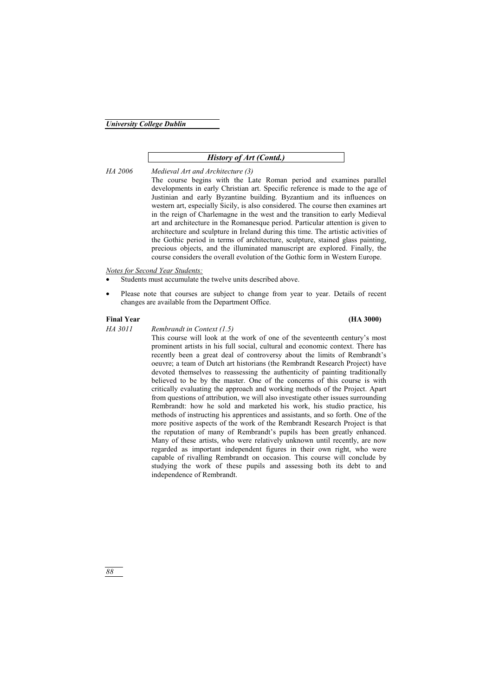# *History of Art (Contd.)*

*HA 2006 Medieval Art and Architecture (3)* 

 The course begins with the Late Roman period and examines parallel developments in early Christian art. Specific reference is made to the age of Justinian and early Byzantine building. Byzantium and its influences on western art, especially Sicily, is also considered. The course then examines art in the reign of Charlemagne in the west and the transition to early Medieval art and architecture in the Romanesque period. Particular attention is given to architecture and sculpture in Ireland during this time. The artistic activities of the Gothic period in terms of architecture, sculpture, stained glass painting, precious objects, and the illuminated manuscript are explored. Finally, the course considers the overall evolution of the Gothic form in Western Europe.

### *Notes for Second Year Students:*

- Students must accumulate the twelve units described above.
- Please note that courses are subject to change from year to year. Details of recent changes are available from the Department Office.

### **Final Year (HA 3000)**

*HA 3011 Rembrandt in Context (1.5)* 

 This course will look at the work of one of the seventeenth century's most prominent artists in his full social, cultural and economic context. There has recently been a great deal of controversy about the limits of Rembrandt's oeuvre; a team of Dutch art historians (the Rembrandt Research Project) have devoted themselves to reassessing the authenticity of painting traditionally believed to be by the master. One of the concerns of this course is with critically evaluating the approach and working methods of the Project. Apart from questions of attribution, we will also investigate other issues surrounding Rembrandt: how he sold and marketed his work, his studio practice, his methods of instructing his apprentices and assistants, and so forth. One of the more positive aspects of the work of the Rembrandt Research Project is that the reputation of many of Rembrandt's pupils has been greatly enhanced. Many of these artists, who were relatively unknown until recently, are now regarded as important independent figures in their own right, who were capable of rivalling Rembrandt on occasion. This course will conclude by studying the work of these pupils and assessing both its debt to and independence of Rembrandt.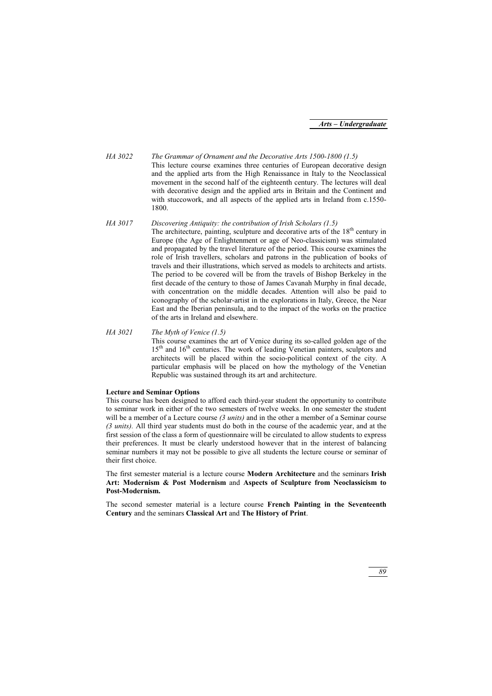- *HA 3022 The Grammar of Ornament and the Decorative Arts 1500-1800 (1.5)*  This lecture course examines three centuries of European decorative design and the applied arts from the High Renaissance in Italy to the Neoclassical movement in the second half of the eighteenth century. The lectures will deal with decorative design and the applied arts in Britain and the Continent and with stuccowork, and all aspects of the applied arts in Ireland from c.1550-1800.
- *HA 3017 Discovering Antiquity: the contribution of Irish Scholars (1.5)*  The architecture, painting, sculpture and decorative arts of the  $18<sup>th</sup>$  century in Europe (the Age of Enlightenment or age of Neo-classicism) was stimulated and propagated by the travel literature of the period. This course examines the role of Irish travellers, scholars and patrons in the publication of books of travels and their illustrations, which served as models to architects and artists. The period to be covered will be from the travels of Bishop Berkeley in the first decade of the century to those of James Cavanah Murphy in final decade, with concentration on the middle decades. Attention will also be paid to iconography of the scholar-artist in the explorations in Italy, Greece, the Near East and the Iberian peninsula, and to the impact of the works on the practice of the arts in Ireland and elsewhere.
- *HA 3021 The Myth of Venice (1.5)*  This course examines the art of Venice during its so-called golden age of the 15<sup>th</sup> and 16<sup>th</sup> centuries. The work of leading Venetian painters, sculptors and architects will be placed within the socio-political context of the city. A particular emphasis will be placed on how the mythology of the Venetian Republic was sustained through its art and architecture.

# **Lecture and Seminar Options**

This course has been designed to afford each third-year student the opportunity to contribute to seminar work in either of the two semesters of twelve weeks. In one semester the student will be a member of a Lecture course *(3 units)* and in the other a member of a Seminar course *(3 units).* All third year students must do both in the course of the academic year, and at the first session of the class a form of questionnaire will be circulated to allow students to express their preferences. It must be clearly understood however that in the interest of balancing seminar numbers it may not be possible to give all students the lecture course or seminar of their first choice.

The first semester material is a lecture course **Modern Architecture** and the seminars **Irish Art: Modernism & Post Modernism** and **Aspects of Sculpture from Neoclassicism to Post-Modernism.** 

The second semester material is a lecture course **French Painting in the Seventeenth Century** and the seminars **Classical Art** and **The History of Print**.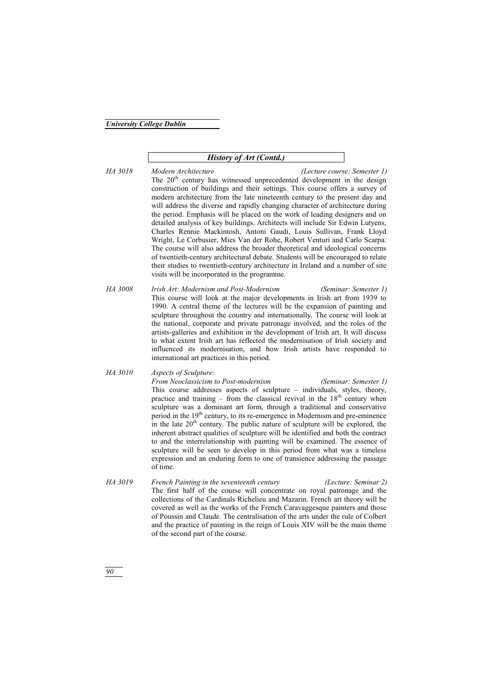# *History of Art (Contd.)*

*HA 3018 Modern Architecture (Lecture course: Semester 1)*  The 20<sup>th</sup> century has witnessed unprecedented development in the design construction of buildings and their settings. This course offers a survey of modern architecture from the late nineteenth century to the present day and will address the diverse and rapidly changing character of architecture during the period. Emphasis will be placed on the work of leading designers and on detailed analysis of key buildings. Architects will include Sir Edwin Lutyens, Charles Rennie Mackintosh, Antoni Gaudi, Louis Sullivan, Frank Lloyd Wright, Le Corbusier, Mies Van der Rohe, Robert Venturi and Carlo Scarpa. The course will also address the broader theoretical and ideological concerns of twentieth-century architectural debate. Students will be encouraged to relate their studies to twentieth-century architecture in Ireland and a number of site visits will be incorporated in the programme.

*HA 3008 Irish Art: Modernism and Post-Modernism (Seminar: Semester 1)*  This course will look at the major developments in Irish art from 1939 to 1990. A central theme of the lectures will be the expansion of painting and sculpture throughout the country and internationally. The course will look at the national, corporate and private patronage involved, and the roles of the artists-galleries and exhibition in the development of Irish art. It will discuss to what extent Irish art has reflected the modernisation of Irish society and influenced its modernisation, and how Irish artists have responded to international art practices in this period.

*HA 3010 Aspects of Sculpture:* 

*From Neoclassicism to Post-modernism (Seminar: Semester 1)*  This course addresses aspects of sculpture – individuals, styles, theory, practice and training – from the classical revival in the  $18<sup>th</sup>$  century when sculpture was a dominant art form, through a traditional and conservative period in the 19<sup>th</sup> century, to its re-emergence in Modernism and pre-eminence in the late  $20<sup>th</sup>$  century. The public nature of sculpture will be explored, the inherent abstract qualities of sculpture will be identified and both the contract to and the interrelationship with painting will be examined. The essence of sculpture will be seen to develop in this period from what was a timeless expression and an enduring form to one of transience addressing the passage of time.

*HA 3019 French Painting in the seventeenth century (Lecture: Seminar 2)*  The first half of the course will concentrate on royal patronage and the collections of the Cardinals Richelieu and Mazarin. French art theory will be covered as well as the works of the French Caravaggesque painters and those of Poussin and Claude. The centralisation of the arts under the rule of Colbert and the practice of painting in the reign of Louis XIV will be the main theme of the second part of the course.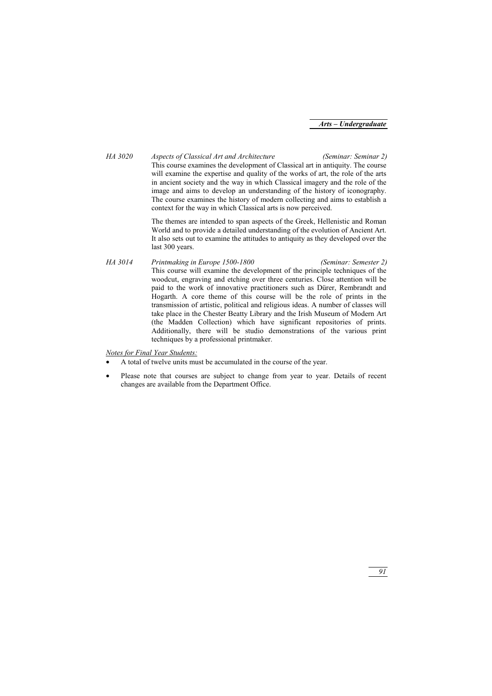*HA 3020 Aspects of Classical Art and Architecture (Seminar: Seminar 2)*  This course examines the development of Classical art in antiquity. The course will examine the expertise and quality of the works of art, the role of the arts in ancient society and the way in which Classical imagery and the role of the image and aims to develop an understanding of the history of iconography. The course examines the history of modern collecting and aims to establish a context for the way in which Classical arts is now perceived.

> The themes are intended to span aspects of the Greek, Hellenistic and Roman World and to provide a detailed understanding of the evolution of Ancient Art. It also sets out to examine the attitudes to antiquity as they developed over the last 300 years.

*HA 3014 Printmaking in Europe 1500-1800 (Seminar: Semester 2)*  This course will examine the development of the principle techniques of the woodcut, engraving and etching over three centuries. Close attention will be paid to the work of innovative practitioners such as Dürer, Rembrandt and Hogarth. A core theme of this course will be the role of prints in the transmission of artistic, political and religious ideas. A number of classes will take place in the Chester Beatty Library and the Irish Museum of Modern Art (the Madden Collection) which have significant repositories of prints. Additionally, there will be studio demonstrations of the various print techniques by a professional printmaker.

# *Notes for Final Year Students:*

- A total of twelve units must be accumulated in the course of the year.
- Please note that courses are subject to change from year to year. Details of recent changes are available from the Department Office.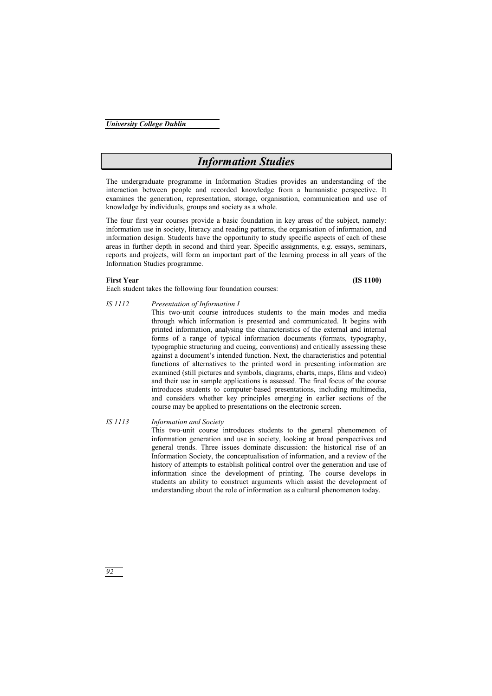# *Information Studies*

The undergraduate programme in Information Studies provides an understanding of the interaction between people and recorded knowledge from a humanistic perspective. It examines the generation, representation, storage, organisation, communication and use of knowledge by individuals, groups and society as a whole.

The four first year courses provide a basic foundation in key areas of the subject, namely: information use in society, literacy and reading patterns, the organisation of information, and information design. Students have the opportunity to study specific aspects of each of these areas in further depth in second and third year. Specific assignments, e.g. essays, seminars, reports and projects, will form an important part of the learning process in all years of the Information Studies programme.

# **First Year (IS 1100)**

Each student takes the following four foundation courses:

*IS 1112 Presentation of Information I* 

 This two-unit course introduces students to the main modes and media through which information is presented and communicated. It begins with printed information, analysing the characteristics of the external and internal forms of a range of typical information documents (formats, typography, typographic structuring and cueing, conventions) and critically assessing these against a document's intended function. Next, the characteristics and potential functions of alternatives to the printed word in presenting information are examined (still pictures and symbols, diagrams, charts, maps, films and video) and their use in sample applications is assessed. The final focus of the course introduces students to computer-based presentations, including multimedia, and considers whether key principles emerging in earlier sections of the course may be applied to presentations on the electronic screen.

# *IS 1113 Information and Society*

 This two-unit course introduces students to the general phenomenon of information generation and use in society, looking at broad perspectives and general trends. Three issues dominate discussion: the historical rise of an Information Society, the conceptualisation of information, and a review of the history of attempts to establish political control over the generation and use of information since the development of printing. The course develops in students an ability to construct arguments which assist the development of understanding about the role of information as a cultural phenomenon today.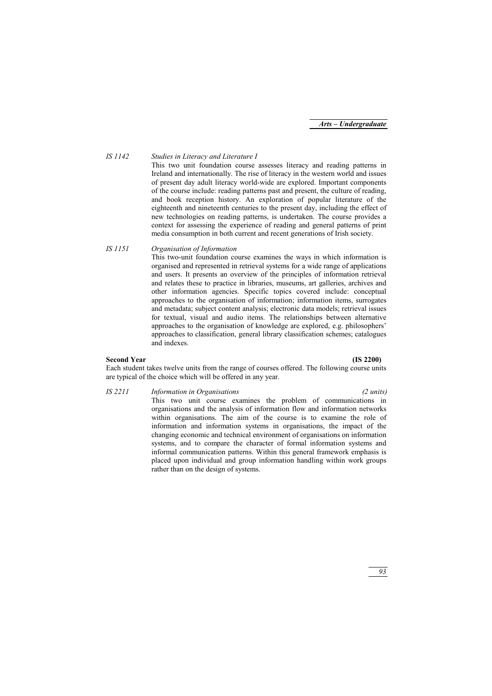# *IS 1142 Studies in Literacy and Literature I*

 This two unit foundation course assesses literacy and reading patterns in Ireland and internationally. The rise of literacy in the western world and issues of present day adult literacy world-wide are explored. Important components of the course include: reading patterns past and present, the culture of reading, and book reception history. An exploration of popular literature of the eighteenth and nineteenth centuries to the present day, including the effect of new technologies on reading patterns, is undertaken. The course provides a context for assessing the experience of reading and general patterns of print media consumption in both current and recent generations of Irish society.

# *IS 1151 Organisation of Information*

 This two-unit foundation course examines the ways in which information is organised and represented in retrieval systems for a wide range of applications and users. It presents an overview of the principles of information retrieval and relates these to practice in libraries, museums, art galleries, archives and other information agencies. Specific topics covered include: conceptual approaches to the organisation of information; information items, surrogates and metadata; subject content analysis; electronic data models; retrieval issues for textual, visual and audio items. The relationships between alternative approaches to the organisation of knowledge are explored, e.g. philosophers' approaches to classification, general library classification schemes; catalogues and indexes.

# **Second Year (IS 2200)**

Each student takes twelve units from the range of courses offered. The following course units are typical of the choice which will be offered in any year.

## *IS 2211 Information in Organisations (2 units)*

 This two unit course examines the problem of communications in organisations and the analysis of information flow and information networks within organisations. The aim of the course is to examine the role of information and information systems in organisations, the impact of the changing economic and technical environment of organisations on information systems, and to compare the character of formal information systems and informal communication patterns. Within this general framework emphasis is placed upon individual and group information handling within work groups rather than on the design of systems.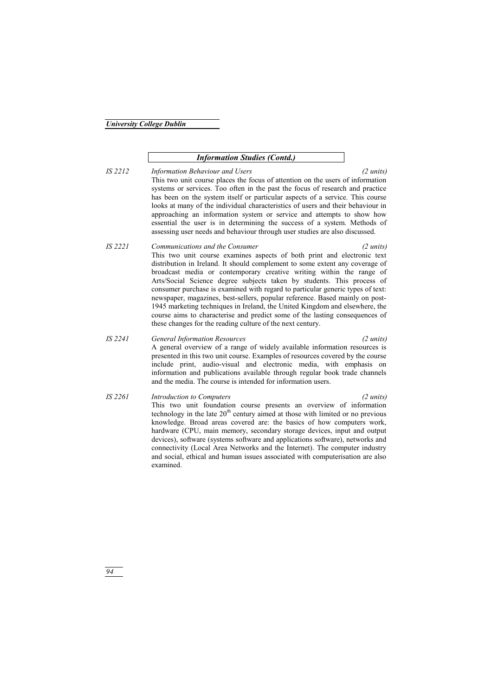# *Information Studies (Contd.)*

*IS 2212 Information Behaviour and Users (2 units)*  This two unit course places the focus of attention on the users of information systems or services. Too often in the past the focus of research and practice has been on the system itself or particular aspects of a service. This course looks at many of the individual characteristics of users and their behaviour in approaching an information system or service and attempts to show how essential the user is in determining the success of a system. Methods of assessing user needs and behaviour through user studies are also discussed.

# *IS 2221 Communications and the Consumer (2 units)*

 This two unit course examines aspects of both print and electronic text distribution in Ireland. It should complement to some extent any coverage of broadcast media or contemporary creative writing within the range of Arts/Social Science degree subjects taken by students. This process of consumer purchase is examined with regard to particular generic types of text: newspaper, magazines, best-sellers, popular reference. Based mainly on post-1945 marketing techniques in Ireland, the United Kingdom and elsewhere, the course aims to characterise and predict some of the lasting consequences of these changes for the reading culture of the next century.

# *IS 2241 General Information Resources (2 units)*

 A general overview of a range of widely available information resources is presented in this two unit course. Examples of resources covered by the course include print, audio-visual and electronic media, with emphasis on information and publications available through regular book trade channels and the media. The course is intended for information users.

# *IS 2261 Introduction to Computers (2 units)*

 This two unit foundation course presents an overview of information technology in the late  $20<sup>th</sup>$  century aimed at those with limited or no previous knowledge. Broad areas covered are: the basics of how computers work, hardware (CPU, main memory, secondary storage devices, input and output devices), software (systems software and applications software), networks and connectivity (Local Area Networks and the Internet). The computer industry and social, ethical and human issues associated with computerisation are also examined.

## *94*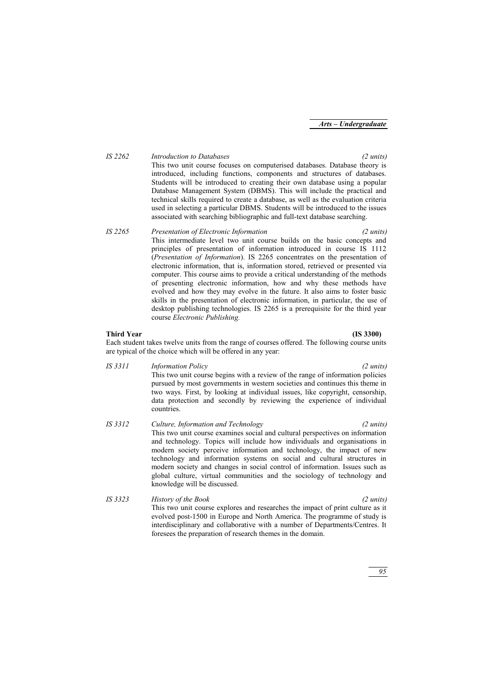*IS 2262 Introduction to Databases (2 units)*  This two unit course focuses on computerised databases. Database theory is introduced, including functions, components and structures of databases. Students will be introduced to creating their own database using a popular Database Management System (DBMS). This will include the practical and technical skills required to create a database, as well as the evaluation criteria used in selecting a particular DBMS. Students will be introduced to the issues associated with searching bibliographic and full-text database searching.

*IS 2265 Presentation of Electronic Information (2 units)*  This intermediate level two unit course builds on the basic concepts and principles of presentation of information introduced in course IS 1112 (*Presentation of Information*). IS 2265 concentrates on the presentation of electronic information, that is, information stored, retrieved or presented via computer. This course aims to provide a critical understanding of the methods of presenting electronic information, how and why these methods have evolved and how they may evolve in the future. It also aims to foster basic skills in the presentation of electronic information, in particular, the use of desktop publishing technologies. IS 2265 is a prerequisite for the third year course *Electronic Publishing.*

# **Third Year (IS 3300)**

Each student takes twelve units from the range of courses offered. The following course units are typical of the choice which will be offered in any year:

- *IS 3311 Information Policy (2 units)*  This two unit course begins with a review of the range of information policies pursued by most governments in western societies and continues this theme in two ways. First, by looking at individual issues, like copyright, censorship, data protection and secondly by reviewing the experience of individual countries.
- *IS 3312 Culture, Information and Technology (2 units)*  This two unit course examines social and cultural perspectives on information and technology. Topics will include how individuals and organisations in modern society perceive information and technology, the impact of new technology and information systems on social and cultural structures in modern society and changes in social control of information. Issues such as global culture, virtual communities and the sociology of technology and knowledge will be discussed.
- *IS 3323 History of the Book (2 units)*  This two unit course explores and researches the impact of print culture as it evolved post-1500 in Europe and North America. The programme of study is interdisciplinary and collaborative with a number of Departments/Centres. It foresees the preparation of research themes in the domain.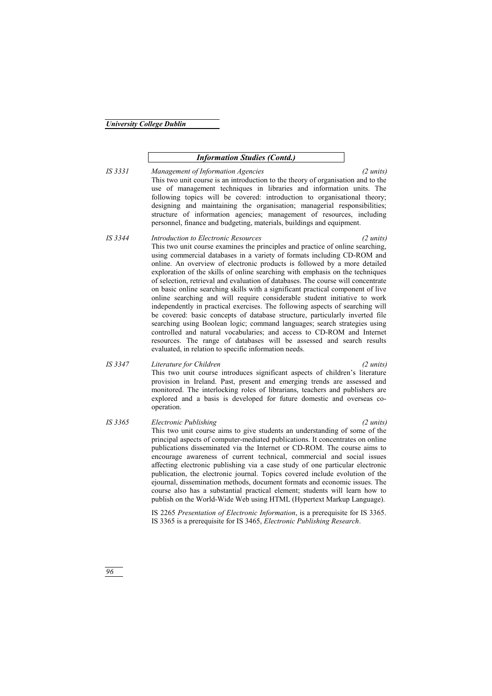# *Information Studies (Contd.)*

*IS 3331 Management of Information Agencies (2 units)*  This two unit course is an introduction to the theory of organisation and to the use of management techniques in libraries and information units. The following topics will be covered: introduction to organisational theory; designing and maintaining the organisation; managerial responsibilities; structure of information agencies; management of resources, including personnel, finance and budgeting, materials, buildings and equipment.

## *IS 3344 Introduction to Electronic Resources (2 units)*

 This two unit course examines the principles and practice of online searching, using commercial databases in a variety of formats including CD-ROM and online. An overview of electronic products is followed by a more detailed exploration of the skills of online searching with emphasis on the techniques of selection, retrieval and evaluation of databases. The course will concentrate on basic online searching skills with a significant practical component of live online searching and will require considerable student initiative to work independently in practical exercises. The following aspects of searching will be covered: basic concepts of database structure, particularly inverted file searching using Boolean logic; command languages; search strategies using controlled and natural vocabularies; and access to CD-ROM and Internet resources. The range of databases will be assessed and search results evaluated, in relation to specific information needs.

*IS 3347 Literature for Children (2 units)*  This two unit course introduces significant aspects of children's literature provision in Ireland. Past, present and emerging trends are assessed and monitored. The interlocking roles of librarians, teachers and publishers are explored and a basis is developed for future domestic and overseas cooperation.

# *IS 3365 Electronic Publishing (2 units)*

 This two unit course aims to give students an understanding of some of the principal aspects of computer-mediated publications. It concentrates on online publications disseminated via the Internet or CD-ROM. The course aims to encourage awareness of current technical, commercial and social issues affecting electronic publishing via a case study of one particular electronic publication, the electronic journal. Topics covered include evolution of the ejournal, dissemination methods, document formats and economic issues. The course also has a substantial practical element; students will learn how to publish on the World-Wide Web using HTML (Hypertext Markup Language).

 IS 2265 *Presentation of Electronic Information*, is a prerequisite for IS 3365. IS 3365 is a prerequisite for IS 3465, *Electronic Publishing Research*.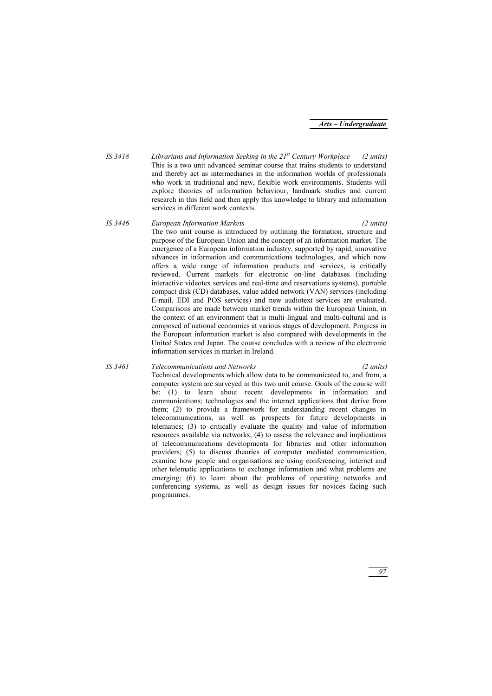*97*

*IS 3418 Librarians and Information Seeking in the 21st Century Workplace (2 units)*  This is a two unit advanced seminar course that trains students to understand and thereby act as intermediaries in the information worlds of professionals who work in traditional and new, flexible work environments. Students will explore theories of information behaviour, landmark studies and current research in this field and then apply this knowledge to library and information services in different work contexts.

*IS 3446 European Information Markets (2 units)*  The two unit course is introduced by outlining the formation, structure and purpose of the European Union and the concept of an information market. The emergence of a European information industry, supported by rapid, innovative advances in information and communications technologies, and which now offers a wide range of information products and services, is critically reviewed. Current markets for electronic on-line databases (including interactive videotex services and real-time and reservations systems), portable compact disk (CD) databases, value added network (VAN) services (including E-mail, EDI and POS services) and new audiotext services are evaluated. Comparisons are made between market trends within the European Union, in the context of an environment that is multi-lingual and multi-cultural and is composed of national economies at various stages of development. Progress in the European information market is also compared with developments in the United States and Japan. The course concludes with a review of the electronic information services in market in Ireland.

*IS 3461 Telecommunications and Networks (2 units)* 

 Technical developments which allow data to be communicated to, and from, a computer system are surveyed in this two unit course. Goals of the course will be: (1) to learn about recent developments in information and communications; technologies and the internet applications that derive from them; (2) to provide a framework for understanding recent changes in telecommunications, as well as prospects for future developments in telematics; (3) to critically evaluate the quality and value of information resources available via networks; (4) to assess the relevance and implications of telecommunications developments for libraries and other information providers; (5) to discuss theories of computer mediated communication, examine how people and organisations are using conferencing, internet and other telematic applications to exchange information and what problems are emerging; (6) to learn about the problems of operating networks and conferencing systems, as well as design issues for novices facing such programmes.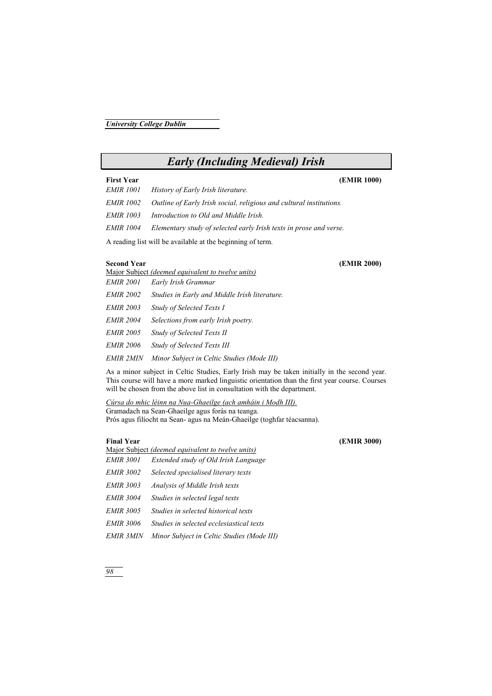# *Early (Including Medieval) Irish*

# **First Year (EMIR 1000)**

*EMIR 1001 History of Early Irish literature.* 

*EMIR 1002 Outline of Early Irish social, religious and cultural institutions.* 

*EMIR 1003 Introduction to Old and Middle Irish.* 

*EMIR 1004 Elementary study of selected early Irish texts in prose and verse.* 

A reading list will be available at the beginning of term.

# **Second Year (EMIR 2000)**

|                  | Major Subject <i>(deemed equivalent to twelve units)</i> |
|------------------|----------------------------------------------------------|
| <b>EMIR 2001</b> | Early Irish Grammar                                      |
| <i>EMIR 2002</i> | Studies in Early and Middle Irish literature.            |
| <i>EMIR 2003</i> | <b>Study of Selected Texts I</b>                         |
| <i>EMIR 2004</i> | Selections from early Irish poetry.                      |
| <b>EMIR 2005</b> | <b>Study of Selected Texts II</b>                        |
| <b>EMIR 2006</b> | <b>Study of Selected Texts III</b>                       |
| <b>EMIR 2MIN</b> | Minor Subject in Celtic Studies (Mode III)               |

As a minor subject in Celtic Studies, Early Irish may be taken initially in the second year. This course will have a more marked linguistic orientation than the first year course. Courses will be chosen from the above list in consultation with the department.

*Cúrsa do mhic léinn na Nua-Ghaeilge (ach amháin i Modh III).* Gramadach na Sean-Ghaeilge agus forás na teanga. Prós agus filíocht na Sean- agus na Meán-Ghaeilge (toghfar téacsanna).

# **Final Year (EMIR 3000)**

|                  | Major Subject <i>(deemed equivalent to twelve units)</i> |
|------------------|----------------------------------------------------------|
| EMIR 3001        | Extended study of Old Irish Language                     |
| <i>EMIR 3002</i> | Selected specialised literary texts                      |
| <i>EMIR 3003</i> | Analysis of Middle Irish texts                           |
| <i>EMIR 3004</i> | Studies in selected legal texts                          |
| <i>EMIR 3005</i> | Studies in selected historical texts                     |
| <i>EMIR 3006</i> | Studies in selected ecclesiastical texts                 |
| EMIR 3MIN        | Minor Subject in Celtic Studies (Mode III)               |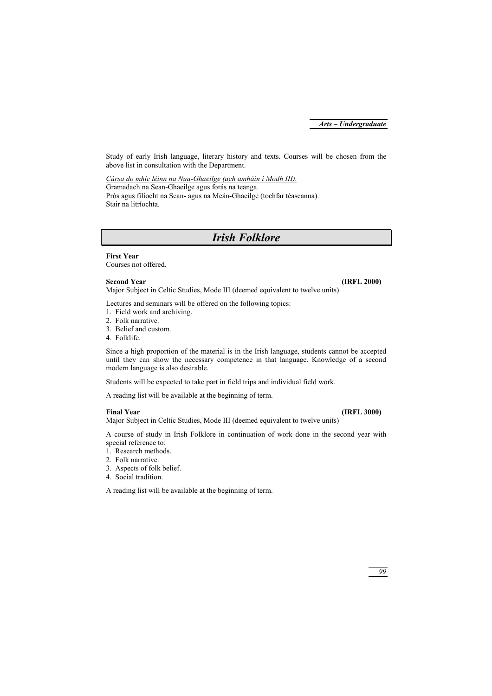Study of early Irish language, literary history and texts. Courses will be chosen from the above list in consultation with the Department.

*Cúrsa do mhic léinn na Nua-Ghaeilge (ach amháin i Modh III).* Gramadach na Sean-Ghaeilge agus forás na teanga. Prós agus filíocht na Sean- agus na Meán-Ghaeilge (tochfar téascanna). Stair na litríochta.

# *Irish Folklore*

# **First Year**

Courses not offered.

# **Second Year (IRFL 2000)**

Major Subject in Celtic Studies, Mode III (deemed equivalent to twelve units)

Lectures and seminars will be offered on the following topics:

- 1. Field work and archiving.
- 2. Folk narrative.
- 3. Belief and custom.
- 4. Folklife.

Since a high proportion of the material is in the Irish language, students cannot be accepted until they can show the necessary competence in that language. Knowledge of a second modern language is also desirable.

Students will be expected to take part in field trips and individual field work.

A reading list will be available at the beginning of term.

# **Final Year (IRFL 3000)**

Major Subject in Celtic Studies, Mode III (deemed equivalent to twelve units)

A course of study in Irish Folklore in continuation of work done in the second year with special reference to:

- 1. Research methods.
- 2. Folk narrative.
- 3. Aspects of folk belief.
- 4. Social tradition.

A reading list will be available at the beginning of term.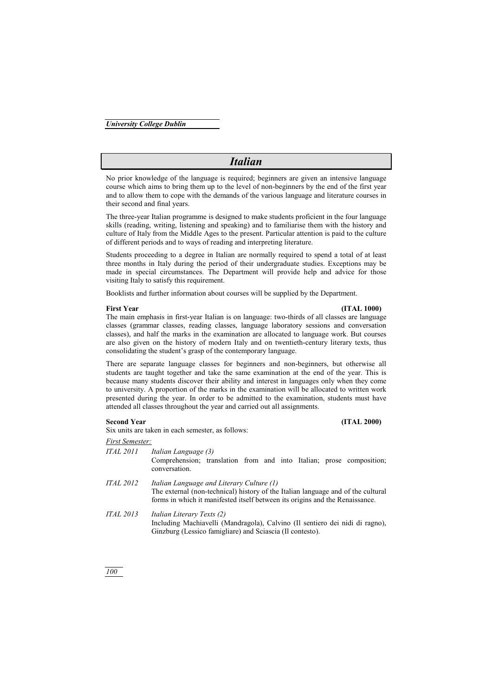# *Italian*

No prior knowledge of the language is required; beginners are given an intensive language course which aims to bring them up to the level of non-beginners by the end of the first year and to allow them to cope with the demands of the various language and literature courses in their second and final years.

The three-year Italian programme is designed to make students proficient in the four language skills (reading, writing, listening and speaking) and to familiarise them with the history and culture of Italy from the Middle Ages to the present. Particular attention is paid to the culture of different periods and to ways of reading and interpreting literature.

Students proceeding to a degree in Italian are normally required to spend a total of at least three months in Italy during the period of their undergraduate studies. Exceptions may be made in special circumstances. The Department will provide help and advice for those visiting Italy to satisfy this requirement.

Booklists and further information about courses will be supplied by the Department.

# The main emphasis in first-year Italian is on language: two-thirds of all classes are language classes (grammar classes, reading classes, language laboratory sessions and conversation classes), and half the marks in the examination are allocated to language work. But courses are also given on the history of modern Italy and on twentieth-century literary texts, thus consolidating the student's grasp of the contemporary language.

There are separate language classes for beginners and non-beginners, but otherwise all students are taught together and take the same examination at the end of the year. This is because many students discover their ability and interest in languages only when they come to university. A proportion of the marks in the examination will be allocated to written work presented during the year. In order to be admitted to the examination, students must have attended all classes throughout the year and carried out all assignments.

# **Second Year (ITAL 2000)**

Six units are taken in each semester, as follows:

*First Semester:*

| <i>ITAL 2011</i> | Italian Language (3)<br>Comprehension; translation from and into Italian; prose composition;<br>conversation.                                                                                                 |
|------------------|---------------------------------------------------------------------------------------------------------------------------------------------------------------------------------------------------------------|
| <i>ITAL 2012</i> | Italian Language and Literary Culture (1)<br>The external (non-technical) history of the Italian language and of the cultural<br>forms in which it manifested itself between its origins and the Renaissance. |
| <i>ITAL 2013</i> | Italian Literary Texts (2)<br>Including Machiavelli (Mandragola), Calvino (Il sentiero dei nidi di ragno),<br>Ginzburg (Lessico famigliare) and Sciascia (Il contesto).                                       |

# **First Year (ITAL 1000)**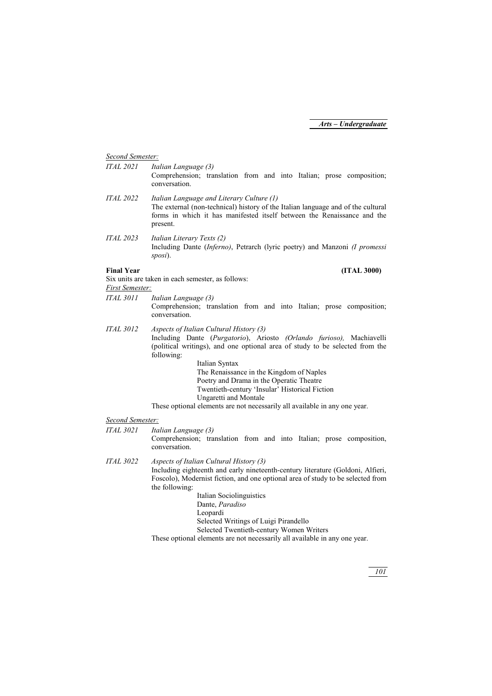## *Second Semester:*

- *ITAL 2021 Italian Language (3)*  Comprehension; translation from and into Italian; prose composition; conversation.
- *ITAL 2022 Italian Language and Literary Culture (1)*  The external (non-technical) history of the Italian language and of the cultural forms in which it has manifested itself between the Renaissance and the present.
- *ITAL 2023 Italian Literary Texts (2)*  Including Dante (*Inferno)*, Petrarch (lyric poetry) and Manzoni *(I promessi sposi*).

## **Final Year (ITAL 3000)**

Six units are taken in each semester, as follows:

*First Semester:*

- *ITAL 3011 Italian Language (3)*  Comprehension; translation from and into Italian; prose composition; conversation.
- *ITAL 3012 Aspects of Italian Cultural History (3)*

 Including Dante (*Purgatorio*), Ariosto *(Orlando furioso),* Machiavelli (political writings), and one optional area of study to be selected from the following:

> Italian Syntax The Renaissance in the Kingdom of Naples Poetry and Drama in the Operatic Theatre Twentieth-century 'Insular' Historical Fiction Ungaretti and Montale

These optional elements are not necessarily all available in any one year.

# *Second Semester:*

*ITAL 3021 Italian Language (3)*  Comprehension; translation from and into Italian; prose composition, conversation.

*ITAL 3022 Aspects of Italian Cultural History (3)* 

 Including eighteenth and early nineteenth-century literature (Goldoni, Alfieri, Foscolo), Modernist fiction, and one optional area of study to be selected from the following:

> Italian Sociolinguistics Dante, *Paradiso*  Leopardi Selected Writings of Luigi Pirandello Selected Twentieth-century Women Writers

These optional elements are not necessarily all available in any one year.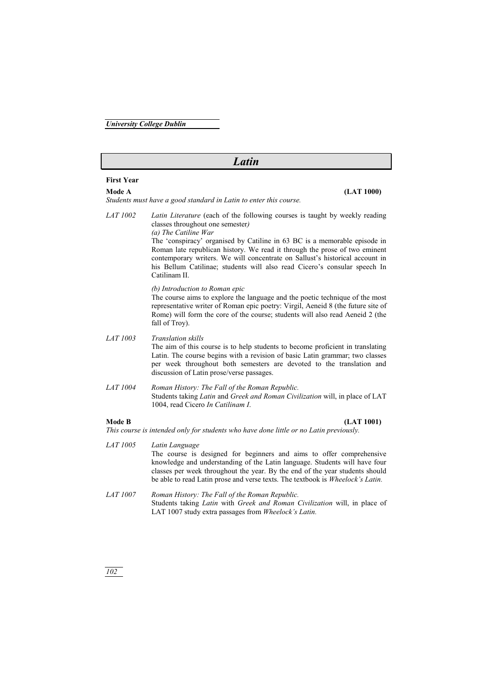# *Latin*

### **First Year**

# **Mode A (LAT 1000)**

*Students must have a good standard in Latin to enter this course.* 

*LAT 1002 Latin Literature* (each of the following courses is taught by weekly reading classes throughout one semester*)* 

# *(a) The Catiline War*

 The 'conspiracy' organised by Catiline in 63 BC is a memorable episode in Roman late republican history. We read it through the prose of two eminent contemporary writers. We will concentrate on Sallust's historical account in his Bellum Catilinae; students will also read Cicero's consular speech In Catilinam II.

## *(b) Introduction to Roman epic*

 The course aims to explore the language and the poetic technique of the most representative writer of Roman epic poetry: Virgil, Aeneid 8 (the future site of Rome) will form the core of the course; students will also read Aeneid 2 (the fall of Troy).

*LAT 1003 Translation skills* 

 The aim of this course is to help students to become proficient in translating Latin. The course begins with a revision of basic Latin grammar; two classes per week throughout both semesters are devoted to the translation and discussion of Latin prose/verse passages.

*LAT 1004 Roman History: The Fall of the Roman Republic.*  Students taking *Latin* and *Greek and Roman Civilization* will, in place of LAT 1004, read Cicero *In Catilinam I*.

**Mode B (LAT 1001)** 

*This course is intended only for students who have done little or no Latin previously.* 

- *LAT 1005 Latin Language*  The course is designed for beginners and aims to offer comprehensive knowledge and understanding of the Latin language. Students will have four classes per week throughout the year. By the end of the year students should be able to read Latin prose and verse texts. The textbook is *Wheelock's Latin.*
- *LAT 1007 Roman History: The Fall of the Roman Republic.*  Students taking *Latin* with *Greek and Roman Civilization* will, in place of LAT 1007 study extra passages from *Wheelock's Latin.*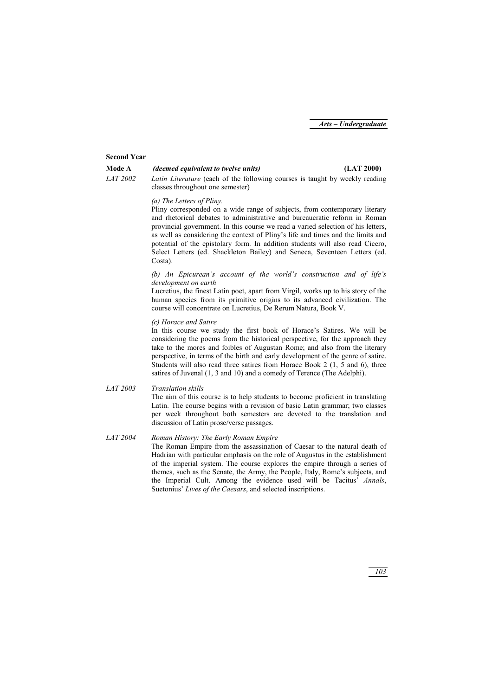## **Second Year**

**Mode A** *(deemed equivalent to twelve units)* **(LAT 2000)** 

*LAT 2002 Latin Literature* (each of the following courses is taught by weekly reading classes throughout one semester)

# *(a) The Letters of Pliny.*

 Pliny corresponded on a wide range of subjects, from contemporary literary and rhetorical debates to administrative and bureaucratic reform in Roman provincial government. In this course we read a varied selection of his letters, as well as considering the context of Pliny's life and times and the limits and potential of the epistolary form. In addition students will also read Cicero, Select Letters (ed. Shackleton Bailey) and Seneca, Seventeen Letters (ed. Costa).

 *(b) An Epicurean's account of the world's construction and of life's development on earth* 

 Lucretius, the finest Latin poet, apart from Virgil, works up to his story of the human species from its primitive origins to its advanced civilization. The course will concentrate on Lucretius, De Rerum Natura, Book V.

# *(c) Horace and Satire*

 In this course we study the first book of Horace's Satires. We will be considering the poems from the historical perspective, for the approach they take to the mores and foibles of Augustan Rome; and also from the literary perspective, in terms of the birth and early development of the genre of satire. Students will also read three satires from Horace Book 2 (1, 5 and 6), three satires of Juvenal (1, 3 and 10) and a comedy of Terence (The Adelphi).

*LAT 2003 Translation skills* 

 The aim of this course is to help students to become proficient in translating Latin. The course begins with a revision of basic Latin grammar; two classes per week throughout both semesters are devoted to the translation and discussion of Latin prose/verse passages.

# *LAT 2004 Roman History: The Early Roman Empire*

 The Roman Empire from the assassination of Caesar to the natural death of Hadrian with particular emphasis on the role of Augustus in the establishment of the imperial system. The course explores the empire through a series of themes, such as the Senate, the Army, the People, Italy, Rome's subjects, and the Imperial Cult. Among the evidence used will be Tacitus' *Annals*, Suetonius' *Lives of the Caesars*, and selected inscriptions.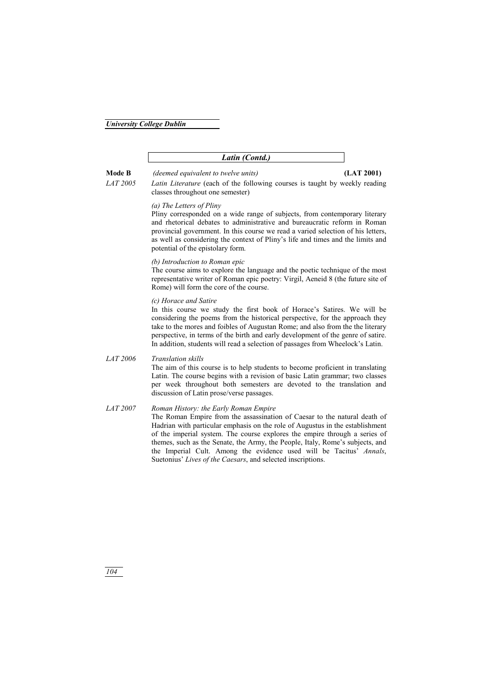# *Latin (Contd.)*

**Mode B** *(deemed equivalent to twelve units)* **(LAT 2001)** 

*LAT 2005 Latin Literature* (each of the following courses is taught by weekly reading classes throughout one semester)

# *(a) The Letters of Pliny*

 Pliny corresponded on a wide range of subjects, from contemporary literary and rhetorical debates to administrative and bureaucratic reform in Roman provincial government. In this course we read a varied selection of his letters, as well as considering the context of Pliny's life and times and the limits and potential of the epistolary form.

## *(b) Introduction to Roman epic*

 The course aims to explore the language and the poetic technique of the most representative writer of Roman epic poetry: Virgil, Aeneid 8 (the future site of Rome) will form the core of the course.

## *(c) Horace and Satire*

 In this course we study the first book of Horace's Satires. We will be considering the poems from the historical perspective, for the approach they take to the mores and foibles of Augustan Rome; and also from the the literary perspective, in terms of the birth and early development of the genre of satire. In addition, students will read a selection of passages from Wheelock's Latin.

*LAT 2006 Translation skills* 

 The aim of this course is to help students to become proficient in translating Latin. The course begins with a revision of basic Latin grammar; two classes per week throughout both semesters are devoted to the translation and discussion of Latin prose/verse passages.

# *LAT 2007 Roman History: the Early Roman Empire*

 The Roman Empire from the assassination of Caesar to the natural death of Hadrian with particular emphasis on the role of Augustus in the establishment of the imperial system. The course explores the empire through a series of themes, such as the Senate, the Army, the People, Italy, Rome's subjects, and the Imperial Cult. Among the evidence used will be Tacitus' *Annals*, Suetonius' *Lives of the Caesars*, and selected inscriptions.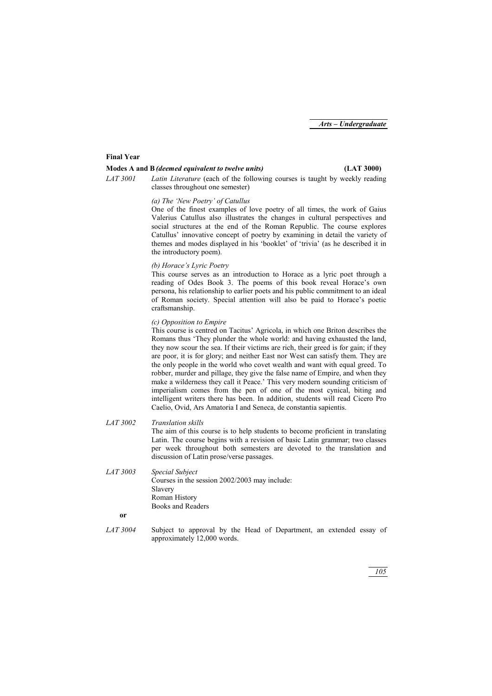### **Final Year**

### **Modes A and B** *(deemed equivalent to twelve units)* **(LAT 3000)**

*LAT 3001 Latin Literature* (each of the following courses is taught by weekly reading classes throughout one semester)

### *(a) The 'New Poetry' of Catullus*

 One of the finest examples of love poetry of all times, the work of Gaius Valerius Catullus also illustrates the changes in cultural perspectives and social structures at the end of the Roman Republic. The course explores Catullus' innovative concept of poetry by examining in detail the variety of themes and modes displayed in his 'booklet' of 'trivia' (as he described it in the introductory poem).

## *(b) Horace's Lyric Poetry*

 This course serves as an introduction to Horace as a lyric poet through a reading of Odes Book 3. The poems of this book reveal Horace's own persona, his relationship to earlier poets and his public commitment to an ideal of Roman society. Special attention will also be paid to Horace's poetic craftsmanship.

### *(c) Opposition to Empire*

 This course is centred on Tacitus' Agricola, in which one Briton describes the Romans thus 'They plunder the whole world: and having exhausted the land, they now scour the sea. If their victims are rich, their greed is for gain; if they are poor, it is for glory; and neither East nor West can satisfy them. They are the only people in the world who covet wealth and want with equal greed. To robber, murder and pillage, they give the false name of Empire, and when they make a wilderness they call it Peace.' This very modern sounding criticism of imperialism comes from the pen of one of the most cynical, biting and intelligent writers there has been. In addition, students will read Cicero Pro Caelio, Ovid, Ars Amatoria I and Seneca, de constantia sapientis.

*LAT 3002 Translation skills* 

 The aim of this course is to help students to become proficient in translating Latin. The course begins with a revision of basic Latin grammar; two classes per week throughout both semesters are devoted to the translation and discussion of Latin prose/verse passages.

*LAT 3003 Special Subject*  Courses in the session 2002/2003 may include: Slavery Roman History Books and Readers

 **or** 

*LAT 3004* Subject to approval by the Head of Department, an extended essay of approximately 12,000 words.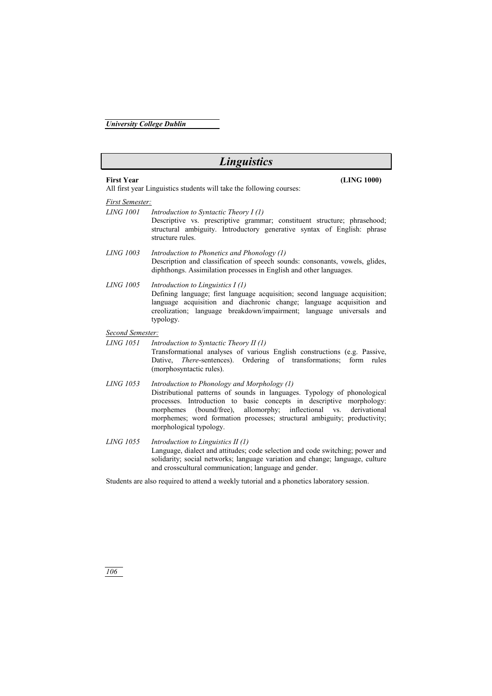# *Linguistics*

**First Year (LING 1000)** 

All first year Linguistics students will take the following courses:

# *First Semester:*

*LING 1001 Introduction to Syntactic Theory I (1)*  Descriptive vs. prescriptive grammar; constituent structure; phrasehood; structural ambiguity. Introductory generative syntax of English: phrase structure rules.

- *LING 1003 Introduction to Phonetics and Phonology (1)*  Description and classification of speech sounds: consonants, vowels, glides, diphthongs. Assimilation processes in English and other languages.
- *LING 1005 Introduction to Linguistics I (1)*  Defining language; first language acquisition; second language acquisition; language acquisition and diachronic change; language acquisition and creolization; language breakdown/impairment; language universals and typology.

# *Second Semester:*

- *LING 1051 Introduction to Syntactic Theory II (1)*  Transformational analyses of various English constructions (e.g. Passive, Dative, *There*-sentences). Ordering of transformations; form rules (morphosyntactic rules).
- *LING 1053 Introduction to Phonology and Morphology (1)*  Distributional patterns of sounds in languages. Typology of phonological processes. Introduction to basic concepts in descriptive morphology: morphemes (bound/free), allomorphy; inflectional vs. derivational morphemes; word formation processes; structural ambiguity; productivity; morphological typology.

*LING 1055 Introduction to Linguistics II (1)*  Language, dialect and attitudes; code selection and code switching; power and solidarity; social networks; language variation and change; language, culture and crosscultural communication; language and gender.

Students are also required to attend a weekly tutorial and a phonetics laboratory session.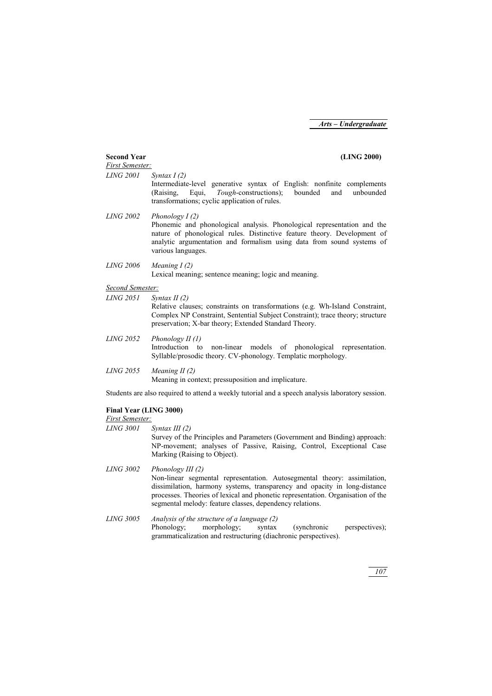# **Second Year (LING 2000)**

*First Semester:*

- *LING 2001 Syntax I (2)*  Intermediate-level generative syntax of English: nonfinite complements (Raising, Equi, *Tough*-constructions); bounded and unbounded transformations; cyclic application of rules.
- *LING 2002 Phonology I (2)*  Phonemic and phonological analysis. Phonological representation and the nature of phonological rules. Distinctive feature theory. Development of analytic argumentation and formalism using data from sound systems of various languages.
- *LING 2006 Meaning I (2)*  Lexical meaning; sentence meaning; logic and meaning.

*Second Semester:*

- *LING 2051 Syntax II (2)*  Relative clauses; constraints on transformations (e.g. Wh-Island Constraint, Complex NP Constraint, Sentential Subject Constraint); trace theory; structure preservation; X-bar theory; Extended Standard Theory.
- *LING 2052 Phonology II (1)*  Introduction to non-linear models of phonological representation. Syllable/prosodic theory. CV-phonology. Templatic morphology.
- *LING 2055 Meaning II (2)*

Meaning in context; pressuposition and implicature.

Students are also required to attend a weekly tutorial and a speech analysis laboratory session.

# **Final Year (LING 3000)**

*First Semester:*

*LING 3001 Syntax III (2)*  Survey of the Principles and Parameters (Government and Binding) approach: NP-movement; analyses of Passive, Raising, Control, Exceptional Case Marking (Raising to Object).

- *LING 3002 Phonology III (2)*  Non-linear segmental representation. Autosegmental theory: assimilation, dissimilation, harmony systems, transparency and opacity in long-distance processes. Theories of lexical and phonetic representation. Organisation of the segmental melody: feature classes, dependency relations.
- *LING 3005 Analysis of the structure of a language (2)*  Phonology; morphology; syntax (synchronic perspectives); grammaticalization and restructuring (diachronic perspectives).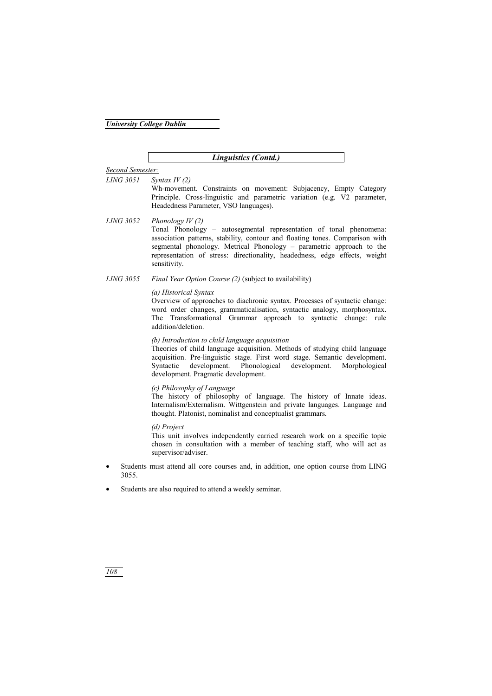# *Linguistics (Contd.)*

### *Second Semester:*

*LING 3051 Syntax IV (2)* 

 Wh-movement. Constraints on movement: Subjacency, Empty Category Principle. Cross-linguistic and parametric variation (e.g. V2 parameter, Headedness Parameter, VSO languages).

*LING 3052 Phonology IV (2)* 

 Tonal Phonology – autosegmental representation of tonal phenomena: association patterns, stability, contour and floating tones. Comparison with segmental phonology. Metrical Phonology – parametric approach to the representation of stress: directionality, headedness, edge effects, weight sensitivity.

*LING 3055 Final Year Option Course (2)* (subject to availability)

# *(a) Historical Syntax*

 Overview of approaches to diachronic syntax. Processes of syntactic change: word order changes, grammaticalisation, syntactic analogy, morphosyntax. The Transformational Grammar approach to syntactic change: rule addition/deletion.

### *(b) Introduction to child language acquisition*

 Theories of child language acquisition. Methods of studying child language acquisition. Pre-linguistic stage. First word stage. Semantic development. Syntactic development. Phonological development. Morphological development. Pragmatic development.

## *(c) Philosophy of Language*

 The history of philosophy of language. The history of Innate ideas. Internalism/Externalism. Wittgenstein and private languages. Language and thought. Platonist, nominalist and conceptualist grammars.

### *(d) Project*

 This unit involves independently carried research work on a specific topic chosen in consultation with a member of teaching staff, who will act as supervisor/adviser.

- Students must attend all core courses and, in addition, one option course from LING 3055.
- Students are also required to attend a weekly seminar.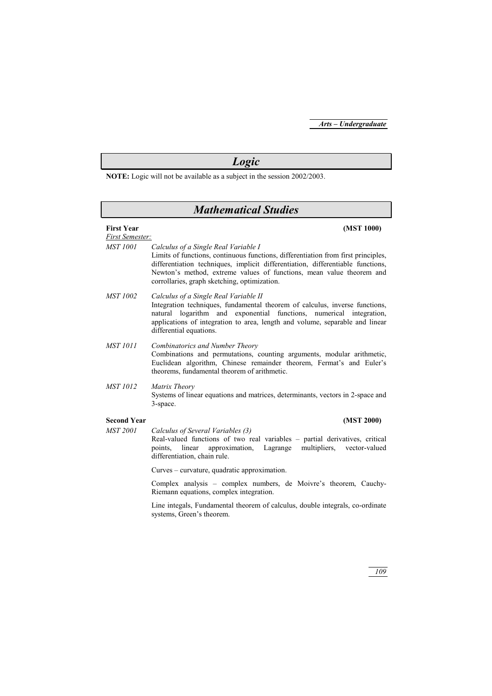## *Logic*

**NOTE:** Logic will not be available as a subject in the session 2002/2003.

## *Mathematical Studies*

### **First Year (MST 1000)**

*First Semester:*

*MST 1001 Calculus of a Single Real Variable I* 

 Limits of functions, continuous functions, differentiation from first principles, differentiation techniques, implicit differentiation, differentiable functions, Newton's method, extreme values of functions, mean value theorem and corrollaries, graph sketching, optimization.

*MST 1002 Calculus of a Single Real Variable II*  Integration techniques, fundamental theorem of calculus, inverse functions, natural logarithm and exponential functions, numerical integration, applications of integration to area, length and volume, separable and linear differential equations.

### *MST 1011 Combinatorics and Number Theory*  Combinations and permutations, counting arguments, modular arithmetic, Euclidean algorithm, Chinese remainder theorem, Fermat's and Euler's theorems, fundamental theorem of arithmetic.

*MST 1012 Matrix Theory*  Systems of linear equations and matrices, determinants, vectors in 2-space and 3-space.

### **Second Year (MST 2000)**

*MST 2001 Calculus of Several Variables (3)* 

 Real-valued functions of two real variables – partial derivatives, critical points, linear approximation, Lagrange multipliers, vector-valued differentiation, chain rule.

Curves – curvature, quadratic approximation.

 Complex analysis – complex numbers, de Moivre's theorem, Cauchy-Riemann equations, complex integration.

 Line integals, Fundamental theorem of calculus, double integrals, co-ordinate systems, Green's theorem.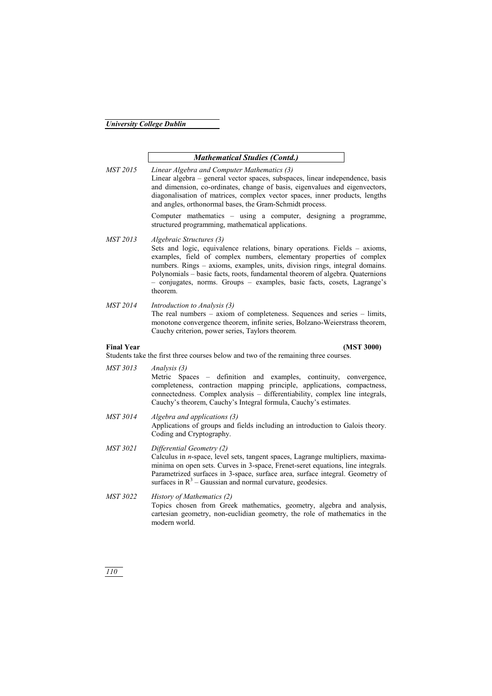### *Mathematical Studies (Contd.)*

*MST 2015 Linear Algebra and Computer Mathematics (3)*  Linear algebra – general vector spaces, subspaces, linear independence, basis and dimension, co-ordinates, change of basis, eigenvalues and eigenvectors, diagonalisation of matrices, complex vector spaces, inner products, lengths and angles, orthonormal bases, the Gram-Schmidt process.

> Computer mathematics – using a computer, designing a programme, structured programming, mathematical applications.

*MST 2013 Algebraic Structures (3)*  Sets and logic, equivalence relations, binary operations. Fields – axioms, examples, field of complex numbers, elementary properties of complex numbers. Rings – axioms, examples, units, division rings, integral domains. Polynomials – basic facts, roots, fundamental theorem of algebra. Quaternions – conjugates, norms. Groups – examples, basic facts, cosets, Lagrange's theorem.

*MST 2014 Introduction to Analysis (3)*  The real numbers – axiom of completeness. Sequences and series – limits, monotone convergence theorem, infinite series, Bolzano-Weierstrass theorem, Cauchy criterion, power series, Taylors theorem.

**Final Year (MST 3000)** 

Students take the first three courses below and two of the remaining three courses.

- *MST 3013 Analysis (3)*  Metric Spaces – definition and examples, continuity, convergence, completeness, contraction mapping principle, applications, compactness, connectedness. Complex analysis – differentiability, complex line integrals, Cauchy's theorem, Cauchy's Integral formula, Cauchy's estimates.
- *MST 3014 Algebra and applications (3)*  Applications of groups and fields including an introduction to Galois theory. Coding and Cryptography.

*MST 3021 Differential Geometry (2)*  Calculus in *n*-space, level sets, tangent spaces, Lagrange multipliers, maximaminima on open sets. Curves in 3-space, Frenet-seret equations, line integrals. Parametrized surfaces in 3-space, surface area, surface integral. Geometry of surfaces in  $R<sup>3</sup>$  – Gaussian and normal curvature, geodesics.

*MST 3022 History of Mathematics (2)*  Topics chosen from Greek mathematics, geometry, algebra and analysis, cartesian geometry, non-euclidian geometry, the role of mathematics in the modern world.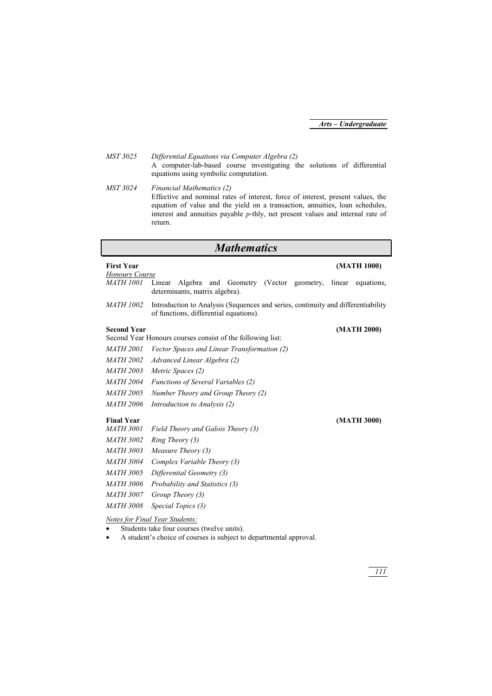| <i>MST 3025</i> | Differential Equations via Computer Algebra (2)                         |  |  |  |
|-----------------|-------------------------------------------------------------------------|--|--|--|
|                 | A computer-lab-based course investigating the solutions of differential |  |  |  |
|                 | equations using symbolic computation.                                   |  |  |  |

*MST 3024 Financial Mathematics (2)*  Effective and nominal rates of interest, force of interest, present values, the equation of value and the yield on a transaction, annuities, loan schedules, interest and annuities payable *p*-thly, net present values and internal rate of return.

## *Mathematics*

## **First Year (MATH 1000)**

*Honours Course*

- *MATH 1001* Linear Algebra and Geometry (Vector geometry, linear equations, determinants, matrix algebra).
- *MATH 1002* Introduction to Analysis (Sequences and series, continuity and differentiability of functions, differential equations).

### **Second Year (MATH 2000)**

Second Year Honours courses consist of the following list:

- *MATH 2001 Vector Spaces and Linear Transformation (2)*
- *MATH 2002 Advanced Linear Algebra (2)*
- *MATH 2003 Metric Spaces (2)*
- *MATH 2004 Functions of Several Variables (2)*
- *MATH 2005 Number Theory and Group Theory (2)*
- *MATH 2006 Introduction to Analysis (2)*

- *MATH 3001 Field Theory and Galois Theory (3)*
- *MATH 3002 Ring Theory (3)*
- *MATH 3003 Measure Theory (3)*
- *MATH 3004 Complex Variable Theory (3)*
- *MATH 3005 Differential Geometry (3)*
- *MATH 3006 Probability and Statistics (3)*
- *MATH 3007 Group Theory (3)*
- *MATH 3008 Special Topics (3)*

*Notes for Final Year Students:*

- Students take four courses (twelve units).
- A student's choice of courses is subject to departmental approval.

**Final Year (MATH 3000)**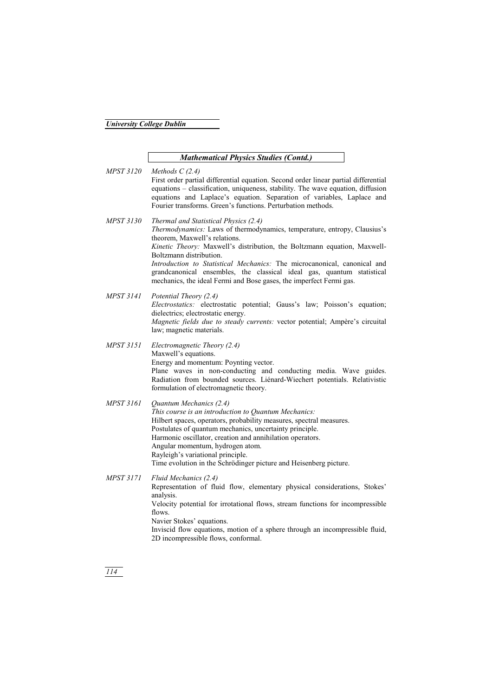*MPST 2141 Computational Physics (3)* 

 *Ordinary Differential Equations:* Euler and Runge-Kutta methods. Adaptive techniques. Satellite motion, three-body problem. Projectiles. Lorenz model.  *Finite Differences*: Difference schemes, linear advection equation. FTCS and Lax methods. Modelling traffic flow. *Linear equations*: Gaussian elimination, iterative methods. Coupled harmonic oscillators.

*Monte-Carlo Methods*: Uniform and non-uniform deviates. Integration. Ideal gas model.

- *MPST 2120 Mechanics and Special Relativity (3) Mechanics*: Dynamics of rigid bodies, rotating earth, spinning top, moments of inertia, principal axes, Euler's equations of motion.  *Special Relativity*: Inertial frames, Lorentz transformations, space-time, tensors, relativistic mechanics, energy-momentum conservation.
- *MPST 2130 Analytical and Quantum Mechanics (3) Analytical Mechanics*: Lagrange's equation, variational principles. Small oscillations, normal modes. Hamilton's equations, canonical transformations, Poisson brackets. *Quantum Mechanics*: Introduction, Postulates of Quantum Mechanics, One-dimensional examples: Potential well and harmonic oscillator, the Heisenberg uncertainty principle, Quantum tunelling.

*Notes for Second Year Students*

- All students take the above courses.
- Mode I students in addition take *either* MST 2001, 2013, 2014 and 2015 *or* MATH 2001-2006.

### **Final Year (Mode I: MPST 3100) (Mode II MPST 3200)**

*MPST 3111* Methods B *(2.4) Complex Variables:*  Cauchy-Riemann equations, singular points. Complex integration (Cauchy's theorem, line integrals) Taylor and Laurent series. The Residue Theorem.  *Eculidean Spaces:*  Convergence, Bessel's inequality, Parseval's equality. Fourier series (Piecewise continuous functions, Riemann-Lebesgue lemma, Weierstrass approximation theorem, Pointwise convergence). Orthogonal series of polynomials (Legendre polynomials, Hermite polynomials, Laguerre polynomials, Bessel functions).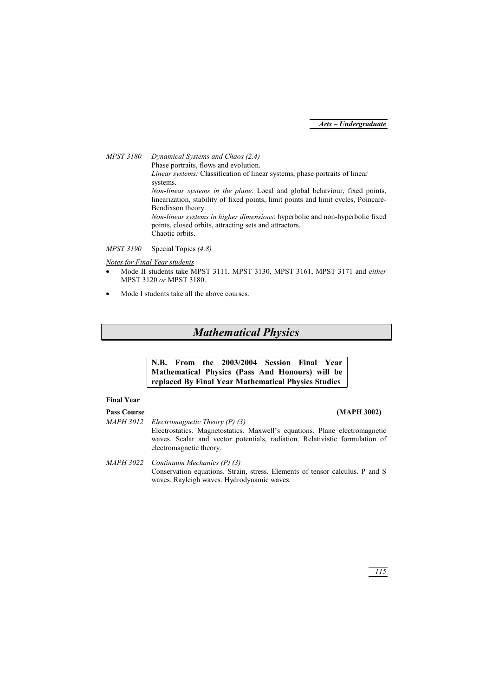### *Mathematical Physics Studies (Contd.)*

*MPST 3120 Methods C (2.4)*  First order partial differential equation. Second order linear partial differential equations – classification, uniqueness, stability. The wave equation, diffusion equations and Laplace's equation. Separation of variables, Laplace and Fourier transforms. Green's functions. Perturbation methods.

*MPST 3130 Thermal and Statistical Physics (2.4) Thermodynamics:* Laws of thermodynamics, temperature, entropy, Clausius's theorem, Maxwell's relations.  *Kinetic Theory:* Maxwell's distribution, the Boltzmann equation, Maxwell-Boltzmann distribution.  *Introduction to Statistical Mechanics:* The microcanonical, canonical and grandcanonical ensembles, the classical ideal gas, quantum statistical mechanics, the ideal Fermi and Bose gases, the imperfect Fermi gas. *MPST 3141 Potential Theory (2.4)* 

 *Electrostatics:* electrostatic potential; Gauss's law; Poisson's equation; dielectrics; electrostatic energy.  *Magnetic fields due to steady currents:* vector potential; Ampère's circuital law; magnetic materials.

*MPST 3151 Electromagnetic Theory (2.4)*  Maxwell's equations. Energy and momentum: Poynting vector. Plane waves in non-conducting and conducting media. Wave guides. Radiation from bounded sources. Liénard-Wiechert potentials. Relativistic formulation of electromagnetic theory.

*MPST 3161 Quantum Mechanics (2.4) This course is an introduction to Quantum Mechanics:*  Hilbert spaces, operators, probability measures, spectral measures. Postulates of quantum mechanics, uncertainty principle. Harmonic oscillator, creation and annihilation operators. Angular momentum, hydrogen atom. Rayleigh's variational principle. Time evolution in the Schrödinger picture and Heisenberg picture.

*MPST 3171 Fluid Mechanics (2.4)*  Representation of fluid flow, elementary physical considerations, Stokes' analysis. Velocity potential for irrotational flows, stream functions for incompressible flows. Navier Stokes' equations.

 Inviscid flow equations, motion of a sphere through an incompressible fluid, 2D incompressible flows, conformal.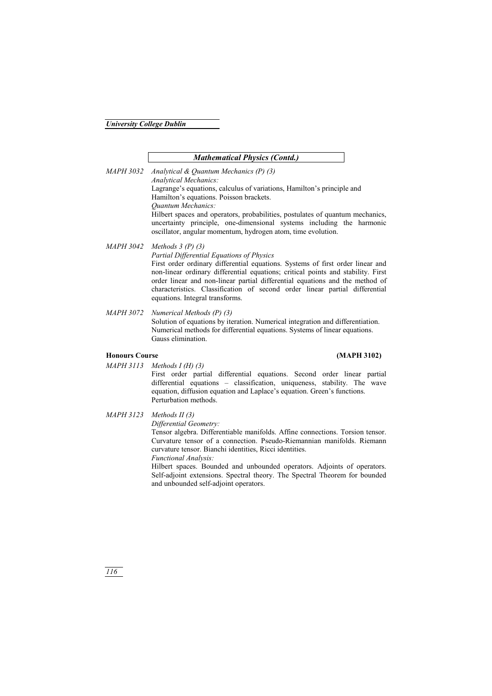*MPST 3180 Dynamical Systems and Chaos (2.4)*  Phase portraits, flows and evolution. *Linear systems:* Classification of linear systems, phase portraits of linear systems. *Non-linear systems in the plane*: Local and global behaviour, fixed points, linearization, stability of fixed points, limit points and limit cycles, Poincaré-Bendixson theory. *Non-linear systems in higher dimensions*: hyperbolic and non-hyperbolic fixed points, closed orbits, attracting sets and attractors. Chaotic orbits.

*MPST 3190* Special Topics *(4.8)* 

### *Notes for Final Year students*

- Mode II students take MPST 3111, MPST 3130, MPST 3161, MPST 3171 and *either*  MPST 3120 *or* MPST 3180.
- Mode I students take all the above courses.

## *Mathematical Physics*

### **N.B. From the 2003/2004 Session Final Year Mathematical Physics (Pass And Honours) will be replaced By Final Year Mathematical Physics Studies**

### **Final Year**

### **Pass Course****(MAPH 3002)**

- *MAPH 3012 Electromagnetic Theory (P) (3)*  Electrostatics. Magnetostatics. Maxwell's equations. Plane electromagnetic waves. Scalar and vector potentials, radiation. Relativistic formulation of electromagnetic theory.
- *MAPH 3022 Continuum Mechanics (P) (3)*  Conservation equations. Strain, stress. Elements of tensor calculus. P and S waves. Rayleigh waves. Hydrodynamic waves.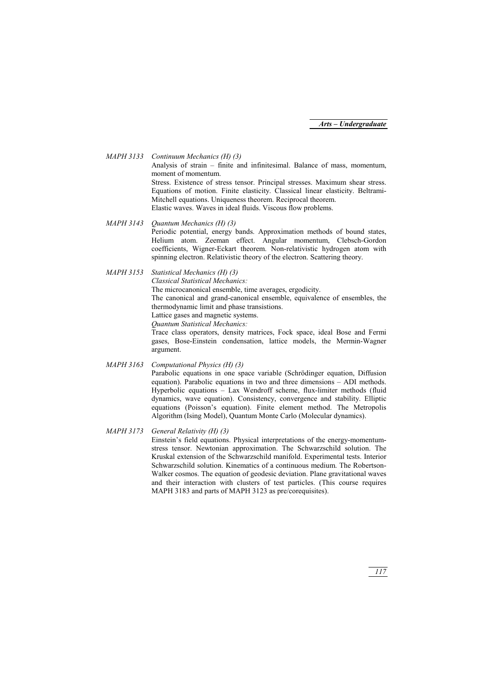### *Mathematical Physics (Contd.)*

- *MAPH 3032 Analytical & Quantum Mechanics (P) (3) Analytical Mechanics:*  Lagrange's equations, calculus of variations, Hamilton's principle and Hamilton's equations. Poisson brackets.  *Quantum Mechanics:*  Hilbert spaces and operators, probabilities, postulates of quantum mechanics, uncertainty principle, one-dimensional systems including the harmonic oscillator, angular momentum, hydrogen atom, time evolution.
- *MAPH 3042 Methods 3 (P) (3)*

 *Partial Differential Equations of Physics* 

 First order ordinary differential equations. Systems of first order linear and non-linear ordinary differential equations; critical points and stability. First order linear and non-linear partial differential equations and the method of characteristics. Classification of second order linear partial differential equations. Integral transforms.

*MAPH 3072 Numerical Methods (P) (3)*  Solution of equations by iteration. Numerical integration and differentiation. Numerical methods for differential equations. Systems of linear equations. Gauss elimination.

### **Honours Course (MAPH 3102)**

*MAPH 3113 Methods I (H) (3)* 

 First order partial differential equations. Second order linear partial differential equations – classification, uniqueness, stability. The wave equation, diffusion equation and Laplace's equation. Green's functions. Perturbation methods.

*MAPH 3123 Methods II (3)* 

 *Differential Geometry:* 

 Tensor algebra. Differentiable manifolds. Affine connections. Torsion tensor. Curvature tensor of a connection. Pseudo-Riemannian manifolds. Riemann curvature tensor. Bianchi identities, Ricci identities.

 *Functional Analysis:* 

 Hilbert spaces. Bounded and unbounded operators. Adjoints of operators. Self-adjoint extensions. Spectral theory. The Spectral Theorem for bounded and unbounded self-adjoint operators.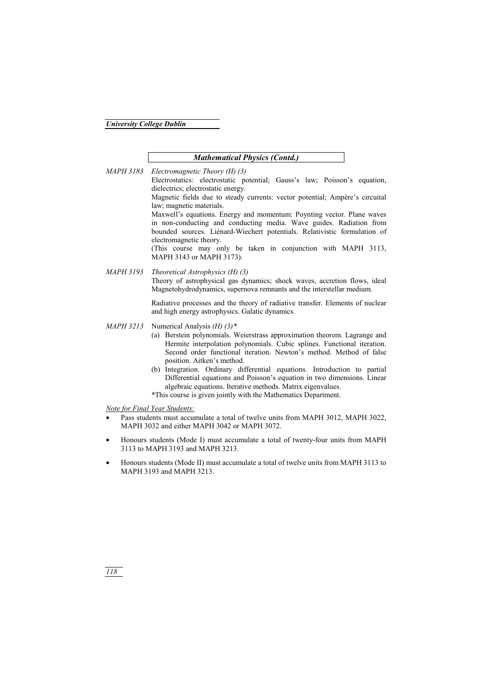*MAPH 3133 Continuum Mechanics (H) (3)* 

 Analysis of strain – finite and infinitesimal. Balance of mass, momentum, moment of momentum.

 Stress. Existence of stress tensor. Principal stresses. Maximum shear stress. Equations of motion. Finite elasticity. Classical linear elasticity. Beltrami-Mitchell equations. Uniqueness theorem. Reciprocal theorem. Elastic waves. Waves in ideal fluids. Viscous flow problems.

- *MAPH 3143 Quantum Mechanics (H) (3)*  Periodic potential, energy bands. Approximation methods of bound states, Helium atom. Zeeman effect. Angular momentum, Clebsch-Gordon coefficients, Wigner-Eckart theorem. Non-relativistic hydrogen atom with spinning electron. Relativistic theory of the electron. Scattering theory.
- *MAPH 3153 Statistical Mechanics (H) (3)*

 *Classical Statistical Mechanics:* 

The microcanonical ensemble, time averages, ergodicity.

 The canonical and grand-canonical ensemble, equivalence of ensembles, the thermodynamic limit and phase transistions.

Lattice gases and magnetic systems.

 *Quantum Statistical Mechanics:* 

 Trace class operators, density matrices, Fock space, ideal Bose and Fermi gases, Bose-Einstein condensation, lattice models, the Mermin-Wagner argument.

- *MAPH 3163 Computational Physics (H) (3)*  Parabolic equations in one space variable (Schrödinger equation, Diffusion equation). Parabolic equations in two and three dimensions – ADI methods. Hyperbolic equations – Lax Wendroff scheme, flux-limiter methods (fluid dynamics, wave equation). Consistency, convergence and stability. Elliptic equations (Poisson's equation). Finite element method. The Metropolis Algorithm (Ising Model), Quantum Monte Carlo (Molecular dynamics).
- *MAPH 3173 General Relativity (H) (3)*

 Einstein's field equations. Physical interpretations of the energy-momentumstress tensor. Newtonian approximation. The Schwarzschild solution. The Kruskal extension of the Schwarzschild manifold. Experimental tests. Interior Schwarzschild solution. Kinematics of a continuous medium. The Robertson-Walker cosmos. The equation of geodesic deviation. Plane gravitational waves and their interaction with clusters of test particles. (This course requires MAPH 3183 and parts of MAPH 3123 as pre/corequisites).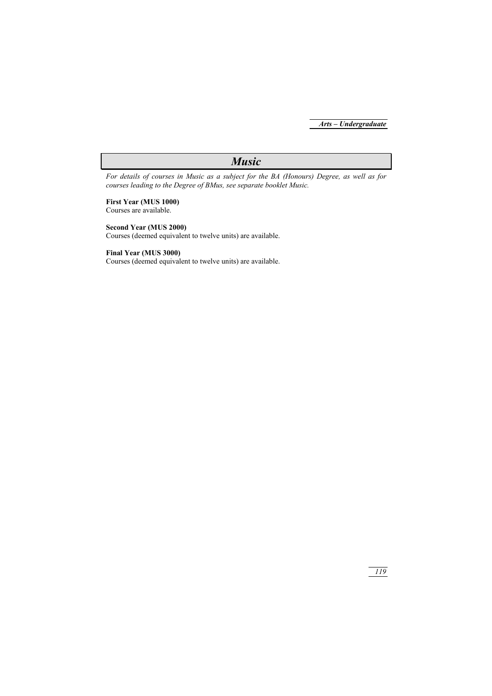### *Mathematical Physics (Contd.)*

*MAPH 3183 Electromagnetic Theory (H) (3)* 

 Electrostatics: electrostatic potential; Gauss's law; Poisson's equation, dielectrics; electrostatic energy.

 Magnetic fields due to steady currents: vector potential; Ampère's circuital law; magnetic materials.

 Maxwell's equations. Energy and momentum: Poynting vector. Plane waves in non-conducting and conducting media. Wave guides. Radiation from bounded sources. Liénard-Wiechert potentials. Relativistic formulation of electromagnetic theory.

 (This course may only be taken in conjunction with MAPH 3113, MAPH 3143 or MAPH 3173).

*MAPH 3193 Theoretical Astrophysics (H) (3)* 

 Theory of astrophysical gas dynamics; shock waves, accretion flows, ideal Magnetohydrodynamics, supernova remnants and the interstellar medium.

 Radiative processes and the theory of radiative transfer. Elements of nuclear and high energy astrophysics. Galatic dynamics.

- *MAPH 3213* Numerical Analysis *(H) (3)\** 
	- (a) Berstein polynomials. Weierstrass approximation theorem. Lagrange and Hermite interpolation polynomials. Cubic splines. Functional iteration. Second order functional iteration. Newton's method. Method of false position. Aitken's method.
	- (b) Integration. Ordinary differential equations. Introduction to partial Differential equations and Poisson's equation in two dimensions. Linear algebraic equations. Iterative methods. Matrix eigenvalues.

\*This course is given jointly with the Mathematics Department.

*Note for Final Year Students:*

- Pass students must accumulate a total of twelve units from MAPH 3012, MAPH 3022, MAPH 3032 and either MAPH 3042 or MAPH 3072.
- Honours students (Mode I) must accumulate a total of twenty-four units from MAPH 3113 to MAPH 3193 and MAPH 3213.
- Honours students (Mode II) must accumulate a total of twelve units from MAPH 3113 to MAPH 3193 and MAPH 3213.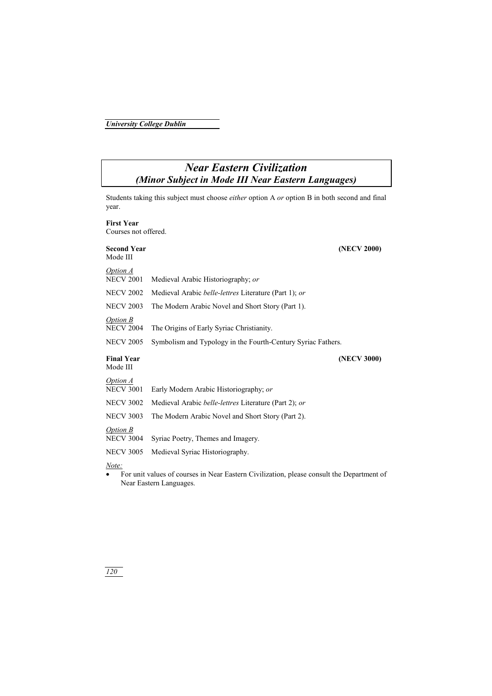*Arts – Undergraduate* 

## *Music*

*For details of courses in Music as a subject for the BA (Honours) Degree, as well as for courses leading to the Degree of BMus, see separate booklet Music.* 

### **First Year (MUS 1000)**

Courses are available.

### **Second Year (MUS 2000)**

Courses (deemed equivalent to twelve units) are available.

### **Final Year (MUS 3000)**

Courses (deemed equivalent to twelve units) are available.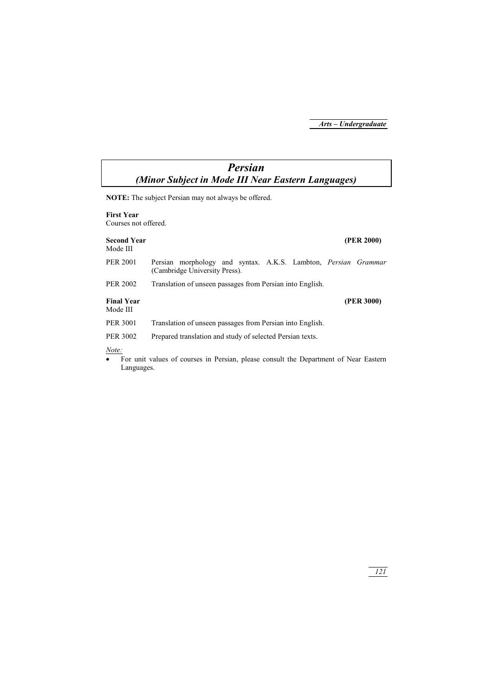## *Near Eastern Civilization (Minor Subject in Mode III Near Eastern Languages)*

Students taking this subject must choose *either* option A *or* option B in both second and final year.

| <b>First Year</b><br>Courses not offered. |                                                              |             |
|-------------------------------------------|--------------------------------------------------------------|-------------|
| <b>Second Year</b><br>Mode III            |                                                              | (NECV 2000) |
| <i>Option A</i><br><b>NECV 2001</b>       | Medieval Arabic Historiography; or                           |             |
| <b>NECV 2002</b>                          | Medieval Arabic <i>belle-lettres</i> Literature (Part 1); or |             |
| <b>NECV 2003</b>                          | The Modern Arabic Novel and Short Story (Part 1).            |             |
| <i>Option B</i><br><b>NECV 2004</b>       | The Origins of Early Syriac Christianity.                    |             |
| <b>NECV 2005</b>                          | Symbolism and Typology in the Fourth-Century Syriac Fathers. |             |
| <b>Final Year</b><br>Mode III             |                                                              | (NECV 3000) |
| Option A<br><b>NECV 3001</b>              | Early Modern Arabic Historiography; or                       |             |
| <b>NECV 3002</b>                          | Medieval Arabic <i>belle-lettres</i> Literature (Part 2); or |             |
| <b>NECV 3003</b>                          | The Modern Arabic Novel and Short Story (Part 2).            |             |
| <i>Option B</i><br><b>NECV 3004</b>       | Syriac Poetry, Themes and Imagery.                           |             |
| <b>NECV 3005</b>                          | Medieval Syriac Historiography.                              |             |

*Note:*

• For unit values of courses in Near Eastern Civilization, please consult the Department of Near Eastern Languages.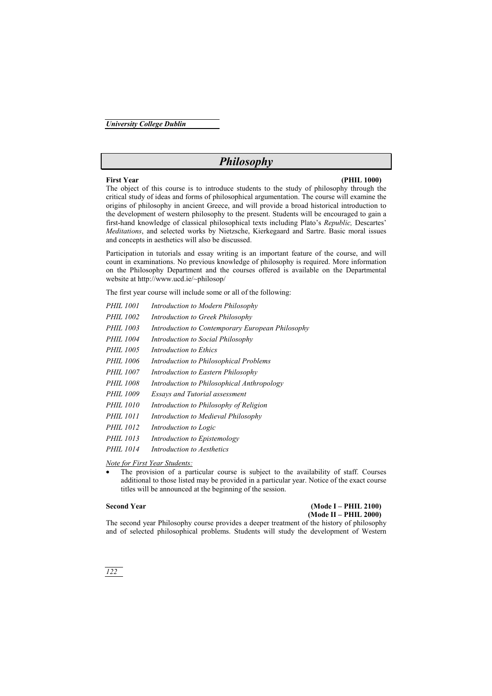## *Persian (Minor Subject in Mode III Near Eastern Languages)*

**NOTE:** The subject Persian may not always be offered.

### **First Year**

Courses not offered.

### **Second Year (PER 2000)**

Mode III

PER 2001 Persian morphology and syntax. A.K.S. Lambton, *Persian Grammar*  (Cambridge University Press).

PER 2002 Translation of unseen passages from Persian into English.

### **Final Year (PER 3000)**

Mode III

- PER 3001 Translation of unseen passages from Persian into English.
- PER 3002 Prepared translation and study of selected Persian texts.

*Note:*

• For unit values of courses in Persian, please consult the Department of Near Eastern Languages.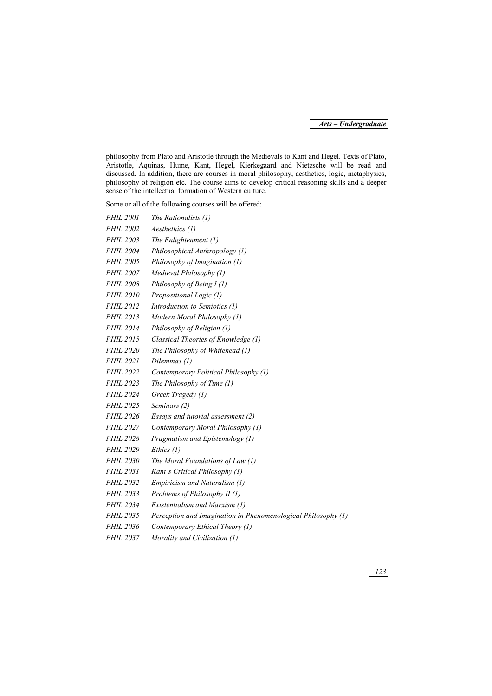# *Philosophy*

### **First Year (PHIL 1000)**

The object of this course is to introduce students to the study of philosophy through the critical study of ideas and forms of philosophical argumentation. The course will examine the origins of philosophy in ancient Greece, and will provide a broad historical introduction to the development of western philosophy to the present. Students will be encouraged to gain a first-hand knowledge of classical philosophical texts including Plato's *Republic,* Descartes' *Meditations*, and selected works by Nietzsche, Kierkegaard and Sartre. Basic moral issues and concepts in aesthetics will also be discussed.

Participation in tutorials and essay writing is an important feature of the course, and will count in examinations. No previous knowledge of philosophy is required. More information on the Philosophy Department and the courses offered is available on the Departmental website at http://www.ucd.ie/~philosop/

The first year course will include some or all of the following:

| <b>PHIL 1001</b> | Introduction to Modern Philosophy                |
|------------------|--------------------------------------------------|
| <b>PHIL 1002</b> | Introduction to Greek Philosophy                 |
| <b>PHIL 1003</b> | Introduction to Contemporary European Philosophy |
| <i>PHIL 1004</i> | Introduction to Social Philosophy                |
| <b>PHIL 1005</b> | Introduction to Ethics                           |
| <b>PHIL 1006</b> | Introduction to Philosophical Problems           |
| <b>PHIL 1007</b> | Introduction to Eastern Philosophy               |
| <b>PHIL 1008</b> | Introduction to Philosophical Anthropology       |
| PHIL 1009        | <b>Essays and Tutorial assessment</b>            |
| <b>PHIL 1010</b> | Introduction to Philosophy of Religion           |
| <b>PHIL 1011</b> | Introduction to Medieval Philosophy              |
| PHIL 1012        | Introduction to Logic                            |
| PHIL 1013        | Introduction to Epistemology                     |

*PHIL 1014 Introduction to Aesthetics* 

### *Note for First Year Students:*

The provision of a particular course is subject to the availability of staff. Courses additional to those listed may be provided in a particular year. Notice of the exact course titles will be announced at the beginning of the session.

**Second Year (Mode I – PHIL 2100) (Mode II – PHIL 2000)** 

The second year Philosophy course provides a deeper treatment of the history of philosophy and of selected philosophical problems. Students will study the development of Western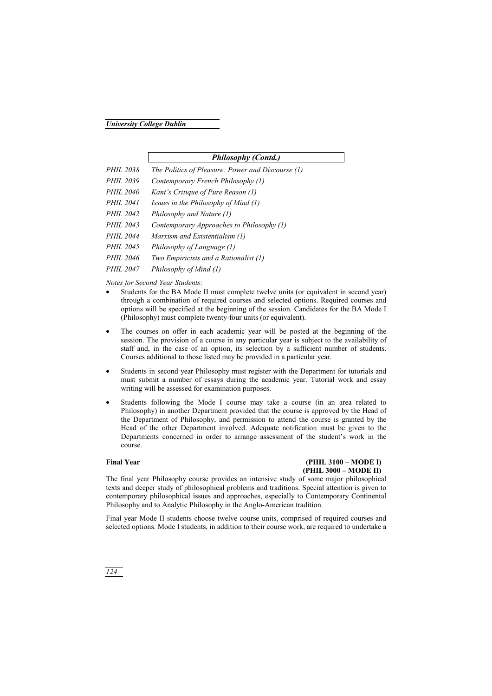*Arts – Undergraduate* 

philosophy from Plato and Aristotle through the Medievals to Kant and Hegel. Texts of Plato, Aristotle, Aquinas, Hume, Kant, Hegel, Kierkegaard and Nietzsche will be read and discussed. In addition, there are courses in moral philosophy, aesthetics, logic, metaphysics, philosophy of religion etc. The course aims to develop critical reasoning skills and a deeper sense of the intellectual formation of Western culture.

Some or all of the following courses will be offered:

| <b>PHIL 2001</b> | The Rationalists (1)                                          |
|------------------|---------------------------------------------------------------|
| <b>PHIL 2002</b> | Aesthethics (1)                                               |
| <b>PHIL 2003</b> | The Enlightenment (1)                                         |
| <b>PHIL 2004</b> | Philosophical Anthropology (1)                                |
| <b>PHIL 2005</b> | Philosophy of Imagination (1)                                 |
| <b>PHIL 2007</b> | Medieval Philosophy (1)                                       |
| <b>PHIL 2008</b> | Philosophy of Being I (1)                                     |
| <b>PHIL 2010</b> | Propositional Logic (1)                                       |
| <b>PHIL 2012</b> | Introduction to Semiotics (1)                                 |
| <b>PHIL 2013</b> | Modern Moral Philosophy (1)                                   |
| <b>PHIL 2014</b> | Philosophy of Religion (1)                                    |
| PHIL 2015        | Classical Theories of Knowledge (1)                           |
| <b>PHIL 2020</b> | The Philosophy of Whitehead (1)                               |
| <b>PHIL 2021</b> | Dilemmas (1)                                                  |
| <b>PHIL 2022</b> | Contemporary Political Philosophy (1)                         |
| <b>PHIL 2023</b> | The Philosophy of Time (1)                                    |
| <b>PHIL 2024</b> | Greek Tragedy (1)                                             |
| <b>PHIL 2025</b> | Seminars (2)                                                  |
| <b>PHIL 2026</b> | Essays and tutorial assessment (2)                            |
| PHIL 2027        | Contemporary Moral Philosophy (1)                             |
| <b>PHIL 2028</b> | Pragmatism and Epistemology (1)                               |
| <b>PHIL 2029</b> | Ethics $(1)$                                                  |
| <b>PHIL 2030</b> | The Moral Foundations of Law (1)                              |
| <b>PHIL 2031</b> | Kant's Critical Philosophy (1)                                |
| <b>PHIL 2032</b> | Empiricism and Naturalism (1)                                 |
| <b>PHIL 2033</b> | Problems of Philosophy II (1)                                 |
| <b>PHIL 2034</b> | Existentialism and Marxism (1)                                |
| PHIL 2035        | Perception and Imagination in Phenomenological Philosophy (1) |
| <b>PHIL 2036</b> | Contemporary Ethical Theory (1)                               |
| PHIL 2037        | Morality and Civilization (1)                                 |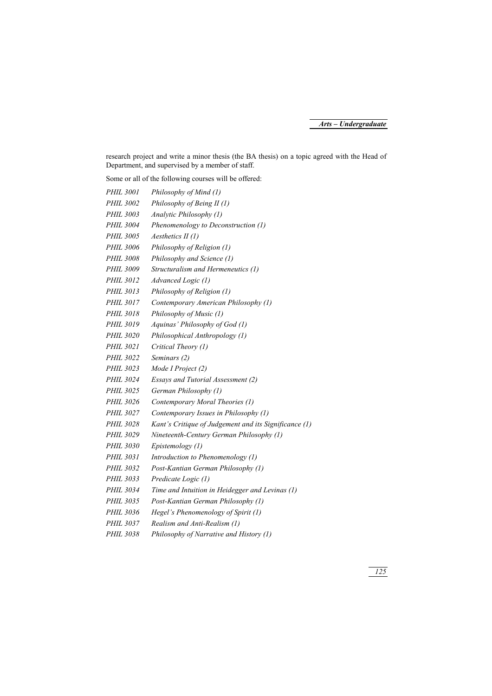### *Philosophy (Contd.)*

- *PHIL 2038 The Politics of Pleasure: Power and Discourse (1)*
- *PHIL 2039 Contemporary French Philosophy (1)*
- *PHIL 2040 Kant's Critique of Pure Reason (1)*
- *PHIL 2041 Issues in the Philosophy of Mind (1)*
- *PHIL 2042 Philosophy and Nature (1)*
- *PHIL 2043 Contemporary Approaches to Philosophy (1)*
- *PHIL 2044 Marxism and Existentialism (1)*
- *PHIL 2045 Philosophy of Language (1)*
- *PHIL 2046 Two Empiricists and a Rationalist (1)*

*PHIL 2047 Philosophy of Mind (1)*

### *Notes for Second Year Students:*

- Students for the BA Mode II must complete twelve units (or equivalent in second year) through a combination of required courses and selected options. Required courses and options will be specified at the beginning of the session. Candidates for the BA Mode I (Philosophy) must complete twenty-four units (or equivalent).
- The courses on offer in each academic year will be posted at the beginning of the session. The provision of a course in any particular year is subject to the availability of staff and, in the case of an option, its selection by a sufficient number of students. Courses additional to those listed may be provided in a particular year.
- Students in second year Philosophy must register with the Department for tutorials and must submit a number of essays during the academic year. Tutorial work and essay writing will be assessed for examination purposes.
- Students following the Mode I course may take a course (in an area related to Philosophy) in another Department provided that the course is approved by the Head of the Department of Philosophy, and permission to attend the course is granted by the Head of the other Department involved. Adequate notification must be given to the Departments concerned in order to arrange assessment of the student's work in the course.

### **Final Year (PHIL 3100 – MODE I) (PHIL 3000 – MODE II)**

The final year Philosophy course provides an intensive study of some major philosophical texts and deeper study of philosophical problems and traditions. Special attention is given to contemporary philosophical issues and approaches, especially to Contemporary Continental Philosophy and to Analytic Philosophy in the Anglo-American tradition.

Final year Mode II students choose twelve course units, comprised of required courses and selected options. Mode I students, in addition to their course work, are required to undertake a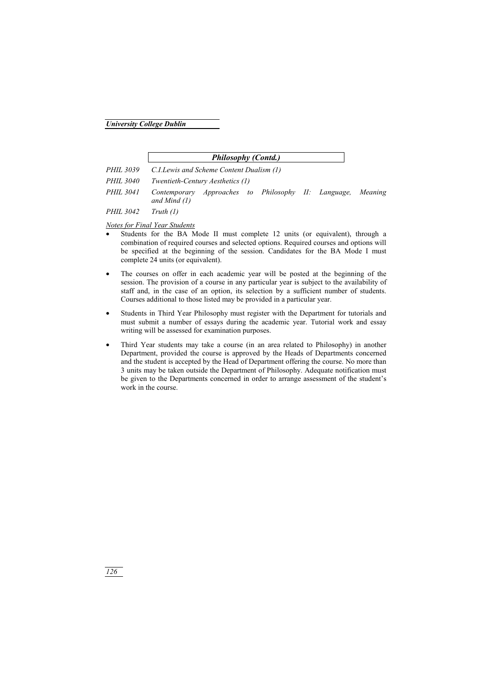research project and write a minor thesis (the BA thesis) on a topic agreed with the Head of Department, and supervised by a member of staff.

Some or all of the following courses will be offered:

| <b>PHIL 3001</b> | Philosophy of Mind (1)                                |
|------------------|-------------------------------------------------------|
| <b>PHIL 3002</b> | Philosophy of Being II (1)                            |
| <b>PHIL 3003</b> | Analytic Philosophy (1)                               |
| <b>PHIL 3004</b> | Phenomenology to Deconstruction (1)                   |
| PHIL 3005        | Aesthetics $II(1)$                                    |
| <b>PHIL 3006</b> | Philosophy of Religion (1)                            |
| PHIL 3008        | Philosophy and Science (1)                            |
| <b>PHIL 3009</b> | Structuralism and Hermeneutics (1)                    |
| <b>PHIL 3012</b> | Advanced Logic (1)                                    |
| PHIL 3013        | Philosophy of Religion (1)                            |
| PHIL 3017        | Contemporary American Philosophy (1)                  |
| <b>PHIL 3018</b> | Philosophy of Music (1)                               |
| <b>PHIL 3019</b> | Aquinas' Philosophy of God (1)                        |
| <b>PHIL 3020</b> | Philosophical Anthropology (1)                        |
| PHIL 3021        | Critical Theory (1)                                   |
| <b>PHIL 3022</b> | Seminars (2)                                          |
| <b>PHIL 3023</b> | Mode I Project (2)                                    |
| <b>PHIL 3024</b> | Essays and Tutorial Assessment (2)                    |
| <b>PHIL 3025</b> | German Philosophy (1)                                 |
| <i>PHIL 3026</i> | Contemporary Moral Theories (1)                       |
| <b>PHIL 3027</b> | Contemporary Issues in Philosophy (1)                 |
| <b>PHIL 3028</b> | Kant's Critique of Judgement and its Significance (1) |
| <b>PHIL 3029</b> | Nineteenth-Century German Philosophy (1)              |
| <b>PHIL 3030</b> | Epistemology (1)                                      |
| <b>PHIL 3031</b> | Introduction to Phenomenology (1)                     |
| <b>PHIL 3032</b> | Post-Kantian German Philosophy (1)                    |
| <b>PHIL 3033</b> | Predicate Logic (1)                                   |
| <b>PHIL 3034</b> | Time and Intuition in Heidegger and Levinas (1)       |
| <b>PHIL 3035</b> | Post-Kantian German Philosophy (1)                    |
| <b>PHIL 3036</b> | Hegel's Phenomenology of Spirit (1)                   |
| PHIL 3037        | Realism and Anti-Realism (1)                          |
| <b>PHIL 3038</b> | Philosophy of Narrative and History (1)               |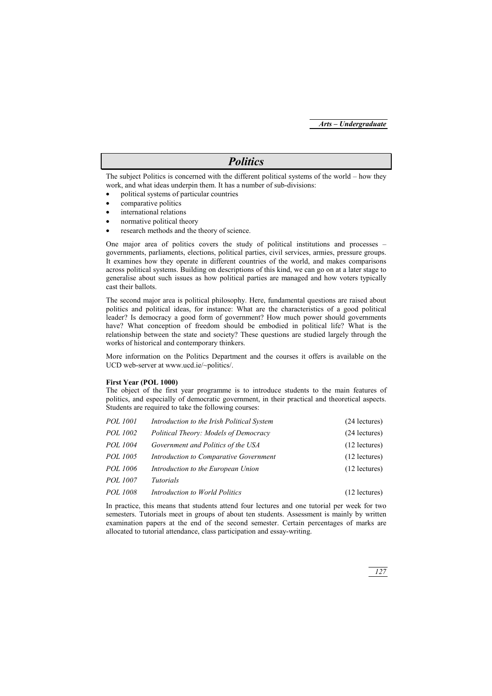### *Philosophy (Contd.)*

*PHIL 3039 C.I.Lewis and Scheme Content Dualism (1)* 

*PHIL 3040 Twentieth-Century Aesthetics (1)* 

*PHIL 3041 Contemporary Approaches to Philosophy II: Language, Meaning and Mind (1)* 

*PHIL 3042 Truth (1)* 

### *Notes for Final Year Students*

- Students for the BA Mode II must complete 12 units (or equivalent), through a combination of required courses and selected options. Required courses and options will be specified at the beginning of the session. Candidates for the BA Mode I must complete 24 units (or equivalent).
- The courses on offer in each academic year will be posted at the beginning of the session. The provision of a course in any particular year is subject to the availability of staff and, in the case of an option, its selection by a sufficient number of students. Courses additional to those listed may be provided in a particular year.
- Students in Third Year Philosophy must register with the Department for tutorials and must submit a number of essays during the academic year. Tutorial work and essay writing will be assessed for examination purposes.
- Third Year students may take a course (in an area related to Philosophy) in another Department, provided the course is approved by the Heads of Departments concerned and the student is accepted by the Head of Department offering the course. No more than 3 units may be taken outside the Department of Philosophy. Adequate notification must be given to the Departments concerned in order to arrange assessment of the student's work in the course.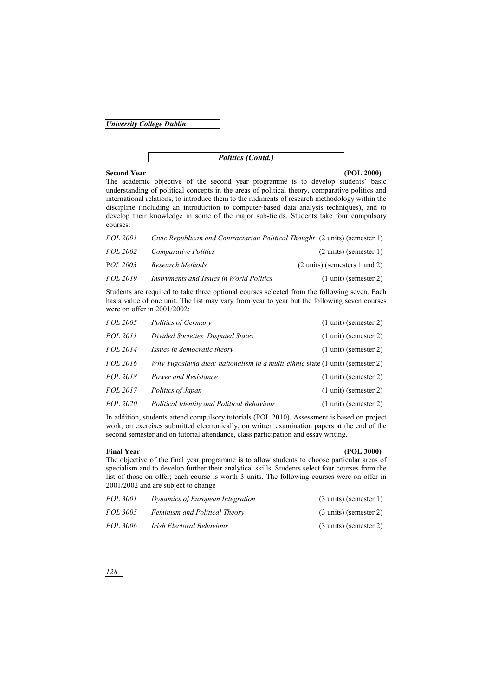*Arts – Undergraduate* 

## *Politics*

The subject Politics is concerned with the different political systems of the world – how they work, and what ideas underpin them. It has a number of sub-divisions:

- political systems of particular countries
- comparative politics
- international relations
- normative political theory
- research methods and the theory of science.

One major area of politics covers the study of political institutions and processes – governments, parliaments, elections, political parties, civil services, armies, pressure groups. It examines how they operate in different countries of the world, and makes comparisons across political systems. Building on descriptions of this kind, we can go on at a later stage to generalise about such issues as how political parties are managed and how voters typically cast their ballots.

The second major area is political philosophy. Here, fundamental questions are raised about politics and political ideas, for instance: What are the characteristics of a good political leader? Is democracy a good form of government? How much power should governments have? What conception of freedom should be embodied in political life? What is the relationship between the state and society? These questions are studied largely through the works of historical and contemporary thinkers.

More information on the Politics Department and the courses it offers is available on the UCD web-server at www.ucd.ie/~politics/.

### **First Year (POL 1000)**

The object of the first year programme is to introduce students to the main features of politics, and especially of democratic government, in their practical and theoretical aspects. Students are required to take the following courses:

| POL 1001        | Introduction to the Irish Political System | $(24$ lectures) |
|-----------------|--------------------------------------------|-----------------|
| POL 1002        | Political Theory: Models of Democracy      | $(24$ lectures) |
| POL 1004        | Government and Politics of the USA         | $(12$ lectures) |
| POL 1005        | Introduction to Comparative Government     | $(12$ lectures) |
| <i>POL 1006</i> | Introduction to the European Union         | $(12$ lectures) |
| POL 1007        | Tutorials                                  |                 |
| POL 1008        | Introduction to World Politics             | $(12$ lectures) |

In practice, this means that students attend four lectures and one tutorial per week for two semesters. Tutorials meet in groups of about ten students. Assessment is mainly by written examination papers at the end of the second semester. Certain percentages of marks are allocated to tutorial attendance, class participation and essay-writing.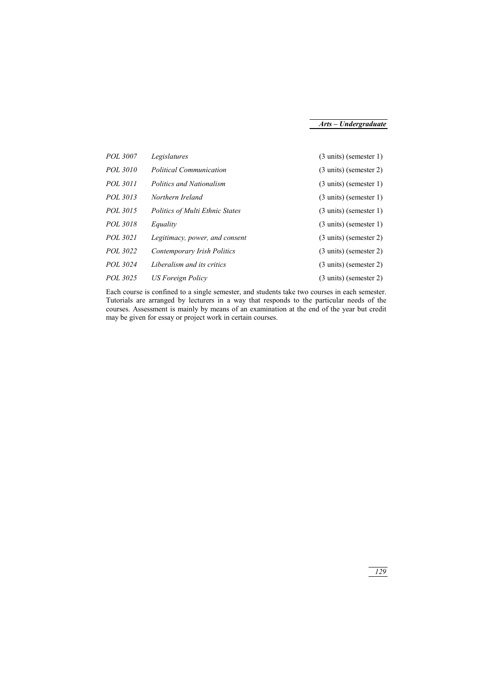### *Politics (Contd.)*

### **Second Year (POL 2000)**

The academic objective of the second year programme is to develop students' basic understanding of political concepts in the areas of political theory, comparative politics and international relations, to introduce them to the rudiments of research methodology within the discipline (including an introduction to computer-based data analysis techniques), and to develop their knowledge in some of the major sub-fields. Students take four compulsory courses:

| <i>POL 2001</i> | Civic Republican and Contractarian Political Thought (2 units) (semester 1) |                                         |
|-----------------|-----------------------------------------------------------------------------|-----------------------------------------|
| <i>POL 2002</i> | Comparative Politics                                                        | $(2 \text{ units})$ (semester 1)        |
| POL 2003        | Research Methods                                                            | $(2 \text{ units})$ (semesters 1 and 2) |
| POL 2019        | Instruments and Issues in World Politics                                    | $(1 \text{ unit})$ (semester 2)         |

Students are required to take three optional courses selected from the following seven. Each has a value of one unit. The list may vary from year to year but the following seven courses were on offer in 2001/2002:

| POL 2005        | <b>Politics of Germany</b>                                                               | $(1 \text{ unit})$ (semester 2) |
|-----------------|------------------------------------------------------------------------------------------|---------------------------------|
| <i>POL 2011</i> | Divided Societies, Disputed States                                                       | $(1 \text{ unit})$ (semester 2) |
| POL 2014        | Issues in democratic theory                                                              | $(1 \text{ unit})$ (semester 2) |
| POL 2016        | Why Yugoslavia died: nationalism in a multi-ethnic state $(1 \text{ unit})$ (semester 2) |                                 |
| POL 2018        | Power and Resistance                                                                     | $(1 \text{ unit})$ (semester 2) |
| <i>POL</i> 2017 | Politics of Japan                                                                        | $(1 \text{ unit})$ (semester 2) |
| <i>POL 2020</i> | Political Identity and Political Behaviour                                               | $(1 \text{ unit})$ (semester 2) |

In addition, students attend compulsory tutorials (POL 2010). Assessment is based on project work, on exercises submitted electronically, on written examination papers at the end of the second semester and on tutorial attendance, class participation and essay writing.

### **Final Year (POL 3000)**

The objective of the final year programme is to allow students to choose particular areas of specialism and to develop further their analytical skills. Students select four courses from the list of those on offer; each course is worth 3 units. The following courses were on offer in 2001/2002 and are subject to change

| <i>POL 3001</i> | Dynamics of European Integration     | $(3 \text{ units})$ (semester 1) |
|-----------------|--------------------------------------|----------------------------------|
| <i>POL 3005</i> | <b>Feminism and Political Theory</b> | $(3 \text{ units})$ (semester 2) |
| <i>POL 3006</i> | Irish Electoral Behaviour            | $(3 \text{ units})$ (semester 2) |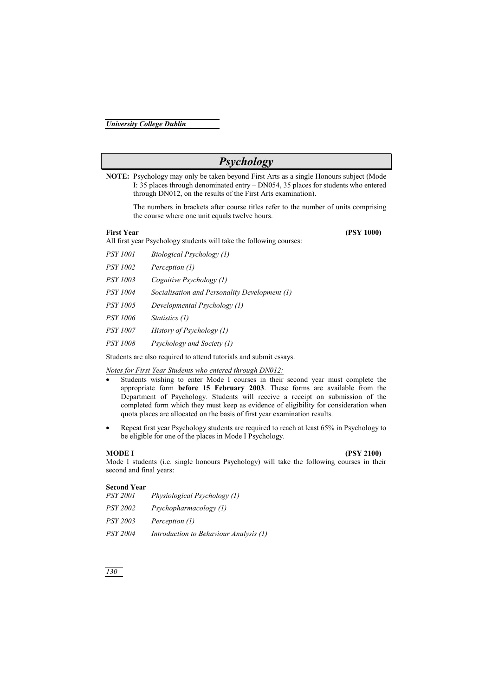| POL 3007 | Legislatures                           | $(3 \text{ units})$ (semester 1) |
|----------|----------------------------------------|----------------------------------|
| POL 3010 | <b>Political Communication</b>         | $(3 \text{ units})$ (semester 2) |
| POL 3011 | <b>Politics and Nationalism</b>        | $(3 \text{ units})$ (semester 1) |
| POL 3013 | Northern Ireland                       | $(3 \text{ units})$ (semester 1) |
| POL 3015 | <b>Politics of Multi Ethnic States</b> | $(3 \text{ units})$ (semester 1) |
| POL 3018 | Equality                               | $(3 \text{ units})$ (semester 1) |
| POL 3021 | Legitimacy, power, and consent         | $(3 \text{ units})$ (semester 2) |
| POL 3022 | Contemporary Irish Politics            | $(3 \text{ units})$ (semester 2) |
| POL 3024 | Liberalism and its critics             | $(3 \text{ units})$ (semester 2) |
| POL 3025 | US Foreign Policy                      | $(3 \text{ units})$ (semester 2) |

Each course is confined to a single semester, and students take two courses in each semester. Tutorials are arranged by lecturers in a way that responds to the particular needs of the courses. Assessment is mainly by means of an examination at the end of the year but credit may be given for essay or project work in certain courses.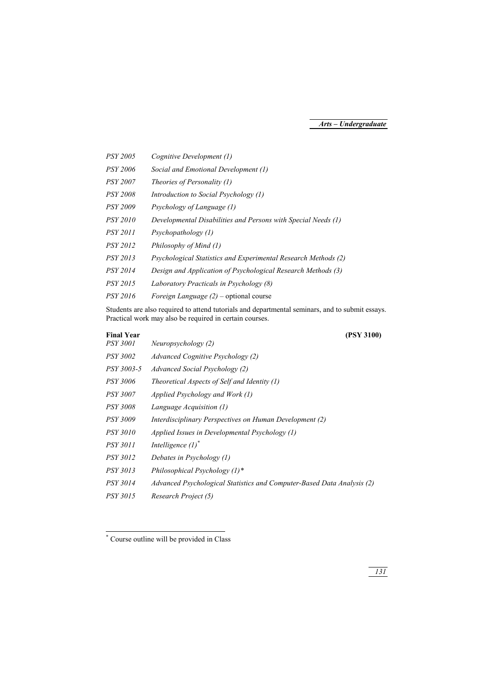# *Psychology*

**NOTE:** Psychology may only be taken beyond First Arts as a single Honours subject (Mode I: 35 places through denominated entry – DN054, 35 places for students who entered through DN012, on the results of the First Arts examination).

The numbers in brackets after course titles refer to the number of units comprising the course where one unit equals twelve hours.

### **First Year (PSY 1000)**

All first year Psychology students will take the following courses:

| <i>PSY 1001</i> | Biological Psychology (1)                     |
|-----------------|-----------------------------------------------|
| <i>PSY 1002</i> | Perception (1)                                |
| <i>PSY 1003</i> | Cognitive Psychology (1)                      |
| PSY 1004        | Socialisation and Personality Development (1) |
| <i>PSY 1005</i> | Developmental Psychology (1)                  |
| <i>PSY 1006</i> | <i>Statistics (1)</i>                         |
| <i>PSY 1007</i> | History of Psychology (1)                     |
| PSY 1008        | Psychology and Society (1)                    |

Students are also required to attend tutorials and submit essays.

### *Notes for First Year Students who entered through DN012:*

- Students wishing to enter Mode I courses in their second year must complete the appropriate form **before 15 February 2003**. These forms are available from the Department of Psychology. Students will receive a receipt on submission of the completed form which they must keep as evidence of eligibility for consideration when quota places are allocated on the basis of first year examination results.
- Repeat first year Psychology students are required to reach at least 65% in Psychology to be eligible for one of the places in Mode I Psychology.

### **MODE I** (PSY 2100)

Mode I students (i.e. single honours Psychology) will take the following courses in their second and final years:

### **Second Year**

| <i>PSY 2001</i> | Physiological Psychology (1)           |
|-----------------|----------------------------------------|
| <i>PSY 2002</i> | Psychopharmacology (1)                 |
| <i>PSY 2003</i> | Perception (1)                         |
| <i>PSY 2004</i> | Introduction to Behaviour Analysis (1) |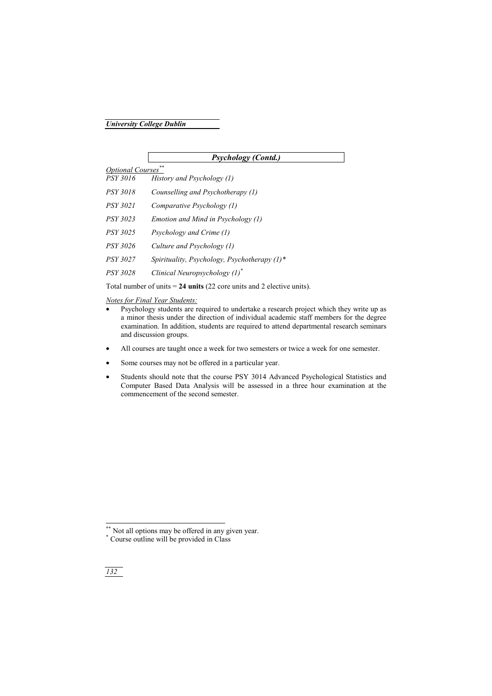| <i>PSY 2005</i> | Cognitive Development (1)                                      |
|-----------------|----------------------------------------------------------------|
| PSY 2006        | Social and Emotional Development (1)                           |
| PSY 2007        | Theories of Personality (1)                                    |
| <i>PSY 2008</i> | Introduction to Social Psychology (1)                          |
| PSY 2009        | <i>Psychology of Language (1)</i>                              |
| PSY 2010        | Developmental Disabilities and Persons with Special Needs (1)  |
| PSY 2011        | Psychopathology (1)                                            |
| <i>PSY 2012</i> | Philosophy of Mind (1)                                         |
| PSY 2013        | Psychological Statistics and Experimental Research Methods (2) |
| PSY 2014        | Design and Application of Psychological Research Methods (3)   |
| PSY 2015        | Laboratory Practicals in Psychology (8)                        |
| PSY 2016        | <i>Foreign Language</i> $(2)$ – optional course                |

Students are also required to attend tutorials and departmental seminars, and to submit essays. Practical work may also be required in certain courses.

### **Final Year** (PSY 3100)

| <i>PSY 3001</i>   | Neuropsychology (2)                                                    |
|-------------------|------------------------------------------------------------------------|
| <i>PSY 3002</i>   | Advanced Cognitive Psychology (2)                                      |
| <i>PSY 3003-5</i> | Advanced Social Psychology (2)                                         |
| <i>PSY 3006</i>   | Theoretical Aspects of Self and Identity (1)                           |
| <i>PSY 3007</i>   | Applied Psychology and Work (1)                                        |
| <i>PSY 3008</i>   | Language Acquisition (1)                                               |
| <i>PSY 3009</i>   | Interdisciplinary Perspectives on Human Development (2)                |
| <i>PSY 3010</i>   | Applied Issues in Developmental Psychology (1)                         |
| <i>PSY 3011</i>   | Intelligence $(1)^{\hat{}}$                                            |
| <i>PSY 3012</i>   | Debates in Psychology (1)                                              |
| <i>PSY 3013</i>   | Philosophical Psychology $(1)^*$                                       |
| <i>PSY 3014</i>   | Advanced Psychological Statistics and Computer-Based Data Analysis (2) |
| <i>PSY 3015</i>   | Research Project (5)                                                   |

 \* Course outline will be provided in Class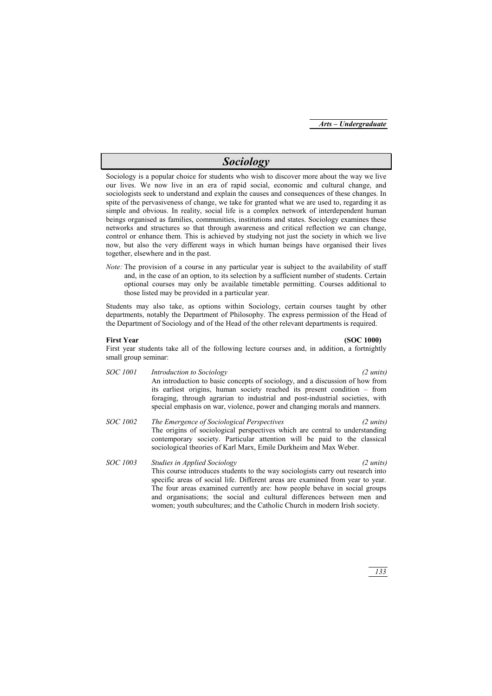### *University College Dublin*

### *Psychology (Contd.)*

*Optional Courses\*\**

- *PSY 3016 History and Psychology (1)*
- *PSY 3018 Counselling and Psychotherapy (1)*
- *PSY 3021 Comparative Psychology (1)*
- *PSY 3023 Emotion and Mind in Psychology (1)*
- *PSY 3025 Psychology and Crime (1)*
- *PSY 3026 Culture and Psychology (1)*
- *PSY 3027 Spirituality, Psychology, Psychotherapy (1)\**
- *PSY 3028 Clinical Neuropsychology (1)\**

Total number of units = **24 units** (22 core units and 2 elective units).

### *Notes for Final Year Students:*

- Psychology students are required to undertake a research project which they write up as a minor thesis under the direction of individual academic staff members for the degree examination. In addition, students are required to attend departmental research seminars and discussion groups.
- All courses are taught once a week for two semesters or twice a week for one semester.
- Some courses may not be offered in a particular year.
- Students should note that the course PSY 3014 Advanced Psychological Statistics and Computer Based Data Analysis will be assessed in a three hour examination at the commencement of the second semester.

 $\overline{a}$ 

<sup>\*\*</sup> Not all options may be offered in any given year.

<sup>\*</sup> Course outline will be provided in Class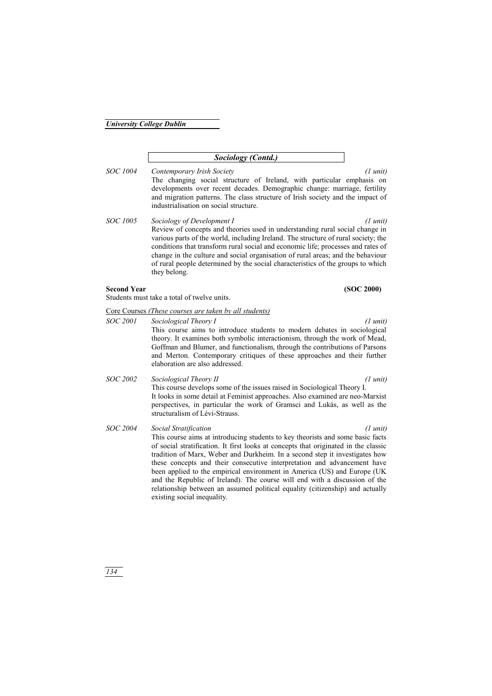# *Sociology*

Sociology is a popular choice for students who wish to discover more about the way we live our lives. We now live in an era of rapid social, economic and cultural change, and sociologists seek to understand and explain the causes and consequences of these changes. In spite of the pervasiveness of change, we take for granted what we are used to, regarding it as simple and obvious. In reality, social life is a complex network of interdependent human beings organised as families, communities, institutions and states. Sociology examines these networks and structures so that through awareness and critical reflection we can change, control or enhance them. This is achieved by studying not just the society in which we live now, but also the very different ways in which human beings have organised their lives together, elsewhere and in the past.

*Note:* The provision of a course in any particular year is subject to the availability of staff and, in the case of an option, to its selection by a sufficient number of students. Certain optional courses may only be available timetable permitting. Courses additional to those listed may be provided in a particular year.

Students may also take, as options within Sociology, certain courses taught by other departments, notably the Department of Philosophy. The express permission of the Head of the Department of Sociology and of the Head of the other relevant departments is required.

### **First Year (SOC 1000)**

First year students take all of the following lecture courses and, in addition, a fortnightly small group seminar:

- *SOC 1001 Introduction to Sociology (2 units)*  An introduction to basic concepts of sociology, and a discussion of how from its earliest origins, human society reached its present condition – from foraging, through agrarian to industrial and post-industrial societies, with special emphasis on war, violence, power and changing morals and manners.
- *SOC 1002 The Emergence of Sociological Perspectives (2 units)*  The origins of sociological perspectives which are central to understanding contemporary society. Particular attention will be paid to the classical sociological theories of Karl Marx, Emile Durkheim and Max Weber.
- *SOC 1003 Studies in Applied Sociology (2 units)*  This course introduces students to the way sociologists carry out research into specific areas of social life. Different areas are examined from year to year. The four areas examined currently are: how people behave in social groups and organisations; the social and cultural differences between men and women; youth subcultures; and the Catholic Church in modern Irish society.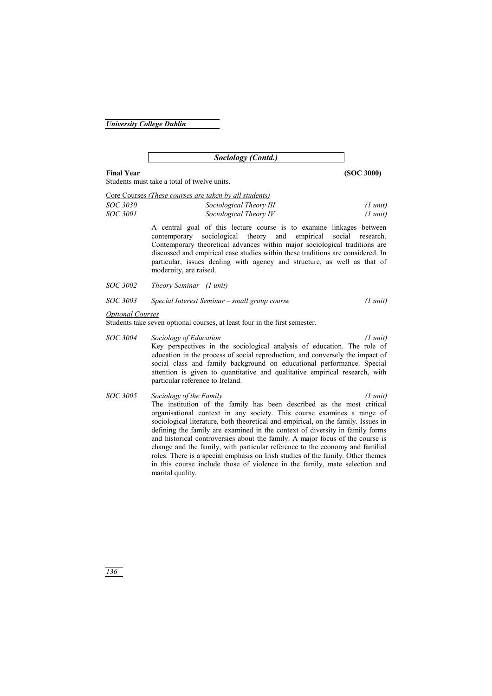### *Sociology (Contd.)*

*SOC 1004 Contemporary Irish Society (1 unit)*  The changing social structure of Ireland, with particular emphasis on developments over recent decades. Demographic change: marriage, fertility and migration patterns. The class structure of Irish society and the impact of industrialisation on social structure.

*SOC 1005 Sociology of Development I (1 unit)*  Review of concepts and theories used in understanding rural social change in various parts of the world, including Ireland. The structure of rural society; the conditions that transform rural social and economic life; processes and rates of change in the culture and social organisation of rural areas; and the behaviour of rural people determined by the social characteristics of the groups to which they belong.

### **Second Year** (SOC 2000)

Students must take a total of twelve units.

### Core Courses *(These courses are taken by all students)*

- *SOC 2001 Sociological Theory I (1 unit)*  This course aims to introduce students to modern debates in sociological theory. It examines both symbolic interactionism, through the work of Mead, Goffman and Blumer, and functionalism, through the contributions of Parsons and Merton. Contemporary critiques of these approaches and their further elaboration are also addressed.
- *SOC 2002 Sociological Theory II (1 unit)*  This course develops some of the issues raised in Sociological Theory I. It looks in some detail at Feminist approaches. Also examined are neo-Marxist perspectives, in particular the work of Gramsci and Lukás, as well as the structuralism of Lévi-Strauss. *SOC 2004 Social Stratification (1 unit)*
- This course aims at introducing students to key theorists and some basic facts of social stratification. It first looks at concepts that originated in the classic tradition of Marx, Weber and Durkheim. In a second step it investigates how these concepts and their consecutive interpretation and advancement have been applied to the empirical environment in America (US) and Europe (UK and the Republic of Ireland). The course will end with a discussion of the relationship between an assumed political equality (citizenship) and actually existing social inequality.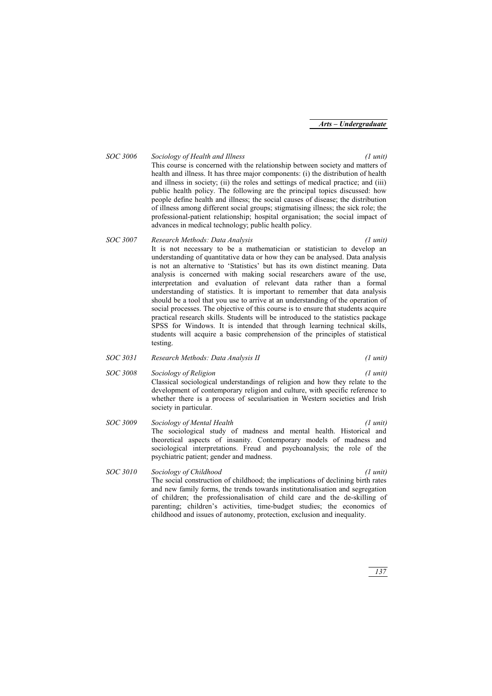*SOC 2005 Sociology of Development II (1 unit)*  This course examines the conditions and prospects of less developed countries, the 'South' within the context of differences in natural resources, the impact of colonialism and the international economic order. The internal dynamics of less developed countries are analysed with reference to classes, ethnicity, interest groups and political factors and the implications of population expansion. Particular attention is paid to the position of women. The 'North' (or advanced industrial capitalist countries) is identified as part of the problem – can it be part of the solution? This question is examined in relation to the operation of transnational corporations and the role of aid.

### *SOC 2006 Sociology of Communications I (1 unit)*  Major theoretical perspectives in the sociology of communications: Marxism and pluralism, critical theory and dependency theory, feminist and cultural studies views. Review of research on media audiences. Historical and sociological examination of broadcasting in Ireland.

- *SOC 2007 Sociology of Gender (1 unit)*  This course offers an introduction to gender issues, especially in sociology. Sociological theory is examined in the context of gender and the wider body of feminist thought. Specific topics include the social construction of male and female roles, work, health, crime and violence, and the study of masculinity.
- *SOC 2008 Research Methods and Data Analysis (4 units)*  The objective of this course is to give students a good grounding in the methodologies utilised by sociologists in the researching of social issues, as well as an understanding of the theoretical approaches underlying these methodologies. A twice-weekly lecture course is combined with practical hands-on experience in the carrying out of a research project by each student. In the lecture course, the three main approaches to social research are studied, namely documentary research, survey research and the use of qualitative methods. An introduction is given to evaluation research. In addition to the lecture course, each student is required to carry out a research project.

### *SOC 2010 Sociology of Northern Ireland (1 unit)*  This course examines various aspects of Northern Irish society, both in terms of historical debates and contemporary developments. The course considers some of the competing/overlapping explanations for the conflict and for its (potential) resolution, focusing in particular on the social dynamics involved in these processes. Our concern throughout the course will be to develop a critical understanding of such concepts as history, community and culture, and how these intersect with other debates about the nature of Northern Irish Society.

- *SOC 2009 Seminar Essay* 
	- Other optional courses may be offered in Second Year. See Third Year option list.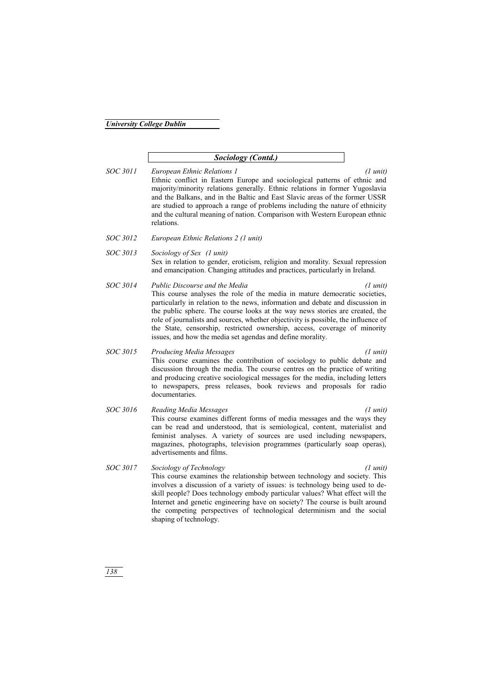### *Sociology (Contd.)*

**Final Year (SOC 3000)** 

Students must take a total of twelve units.

|          | Core Courses (These courses are taken by all students) |                    |
|----------|--------------------------------------------------------|--------------------|
| SOC 3030 | Sociological Theory III                                | $(l \text{ unit})$ |
| SOC 3001 | Sociological Theory IV                                 | $(1 \text{ unit})$ |

 A central goal of this lecture course is to examine linkages between contemporary sociological theory and empirical social research. Contemporary theoretical advances within major sociological traditions are discussed and empirical case studies within these traditions are considered. In particular, issues dealing with agency and structure, as well as that of modernity, are raised.

*SOC 3002 Theory Seminar (1 unit)* 

*SOC 3003 Special Interest Seminar – small group course (1 unit)* 

### *Optional Courses*

Students take seven optional courses, at least four in the first semester.

- *SOC 3004 Sociology of Education (1 unit)*  Key perspectives in the sociological analysis of education. The role of education in the process of social reproduction, and conversely the impact of social class and family background on educational performance. Special attention is given to quantitative and qualitative empirical research, with particular reference to Ireland.
- *SOC 3005 Sociology of the Family (1 unit)*  The institution of the family has been described as the most critical organisational context in any society. This course examines a range of sociological literature, both theoretical and empirical, on the family. Issues in defining the family are examined in the context of diversity in family forms and historical controversies about the family. A major focus of the course is change and the family, with particular reference to the economy and familial roles. There is a special emphasis on Irish studies of the family. Other themes in this course include those of violence in the family, mate selection and marital quality.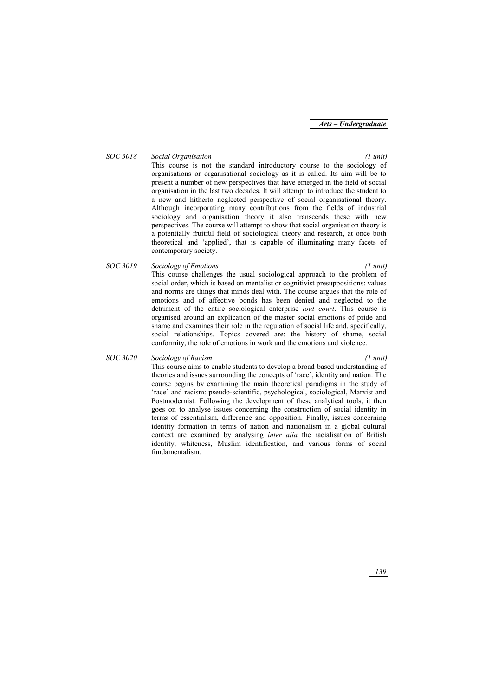*SOC 3006 Sociology of Health and Illness (1 unit)*  This course is concerned with the relationship between society and matters of health and illness. It has three major components: (i) the distribution of health and illness in society; (ii) the roles and settings of medical practice; and (iii) public health policy. The following are the principal topics discussed: how people define health and illness; the social causes of disease; the distribution of illness among different social groups; stigmatising illness; the sick role; the professional-patient relationship; hospital organisation; the social impact of advances in medical technology; public health policy.

## *SOC 3007 Research Methods: Data Analysis (1 unit)*

 It is not necessary to be a mathematician or statistician to develop an understanding of quantitative data or how they can be analysed. Data analysis is not an alternative to 'Statistics' but has its own distinct meaning. Data analysis is concerned with making social researchers aware of the use, interpretation and evaluation of relevant data rather than a formal understanding of statistics. It is important to remember that data analysis should be a tool that you use to arrive at an understanding of the operation of social processes. The objective of this course is to ensure that students acquire practical research skills. Students will be introduced to the statistics package SPSS for Windows. It is intended that through learning technical skills, students will acquire a basic comprehension of the principles of statistical testing.

- *SOC 3031 Research Methods: Data Analysis II (1 unit)*
- *SOC 3008 Sociology of Religion (1 unit)*  Classical sociological understandings of religion and how they relate to the development of contemporary religion and culture, with specific reference to whether there is a process of secularisation in Western societies and Irish society in particular.
- *SOC 3009 Sociology of Mental Health (1 unit)*  The sociological study of madness and mental health. Historical and theoretical aspects of insanity. Contemporary models of madness and sociological interpretations. Freud and psychoanalysis; the role of the psychiatric patient; gender and madness.
- *SOC 3010 Sociology of Childhood (1 unit)*  The social construction of childhood; the implications of declining birth rates and new family forms, the trends towards institutionalisation and segregation of children; the professionalisation of child care and the de-skilling of parenting; children's activities, time-budget studies; the economics of childhood and issues of autonomy, protection, exclusion and inequality.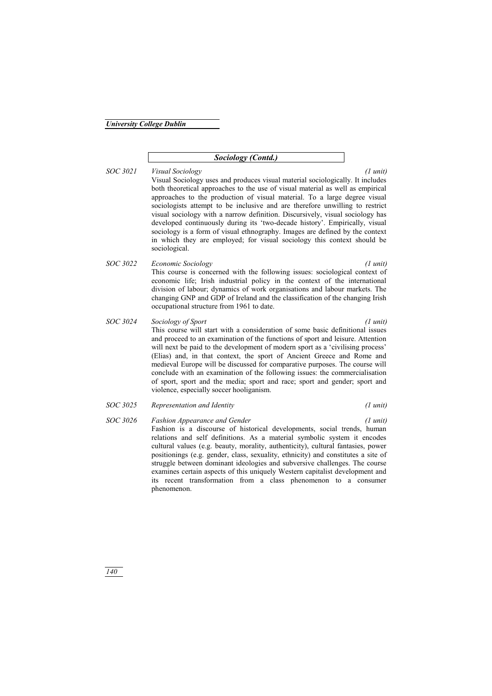### *Sociology (Contd.)*

- *SOC 3011 European Ethnic Relations 1 (1 unit)*  Ethnic conflict in Eastern Europe and sociological patterns of ethnic and majority/minority relations generally. Ethnic relations in former Yugoslavia and the Balkans, and in the Baltic and East Slavic areas of the former USSR are studied to approach a range of problems including the nature of ethnicity and the cultural meaning of nation. Comparison with Western European ethnic relations.
- *SOC 3012 European Ethnic Relations 2 (1 unit)*

### *SOC 3013 Sociology of Sex (1 unit)*  Sex in relation to gender, eroticism, religion and morality. Sexual repression and emancipation. Changing attitudes and practices, particularly in Ireland.

- *SOC 3014 Public Discourse and the Media (1 unit)*  This course analyses the role of the media in mature democratic societies, particularly in relation to the news, information and debate and discussion in the public sphere. The course looks at the way news stories are created, the role of journalists and sources, whether objectivity is possible, the influence of the State, censorship, restricted ownership, access, coverage of minority issues, and how the media set agendas and define morality.
- *SOC 3015 Producing Media Messages (1 unit)*  This course examines the contribution of sociology to public debate and discussion through the media. The course centres on the practice of writing and producing creative sociological messages for the media, including letters to newspapers, press releases, book reviews and proposals for radio documentaries.
- *SOC 3016 Reading Media Messages (1 unit)*  This course examines different forms of media messages and the ways they can be read and understood, that is semiological, content, materialist and feminist analyses. A variety of sources are used including newspapers, magazines, photographs, television programmes (particularly soap operas), advertisements and films.
- *SOC 3017 Sociology of Technology (1 unit)*  This course examines the relationship between technology and society. This involves a discussion of a variety of issues: is technology being used to deskill people? Does technology embody particular values? What effect will the Internet and genetic engineering have on society? The course is built around the competing perspectives of technological determinism and the social shaping of technology.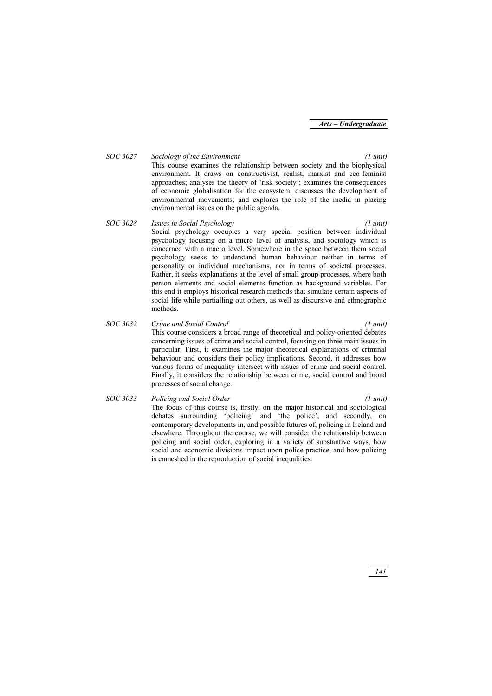*Arts – Undergraduate* 

### *SOC 3018 Social Organisation (1 unit)*

 This course is not the standard introductory course to the sociology of organisations or organisational sociology as it is called. Its aim will be to present a number of new perspectives that have emerged in the field of social organisation in the last two decades. It will attempt to introduce the student to a new and hitherto neglected perspective of social organisational theory. Although incorporating many contributions from the fields of industrial sociology and organisation theory it also transcends these with new perspectives. The course will attempt to show that social organisation theory is a potentially fruitful field of sociological theory and research, at once both theoretical and 'applied', that is capable of illuminating many facets of contemporary society.

### *SOC 3019 Sociology of Emotions (1 unit)*

 This course challenges the usual sociological approach to the problem of social order, which is based on mentalist or cognitivist presuppositions: values and norms are things that minds deal with. The course argues that the role of emotions and of affective bonds has been denied and neglected to the detriment of the entire sociological enterprise *tout court*. This course is organised around an explication of the master social emotions of pride and shame and examines their role in the regulation of social life and, specifically, social relationships. Topics covered are: the history of shame, social conformity, the role of emotions in work and the emotions and violence.

### *SOC 3020 Sociology of Racism (1 unit)*

 This course aims to enable students to develop a broad-based understanding of theories and issues surrounding the concepts of 'race', identity and nation. The course begins by examining the main theoretical paradigms in the study of 'race' and racism: pseudo-scientific, psychological, sociological, Marxist and Postmodernist. Following the development of these analytical tools, it then goes on to analyse issues concerning the construction of social identity in terms of essentialism, difference and opposition. Finally, issues concerning identity formation in terms of nation and nationalism in a global cultural context are examined by analysing *inter alia* the racialisation of British identity, whiteness, Muslim identification, and various forms of social fundamentalism.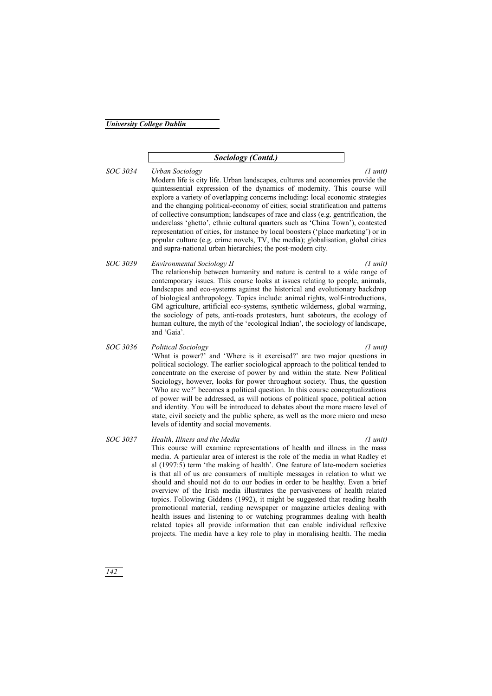### *Sociology (Contd.)*

*SOC 3021 Visual Sociology (1 unit)*  Visual Sociology uses and produces visual material sociologically. It includes both theoretical approaches to the use of visual material as well as empirical approaches to the production of visual material. To a large degree visual sociologists attempt to be inclusive and are therefore unwilling to restrict visual sociology with a narrow definition. Discursively, visual sociology has developed continuously during its 'two-decade history'. Empirically, visual sociology is a form of visual ethnography. Images are defined by the context in which they are employed; for visual sociology this context should be sociological.

*SOC 3022 Economic Sociology (1 unit)*  This course is concerned with the following issues: sociological context of economic life; Irish industrial policy in the context of the international division of labour; dynamics of work organisations and labour markets. The changing GNP and GDP of Ireland and the classification of the changing Irish occupational structure from 1961 to date.

*SOC 3024 Sociology of Sport (1 unit)* 

 This course will start with a consideration of some basic definitional issues and proceed to an examination of the functions of sport and leisure. Attention will next be paid to the development of modern sport as a 'civilising process' (Elias) and, in that context, the sport of Ancient Greece and Rome and medieval Europe will be discussed for comparative purposes. The course will conclude with an examination of the following issues: the commercialisation of sport, sport and the media; sport and race; sport and gender; sport and violence, especially soccer hooliganism.

- *SOC 3025 Representation and Identity (1 unit)*
- *SOC 3026 Fashion Appearance and Gender (1 unit)*  Fashion is a discourse of historical developments, social trends, human relations and self definitions. As a material symbolic system it encodes cultural values (e.g. beauty, morality, authenticity), cultural fantasies, power positionings (e.g. gender, class, sexuality, ethnicity) and constitutes a site of struggle between dominant ideologies and subversive challenges. The course examines certain aspects of this uniquely Western capitalist development and its recent transformation from a class phenomenon to a consumer phenomenon.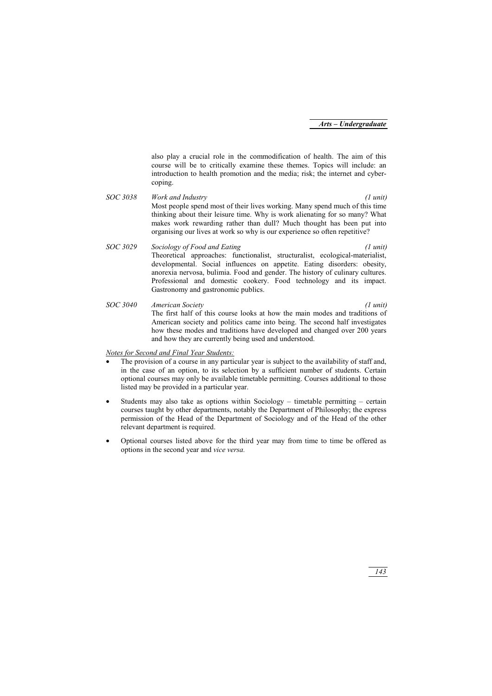*SOC 3027 Sociology of the Environment (1 unit)* 

 This course examines the relationship between society and the biophysical environment. It draws on constructivist, realist, marxist and eco-feminist approaches; analyses the theory of 'risk society'; examines the consequences of economic globalisation for the ecosystem; discusses the development of environmental movements; and explores the role of the media in placing environmental issues on the public agenda.

- *SOC 3028 Issues in Social Psychology (1 unit)*  Social psychology occupies a very special position between individual psychology focusing on a micro level of analysis, and sociology which is concerned with a macro level. Somewhere in the space between them social psychology seeks to understand human behaviour neither in terms of personality or individual mechanisms, nor in terms of societal processes. Rather, it seeks explanations at the level of small group processes, where both person elements and social elements function as background variables. For this end it employs historical research methods that simulate certain aspects of social life while partialling out others, as well as discursive and ethnographic methods.
- *SOC 3032 Crime and Social Control (1 unit)*  This course considers a broad range of theoretical and policy-oriented debates concerning issues of crime and social control, focusing on three main issues in particular. First, it examines the major theoretical explanations of criminal behaviour and considers their policy implications. Second, it addresses how various forms of inequality intersect with issues of crime and social control. Finally, it considers the relationship between crime, social control and broad processes of social change.
- *SOC 3033 Policing and Social Order (1 unit)*  The focus of this course is, firstly, on the major historical and sociological debates surrounding 'policing' and 'the police', and secondly, on contemporary developments in, and possible futures of, policing in Ireland and elsewhere. Throughout the course, we will consider the relationship between policing and social order, exploring in a variety of substantive ways, how social and economic divisions impact upon police practice, and how policing is enmeshed in the reproduction of social inequalities.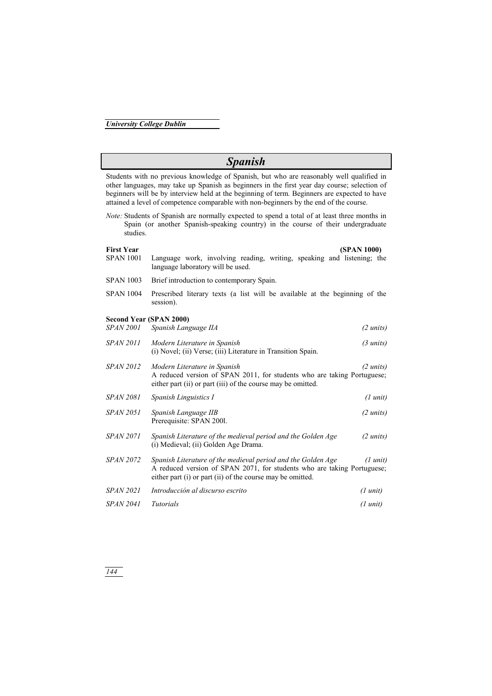### *Sociology (Contd.)*

- *SOC 3034 Urban Sociology (1 unit)*  Modern life is city life. Urban landscapes, cultures and economies provide the quintessential expression of the dynamics of modernity. This course will explore a variety of overlapping concerns including: local economic strategies and the changing political-economy of cities; social stratification and patterns of collective consumption; landscapes of race and class (e.g. gentrification, the underclass 'ghetto', ethnic cultural quarters such as 'China Town'), contested representation of cities, for instance by local boosters ('place marketing') or in popular culture (e.g. crime novels, TV, the media); globalisation, global cities and supra-national urban hierarchies; the post-modern city.
- *SOC 3039 Environmental Sociology II (1 unit)*

 The relationship between humanity and nature is central to a wide range of contemporary issues. This course looks at issues relating to people, animals, landscapes and eco-systems against the historical and evolutionary backdrop of biological anthropology. Topics include: animal rights, wolf-introductions, GM agriculture, artificial eco-systems, synthetic wilderness, global warming, the sociology of pets, anti-roads protesters, hunt saboteurs, the ecology of human culture, the myth of the 'ecological Indian', the sociology of landscape, and 'Gaia'.

*SOC 3036 Political Sociology (1 unit)*  'What is power?' and 'Where is it exercised?' are two major questions in political sociology. The earlier sociological approach to the political tended to concentrate on the exercise of power by and within the state. New Political Sociology, however, looks for power throughout society. Thus, the question 'Who are we?' becomes a political question. In this course conceptualizations of power will be addressed, as will notions of political space, political action and identity. You will be introduced to debates about the more macro level of state, civil society and the public sphere, as well as the more micro and meso levels of identity and social movements.

### *SOC 3037 Health, Illness and the Media (1 unit)*  This course will examine representations of health and illness in the mass media. A particular area of interest is the role of the media in what Radley et al (1997:5) term 'the making of health'. One feature of late-modern societies is that all of us are consumers of multiple messages in relation to what we should and should not do to our bodies in order to be healthy. Even a brief overview of the Irish media illustrates the pervasiveness of health related topics. Following Giddens (1992), it might be suggested that reading health promotional material, reading newspaper or magazine articles dealing with health issues and listening to or watching programmes dealing with health related topics all provide information that can enable individual reflexive projects. The media have a key role to play in moralising health. The media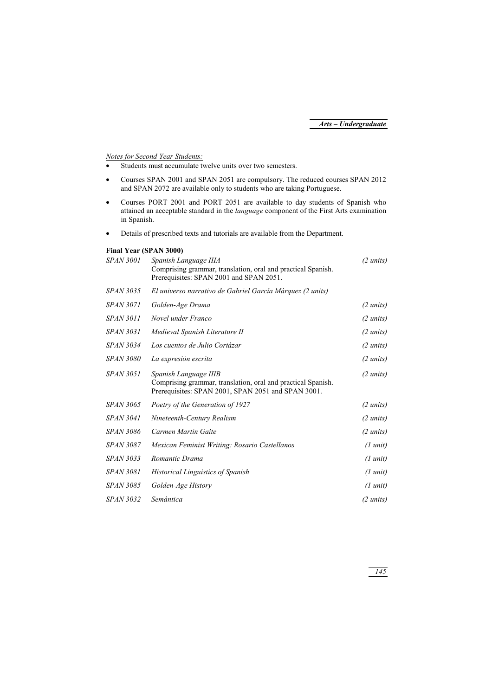also play a crucial role in the commodification of health. The aim of this course will be to critically examine these themes. Topics will include: an introduction to health promotion and the media; risk; the internet and cybercoping.

- *SOC 3038 Work and Industry (1 unit)*  Most people spend most of their lives working. Many spend much of this time thinking about their leisure time. Why is work alienating for so many? What makes work rewarding rather than dull? Much thought has been put into organising our lives at work so why is our experience so often repetitive?
- *SOC 3029 Sociology of Food and Eating (1 unit)*  Theoretical approaches: functionalist, structuralist, ecological-materialist, developmental. Social influences on appetite. Eating disorders: obesity, anorexia nervosa, bulimia. Food and gender. The history of culinary cultures. Professional and domestic cookery. Food technology and its impact. Gastronomy and gastronomic publics.
- *SOC 3040 American Society (1 unit)*  The first half of this course looks at how the main modes and traditions of American society and politics came into being. The second half investigates how these modes and traditions have developed and changed over 200 years and how they are currently being used and understood.

### *Notes for Second and Final Year Students:*

- The provision of a course in any particular year is subject to the availability of staff and, in the case of an option, to its selection by a sufficient number of students. Certain optional courses may only be available timetable permitting. Courses additional to those listed may be provided in a particular year.
- Students may also take as options within Sociology timetable permitting certain courses taught by other departments, notably the Department of Philosophy; the express permission of the Head of the Department of Sociology and of the Head of the other relevant department is required.
- Optional courses listed above for the third year may from time to time be offered as options in the second year and *vice versa.*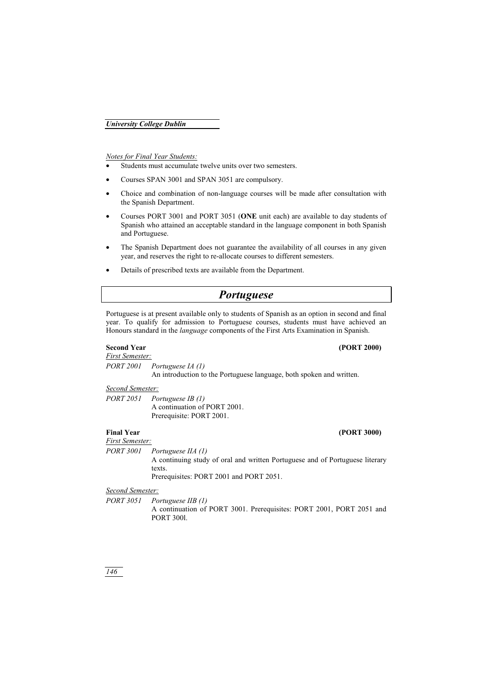# *Spanish*

Students with no previous knowledge of Spanish, but who are reasonably well qualified in other languages, may take up Spanish as beginners in the first year day course; selection of beginners will be by interview held at the beginning of term. Beginners are expected to have attained a level of competence comparable with non-beginners by the end of the course.

*Note:* Students of Spanish are normally expected to spend a total of at least three months in Spain (or another Spanish-speaking country) in the course of their undergraduate studies.

### **First Year (SPAN 1000)**

- SPAN 1001 Language work, involving reading, writing, speaking and listening; the language laboratory will be used.
- SPAN 1003 Brief introduction to contemporary Spain.
- SPAN 1004 Prescribed literary texts (a list will be available at the beginning of the session).

### **Second Year (SPAN 2000)**

| <b>SPAN 2001</b> | Spanish Language IIA                                                                                                                                                                                  | $(2 \text{ units})$ |
|------------------|-------------------------------------------------------------------------------------------------------------------------------------------------------------------------------------------------------|---------------------|
| <i>SPAN 2011</i> | Modern Literature in Spanish<br>(i) Novel; (ii) Verse; (iii) Literature in Transition Spain.                                                                                                          | $(3 \text{ units})$ |
| <i>SPAN 2012</i> | Modern Literature in Spanish<br>A reduced version of SPAN 2011, for students who are taking Portuguese;<br>either part (ii) or part (iii) of the course may be omitted.                               | $(2 \text{ units})$ |
| <i>SPAN 2081</i> | Spanish Linguistics I                                                                                                                                                                                 | $(1 \text{ unit})$  |
| <i>SPAN 2051</i> | Spanish Language IIB<br>Prerequisite: SPAN 2001.                                                                                                                                                      | (2 units)           |
| <i>SPAN 2071</i> | Spanish Literature of the medieval period and the Golden Age<br>(i) Medieval; (ii) Golden Age Drama.                                                                                                  | $(2 \text{ units})$ |
| <i>SPAN 2072</i> | Spanish Literature of the medieval period and the Golden Age<br>A reduced version of SPAN 2071, for students who are taking Portuguese;<br>either part (i) or part (ii) of the course may be omitted. | $(1 \text{ unit})$  |
| <i>SPAN 2021</i> | Introducción al discurso escrito                                                                                                                                                                      | $(1 \text{ unit})$  |
| <i>SPAN 2041</i> | Tutorials                                                                                                                                                                                             | $(1 \text{ unit})$  |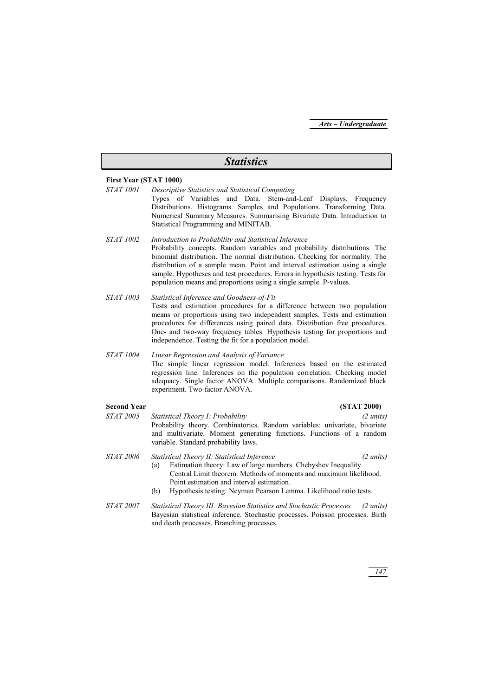# *Notes for Second Year Students:*

- Students must accumulate twelve units over two semesters.
- Courses SPAN 2001 and SPAN 2051 are compulsory. The reduced courses SPAN 2012 and SPAN 2072 are available only to students who are taking Portuguese.
- Courses PORT 2001 and PORT 2051 are available to day students of Spanish who attained an acceptable standard in the *language* component of the First Arts examination in Spanish.
- Details of prescribed texts and tutorials are available from the Department.

# **Final Year (SPAN 3000)**

| <i>SPAN 3001</i> | Spanish Language IIIA<br>Comprising grammar, translation, oral and practical Spanish.<br>Prerequisites: SPAN 2001 and SPAN 2051.            | $(2 \text{ units})$ |
|------------------|---------------------------------------------------------------------------------------------------------------------------------------------|---------------------|
| <b>SPAN 3035</b> | El universo narrativo de Gabriel García Márquez (2 units)                                                                                   |                     |
| <i>SPAN 3071</i> | Golden-Age Drama                                                                                                                            | $(2 \text{ units})$ |
| <i>SPAN 3011</i> | Novel under Franco                                                                                                                          | $(2 \text{ units})$ |
| <i>SPAN 3031</i> | Medieval Spanish Literature II                                                                                                              | $(2 \text{ units})$ |
| <i>SPAN 3034</i> | Los cuentos de Julio Cortázar                                                                                                               | $(2 \text{ units})$ |
| <i>SPAN 3080</i> | La expresión escrita                                                                                                                        | $(2 \text{ units})$ |
| <i>SPAN 3051</i> | Spanish Language IIIB<br>Comprising grammar, translation, oral and practical Spanish.<br>Prerequisites: SPAN 2001, SPAN 2051 and SPAN 3001. | $(2 \text{ units})$ |
| <i>SPAN 3065</i> | Poetry of the Generation of 1927                                                                                                            | $(2 \text{ units})$ |
| <i>SPAN 3041</i> | Nineteenth-Century Realism                                                                                                                  | $(2 \text{ units})$ |
| <i>SPAN 3086</i> | Carmen Martín Gaite                                                                                                                         | $(2 \text{ units})$ |
| <i>SPAN 3087</i> | Mexican Feminist Writing: Rosario Castellanos                                                                                               | $(1 \text{ unit})$  |
| <i>SPAN 3033</i> | Romantic Drama                                                                                                                              | $(1 \text{ unit})$  |
| <i>SPAN 3081</i> | Historical Linguistics of Spanish                                                                                                           | $(1 \text{ unit})$  |
| <i>SPAN 3085</i> | Golden-Age History                                                                                                                          | $(1 \text{ unit})$  |
| <i>SPAN 3032</i> | Semántica                                                                                                                                   | $(2 \text{ units})$ |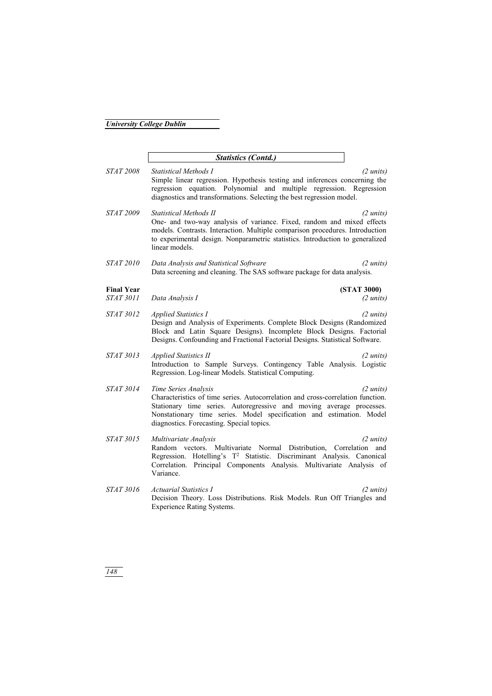*Notes for Final Year Students:*

- Students must accumulate twelve units over two semesters.
- Courses SPAN 3001 and SPAN 3051 are compulsory.
- Choice and combination of non-language courses will be made after consultation with the Spanish Department.
- Courses PORT 3001 and PORT 3051 (**ONE** unit each) are available to day students of Spanish who attained an acceptable standard in the language component in both Spanish and Portuguese.
- The Spanish Department does not guarantee the availability of all courses in any given year, and reserves the right to re-allocate courses to different semesters.
- Details of prescribed texts are available from the Department.

# *Portuguese*

Portuguese is at present available only to students of Spanish as an option in second and final year. To qualify for admission to Portuguese courses, students must have achieved an Honours standard in the *language* components of the First Arts Examination in Spanish.

# **Second Year (PORT 2000)**

*First Semester:*

*PORT 2001 Portuguese IA (1)* 

An introduction to the Portuguese language, both spoken and written.

*Second Semester:*

*PORT 2051 Portuguese IB (1)*  A continuation of PORT 2001. Prerequisite: PORT 2001.

*First Semester:*

*PORT 3001 Portuguese IIA (1)* 

 A continuing study of oral and written Portuguese and of Portuguese literary texts.

Prerequisites: PORT 2001 and PORT 2051.

# *Second Semester:*

*PORT 3051 Portuguese IIB (1)*  A continuation of PORT 3001. Prerequisites: PORT 2001, PORT 2051 and PORT 300l.

# **Final Year (PORT 3000)**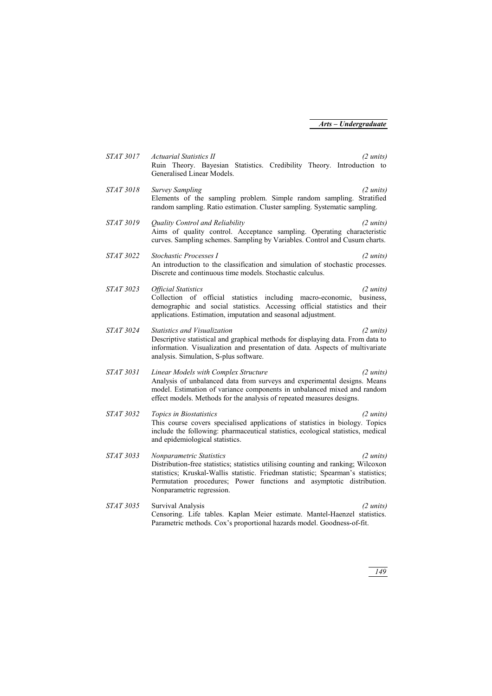# *Statistics*

### **First Year (STAT 1000)**

- *STAT 1001 Descriptive Statistics and Statistical Computing*  Types of Variables and Data. Stem-and-Leaf Displays. Frequency Distributions. Histograms. Samples and Populations. Transforming Data. Numerical Summary Measures. Summarising Bivariate Data. Introduction to Statistical Programming and MINITAB.
- *STAT 1002 Introduction to Probability and Statistical Inference*  Probability concepts. Random variables and probability distributions. The binomial distribution. The normal distribution. Checking for normality. The distribution of a sample mean. Point and interval estimation using a single sample. Hypotheses and test procedures. Errors in hypothesis testing. Tests for population means and proportions using a single sample. P-values.
- *STAT 1003 Statistical Inference and Goodness-of-Fit*  Tests and estimation procedures for a difference between two population means or proportions using two independent samples. Tests and estimation procedures for differences using paired data. Distribution free procedures. One- and two-way frequency tables. Hypothesis testing for proportions and independence. Testing the fit for a population model.
- *STAT 1004 Linear Regression and Analysis of Variance*  The simple linear regression model. Inferences based on the estimated regression line. Inferences on the population correlation. Checking model adequacy. Single factor ANOVA. Multiple comparisons. Randomized block experiment. Two-factor ANOVA.

### **Second Year (STAT 2000)**

- *STAT 2005 Statistical Theory I: Probability (2 units)*  Probability theory. Combinatorics. Random variables: univariate, bivariate and multivariate. Moment generating functions. Functions of a random variable. Standard probability laws.
- *STAT 2006 Statistical Theory II: Statistical Inference (2 units)*  (a) Estimation theory: Law of large numbers. Chebyshev Inequality. Central Limit theorem. Methods of moments and maximum likelihood.

Point estimation and interval estimation.

- (b) Hypothesis testing: Neyman Pearson Lemma. Likelihood ratio tests.
- *STAT 2007 Statistical Theory III: Bayesian Statistics and Stochastic Processes (2 units)*  Bayesian statistical inference. Stochastic processes. Poisson processes. Birth and death processes. Branching processes.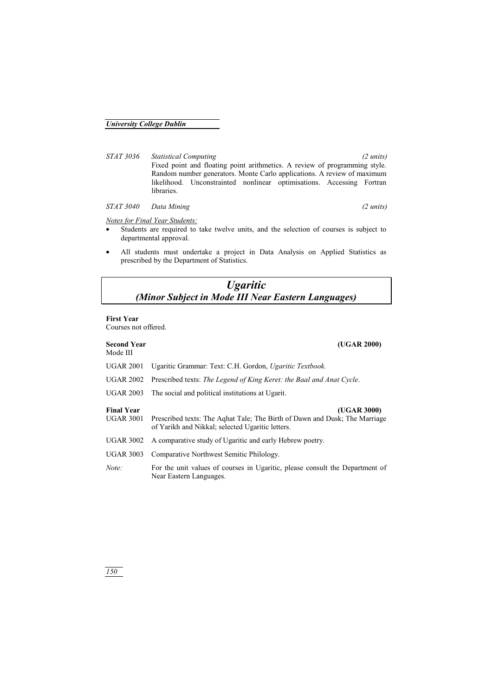# *Statistics (Contd.)*

- *STAT 2008 Statistical Methods I (2 units)*  Simple linear regression. Hypothesis testing and inferences concerning the regression equation. Polynomial and multiple regression. Regression diagnostics and transformations. Selecting the best regression model.
- *STAT 2009 Statistical Methods II (2 units)*  One- and two-way analysis of variance. Fixed, random and mixed effects models. Contrasts. Interaction. Multiple comparison procedures. Introduction to experimental design. Nonparametric statistics. Introduction to generalized linear models.
- *STAT 2010 Data Analysis and Statistical Software (2 units)*  Data screening and cleaning. The SAS software package for data analysis.

- **Final Year** (**STAT 3000**)<br> **FINAL STAT 3001** *Canity Canity**Canity**Canity**Canity**Canity**Canity**Canity**Canity**Canity**Canity**Canity**Canity**Canity**Canity**Canity**Canity**Canity**Canity**C Data Analysis I* (2 *units*)
- *STAT 3012 Applied Statistics I (2 units)*  Design and Analysis of Experiments. Complete Block Designs (Randomized Block and Latin Square Designs). Incomplete Block Designs. Factorial Designs. Confounding and Fractional Factorial Designs. Statistical Software.
- *STAT 3013 Applied Statistics II (2 units)*  Introduction to Sample Surveys. Contingency Table Analysis. Logistic Regression. Log-linear Models. Statistical Computing.
- *STAT 3014 Time Series Analysis (2 units)*  Characteristics of time series. Autocorrelation and cross-correlation function. Stationary time series. Autoregressive and moving average processes. Nonstationary time series. Model specification and estimation. Model diagnostics. Forecasting. Special topics.
- *STAT 3015 Multivariate Analysis (2 units)*  Random vectors. Multivariate Normal Distribution, Correlation and Regression. Hotelling's  $T^2$  Statistic. Discriminant Analysis. Canonical Correlation. Principal Components Analysis. Multivariate Analysis of Variance.
- *STAT 3016 Actuarial Statistics I (2 units)*  Decision Theory. Loss Distributions. Risk Models. Run Off Triangles and Experience Rating Systems.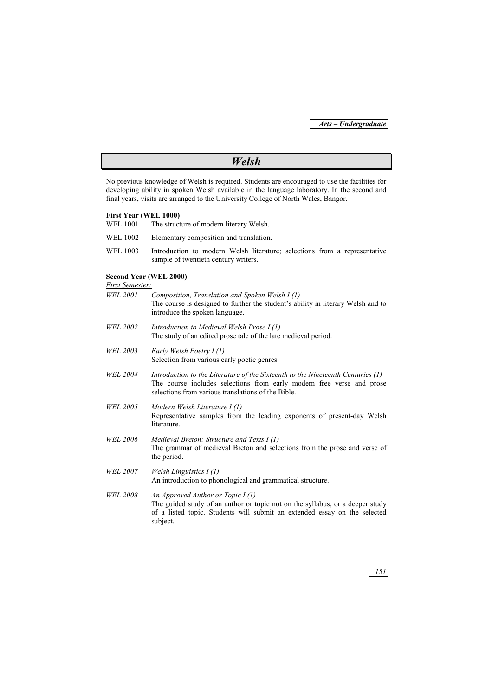- *STAT 3017 Actuarial Statistics II (2 units)*  Ruin Theory. Bayesian Statistics. Credibility Theory. Introduction to Generalised Linear Models.
- *STAT 3018 Survey Sampling (2 units)*  Elements of the sampling problem. Simple random sampling. Stratified random sampling. Ratio estimation. Cluster sampling. Systematic sampling.
- *STAT 3019 Quality Control and Reliability (2 units)*  Aims of quality control. Acceptance sampling. Operating characteristic curves. Sampling schemes. Sampling by Variables. Control and Cusum charts.
- *STAT 3022 Stochastic Processes I (2 units)*  An introduction to the classification and simulation of stochastic processes. Discrete and continuous time models. Stochastic calculus.
- *STAT 3023 Official Statistics (2 units)*  Collection of official statistics including macro-economic, business, demographic and social statistics. Accessing official statistics and their applications. Estimation, imputation and seasonal adjustment.
- *STAT 3024 Statistics and Visualization (2 units)*  Descriptive statistical and graphical methods for displaying data. From data to information. Visualization and presentation of data. Aspects of multivariate analysis. Simulation, S-plus software.
- *STAT 3031 Linear Models with Complex Structure (2 units)*  Analysis of unbalanced data from surveys and experimental designs. Means model. Estimation of variance components in unbalanced mixed and random effect models. Methods for the analysis of repeated measures designs.
- *STAT 3032 Topics in Biostatistics (2 units)*  This course covers specialised applications of statistics in biology. Topics include the following: pharmaceutical statistics, ecological statistics, medical and epidemiological statistics.
- *STAT 3033 Nonparametric Statistics (2 units)*  Distribution-free statistics; statistics utilising counting and ranking; Wilcoxon statistics; Kruskal-Wallis statistic. Friedman statistic; Spearman's statistics; Permutation procedures; Power functions and asymptotic distribution. Nonparametric regression.
- *STAT 3035* Survival Analysis *(2 units)*  Censoring. Life tables. Kaplan Meier estimate. Mantel-Haenzel statistics. Parametric methods. Cox's proportional hazards model. Goodness-of-fit.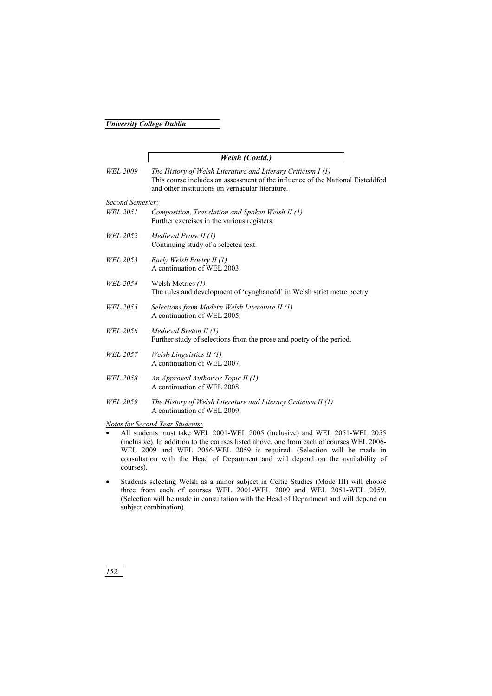**Final Year (UGAR 3000)**  UGAR 3001 Prescribed texts: The Aqhat Tale; The Birth of Dawn and Dusk; The Marriage of Yarikh and Nikkal; selected Ugaritic letters.

UGAR 3002 A comparative study of Ugaritic and early Hebrew poetry.

- UGAR 2001 Ugaritic Grammar: Text: C.H. Gordon, *Ugaritic Textbook.*
- 
- UGAR 2002 Prescribed texts: *The Legend of King Keret: the Baal and Anat Cycle*.

UGAR 3003 Comparative Northwest Semitic Philology.

Near Eastern Languages.

prescribed by the Department of Statistics.

**First Year** 

Courses not offered.

- departmental approval.
- *Notes for Final Year Students:* Students are required to take twelve units, and the selection of courses is subject to

• All students must undertake a project in Data Analysis on Applied Statistics as

*Ugaritic (Minor Subject in Mode III Near Eastern Languages)* 

*STAT 3040 Data Mining (2 units)* 

*STAT 3036 Statistical Computing (2 units)* 

Fixed point and floating point arithmetics. A review of programming style.

Random number generators. Monte Carlo applications. A review of maximum likelihood. Unconstrainted nonlinear optimisations. Accessing Fortran **libraries** 

# *University College Dublin*

# **Second Year (UGAR 2000)**

# UGAR 2003 The social and political institutions at Ugarit.

*Note:* For the unit values of courses in Ugaritic, please consult the Department of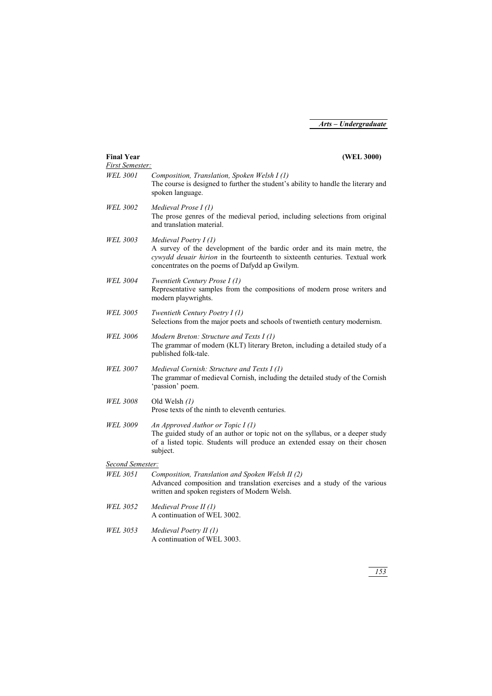# *Welsh*

No previous knowledge of Welsh is required. Students are encouraged to use the facilities for developing ability in spoken Welsh available in the language laboratory. In the second and final years, visits are arranged to the University College of North Wales, Bangor.

### **First Year (WEL 1000)**

| <b>WEL 1001</b> | The structure of modern literary Welsh. |  |
|-----------------|-----------------------------------------|--|
|-----------------|-----------------------------------------|--|

- WEL 1002 Elementary composition and translation.
- WEL 1003 Introduction to modern Welsh literature; selections from a representative sample of twentieth century writers.

### **Second Year (WEL 2000)**

*First Semester:*

| <b>WEL 2001</b> | Composition, Translation and Spoken Welsh I (1)<br>The course is designed to further the student's ability in literary Welsh and to<br>introduce the spoken language.                                            |
|-----------------|------------------------------------------------------------------------------------------------------------------------------------------------------------------------------------------------------------------|
| <b>WEL 2002</b> | Introduction to Medieval Welsh Prose $I(1)$<br>The study of an edited prose tale of the late medieval period.                                                                                                    |
| <b>WEL 2003</b> | Early Welsh Poetry I (1)<br>Selection from various early poetic genres.                                                                                                                                          |
| <b>WEL 2004</b> | Introduction to the Literature of the Sixteenth to the Nineteenth Centuries $(1)$<br>The course includes selections from early modern free verse and prose<br>selections from various translations of the Bible. |
| <b>WEL 2005</b> | Modern Welsh Literature I (1)<br>Representative samples from the leading exponents of present-day Welsh<br>literature.                                                                                           |
| <b>WEL 2006</b> | Medieval Breton: Structure and Texts I (1)<br>The grammar of medieval Breton and selections from the prose and verse of<br>the period.                                                                           |
| <b>WEL 2007</b> | Welsh Linguistics $I(1)$<br>An introduction to phonological and grammatical structure.                                                                                                                           |
| <b>WEL 2008</b> | An Approved Author or Topic I (1)<br>The guided study of an author or topic not on the syllabus, or a deeper study<br>of a listed topic. Students will submit an extended essay on the selected<br>subject.      |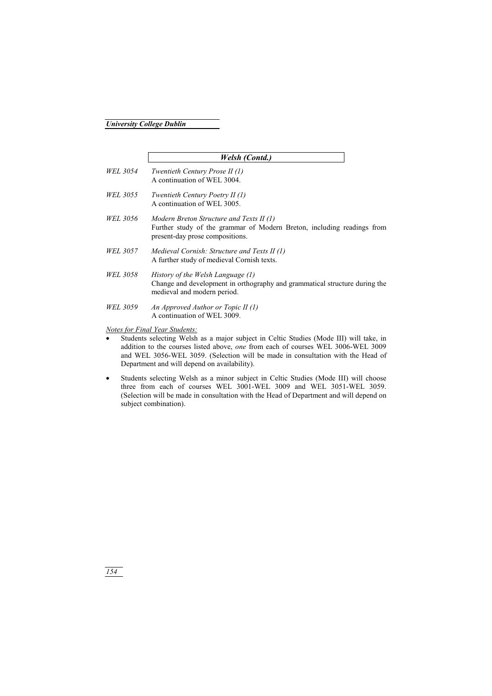# *Welsh (Contd.)*

*WEL 2009 The History of Welsh Literature and Literary Criticism I (1)*  This course includes an assessment of the influence of the National Eisteddfod and other institutions on vernacular literature.

### *Second Semester:*

- *WEL 2051 Composition, Translation and Spoken Welsh II (1)*  Further exercises in the various registers.
- *WEL 2052 Medieval Prose II (1)*  Continuing study of a selected text.
- *WEL 2053 Early Welsh Poetry II (1)*  A continuation of WEL 2003.
- *WEL 2054* Welsh Metrics (1) The rules and development of 'cynghanedd' in Welsh strict metre poetry.
- *WEL 2055 Selections from Modern Welsh Literature II (1)*  A continuation of WEL 2005.
- *WEL 2056 Medieval Breton II (1)*  Further study of selections from the prose and poetry of the period.
- *WEL 2057 Welsh Linguistics II (1)*  A continuation of WEL 2007.
- *WEL 2058 An Approved Author or Topic II (1)*  A continuation of WEL 2008.
- *WEL 2059 The History of Welsh Literature and Literary Criticism II (1)*  A continuation of WEL 2009.

# *Notes for Second Year Students:*

- All students must take WEL 2001-WEL 2005 (inclusive) and WEL 2051-WEL 2055 (inclusive). In addition to the courses listed above, one from each of courses WEL 2006- WEL 2009 and WEL 2056-WEL 2059 is required. (Selection will be made in consultation with the Head of Department and will depend on the availability of courses).
- Students selecting Welsh as a minor subject in Celtic Studies (Mode III) will choose three from each of courses WEL 2001-WEL 2009 and WEL 2051-WEL 2059. (Selection will be made in consultation with the Head of Department and will depend on subject combination).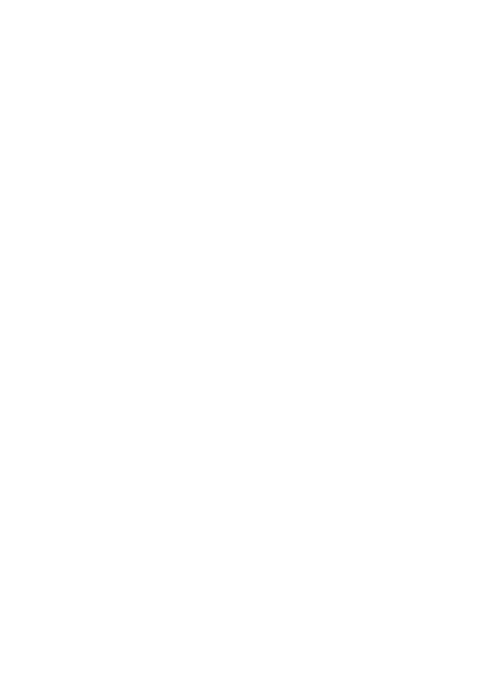| <b>Final Year</b><br><b>First Semester:</b> | (WEL 3000)                                                                                                                                                                                                                         |  |
|---------------------------------------------|------------------------------------------------------------------------------------------------------------------------------------------------------------------------------------------------------------------------------------|--|
| <b>WEL 3001</b>                             | Composition, Translation, Spoken Welsh I (1)<br>The course is designed to further the student's ability to handle the literary and<br>spoken language.                                                                             |  |
| <b>WEL 3002</b>                             | Medieval Prose $I(1)$<br>The prose genres of the medieval period, including selections from original<br>and translation material.                                                                                                  |  |
| <b>WEL 3003</b>                             | Medieval Poetry $I(1)$<br>A survey of the development of the bardic order and its main metre, the<br>cywydd deuair hirion in the fourteenth to sixteenth centuries. Textual work<br>concentrates on the poems of Dafydd ap Gwilym. |  |
| <i>WEL 3004</i>                             | Twentieth Century Prose I (1)<br>Representative samples from the compositions of modern prose writers and<br>modern playwrights.                                                                                                   |  |
| <b>WEL 3005</b>                             | Twentieth Century Poetry I (1)<br>Selections from the major poets and schools of twentieth century modernism.                                                                                                                      |  |
| <b>WEL 3006</b>                             | Modern Breton: Structure and Texts I (1)<br>The grammar of modern (KLT) literary Breton, including a detailed study of a<br>published folk-tale.                                                                                   |  |
| <i>WEL 3007</i>                             | Medieval Cornish: Structure and Texts $I(1)$<br>The grammar of medieval Cornish, including the detailed study of the Cornish<br>'passion' poem.                                                                                    |  |
| <b>WEL 3008</b>                             | Old Welsh $(l)$<br>Prose texts of the ninth to eleventh centuries.                                                                                                                                                                 |  |
| <b>WEL 3009</b>                             | An Approved Author or Topic I (1)<br>The guided study of an author or topic not on the syllabus, or a deeper study<br>of a listed topic. Students will produce an extended essay on their chosen<br>subject.                       |  |
| Second Semester:                            |                                                                                                                                                                                                                                    |  |
| <b>WEL 3051</b>                             | Composition, Translation and Spoken Welsh II (2)<br>Advanced composition and translation exercises and a study of the various<br>written and spoken registers of Modern Welsh.                                                     |  |
| <b>WEL 3052</b>                             | Medieval Prose II (1)<br>A continuation of WEL 3002.                                                                                                                                                                               |  |
| <b>WEL 3053</b>                             | Medieval Poetry II $(1)$<br>A continuation of WEL 3003.                                                                                                                                                                            |  |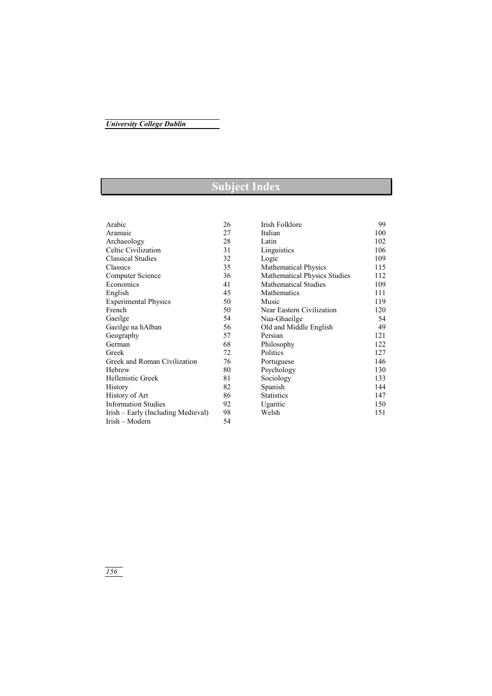# *Welsh (Contd.)*

- *WEL 3054 Twentieth Century Prose II (1)*  A continuation of WEL 3004.
- *WEL 3055 Twentieth Century Poetry II (1)*  A continuation of WEL 3005.
- *WEL 3056 Modern Breton Structure and Texts II (1)*  Further study of the grammar of Modern Breton, including readings from present-day prose compositions.
- *WEL 3057 Medieval Cornish: Structure and Texts II (1)*  A further study of medieval Cornish texts.
- *WEL 3058 History of the Welsh Language (1)*  Change and development in orthography and grammatical structure during the medieval and modern period.
- *WEL 3059 An Approved Author or Topic II (1)*  A continuation of WEL 3009.

*Notes for Final Year Students:*

- Students selecting Welsh as a major subject in Celtic Studies (Mode III) will take, in addition to the courses listed above, *one* from each of courses WEL 3006-WEL 3009 and WEL 3056-WEL 3059. (Selection will be made in consultation with the Head of Department and will depend on availability).
- Students selecting Welsh as a minor subject in Celtic Studies (Mode III) will choose three from each of courses WEL 3001-WEL 3009 and WEL 3051-WEL 3059. (Selection will be made in consultation with the Head of Department and will depend on subject combination).